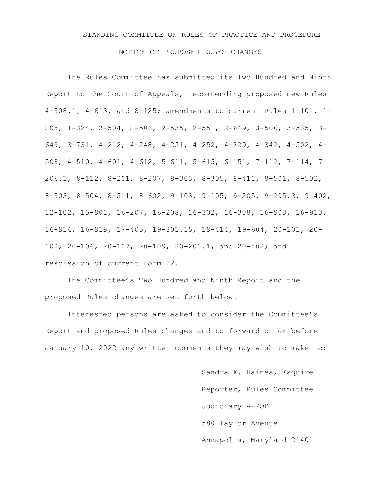# STANDING COMMITTEE ON RULES OF PRACTICE AND PROCEDURE

#### NOTICE OF PROPOSED RULES CHANGES

The Rules Committee has submitted its Two Hundred and Ninth Report to the Court of Appeals, recommending proposed new Rules 4-508.1, 4-613, and 8-125; amendments to current Rules 1-101, 1- 205, 1-324, 2-504, 2-506, 2-535, 2-551, 2-649, 3-506, 3-535, 3- 649, 3-731, 4-212, 4-248, 4-251, 4-252, 4-329, 4-342, 4-502, 4- 508, 4-510, 4-601, 4-612, 5-611, 5-615, 6-151, 7-112, 7-114, 7- 206.1, 8-112, 8-201, 8-207, 8-303, 8-305, 8-411, 8-501, 8-502, 8-503, 8-504, 8-511, 8-602, 9-103, 9-105, 9-205, 9-205.3, 9-402, 12-102, 15-901, 16-207, 16-208, 16-302, 16-308, 16-903, 16-913, 16-914, 16-918, 17-405, 19-301.15, 19-414, 19-604, 20-101, 20- 102, 20-106, 20-107, 20-109, 20-201.1, and 20-402; and rescission of current Form 22.

The Committee's Two Hundred and Ninth Report and the proposed Rules changes are set forth below.

Interested persons are asked to consider the Committee's Report and proposed Rules changes and to forward on or before January 10, 2022 any written comments they may wish to make to:

> Sandra F. Haines, Esquire Reporter, Rules Committee Judiciary A-POD 580 Taylor Avenue Annapolis, Maryland 21401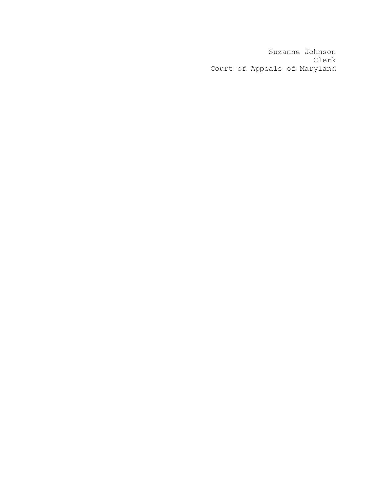Suzanne Johnson Clerk Court of Appeals of Maryland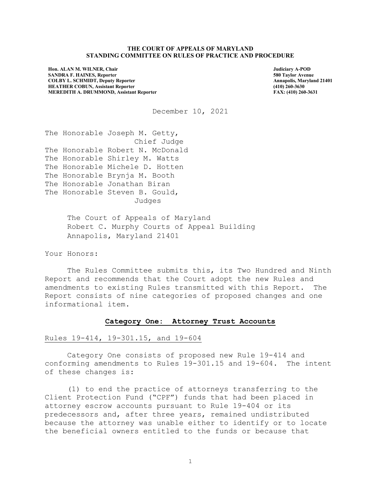#### **THE COURT OF APPEALS OF MARYLAND STANDING COMMITTEE ON RULES OF PRACTICE AND PROCEDURE**

**Hon. ALAN M. WILNER, Chair SANDRA F. HAINES, Reporter COLBY L. SCHMIDT, Deputy Reporter HEATHER COBUN, Assistant Reporter MEREDITH A. DRUMMOND, Assistant Reporter** **Judiciary A-POD 580 Taylor Avenue Annapolis, Maryland 21401 (410) 260-3630 FAX: (410) 260-3631**

December 10, 2021

The Honorable Joseph M. Getty, Chief Judge The Honorable Robert N. McDonald The Honorable Shirley M. Watts The Honorable Michele D. Hotten The Honorable Brynja M. Booth The Honorable Jonathan Biran The Honorable Steven B. Gould, Judges

> The Court of Appeals of Maryland Robert C. Murphy Courts of Appeal Building Annapolis, Maryland 21401

Your Honors:

The Rules Committee submits this, its Two Hundred and Ninth Report and recommends that the Court adopt the new Rules and amendments to existing Rules transmitted with this Report. The Report consists of nine categories of proposed changes and one informational item.

#### **Category One: Attorney Trust Accounts**

# Rules 19-414, 19-301.15, and 19-604

Category One consists of proposed new Rule 19-414 and conforming amendments to Rules 19-301.15 and 19-604. The intent of these changes is:

(1) to end the practice of attorneys transferring to the Client Protection Fund ("CPF") funds that had been placed in attorney escrow accounts pursuant to Rule 19-404 or its predecessors and, after three years, remained undistributed because the attorney was unable either to identify or to locate the beneficial owners entitled to the funds or because that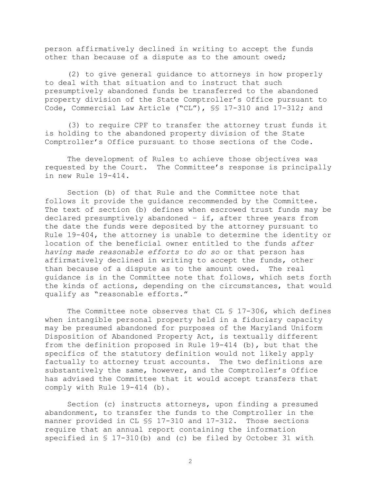person affirmatively declined in writing to accept the funds other than because of a dispute as to the amount owed;

(2) to give general guidance to attorneys in how properly to deal with that situation and to instruct that such presumptively abandoned funds be transferred to the abandoned property division of the State Comptroller's Office pursuant to Code, Commercial Law Article ("CL"), §§ 17-310 and 17-312; and

(3) to require CPF to transfer the attorney trust funds it is holding to the abandoned property division of the State Comptroller's Office pursuant to those sections of the Code.

The development of Rules to achieve those objectives was requested by the Court. The Committee's response is principally in new Rule 19-414.

Section (b) of that Rule and the Committee note that follows it provide the guidance recommended by the Committee. The text of section (b) defines when escrowed trust funds may be declared presumptively abandoned – if, after three years from the date the funds were deposited by the attorney pursuant to Rule 19-404, the attorney is unable to determine the identity or location of the beneficial owner entitled to the funds *after having made reasonable efforts to do so* or that person has affirmatively declined in writing to accept the funds, other than because of a dispute as to the amount owed. The real guidance is in the Committee note that follows, which sets forth the kinds of actions, depending on the circumstances, that would qualify as "reasonable efforts."

The Committee note observes that CL § 17-306, which defines when intangible personal property held in a fiduciary capacity may be presumed abandoned for purposes of the Maryland Uniform Disposition of Abandoned Property Act, is textually different from the definition proposed in Rule 19-414 (b), but that the specifics of the statutory definition would not likely apply factually to attorney trust accounts. The two definitions are substantively the same, however, and the Comptroller's Office has advised the Committee that it would accept transfers that comply with Rule 19-414 (b).

Section (c) instructs attorneys, upon finding a presumed abandonment, to transfer the funds to the Comptroller in the manner provided in CL §§ 17-310 and 17-312. Those sections require that an annual report containing the information specified in § 17-310(b) and (c) be filed by October 31 with

<sup>2</sup>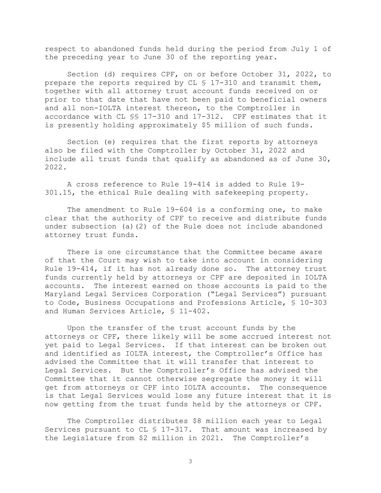respect to abandoned funds held during the period from July 1 of the preceding year to June 30 of the reporting year.

Section (d) requires CPF, on or before October 31, 2022, to prepare the reports required by CL § 17-310 and transmit them, together with all attorney trust account funds received on or prior to that date that have not been paid to beneficial owners and all non-IOLTA interest thereon, to the Comptroller in accordance with CL §§ 17-310 and 17-312. CPF estimates that it is presently holding approximately \$5 million of such funds.

Section (e) requires that the first reports by attorneys also be filed with the Comptroller by October 31, 2022 and include all trust funds that qualify as abandoned as of June 30, 2022.

A cross reference to Rule 19-414 is added to Rule 19- 301.15, the ethical Rule dealing with safekeeping property.

The amendment to Rule 19-604 is a conforming one, to make clear that the authority of CPF to receive and distribute funds under subsection (a)(2) of the Rule does not include abandoned attorney trust funds.

There is one circumstance that the Committee became aware of that the Court may wish to take into account in considering Rule 19-414, if it has not already done so. The attorney trust funds currently held by attorneys or CPF are deposited in IOLTA accounts. The interest earned on those accounts is paid to the Maryland Legal Services Corporation ("Legal Services") pursuant to Code, Business Occupations and Professions Article, § 10-303 and Human Services Article, § 11-402.

Upon the transfer of the trust account funds by the attorneys or CPF, there likely will be some accrued interest not yet paid to Legal Services. If that interest can be broken out and identified as IOLTA interest, the Comptroller's Office has advised the Committee that it will transfer that interest to Legal Services. But the Comptroller's Office has advised the Committee that it cannot otherwise segregate the money it will get from attorneys or CPF into IOLTA accounts. The consequence is that Legal Services would lose any future interest that it is now getting from the trust funds held by the attorneys or CPF.

The Comptroller distributes \$8 million each year to Legal Services pursuant to CL § 17-317. That amount was increased by the Legislature from \$2 million in 2021. The Comptroller's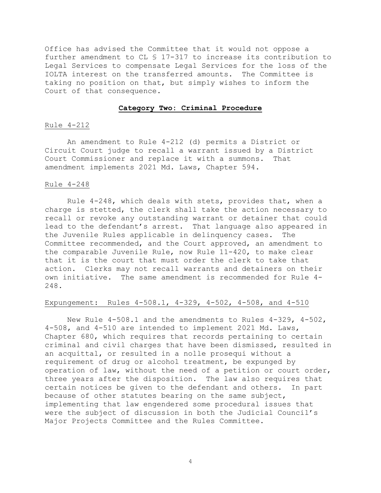Office has advised the Committee that it would not oppose a further amendment to CL § 17-317 to increase its contribution to Legal Services to compensate Legal Services for the loss of the IOLTA interest on the transferred amounts. The Committee is taking no position on that, but simply wishes to inform the Court of that consequence.

#### **Category Two: Criminal Procedure**

# Rule 4-212

An amendment to Rule 4-212 (d) permits a District or Circuit Court judge to recall a warrant issued by a District<br>Court Commissioner and replace it with a summons. That Court Commissioner and replace it with a summons. amendment implements 2021 Md. Laws, Chapter 594.

# Rule 4-248

Rule 4-248, which deals with stets, provides that, when a charge is stetted, the clerk shall take the action necessary to recall or revoke any outstanding warrant or detainer that could lead to the defendant's arrest. That language also appeared in the Juvenile Rules applicable in delinquency cases. The Committee recommended, and the Court approved, an amendment to the comparable Juvenile Rule, now Rule 11-420, to make clear that it is the court that must order the clerk to take that action. Clerks may not recall warrants and detainers on their own initiative. The same amendment is recommended for Rule 4- 248.

# Expungement: Rules 4-508.1, 4-329, 4-502, 4-508, and 4-510

New Rule 4-508.1 and the amendments to Rules 4-329, 4-502, 4-508, and 4-510 are intended to implement 2021 Md. Laws, Chapter 680, which requires that records pertaining to certain criminal and civil charges that have been dismissed, resulted in an acquittal, or resulted in a nolle prosequi without a requirement of drug or alcohol treatment, be expunged by operation of law, without the need of a petition or court order, three years after the disposition. The law also requires that certain notices be given to the defendant and others. In part because of other statutes bearing on the same subject, implementing that law engendered some procedural issues that were the subject of discussion in both the Judicial Council's Major Projects Committee and the Rules Committee.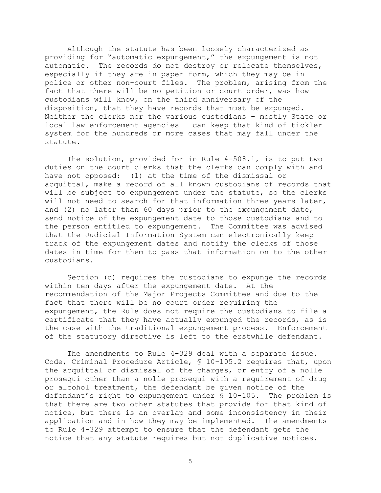Although the statute has been loosely characterized as providing for "automatic expungement," the expungement is not automatic. The records do not destroy or relocate themselves, especially if they are in paper form, which they may be in police or other non-court files. The problem, arising from the fact that there will be no petition or court order, was how custodians will know, on the third anniversary of the disposition, that they have records that must be expunged. Neither the clerks nor the various custodians – mostly State or local law enforcement agencies – can keep that kind of tickler system for the hundreds or more cases that may fall under the statute.

The solution, provided for in Rule 4-508.1, is to put two duties on the court clerks that the clerks can comply with and have not opposed: (1) at the time of the dismissal or acquittal, make a record of all known custodians of records that will be subject to expungement under the statute, so the clerks will not need to search for that information three years later, and (2) no later than 60 days prior to the expungement date, send notice of the expungement date to those custodians and to the person entitled to expungement. The Committee was advised that the Judicial Information System can electronically keep track of the expungement dates and notify the clerks of those dates in time for them to pass that information on to the other custodians.

Section (d) requires the custodians to expunge the records within ten days after the expungement date. At the recommendation of the Major Projects Committee and due to the fact that there will be no court order requiring the expungement, the Rule does not require the custodians to file a certificate that they have actually expunged the records, as is the case with the traditional expungement process. Enforcement of the statutory directive is left to the erstwhile defendant.

The amendments to Rule 4-329 deal with a separate issue. Code, Criminal Procedure Article, § 10-105.2 requires that, upon the acquittal or dismissal of the charges, or entry of a nolle prosequi other than a nolle prosequi with a requirement of drug or alcohol treatment, the defendant be given notice of the defendant's right to expungement under § 10-105. The problem is that there are two other statutes that provide for that kind of notice, but there is an overlap and some inconsistency in their application and in how they may be implemented. The amendments to Rule 4-329 attempt to ensure that the defendant gets the notice that any statute requires but not duplicative notices.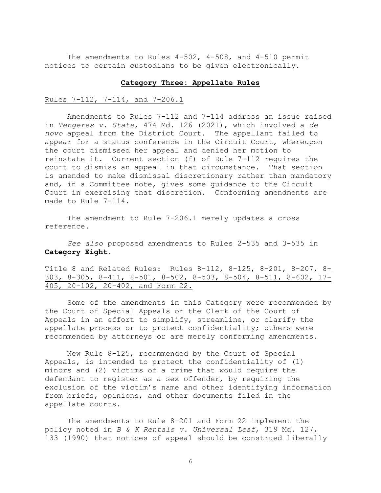The amendments to Rules 4-502, 4-508, and 4-510 permit notices to certain custodians to be given electronically.

#### **Category Three: Appellate Rules**

#### Rules 7-112, 7-114, and 7-206.1

Amendments to Rules 7-112 and 7-114 address an issue raised in *Tengeres v. State*, 474 Md. 126 (2021), which involved a *de novo* appeal from the District Court. The appellant failed to appear for a status conference in the Circuit Court, whereupon the court dismissed her appeal and denied her motion to reinstate it. Current section (f) of Rule 7-112 requires the court to dismiss an appeal in that circumstance. That section is amended to make dismissal discretionary rather than mandatory and, in a Committee note, gives some guidance to the Circuit Court in exercising that discretion. Conforming amendments are made to Rule 7-114.

The amendment to Rule 7-206.1 merely updates a cross reference.

*See also* proposed amendments to Rules 2-535 and 3-535 in **Category Eight***.*

Title 8 and Related Rules: Rules 8-112, 8-125, 8-201, 8-207, 8- 303, 8-305, 8-411, 8-501, 8-502, 8-503, 8-504, 8-511, 8-602, 17- 405, 20-102, 20-402, and Form 22.

Some of the amendments in this Category were recommended by the Court of Special Appeals or the Clerk of the Court of Appeals in an effort to simplify, streamline, or clarify the appellate process or to protect confidentiality; others were recommended by attorneys or are merely conforming amendments.

New Rule 8-125, recommended by the Court of Special Appeals, is intended to protect the confidentiality of (1) minors and (2) victims of a crime that would require the defendant to register as a sex offender, by requiring the exclusion of the victim's name and other identifying information from briefs, opinions, and other documents filed in the appellate courts.

The amendments to Rule 8-201 and Form 22 implement the policy noted in *B & K Rentals v. Universal Leaf*, 319 Md. 127, 133 (1990) that notices of appeal should be construed liberally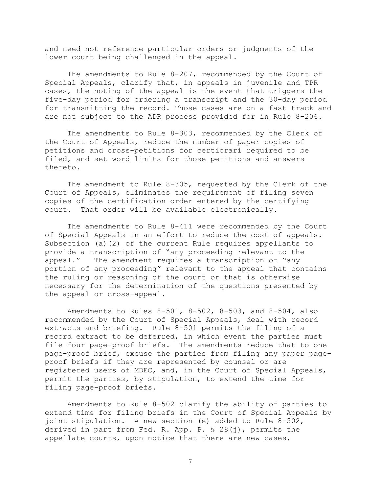and need not reference particular orders or judgments of the lower court being challenged in the appeal.

The amendments to Rule 8-207, recommended by the Court of Special Appeals, clarify that, in appeals in juvenile and TPR cases, the noting of the appeal is the event that triggers the five-day period for ordering a transcript and the 30-day period for transmitting the record. Those cases are on a fast track and are not subject to the ADR process provided for in Rule 8-206.

The amendments to Rule 8-303, recommended by the Clerk of the Court of Appeals, reduce the number of paper copies of petitions and cross-petitions for certiorari required to be filed, and set word limits for those petitions and answers thereto.

The amendment to Rule 8-305, requested by the Clerk of the Court of Appeals, eliminates the requirement of filing seven copies of the certification order entered by the certifying court. That order will be available electronically.

The amendments to Rule 8-411 were recommended by the Court of Special Appeals in an effort to reduce the cost of appeals. Subsection (a)(2) of the current Rule requires appellants to provide a transcription of "any proceeding relevant to the appeal." The amendment requires a transcription of "any portion of any proceeding" relevant to the appeal that contains the ruling or reasoning of the court or that is otherwise necessary for the determination of the questions presented by the appeal or cross-appeal.

Amendments to Rules 8-501, 8-502, 8-503, and 8-504, also recommended by the Court of Special Appeals, deal with record extracts and briefing. Rule 8-501 permits the filing of a record extract to be deferred, in which event the parties must file four page-proof briefs. The amendments reduce that to one page-proof brief, excuse the parties from filing any paper pageproof briefs if they are represented by counsel or are registered users of MDEC, and, in the Court of Special Appeals, permit the parties, by stipulation, to extend the time for filing page-proof briefs.

Amendments to Rule 8-502 clarify the ability of parties to extend time for filing briefs in the Court of Special Appeals by joint stipulation. A new section (e) added to Rule 8-502, derived in part from Fed. R. App. P. § 28(j), permits the appellate courts, upon notice that there are new cases,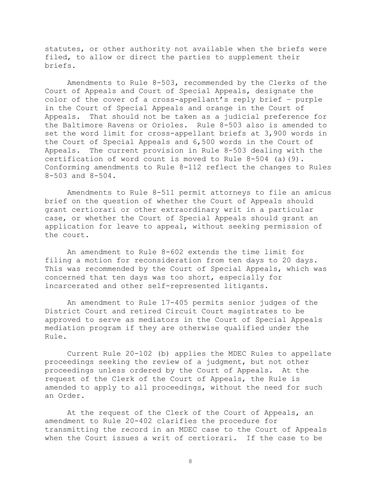statutes, or other authority not available when the briefs were filed, to allow or direct the parties to supplement their briefs.

Amendments to Rule 8-503, recommended by the Clerks of the Court of Appeals and Court of Special Appeals, designate the color of the cover of a cross-appellant's reply brief – purple in the Court of Special Appeals and orange in the Court of Appeals. That should not be taken as a judicial preference for the Baltimore Ravens or Orioles. Rule 8-503 also is amended to set the word limit for cross-appellant briefs at 3,900 words in the Court of Special Appeals and 6,500 words in the Court of Appeals. The current provision in Rule 8-503 dealing with the certification of word count is moved to Rule 8-504 (a)(9). Conforming amendments to Rule 8-112 reflect the changes to Rules 8-503 and 8-504.

Amendments to Rule 8-511 permit attorneys to file an amicus brief on the question of whether the Court of Appeals should grant certiorari or other extraordinary writ in a particular case, or whether the Court of Special Appeals should grant an application for leave to appeal, without seeking permission of the court.

An amendment to Rule 8-602 extends the time limit for filing a motion for reconsideration from ten days to 20 days. This was recommended by the Court of Special Appeals, which was concerned that ten days was too short, especially for incarcerated and other self-represented litigants.

An amendment to Rule 17-405 permits senior judges of the District Court and retired Circuit Court magistrates to be approved to serve as mediators in the Court of Special Appeals mediation program if they are otherwise qualified under the Rule.

Current Rule 20-102 (b) applies the MDEC Rules to appellate proceedings seeking the review of a judgment, but not other proceedings unless ordered by the Court of Appeals. At the request of the Clerk of the Court of Appeals, the Rule is amended to apply to all proceedings, without the need for such an Order.

At the request of the Clerk of the Court of Appeals, an amendment to Rule 20-402 clarifies the procedure for transmitting the record in an MDEC case to the Court of Appeals when the Court issues a writ of certiorari. If the case to be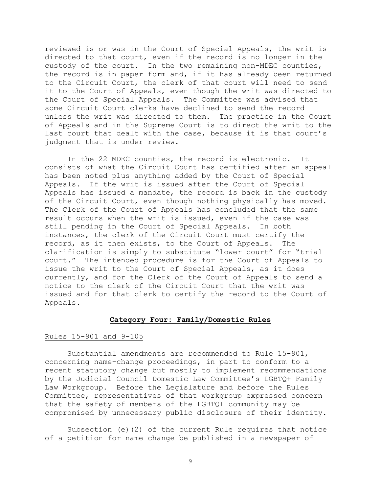reviewed is or was in the Court of Special Appeals, the writ is directed to that court, even if the record is no longer in the custody of the court. In the two remaining non-MDEC counties, the record is in paper form and, if it has already been returned to the Circuit Court, the clerk of that court will need to send it to the Court of Appeals, even though the writ was directed to the Court of Special Appeals. The Committee was advised that some Circuit Court clerks have declined to send the record unless the writ was directed to them. The practice in the Court of Appeals and in the Supreme Court is to direct the writ to the last court that dealt with the case, because it is that court's judgment that is under review.

In the 22 MDEC counties, the record is electronic. It consists of what the Circuit Court has certified after an appeal has been noted plus anything added by the Court of Special Appeals. If the writ is issued after the Court of Special Appeals has issued a mandate, the record is back in the custody of the Circuit Court, even though nothing physically has moved. The Clerk of the Court of Appeals has concluded that the same result occurs when the writ is issued, even if the case was still pending in the Court of Special Appeals. In both instances, the clerk of the Circuit Court must certify the record, as it then exists, to the Court of Appeals. The clarification is simply to substitute "lower court" for "trial court." The intended procedure is for the Court of Appeals to issue the writ to the Court of Special Appeals, as it does currently, and for the Clerk of the Court of Appeals to send a notice to the clerk of the Circuit Court that the writ was issued and for that clerk to certify the record to the Court of Appeals.

#### **Category Four: Family/Domestic Rules**

#### Rules 15-901 and 9-105

Substantial amendments are recommended to Rule 15-901, concerning name-change proceedings, in part to conform to a recent statutory change but mostly to implement recommendations by the Judicial Council Domestic Law Committee's LGBTQ+ Family Law Workgroup. Before the Legislature and before the Rules Committee, representatives of that workgroup expressed concern that the safety of members of the LGBTQ+ community may be compromised by unnecessary public disclosure of their identity.

Subsection (e)(2) of the current Rule requires that notice of a petition for name change be published in a newspaper of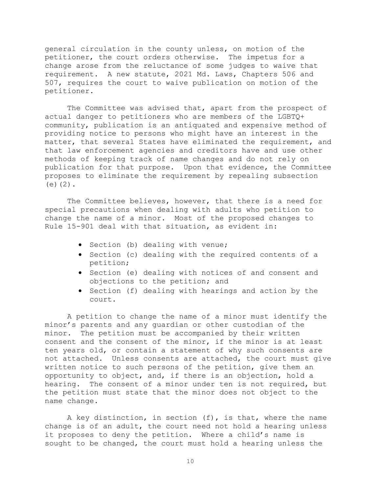general circulation in the county unless, on motion of the petitioner, the court orders otherwise. The impetus for a change arose from the reluctance of some judges to waive that requirement. A new statute, 2021 Md. Laws, Chapters 506 and 507, requires the court to waive publication on motion of the petitioner.

The Committee was advised that, apart from the prospect of actual danger to petitioners who are members of the LGBTQ+ community, publication is an antiquated and expensive method of providing notice to persons who might have an interest in the matter, that several States have eliminated the requirement, and that law enforcement agencies and creditors have and use other methods of keeping track of name changes and do not rely on publication for that purpose. Upon that evidence, the Committee proposes to eliminate the requirement by repealing subsection  $(e)(2)$ .

The Committee believes, however, that there is a need for special precautions when dealing with adults who petition to change the name of a minor. Most of the proposed changes to Rule 15-901 deal with that situation, as evident in:

- Section (b) dealing with venue;
- Section (c) dealing with the required contents of a petition;
- Section (e) dealing with notices of and consent and objections to the petition; and
- Section (f) dealing with hearings and action by the court.

A petition to change the name of a minor must identify the minor's parents and any guardian or other custodian of the minor. The petition must be accompanied by their written consent and the consent of the minor, if the minor is at least ten years old, or contain a statement of why such consents are not attached. Unless consents are attached, the court must give written notice to such persons of the petition, give them an opportunity to object, and, if there is an objection, hold a hearing. The consent of a minor under ten is not required, but the petition must state that the minor does not object to the name change.

A key distinction, in section (f), is that, where the name change is of an adult, the court need not hold a hearing unless it proposes to deny the petition. Where a child's name is sought to be changed, the court must hold a hearing unless the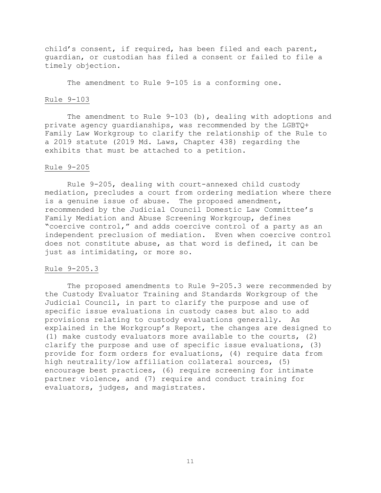child's consent, if required, has been filed and each parent, guardian, or custodian has filed a consent or failed to file a timely objection.

The amendment to Rule 9-105 is a conforming one.

# Rule 9-103

The amendment to Rule 9-103 (b), dealing with adoptions and private agency guardianships, was recommended by the LGBTQ+ Family Law Workgroup to clarify the relationship of the Rule to a 2019 statute (2019 Md. Laws, Chapter 438) regarding the exhibits that must be attached to a petition.

#### Rule 9-205

Rule 9-205, dealing with court-annexed child custody mediation, precludes a court from ordering mediation where there is a genuine issue of abuse. The proposed amendment, recommended by the Judicial Council Domestic Law Committee's Family Mediation and Abuse Screening Workgroup, defines "coercive control," and adds coercive control of a party as an independent preclusion of mediation. Even when coercive control does not constitute abuse, as that word is defined, it can be just as intimidating, or more so.

# Rule 9-205.3

The proposed amendments to Rule 9-205.3 were recommended by the Custody Evaluator Training and Standards Workgroup of the Judicial Council, in part to clarify the purpose and use of specific issue evaluations in custody cases but also to add provisions relating to custody evaluations generally. As explained in the Workgroup's Report, the changes are designed to (1) make custody evaluators more available to the courts, (2) clarify the purpose and use of specific issue evaluations, (3) provide for form orders for evaluations, (4) require data from high neutrality/low affiliation collateral sources, (5) encourage best practices, (6) require screening for intimate partner violence, and (7) require and conduct training for evaluators, judges, and magistrates.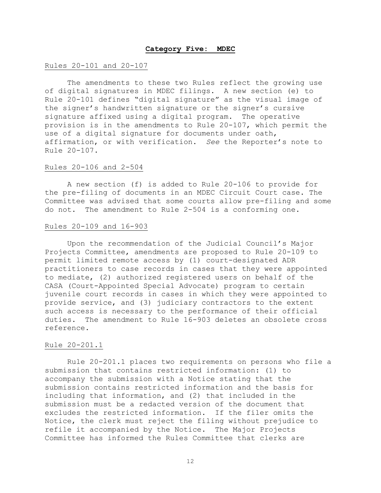#### **Category Five: MDEC**

#### Rules 20-101 and 20-107

The amendments to these two Rules reflect the growing use of digital signatures in MDEC filings. A new section (e) to Rule 20-101 defines "digital signature" as the visual image of the signer's handwritten signature or the signer's cursive signature affixed using a digital program. The operative provision is in the amendments to Rule 20-107, which permit the use of a digital signature for documents under oath, affirmation, or with verification. *See* the Reporter's note to Rule 20-107.

#### Rules 20-106 and 2-504

A new section (f) is added to Rule 20-106 to provide for the pre-filing of documents in an MDEC Circuit Court case. The Committee was advised that some courts allow pre-filing and some do not. The amendment to Rule 2-504 is a conforming one.

#### Rules 20-109 and 16-903

Upon the recommendation of the Judicial Council's Major Projects Committee, amendments are proposed to Rule 20-109 to permit limited remote access by (1) court-designated ADR practitioners to case records in cases that they were appointed to mediate, (2) authorized registered users on behalf of the CASA (Court-Appointed Special Advocate) program to certain juvenile court records in cases in which they were appointed to provide service, and (3) judiciary contractors to the extent such access is necessary to the performance of their official duties. The amendment to Rule 16-903 deletes an obsolete cross reference.

#### Rule 20-201.1

Rule 20-201.1 places two requirements on persons who file a submission that contains restricted information: (1) to accompany the submission with a Notice stating that the submission contains restricted information and the basis for including that information, and (2) that included in the submission must be a redacted version of the document that excludes the restricted information. If the filer omits the Notice, the clerk must reject the filing without prejudice to refile it accompanied by the Notice. The Major Projects Committee has informed the Rules Committee that clerks are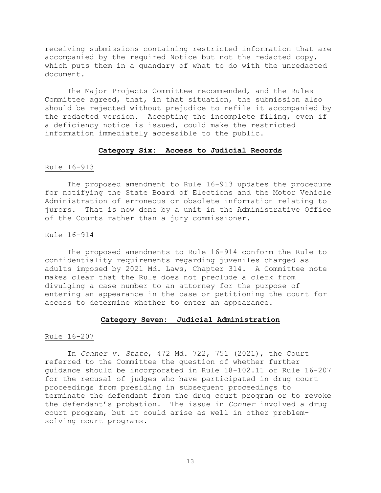receiving submissions containing restricted information that are accompanied by the required Notice but not the redacted copy, which puts them in a quandary of what to do with the unredacted document.

The Major Projects Committee recommended, and the Rules Committee agreed, that, in that situation, the submission also should be rejected without prejudice to refile it accompanied by the redacted version. Accepting the incomplete filing, even if a deficiency notice is issued, could make the restricted information immediately accessible to the public.

# **Category Six: Access to Judicial Records**

#### Rule 16-913

The proposed amendment to Rule 16-913 updates the procedure for notifying the State Board of Elections and the Motor Vehicle Administration of erroneous or obsolete information relating to jurors. That is now done by a unit in the Administrative Office of the Courts rather than a jury commissioner.

# Rule 16-914

The proposed amendments to Rule 16-914 conform the Rule to confidentiality requirements regarding juveniles charged as adults imposed by 2021 Md. Laws, Chapter 314. A Committee note makes clear that the Rule does not preclude a clerk from divulging a case number to an attorney for the purpose of entering an appearance in the case or petitioning the court for access to determine whether to enter an appearance.

#### **Category Seven: Judicial Administration**

#### Rule 16-207

In *Conner v. State*, 472 Md. 722, 751 (2021), the Court referred to the Committee the question of whether further guidance should be incorporated in Rule 18-102.11 or Rule 16-207 for the recusal of judges who have participated in drug court proceedings from presiding in subsequent proceedings to terminate the defendant from the drug court program or to revoke the defendant's probation. The issue in *Conner* involved a drug court program, but it could arise as well in other problemsolving court programs.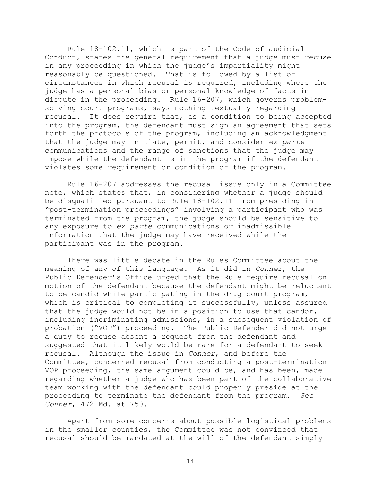Rule 18-102.11, which is part of the Code of Judicial Conduct, states the general requirement that a judge must recuse in any proceeding in which the judge's impartiality might reasonably be questioned. That is followed by a list of circumstances in which recusal is required, including where the judge has a personal bias or personal knowledge of facts in dispute in the proceeding. Rule 16-207, which governs problemsolving court programs, says nothing textually regarding recusal. It does require that, as a condition to being accepted into the program, the defendant must sign an agreement that sets forth the protocols of the program, including an acknowledgment that the judge may initiate, permit, and consider *ex parte* communications and the range of sanctions that the judge may impose while the defendant is in the program if the defendant violates some requirement or condition of the program.

Rule 16-207 addresses the recusal issue only in a Committee note, which states that, in considering whether a judge should be disqualified pursuant to Rule 18-102.11 from presiding in "post-termination proceedings" involving a participant who was terminated from the program, the judge should be sensitive to any exposure to *ex parte* communications or inadmissible information that the judge may have received while the participant was in the program.

There was little debate in the Rules Committee about the meaning of any of this language. As it did in *Conner*, the Public Defender's Office urged that the Rule require recusal on motion of the defendant because the defendant might be reluctant to be candid while participating in the drug court program, which is critical to completing it successfully, unless assured that the judge would not be in a position to use that candor, including incriminating admissions, in a subsequent violation of probation ("VOP") proceeding. The Public Defender did not urge a duty to recuse absent a request from the defendant and suggested that it likely would be rare for a defendant to seek recusal. Although the issue in *Conner*, and before the Committee, concerned recusal from conducting a post-termination VOP proceeding, the same argument could be, and has been, made regarding whether a judge who has been part of the collaborative team working with the defendant could properly preside at the proceeding to terminate the defendant from the program. *See Conner*, 472 Md. at 750.

Apart from some concerns about possible logistical problems in the smaller counties, the Committee was not convinced that recusal should be mandated at the will of the defendant simply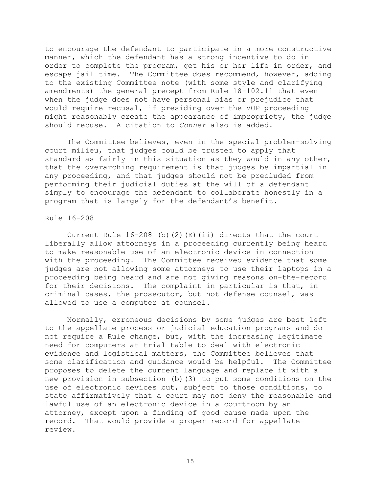to encourage the defendant to participate in a more constructive manner, which the defendant has a strong incentive to do in order to complete the program, get his or her life in order, and escape jail time. The Committee does recommend, however, adding to the existing Committee note (with some style and clarifying amendments) the general precept from Rule 18-102.11 that even when the judge does not have personal bias or prejudice that would require recusal, if presiding over the VOP proceeding might reasonably create the appearance of impropriety, the judge should recuse. A citation to *Conner* also is added.

The Committee believes, even in the special problem-solving court milieu, that judges could be trusted to apply that standard as fairly in this situation as they would in any other, that the overarching requirement is that judges be impartial in any proceeding, and that judges should not be precluded from performing their judicial duties at the will of a defendant simply to encourage the defendant to collaborate honestly in a program that is largely for the defendant's benefit.

#### Rule 16-208

Current Rule  $16-208$  (b)(2)(E)(ii) directs that the court liberally allow attorneys in a proceeding currently being heard to make reasonable use of an electronic device in connection with the proceeding. The Committee received evidence that some judges are not allowing some attorneys to use their laptops in a proceeding being heard and are not giving reasons on-the-record for their decisions. The complaint in particular is that, in criminal cases, the prosecutor, but not defense counsel, was allowed to use a computer at counsel.

Normally, erroneous decisions by some judges are best left to the appellate process or judicial education programs and do not require a Rule change, but, with the increasing legitimate need for computers at trial table to deal with electronic evidence and logistical matters, the Committee believes that some clarification and guidance would be helpful. The Committee proposes to delete the current language and replace it with a new provision in subsection (b)(3) to put some conditions on the use of electronic devices but, subject to those conditions, to state affirmatively that a court may not deny the reasonable and lawful use of an electronic device in a courtroom by an attorney, except upon a finding of good cause made upon the record. That would provide a proper record for appellate review.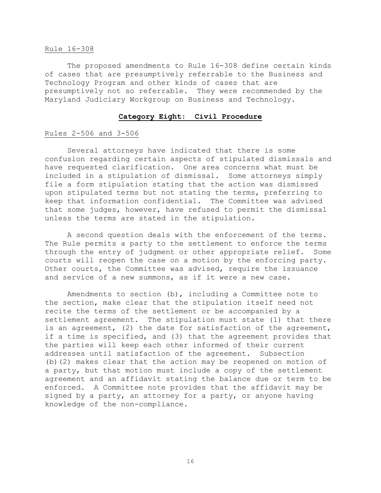#### Rule 16-308

The proposed amendments to Rule 16-308 define certain kinds of cases that are presumptively referrable to the Business and Technology Program and other kinds of cases that are presumptively not so referrable. They were recommended by the Maryland Judiciary Workgroup on Business and Technology.

# **Category Eight: Civil Procedure**

# Rules 2-506 and 3-506

Several attorneys have indicated that there is some confusion regarding certain aspects of stipulated dismissals and have requested clarification. One area concerns what must be included in a stipulation of dismissal. Some attorneys simply file a form stipulation stating that the action was dismissed upon stipulated terms but not stating the terms, preferring to keep that information confidential. The Committee was advised that some judges, however, have refused to permit the dismissal unless the terms are stated in the stipulation.

A second question deals with the enforcement of the terms. The Rule permits a party to the settlement to enforce the terms through the entry of judgment or other appropriate relief. Some courts will reopen the case on a motion by the enforcing party. Other courts, the Committee was advised, require the issuance and service of a new summons, as if it were a new case.

Amendments to section (b), including a Committee note to the section, make clear that the stipulation itself need not recite the terms of the settlement or be accompanied by a settlement agreement. The stipulation must state (1) that there is an agreement, (2) the date for satisfaction of the agreement, if a time is specified, and (3) that the agreement provides that the parties will keep each other informed of their current addresses until satisfaction of the agreement. Subsection (b)(2) makes clear that the action may be reopened on motion of a party, but that motion must include a copy of the settlement agreement and an affidavit stating the balance due or term to be enforced. A Committee note provides that the affidavit may be signed by a party, an attorney for a party, or anyone having knowledge of the non-compliance.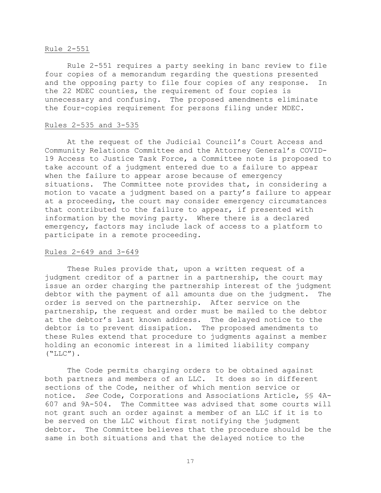# Rule 2-551

Rule 2-551 requires a party seeking in banc review to file four copies of a memorandum regarding the questions presented and the opposing party to file four copies of any response. In the 22 MDEC counties, the requirement of four copies is unnecessary and confusing. The proposed amendments eliminate the four-copies requirement for persons filing under MDEC.

## Rules 2-535 and 3-535

At the request of the Judicial Council's Court Access and Community Relations Committee and the Attorney General's COVID-19 Access to Justice Task Force, a Committee note is proposed to take account of a judgment entered due to a failure to appear when the failure to appear arose because of emergency situations. The Committee note provides that, in considering a motion to vacate a judgment based on a party's failure to appear at a proceeding, the court may consider emergency circumstances that contributed to the failure to appear, if presented with information by the moving party. Where there is a declared emergency, factors may include lack of access to a platform to participate in a remote proceeding.

#### Rules 2-649 and 3-649

These Rules provide that, upon a written request of a judgment creditor of a partner in a partnership, the court may issue an order charging the partnership interest of the judgment debtor with the payment of all amounts due on the judgment. The order is served on the partnership. After service on the partnership, the request and order must be mailed to the debtor at the debtor's last known address. The delayed notice to the debtor is to prevent dissipation. The proposed amendments to these Rules extend that procedure to judgments against a member holding an economic interest in a limited liability company  $("LLC")$ .

The Code permits charging orders to be obtained against both partners and members of an LLC. It does so in different sections of the Code, neither of which mention service or notice. *See* Code, Corporations and Associations Article, §§ 4A-607 and 9A-504. The Committee was advised that some courts will not grant such an order against a member of an LLC if it is to be served on the LLC without first notifying the judgment debtor. The Committee believes that the procedure should be the same in both situations and that the delayed notice to the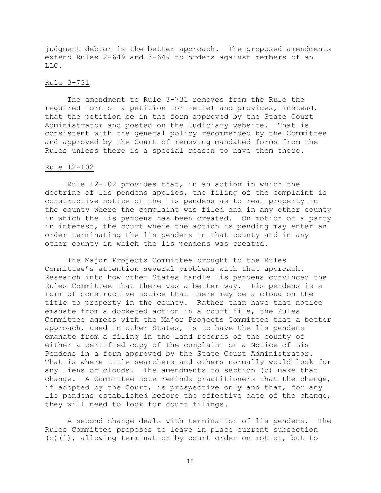judgment debtor is the better approach. The proposed amendments extend Rules 2-649 and 3-649 to orders against members of an LLC.

# Rule 3-731

The amendment to Rule 3-731 removes from the Rule the required form of a petition for relief and provides, instead, that the petition be in the form approved by the State Court Administrator and posted on the Judiciary website. That is consistent with the general policy recommended by the Committee and approved by the Court of removing mandated forms from the Rules unless there is a special reason to have them there.

#### Rule 12-102

Rule 12-102 provides that, in an action in which the doctrine of lis pendens applies, the filing of the complaint is constructive notice of the lis pendens as to real property in the county where the complaint was filed and in any other county in which the lis pendens has been created. On motion of a party in interest, the court where the action is pending may enter an order terminating the lis pendens in that county and in any other county in which the lis pendens was created.

The Major Projects Committee brought to the Rules Committee's attention several problems with that approach. Research into how other States handle lis pendens convinced the Rules Committee that there was a better way. Lis pendens is a form of constructive notice that there may be a cloud on the title to property in the county. Rather than have that notice emanate from a docketed action in a court file, the Rules Committee agrees with the Major Projects Committee that a better approach, used in other States, is to have the lis pendens emanate from a filing in the land records of the county of either a certified copy of the complaint or a Notice of Lis Pendens in a form approved by the State Court Administrator. That is where title searchers and others normally would look for any liens or clouds. The amendments to section (b) make that change. A Committee note reminds practitioners that the change, if adopted by the Court, is prospective only and that, for any lis pendens established before the effective date of the change, they will need to look for court filings.

A second change deals with termination of lis pendens. The Rules Committee proposes to leave in place current subsection (c)(1), allowing termination by court order on motion, but to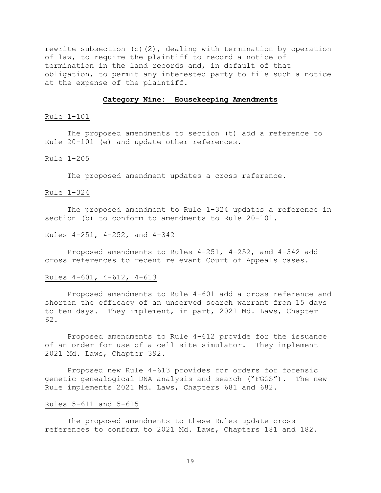rewrite subsection (c)(2), dealing with termination by operation of law, to require the plaintiff to record a notice of termination in the land records and, in default of that obligation, to permit any interested party to file such a notice at the expense of the plaintiff.

# **Category Nine: Housekeeping Amendments**

#### Rule 1-101

The proposed amendments to section (t) add a reference to Rule 20-101 (e) and update other references.

#### Rule 1-205

The proposed amendment updates a cross reference.

# Rule 1-324

The proposed amendment to Rule 1-324 updates a reference in section (b) to conform to amendments to Rule 20-101.

# Rules 4-251, 4-252, and 4-342

Proposed amendments to Rules 4-251, 4-252, and 4-342 add cross references to recent relevant Court of Appeals cases.

#### Rules 4-601, 4-612, 4-613

Proposed amendments to Rule 4-601 add a cross reference and shorten the efficacy of an unserved search warrant from 15 days to ten days. They implement, in part, 2021 Md. Laws, Chapter 62.

Proposed amendments to Rule 4-612 provide for the issuance of an order for use of a cell site simulator. They implement 2021 Md. Laws, Chapter 392.

Proposed new Rule 4-613 provides for orders for forensic genetic genealogical DNA analysis and search ("FGGS"). The new Rule implements 2021 Md. Laws, Chapters 681 and 682.

#### Rules 5-611 and 5-615

The proposed amendments to these Rules update cross references to conform to 2021 Md. Laws, Chapters 181 and 182.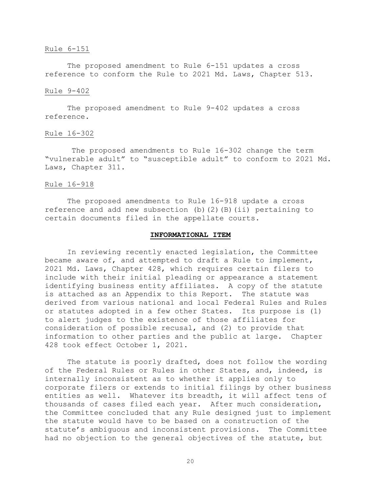#### Rule 6-151

The proposed amendment to Rule 6-151 updates a cross reference to conform the Rule to 2021 Md. Laws, Chapter 513.

#### Rule 9-402

The proposed amendment to Rule 9-402 updates a cross reference.

## Rule 16-302

The proposed amendments to Rule 16-302 change the term "vulnerable adult" to "susceptible adult" to conform to 2021 Md. Laws, Chapter 311.

#### Rule 16-918

The proposed amendments to Rule 16-918 update a cross reference and add new subsection (b)(2)(B)(ii) pertaining to certain documents filed in the appellate courts.

#### **INFORMATIONAL ITEM**

In reviewing recently enacted legislation, the Committee became aware of, and attempted to draft a Rule to implement, 2021 Md. Laws, Chapter 428, which requires certain filers to include with their initial pleading or appearance a statement identifying business entity affiliates. A copy of the statute is attached as an Appendix to this Report. The statute was derived from various national and local Federal Rules and Rules or statutes adopted in a few other States. Its purpose is (1) to alert judges to the existence of those affiliates for consideration of possible recusal, and (2) to provide that information to other parties and the public at large. Chapter 428 took effect October 1, 2021.

The statute is poorly drafted, does not follow the wording of the Federal Rules or Rules in other States, and, indeed, is internally inconsistent as to whether it applies only to corporate filers or extends to initial filings by other business entities as well. Whatever its breadth, it will affect tens of thousands of cases filed each year. After much consideration, the Committee concluded that any Rule designed just to implement the statute would have to be based on a construction of the statute's ambiguous and inconsistent provisions. The Committee had no objection to the general objectives of the statute, but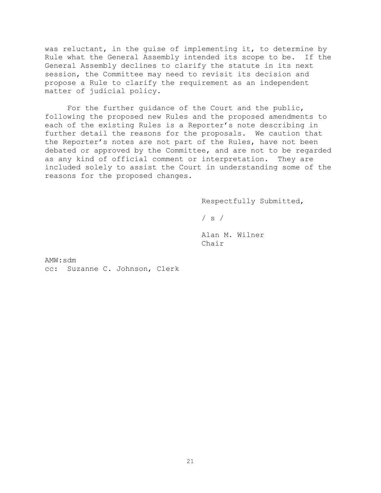was reluctant, in the guise of implementing it, to determine by Rule what the General Assembly intended its scope to be. If the General Assembly declines to clarify the statute in its next session, the Committee may need to revisit its decision and propose a Rule to clarify the requirement as an independent matter of judicial policy.

For the further guidance of the Court and the public, following the proposed new Rules and the proposed amendments to each of the existing Rules is a Reporter's note describing in further detail the reasons for the proposals. We caution that the Reporter's notes are not part of the Rules, have not been debated or approved by the Committee, and are not to be regarded as any kind of official comment or interpretation. They are included solely to assist the Court in understanding some of the reasons for the proposed changes.

Respectfully Submitted,

 $/ s /$ 

Alan M. Wilner Chair

AMW:sdm cc: Suzanne C. Johnson, Clerk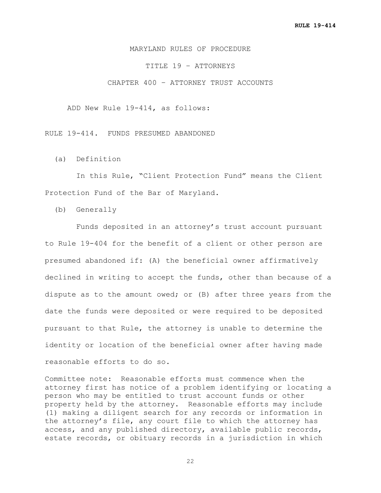# MARYLAND RULES OF PROCEDURE

TITLE 19 – ATTORNEYS

CHAPTER 400 – ATTORNEY TRUST ACCOUNTS

ADD New Rule 19-414, as follows:

RULE 19-414. FUNDS PRESUMED ABANDONED

(a) Definition

 In this Rule, "Client Protection Fund" means the Client Protection Fund of the Bar of Maryland.

(b) Generally

 Funds deposited in an attorney's trust account pursuant to Rule 19-404 for the benefit of a client or other person are presumed abandoned if: (A) the beneficial owner affirmatively declined in writing to accept the funds, other than because of a dispute as to the amount owed; or (B) after three years from the date the funds were deposited or were required to be deposited pursuant to that Rule, the attorney is unable to determine the identity or location of the beneficial owner after having made reasonable efforts to do so.

Committee note: Reasonable efforts must commence when the attorney first has notice of a problem identifying or locating a person who may be entitled to trust account funds or other property held by the attorney. Reasonable efforts may include (1) making a diligent search for any records or information in the attorney's file, any court file to which the attorney has access, and any published directory, available public records, estate records, or obituary records in a jurisdiction in which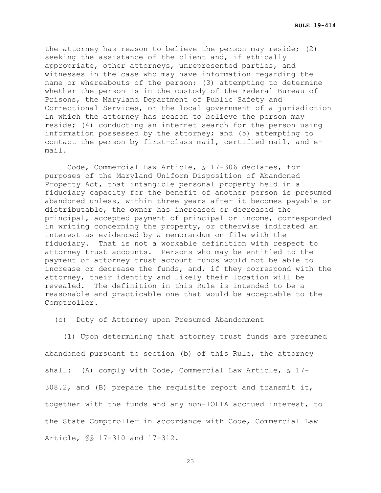the attorney has reason to believe the person may reside; (2) seeking the assistance of the client and, if ethically appropriate, other attorneys, unrepresented parties, and witnesses in the case who may have information regarding the name or whereabouts of the person; (3) attempting to determine whether the person is in the custody of the Federal Bureau of Prisons, the Maryland Department of Public Safety and Correctional Services, or the local government of a jurisdiction in which the attorney has reason to believe the person may reside; (4) conducting an internet search for the person using information possessed by the attorney; and (5) attempting to contact the person by first-class mail, certified mail, and email.

Code, Commercial Law Article, § 17-306 declares, for purposes of the Maryland Uniform Disposition of Abandoned Property Act, that intangible personal property held in a fiduciary capacity for the benefit of another person is presumed abandoned unless, within three years after it becomes payable or distributable, the owner has increased or decreased the principal, accepted payment of principal or income, corresponded in writing concerning the property, or otherwise indicated an interest as evidenced by a memorandum on file with the fiduciary. That is not a workable definition with respect to attorney trust accounts. Persons who may be entitled to the payment of attorney trust account funds would not be able to increase or decrease the funds, and, if they correspond with the attorney, their identity and likely their location will be revealed. The definition in this Rule is intended to be a reasonable and practicable one that would be acceptable to the Comptroller.

(c) Duty of Attorney upon Presumed Abandonment

 (1) Upon determining that attorney trust funds are presumed abandoned pursuant to section (b) of this Rule, the attorney shall: (A) comply with Code, Commercial Law Article, § 17-308.2, and (B) prepare the requisite report and transmit it, together with the funds and any non-IOLTA accrued interest, to the State Comptroller in accordance with Code, Commercial Law Article, §§ 17-310 and 17-312.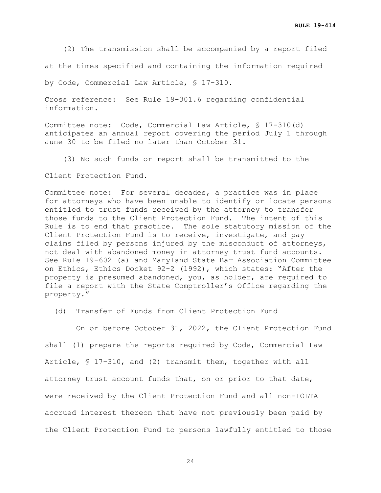(2) The transmission shall be accompanied by a report filed

at the times specified and containing the information required

by Code, Commercial Law Article, § 17-310.

Cross reference: See Rule 19-301.6 regarding confidential information.

Committee note: Code, Commercial Law Article, § 17-310(d) anticipates an annual report covering the period July 1 through June 30 to be filed no later than October 31.

(3) No such funds or report shall be transmitted to the

Client Protection Fund.

Committee note: For several decades, a practice was in place for attorneys who have been unable to identify or locate persons entitled to trust funds received by the attorney to transfer those funds to the Client Protection Fund. The intent of this Rule is to end that practice. The sole statutory mission of the Client Protection Fund is to receive, investigate, and pay claims filed by persons injured by the misconduct of attorneys, not deal with abandoned money in attorney trust fund accounts. See Rule 19-602 (a) and Maryland State Bar Association Committee on Ethics, Ethics Docket 92-2 (1992), which states: "After the property is presumed abandoned, you, as holder, are required to file a report with the State Comptroller's Office regarding the property."

(d) Transfer of Funds from Client Protection Fund

 On or before October 31, 2022, the Client Protection Fund shall (1) prepare the reports required by Code, Commercial Law Article, § 17-310, and (2) transmit them, together with all attorney trust account funds that, on or prior to that date, were received by the Client Protection Fund and all non-IOLTA accrued interest thereon that have not previously been paid by the Client Protection Fund to persons lawfully entitled to those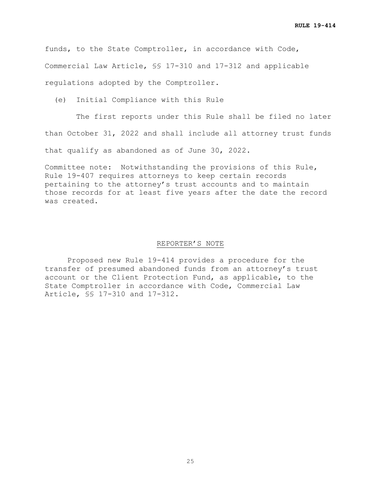funds, to the State Comptroller, in accordance with Code, Commercial Law Article, §§ 17-310 and 17-312 and applicable regulations adopted by the Comptroller.

(e) Initial Compliance with this Rule

 The first reports under this Rule shall be filed no later than October 31, 2022 and shall include all attorney trust funds that qualify as abandoned as of June 30, 2022.

Committee note: Notwithstanding the provisions of this Rule, Rule 19-407 requires attorneys to keep certain records pertaining to the attorney's trust accounts and to maintain those records for at least five years after the date the record was created.

#### REPORTER'S NOTE

Proposed new Rule 19-414 provides a procedure for the transfer of presumed abandoned funds from an attorney's trust account or the Client Protection Fund, as applicable, to the State Comptroller in accordance with Code, Commercial Law Article, §§ 17-310 and 17-312.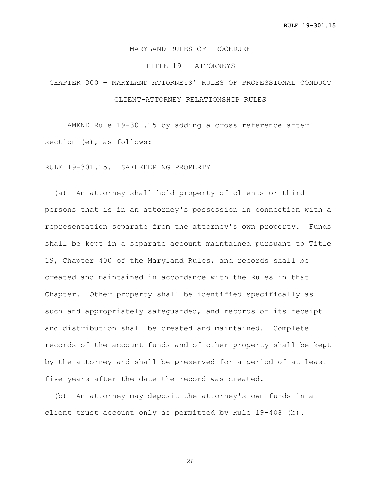# MARYLAND RULES OF PROCEDURE

#### TITLE 19 – ATTORNEYS

# CHAPTER 300 – MARYLAND ATTORNEYS' RULES OF PROFESSIONAL CONDUCT CLIENT-ATTORNEY RELATIONSHIP RULES

AMEND Rule 19-301.15 by adding a cross reference after section (e), as follows:

# RULE 19-301.15. SAFEKEEPING PROPERTY

 (a) An attorney shall hold property of clients or third persons that is in an attorney's possession in connection with a representation separate from the attorney's own property. Funds shall be kept in a separate account maintained pursuant to Title 19, Chapter 400 of the Maryland Rules, and records shall be created and maintained in accordance with the Rules in that Chapter. Other property shall be identified specifically as such and appropriately safeguarded, and records of its receipt and distribution shall be created and maintained. Complete records of the account funds and of other property shall be kept by the attorney and shall be preserved for a period of at least five years after the date the record was created.

 (b) An attorney may deposit the attorney's own funds in a client trust account only as permitted by Rule 19-408 (b).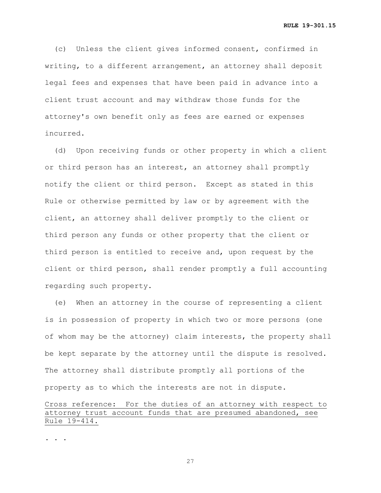(c) Unless the client gives informed consent, confirmed in writing, to a different arrangement, an attorney shall deposit legal fees and expenses that have been paid in advance into a client trust account and may withdraw those funds for the attorney's own benefit only as fees are earned or expenses incurred.

 (d) Upon receiving funds or other property in which a client or third person has an interest, an attorney shall promptly notify the client or third person. Except as stated in this Rule or otherwise permitted by law or by agreement with the client, an attorney shall deliver promptly to the client or third person any funds or other property that the client or third person is entitled to receive and, upon request by the client or third person, shall render promptly a full accounting regarding such property.

 (e) When an attorney in the course of representing a client is in possession of property in which two or more persons (one of whom may be the attorney) claim interests, the property shall be kept separate by the attorney until the dispute is resolved. The attorney shall distribute promptly all portions of the property as to which the interests are not in dispute.

Cross reference: For the duties of an attorney with respect to attorney trust account funds that are presumed abandoned, see Rule 19-414.

. . .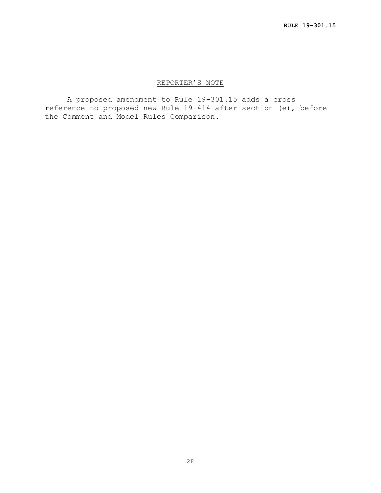# REPORTER'S NOTE

A proposed amendment to Rule 19-301.15 adds a cross reference to proposed new Rule 19-414 after section (e), before the Comment and Model Rules Comparison.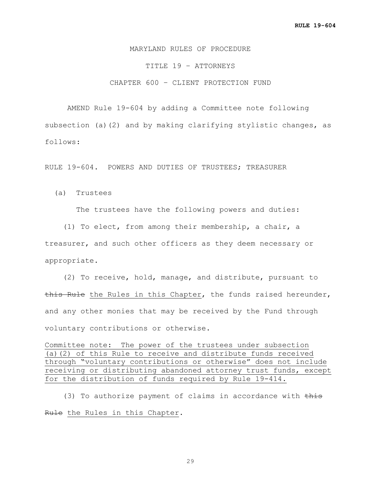# MARYLAND RULES OF PROCEDURE

TITLE 19 – ATTORNEYS

CHAPTER 600 – CLIENT PROTECTION FUND

AMEND Rule 19-604 by adding a Committee note following subsection (a)(2) and by making clarifying stylistic changes, as follows:

RULE 19-604. POWERS AND DUTIES OF TRUSTEES; TREASURER

(a) Trustees

The trustees have the following powers and duties:

 (1) To elect, from among their membership, a chair, a treasurer, and such other officers as they deem necessary or appropriate.

 (2) To receive, hold, manage, and distribute, pursuant to this Rule the Rules in this Chapter, the funds raised hereunder, and any other monies that may be received by the Fund through voluntary contributions or otherwise.

Committee note: The power of the trustees under subsection (a)(2) of this Rule to receive and distribute funds received through "voluntary contributions or otherwise" does not include receiving or distributing abandoned attorney trust funds, except for the distribution of funds required by Rule 19-414.

(3) To authorize payment of claims in accordance with this Rule the Rules in this Chapter.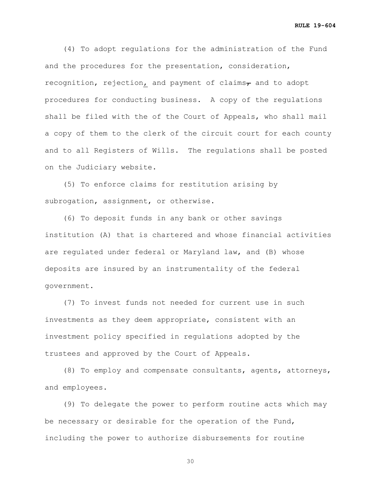**RULE 19-604**

 (4) To adopt regulations for the administration of the Fund and the procedures for the presentation, consideration, recognition, rejection, and payment of claims $<sub>r</sub>$  and to adopt</sub> procedures for conducting business. A copy of the regulations shall be filed with the of the Court of Appeals, who shall mail a copy of them to the clerk of the circuit court for each county and to all Registers of Wills. The regulations shall be posted on the Judiciary website.

 (5) To enforce claims for restitution arising by subrogation, assignment, or otherwise.

 (6) To deposit funds in any bank or other savings institution (A) that is chartered and whose financial activities are regulated under federal or Maryland law, and (B) whose deposits are insured by an instrumentality of the federal government.

 (7) To invest funds not needed for current use in such investments as they deem appropriate, consistent with an investment policy specified in regulations adopted by the trustees and approved by the Court of Appeals.

 (8) To employ and compensate consultants, agents, attorneys, and employees.

 (9) To delegate the power to perform routine acts which may be necessary or desirable for the operation of the Fund, including the power to authorize disbursements for routine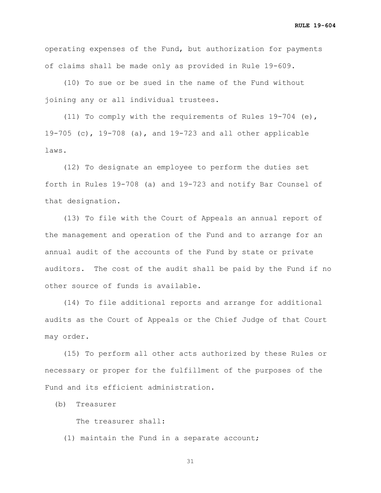**RULE 19-604**

operating expenses of the Fund, but authorization for payments of claims shall be made only as provided in Rule 19-609.

 (10) To sue or be sued in the name of the Fund without joining any or all individual trustees.

 (11) To comply with the requirements of Rules 19-704 (e), 19-705 (c), 19-708 (a), and 19-723 and all other applicable laws.

 (12) To designate an employee to perform the duties set forth in Rules 19-708 (a) and 19-723 and notify Bar Counsel of that designation.

 (13) To file with the Court of Appeals an annual report of the management and operation of the Fund and to arrange for an annual audit of the accounts of the Fund by state or private auditors. The cost of the audit shall be paid by the Fund if no other source of funds is available.

 (14) To file additional reports and arrange for additional audits as the Court of Appeals or the Chief Judge of that Court may order.

 (15) To perform all other acts authorized by these Rules or necessary or proper for the fulfillment of the purposes of the Fund and its efficient administration.

(b) Treasurer

The treasurer shall:

(1) maintain the Fund in a separate account;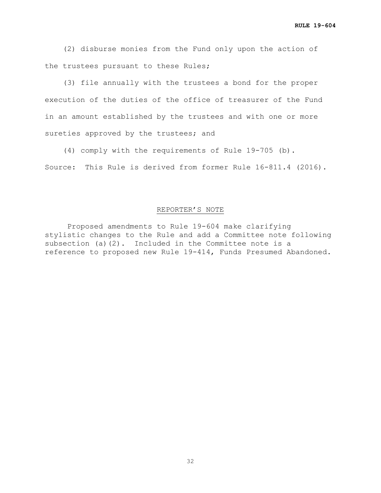(2) disburse monies from the Fund only upon the action of the trustees pursuant to these Rules;

 (3) file annually with the trustees a bond for the proper execution of the duties of the office of treasurer of the Fund in an amount established by the trustees and with one or more sureties approved by the trustees; and

 (4) comply with the requirements of Rule 19-705 (b). Source: This Rule is derived from former Rule 16-811.4 (2016).

# REPORTER'S NOTE

Proposed amendments to Rule 19-604 make clarifying stylistic changes to the Rule and add a Committee note following subsection (a)(2). Included in the Committee note is a reference to proposed new Rule 19-414, Funds Presumed Abandoned.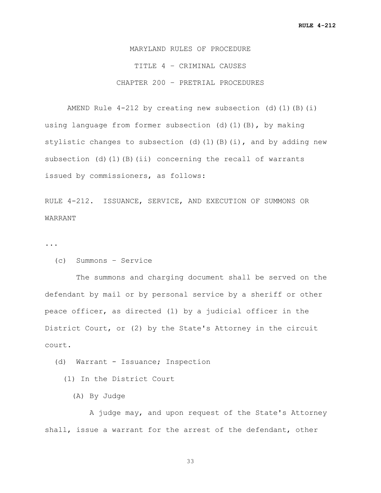MARYLAND RULES OF PROCEDURE TITLE 4 – CRIMINAL CAUSES CHAPTER 200 – PRETRIAL PROCEDURES

AMEND Rule  $4-212$  by creating new subsection (d)(1)(B)(i) using language from former subsection (d)(1)(B), by making stylistic changes to subsection (d)(1)(B)(i), and by adding new subsection (d)(1)(B)(ii) concerning the recall of warrants issued by commissioners, as follows:

RULE 4-212. ISSUANCE, SERVICE, AND EXECUTION OF SUMMONS OR WARRANT

...

```
 (c) Summons – Service
```
 The summons and charging document shall be served on the defendant by mail or by personal service by a sheriff or other peace officer, as directed (1) by a judicial officer in the District Court, or (2) by the State's Attorney in the circuit court.

(d) Warrant - Issuance; Inspection

(1) In the District Court

(A) By Judge

 A judge may, and upon request of the State's Attorney shall, issue a warrant for the arrest of the defendant, other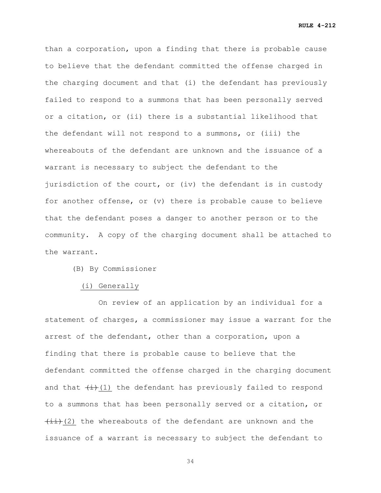**RULE 4-212**

than a corporation, upon a finding that there is probable cause to believe that the defendant committed the offense charged in the charging document and that (i) the defendant has previously failed to respond to a summons that has been personally served or a citation, or (ii) there is a substantial likelihood that the defendant will not respond to a summons, or (iii) the whereabouts of the defendant are unknown and the issuance of a warrant is necessary to subject the defendant to the jurisdiction of the court, or (iv) the defendant is in custody for another offense, or (v) there is probable cause to believe that the defendant poses a danger to another person or to the community. A copy of the charging document shall be attached to the warrant.

(B) By Commissioner

#### (i) Generally

 On review of an application by an individual for a statement of charges, a commissioner may issue a warrant for the arrest of the defendant, other than a corporation, upon a finding that there is probable cause to believe that the defendant committed the offense charged in the charging document and that  $\left(\frac{1}{1}\right)(1)$  the defendant has previously failed to respond to a summons that has been personally served or a citation, or  $\overline{4i}$  (2) the whereabouts of the defendant are unknown and the issuance of a warrant is necessary to subject the defendant to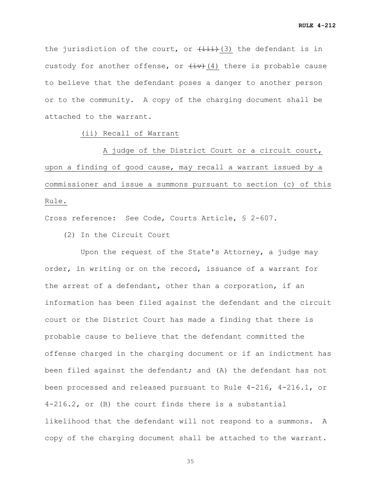the jurisdiction of the court, or  $\overline{(\text{iii})}$ (3) the defendant is in custody for another offense, or  $\overline{(+)}$ (4) there is probable cause to believe that the defendant poses a danger to another person or to the community. A copy of the charging document shall be attached to the warrant.

# (ii) Recall of Warrant

 A judge of the District Court or a circuit court, upon a finding of good cause, may recall a warrant issued by a commissioner and issue a summons pursuant to section (c) of this Rule.

Cross reference: See Code, Courts Article, § 2-607.

(2) In the Circuit Court

 Upon the request of the State's Attorney, a judge may order, in writing or on the record, issuance of a warrant for the arrest of a defendant, other than a corporation, if an information has been filed against the defendant and the circuit court or the District Court has made a finding that there is probable cause to believe that the defendant committed the offense charged in the charging document or if an indictment has been filed against the defendant; and (A) the defendant has not been processed and released pursuant to Rule 4-216, 4-216.1, or 4-216.2, or (B) the court finds there is a substantial likelihood that the defendant will not respond to a summons. A copy of the charging document shall be attached to the warrant.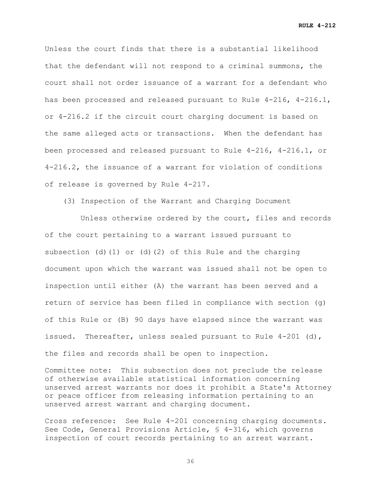**RULE 4-212**

Unless the court finds that there is a substantial likelihood that the defendant will not respond to a criminal summons, the court shall not order issuance of a warrant for a defendant who has been processed and released pursuant to Rule 4-216, 4-216.1, or 4-216.2 if the circuit court charging document is based on the same alleged acts or transactions. When the defendant has been processed and released pursuant to Rule 4-216, 4-216.1, or 4-216.2, the issuance of a warrant for violation of conditions of release is governed by Rule 4-217.

(3) Inspection of the Warrant and Charging Document

 Unless otherwise ordered by the court, files and records of the court pertaining to a warrant issued pursuant to subsection (d)(1) or (d)(2) of this Rule and the charging document upon which the warrant was issued shall not be open to inspection until either (A) the warrant has been served and a return of service has been filed in compliance with section (g) of this Rule or (B) 90 days have elapsed since the warrant was issued. Thereafter, unless sealed pursuant to Rule 4-201 (d), the files and records shall be open to inspection.

Committee note: This subsection does not preclude the release of otherwise available statistical information concerning unserved arrest warrants nor does it prohibit a State's Attorney or peace officer from releasing information pertaining to an unserved arrest warrant and charging document.

Cross reference: See Rule 4-201 concerning charging documents. See Code, General Provisions Article, § 4-316, which governs inspection of court records pertaining to an arrest warrant.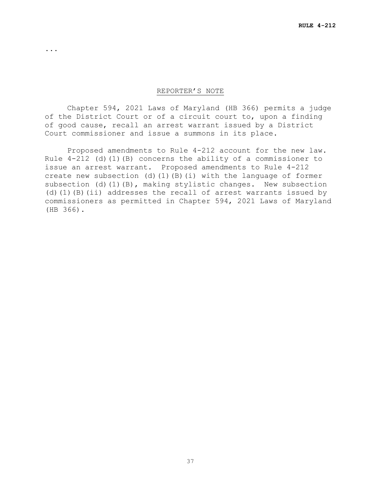#### REPORTER'S NOTE

...

Chapter 594, 2021 Laws of Maryland (HB 366) permits a judge of the District Court or of a circuit court to, upon a finding of good cause, recall an arrest warrant issued by a District Court commissioner and issue a summons in its place.

Proposed amendments to Rule 4-212 account for the new law. Rule  $4-212$  (d)(1)(B) concerns the ability of a commissioner to issue an arrest warrant. Proposed amendments to Rule 4-212 create new subsection (d)(1)(B)(i) with the language of former subsection (d)(1)(B), making stylistic changes. New subsection (d)(1)(B)(ii) addresses the recall of arrest warrants issued by commissioners as permitted in Chapter 594, 2021 Laws of Maryland (HB 366).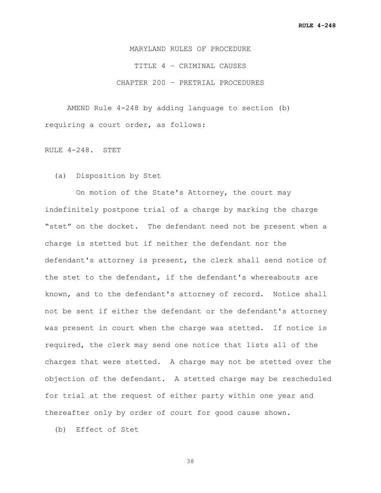MARYLAND RULES OF PROCEDURE TITLE 4 – CRIMINAL CAUSES CHAPTER 200 – PRETRIAL PROCEDURES

AMEND Rule 4-248 by adding language to section (b) requiring a court order, as follows:

RULE 4-248. STET

(a) Disposition by Stet

 On motion of the State's Attorney, the court may indefinitely postpone trial of a charge by marking the charge "stet" on the docket. The defendant need not be present when a charge is stetted but if neither the defendant nor the defendant's attorney is present, the clerk shall send notice of the stet to the defendant, if the defendant's whereabouts are known, and to the defendant's attorney of record. Notice shall not be sent if either the defendant or the defendant's attorney was present in court when the charge was stetted. If notice is required, the clerk may send one notice that lists all of the charges that were stetted. A charge may not be stetted over the objection of the defendant. A stetted charge may be rescheduled for trial at the request of either party within one year and thereafter only by order of court for good cause shown.

(b) Effect of Stet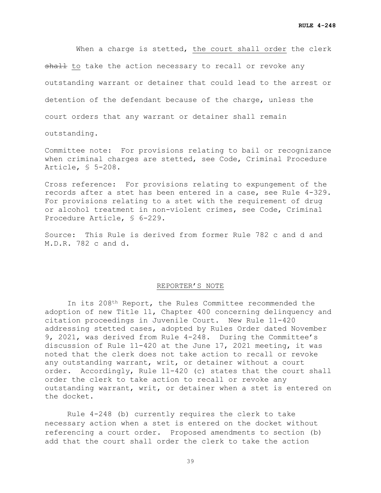When a charge is stetted, the court shall order the clerk shall to take the action necessary to recall or revoke any outstanding warrant or detainer that could lead to the arrest or detention of the defendant because of the charge, unless the court orders that any warrant or detainer shall remain

outstanding.

Committee note: For provisions relating to bail or recognizance when criminal charges are stetted, see Code, Criminal Procedure Article, § 5-208.

Cross reference: For provisions relating to expungement of the records after a stet has been entered in a case, see Rule 4-329. For provisions relating to a stet with the requirement of drug or alcohol treatment in non-violent crimes, see Code, Criminal Procedure Article, § 6-229.

Source: This Rule is derived from former Rule 782 c and d and M.D.R. 782 c and d.

#### REPORTER'S NOTE

In its 208th Report, the Rules Committee recommended the adoption of new Title 11, Chapter 400 concerning delinquency and citation proceedings in Juvenile Court. New Rule 11-420 addressing stetted cases, adopted by Rules Order dated November 9, 2021, was derived from Rule 4-248. During the Committee's discussion of Rule 11-420 at the June 17, 2021 meeting, it was noted that the clerk does not take action to recall or revoke any outstanding warrant, writ, or detainer without a court order. Accordingly, Rule 11-420 (c) states that the court shall order the clerk to take action to recall or revoke any outstanding warrant, writ, or detainer when a stet is entered on the docket.

Rule 4-248 (b) currently requires the clerk to take necessary action when a stet is entered on the docket without referencing a court order. Proposed amendments to section (b) add that the court shall order the clerk to take the action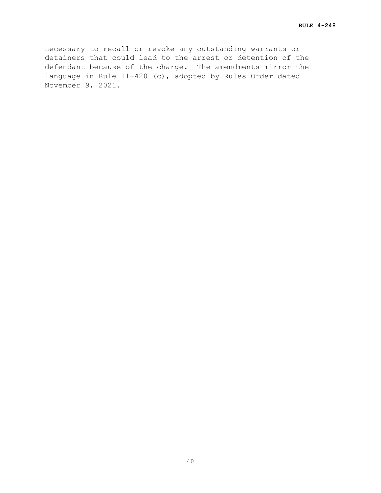necessary to recall or revoke any outstanding warrants or detainers that could lead to the arrest or detention of the defendant because of the charge. The amendments mirror the language in Rule 11-420 (c), adopted by Rules Order dated November 9, 2021.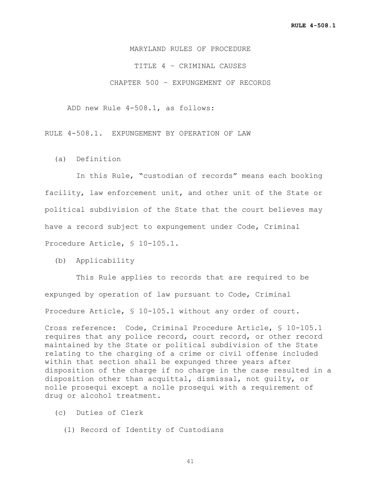MARYLAND RULES OF PROCEDURE

TITLE 4 – CRIMINAL CAUSES

CHAPTER 500 – EXPUNGEMENT OF RECORDS

ADD new Rule 4-508.1, as follows:

RULE 4-508.1. EXPUNGEMENT BY OPERATION OF LAW

(a) Definition

 In this Rule, "custodian of records" means each booking facility, law enforcement unit, and other unit of the State or political subdivision of the State that the court believes may have a record subject to expungement under Code, Criminal Procedure Article, § 10-105.1.

(b) Applicability

 This Rule applies to records that are required to be expunged by operation of law pursuant to Code, Criminal Procedure Article, § 10-105.1 without any order of court.

Cross reference: Code, Criminal Procedure Article, § 10-105.1 requires that any police record, court record, or other record maintained by the State or political subdivision of the State relating to the charging of a crime or civil offense included within that section shall be expunged three years after disposition of the charge if no charge in the case resulted in a disposition other than acquittal, dismissal, not guilty, or nolle prosequi except a nolle prosequi with a requirement of drug or alcohol treatment.

- (c) Duties of Clerk
	- (1) Record of Identity of Custodians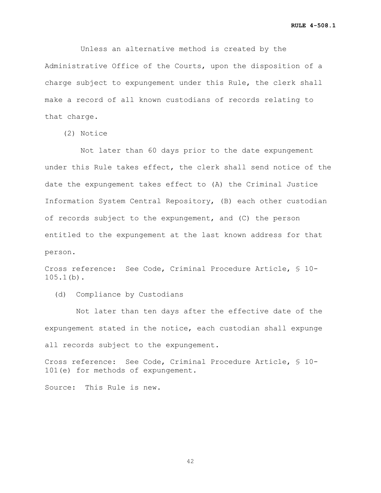Unless an alternative method is created by the Administrative Office of the Courts, upon the disposition of a charge subject to expungement under this Rule, the clerk shall make a record of all known custodians of records relating to that charge.

(2) Notice

 Not later than 60 days prior to the date expungement under this Rule takes effect, the clerk shall send notice of the date the expungement takes effect to (A) the Criminal Justice Information System Central Repository, (B) each other custodian of records subject to the expungement, and (C) the person entitled to the expungement at the last known address for that person.

Cross reference: See Code, Criminal Procedure Article, § 10- 105.1(b).

(d) Compliance by Custodians

 Not later than ten days after the effective date of the expungement stated in the notice, each custodian shall expunge all records subject to the expungement.

Cross reference: See Code, Criminal Procedure Article, § 10- 101(e) for methods of expungement.

Source: This Rule is new.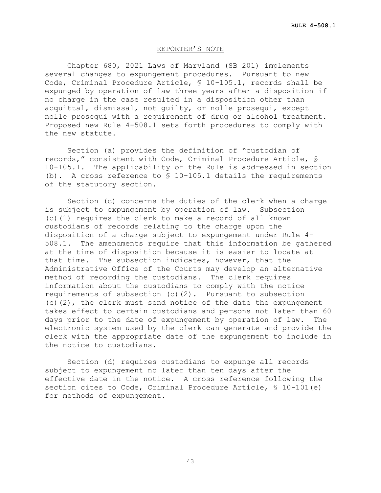### REPORTER'S NOTE

Chapter 680, 2021 Laws of Maryland (SB 201) implements several changes to expungement procedures. Pursuant to new Code, Criminal Procedure Article, § 10-105.1, records shall be expunged by operation of law three years after a disposition if no charge in the case resulted in a disposition other than acquittal, dismissal, not guilty, or nolle prosequi, except nolle prosequi with a requirement of drug or alcohol treatment. Proposed new Rule 4-508.1 sets forth procedures to comply with the new statute.

Section (a) provides the definition of "custodian of records," consistent with Code, Criminal Procedure Article, § 10-105.1. The applicability of the Rule is addressed in section (b). A cross reference to  $$10-105.1$  details the requirements of the statutory section.

Section (c) concerns the duties of the clerk when a charge is subject to expungement by operation of law. Subsection (c)(1) requires the clerk to make a record of all known custodians of records relating to the charge upon the disposition of a charge subject to expungement under Rule 4-<br>508.1. The amendments require that this information be gath The amendments require that this information be gathered at the time of disposition because it is easier to locate at that time. The subsection indicates, however, that the Administrative Office of the Courts may develop an alternative method of recording the custodians. The clerk requires information about the custodians to comply with the notice requirements of subsection (c)(2). Pursuant to subsection (c)(2), the clerk must send notice of the date the expungement takes effect to certain custodians and persons not later than 60<br>days prior to the date of expungement by operation of law. The days prior to the date of expungement by operation of law. electronic system used by the clerk can generate and provide the clerk with the appropriate date of the expungement to include in the notice to custodians.

Section (d) requires custodians to expunge all records subject to expungement no later than ten days after the effective date in the notice. A cross reference following the section cites to Code, Criminal Procedure Article, § 10-101(e) for methods of expungement.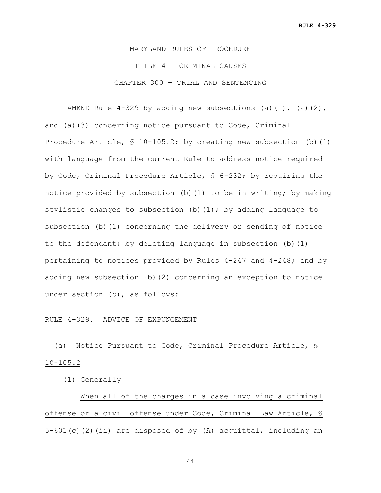**RULE 4-329**

MARYLAND RULES OF PROCEDURE TITLE 4 – CRIMINAL CAUSES CHAPTER 300 – TRIAL AND SENTENCING

AMEND Rule  $4-329$  by adding new subsections (a)(1), (a)(2), and (a)(3) concerning notice pursuant to Code, Criminal Procedure Article, § 10-105.2; by creating new subsection (b)(1) with language from the current Rule to address notice required by Code, Criminal Procedure Article, § 6-232; by requiring the notice provided by subsection (b)(1) to be in writing; by making stylistic changes to subsection (b) (1); by adding language to subsection (b)(1) concerning the delivery or sending of notice to the defendant; by deleting language in subsection (b)(1) pertaining to notices provided by Rules  $4-247$  and  $4-248$ ; and by adding new subsection (b)(2) concerning an exception to notice under section (b), as follows:

RULE 4-329. ADVICE OF EXPUNGEMENT

 (a) Notice Pursuant to Code, Criminal Procedure Article, § 10-105.2

(1) Generally

When all of the charges in a case involving a criminal offense or a civil offense under Code, Criminal Law Article, § 5–601(c)(2)(ii) are disposed of by (A) acquittal, including an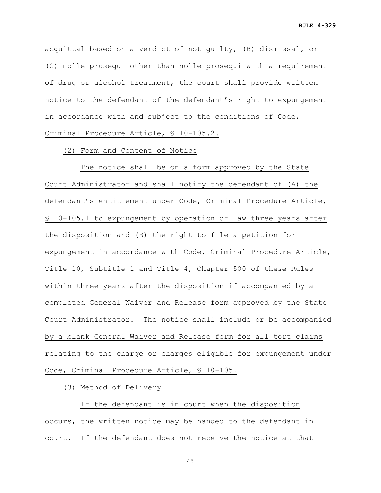acquittal based on a verdict of not guilty, (B) dismissal, or (C) nolle prosequi other than nolle prosequi with a requirement of drug or alcohol treatment, the court shall provide written notice to the defendant of the defendant's right to expungement in accordance with and subject to the conditions of Code, Criminal Procedure Article, § 10-105.2.

(2) Form and Content of Notice

 The notice shall be on a form approved by the State Court Administrator and shall notify the defendant of (A) the defendant's entitlement under Code, Criminal Procedure Article, § 10-105.1 to expungement by operation of law three years after the disposition and (B) the right to file a petition for expungement in accordance with Code, Criminal Procedure Article, Title 10, Subtitle 1 and Title 4, Chapter 500 of these Rules within three years after the disposition if accompanied by a completed General Waiver and Release form approved by the State Court Administrator. The notice shall include or be accompanied by a blank General Waiver and Release form for all tort claims relating to the charge or charges eligible for expungement under Code, Criminal Procedure Article, § 10-105.

(3) Method of Delivery

If the defendant is in court when the disposition occurs, the written notice may be handed to the defendant in court. If the defendant does not receive the notice at that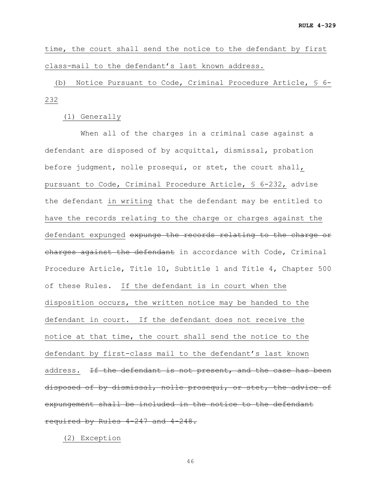time, the court shall send the notice to the defendant by first class-mail to the defendant's last known address.

 (b) Notice Pursuant to Code, Criminal Procedure Article, § 6- 232

(1) Generally

When all of the charges in a criminal case against a defendant are disposed of by acquittal, dismissal, probation before judgment, nolle prosequi, or stet, the court shall, pursuant to Code, Criminal Procedure Article, § 6-232, advise the defendant in writing that the defendant may be entitled to have the records relating to the charge or charges against the defendant expunged expunge the records relating to the charge or charges against the defendant in accordance with Code, Criminal Procedure Article, Title 10, Subtitle 1 and Title 4, Chapter 500 of these Rules. If the defendant is in court when the disposition occurs, the written notice may be handed to the defendant in court. If the defendant does not receive the notice at that time, the court shall send the notice to the defendant by first-class mail to the defendant's last known address. If the defendant is not present, and the case has been disposed of by dismissal, nolle prosequi, or stet, the advice of expungement shall be included in the notice to the defendant required by Rules 4-247 and 4-248.

(2) Exception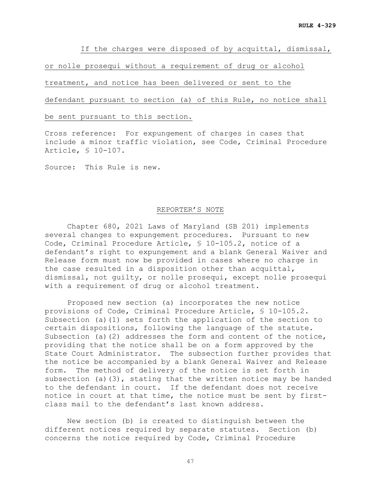If the charges were disposed of by acquittal, dismissal,

or nolle prosequi without a requirement of drug or alcohol

treatment, and notice has been delivered or sent to the

defendant pursuant to section (a) of this Rule, no notice shall

be sent pursuant to this section.

Cross reference: For expungement of charges in cases that include a minor traffic violation, see Code, Criminal Procedure Article, § 10-107.

Source: This Rule is new.

### REPORTER'S NOTE

Chapter 680, 2021 Laws of Maryland (SB 201) implements several changes to expungement procedures. Pursuant to new Code, Criminal Procedure Article, § 10-105.2, notice of a defendant's right to expungement and a blank General Waiver and Release form must now be provided in cases where no charge in the case resulted in a disposition other than acquittal, dismissal, not guilty, or nolle prosequi, except nolle prosequi with a requirement of drug or alcohol treatment.

Proposed new section (a) incorporates the new notice provisions of Code, Criminal Procedure Article, § 10-105.2. Subsection (a)(1) sets forth the application of the section to certain dispositions, following the language of the statute. Subsection (a)(2) addresses the form and content of the notice, providing that the notice shall be on a form approved by the State Court Administrator. The subsection further provides that the notice be accompanied by a blank General Waiver and Release form. The method of delivery of the notice is set forth in subsection (a)(3), stating that the written notice may be handed to the defendant in court. If the defendant does not receive notice in court at that time, the notice must be sent by firstclass mail to the defendant's last known address.

New section (b) is created to distinguish between the different notices required by separate statutes. Section (b) concerns the notice required by Code, Criminal Procedure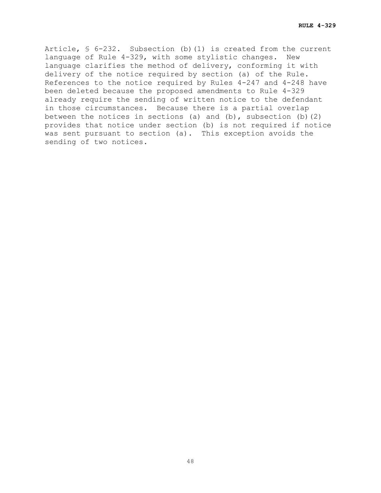Article, § 6-232. Subsection (b)(1) is created from the current language of Rule 4-329, with some stylistic changes. New language clarifies the method of delivery, conforming it with delivery of the notice required by section (a) of the Rule. References to the notice required by Rules  $4-247$  and  $4-248$  have been deleted because the proposed amendments to Rule 4-329 already require the sending of written notice to the defendant in those circumstances. Because there is a partial overlap between the notices in sections (a) and (b), subsection (b)(2) provides that notice under section (b) is not required if notice was sent pursuant to section (a). This exception avoids the sending of two notices.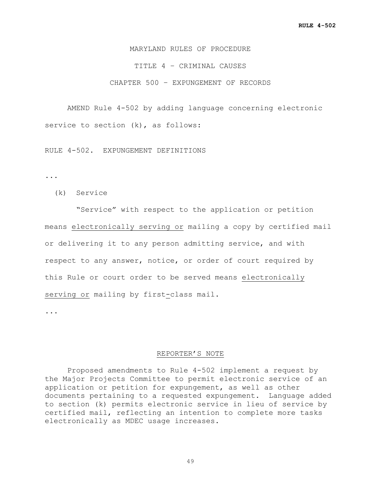MARYLAND RULES OF PROCEDURE TITLE 4 – CRIMINAL CAUSES CHAPTER 500 – EXPUNGEMENT OF RECORDS

AMEND Rule 4-502 by adding language concerning electronic service to section (k), as follows:

RULE 4-502. EXPUNGEMENT DEFINITIONS

...

(k) Service

 "Service" with respect to the application or petition means electronically serving or mailing a copy by certified mail or delivering it to any person admitting service, and with respect to any answer, notice, or order of court required by this Rule or court order to be served means electronically serving or mailing by first-class mail.

...

#### REPORTER'S NOTE

Proposed amendments to Rule 4-502 implement a request by the Major Projects Committee to permit electronic service of an application or petition for expungement, as well as other documents pertaining to a requested expungement. Language added to section (k) permits electronic service in lieu of service by certified mail, reflecting an intention to complete more tasks electronically as MDEC usage increases.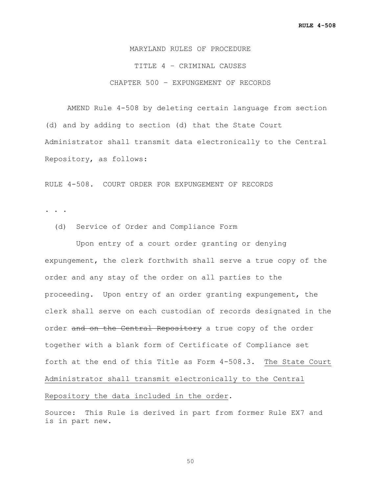MARYLAND RULES OF PROCEDURE TITLE 4 – CRIMINAL CAUSES CHAPTER 500 – EXPUNGEMENT OF RECORDS

AMEND Rule 4-508 by deleting certain language from section (d) and by adding to section (d) that the State Court Administrator shall transmit data electronically to the Central Repository, as follows:

RULE 4-508. COURT ORDER FOR EXPUNGEMENT OF RECORDS

. . .

(d) Service of Order and Compliance Form

 Upon entry of a court order granting or denying expungement, the clerk forthwith shall serve a true copy of the order and any stay of the order on all parties to the proceeding. Upon entry of an order granting expungement, the clerk shall serve on each custodian of records designated in the order and on the Central Repository a true copy of the order together with a blank form of Certificate of Compliance set forth at the end of this Title as Form 4-508.3. The State Court Administrator shall transmit electronically to the Central Repository the data included in the order.

Source: This Rule is derived in part from former Rule EX7 and is in part new.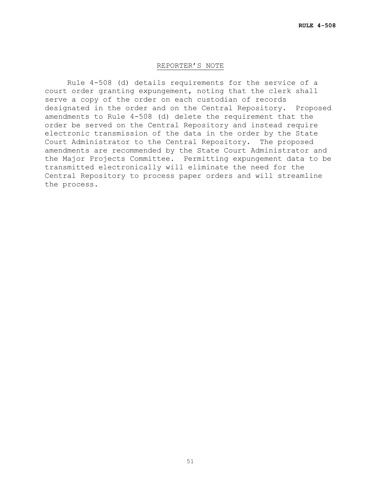### REPORTER'S NOTE

Rule 4-508 (d) details requirements for the service of a court order granting expungement, noting that the clerk shall serve a copy of the order on each custodian of records designated in the order and on the Central Repository. Proposed amendments to Rule 4-508 (d) delete the requirement that the order be served on the Central Repository and instead require electronic transmission of the data in the order by the State Court Administrator to the Central Repository. The proposed amendments are recommended by the State Court Administrator and the Major Projects Committee. Permitting expungement data to be transmitted electronically will eliminate the need for the Central Repository to process paper orders and will streamline the process.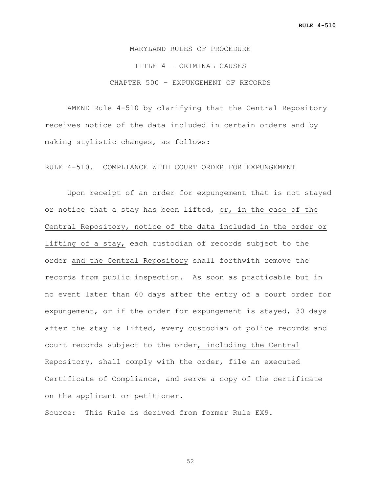MARYLAND RULES OF PROCEDURE TITLE 4 – CRIMINAL CAUSES CHAPTER 500 – EXPUNGEMENT OF RECORDS

AMEND Rule 4-510 by clarifying that the Central Repository receives notice of the data included in certain orders and by making stylistic changes, as follows:

RULE 4-510. COMPLIANCE WITH COURT ORDER FOR EXPUNGEMENT

Upon receipt of an order for expungement that is not stayed or notice that a stay has been lifted, or, in the case of the Central Repository, notice of the data included in the order or lifting of a stay, each custodian of records subject to the order and the Central Repository shall forthwith remove the records from public inspection. As soon as practicable but in no event later than 60 days after the entry of a court order for expungement, or if the order for expungement is stayed, 30 days after the stay is lifted, every custodian of police records and court records subject to the order, including the Central Repository, shall comply with the order, file an executed Certificate of Compliance, and serve a copy of the certificate on the applicant or petitioner.

Source: This Rule is derived from former Rule EX9.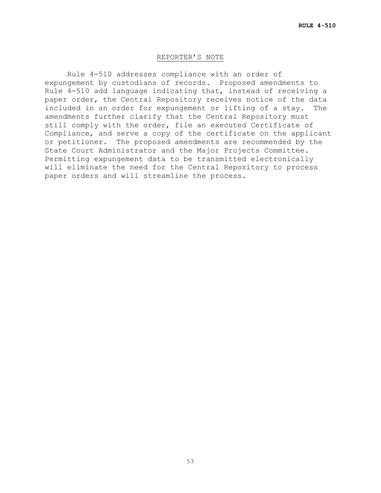#### REPORTER'S NOTE

Rule 4-510 addresses compliance with an order of expungement by custodians of records. Proposed amendments to Rule 4-510 add language indicating that, instead of receiving a paper order, the Central Repository receives notice of the data<br>included in an order for expungement or lifting of a stav. The included in an order for expungement or lifting of a stay. amendments further clarify that the Central Repository must still comply with the order, file an executed Certificate of Compliance, and serve a copy of the certificate on the applicant or petitioner. The proposed amendments are recommended by the State Court Administrator and the Major Projects Committee. Permitting expungement data to be transmitted electronically will eliminate the need for the Central Repository to process paper orders and will streamline the process.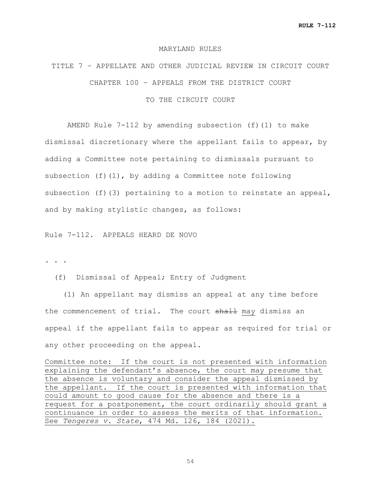#### MARYLAND RULES

# TITLE 7 – APPELLATE AND OTHER JUDICIAL REVIEW IN CIRCUIT COURT CHAPTER 100 – APPEALS FROM THE DISTRICT COURT

TO THE CIRCUIT COURT

AMEND Rule  $7-112$  by amending subsection (f)(1) to make dismissal discretionary where the appellant fails to appear, by adding a Committee note pertaining to dismissals pursuant to subsection  $(f)(1)$ , by adding a Committee note following subsection (f)(3) pertaining to a motion to reinstate an appeal, and by making stylistic changes, as follows:

Rule 7-112. APPEALS HEARD DE NOVO

**. . .**

(f) Dismissal of Appeal; Entry of Judgment

 (1) An appellant may dismiss an appeal at any time before the commencement of trial. The court shall may dismiss an appeal if the appellant fails to appear as required for trial or any other proceeding on the appeal.

Committee note: If the court is not presented with information explaining the defendant's absence, the court may presume that the absence is voluntary and consider the appeal dismissed by the appellant. If the court is presented with information that could amount to good cause for the absence and there is a request for a postponement, the court ordinarily should grant a continuance in order to assess the merits of that information. See *Tengeres v. State*, 474 Md. 126, 184 (2021).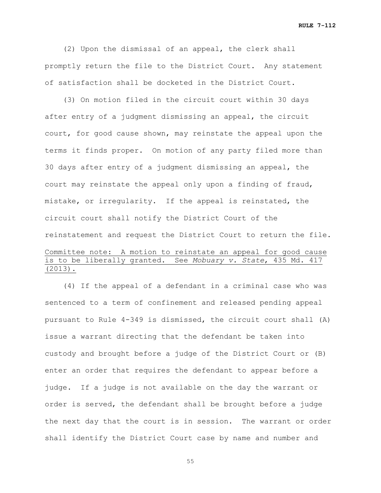**RULE 7-112**

 (2) Upon the dismissal of an appeal, the clerk shall promptly return the file to the District Court. Any statement of satisfaction shall be docketed in the District Court.

 (3) On motion filed in the circuit court within 30 days after entry of a judgment dismissing an appeal, the circuit court, for good cause shown, may reinstate the appeal upon the terms it finds proper. On motion of any party filed more than 30 days after entry of a judgment dismissing an appeal, the court may reinstate the appeal only upon a finding of fraud, mistake, or irregularity. If the appeal is reinstated, the circuit court shall notify the District Court of the reinstatement and request the District Court to return the file. Committee note: A motion to reinstate an appeal for good cause is to be liberally granted. See *Mobuary v. State*, 435 Md. 417 (2013).

 (4) If the appeal of a defendant in a criminal case who was sentenced to a term of confinement and released pending appeal pursuant to Rule 4-349 is dismissed, the circuit court shall (A) issue a warrant directing that the defendant be taken into custody and brought before a judge of the District Court or (B) enter an order that requires the defendant to appear before a judge. If a judge is not available on the day the warrant or order is served, the defendant shall be brought before a judge the next day that the court is in session. The warrant or order shall identify the District Court case by name and number and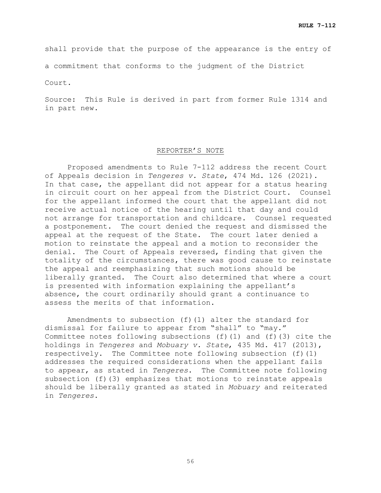shall provide that the purpose of the appearance is the entry of

a commitment that conforms to the judgment of the District

Court.

Source: This Rule is derived in part from former Rule 1314 and in part new.

# REPORTER'S NOTE

Proposed amendments to Rule 7-112 address the recent Court of Appeals decision in *Tengeres v. State*, 474 Md. 126 (2021). In that case, the appellant did not appear for a status hearing in circuit court on her appeal from the District Court. Counsel for the appellant informed the court that the appellant did not receive actual notice of the hearing until that day and could not arrange for transportation and childcare. Counsel requested a postponement. The court denied the request and dismissed the appeal at the request of the State. The court later denied a motion to reinstate the appeal and a motion to reconsider the denial. The Court of Appeals reversed, finding that given the totality of the circumstances, there was good cause to reinstate the appeal and reemphasizing that such motions should be liberally granted. The Court also determined that where a court is presented with information explaining the appellant's absence, the court ordinarily should grant a continuance to assess the merits of that information.

Amendments to subsection (f)(1) alter the standard for dismissal for failure to appear from "shall" to "may." Committee notes following subsections (f)(1) and (f)(3) cite the holdings in *Tengeres* and *Mobuary v. State*, 435 Md. 417 (2013), respectively. The Committee note following subsection (f)(1) addresses the required considerations when the appellant fails to appear, as stated in *Tengeres*. The Committee note following subsection (f)(3) emphasizes that motions to reinstate appeals should be liberally granted as stated in *Mobuary* and reiterated in *Tengeres*.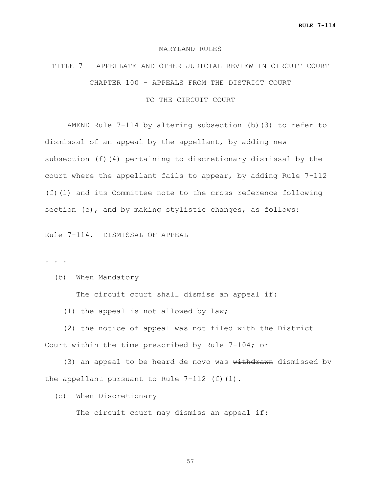#### MARYLAND RULES

# TITLE 7 – APPELLATE AND OTHER JUDICIAL REVIEW IN CIRCUIT COURT CHAPTER 100 – APPEALS FROM THE DISTRICT COURT

# TO THE CIRCUIT COURT

AMEND Rule 7-114 by altering subsection (b)(3) to refer to dismissal of an appeal by the appellant, by adding new subsection (f)(4) pertaining to discretionary dismissal by the court where the appellant fails to appear, by adding Rule 7-112 (f)(1) and its Committee note to the cross reference following section (c), and by making stylistic changes, as follows:

Rule 7-114. DISMISSAL OF APPEAL

**. . .**

(b) When Mandatory

The circuit court shall dismiss an appeal if:

(1) the appeal is not allowed by law;

 (2) the notice of appeal was not filed with the District Court within the time prescribed by Rule 7-104; or

(3) an appeal to be heard de novo was  $withinised$  by the appellant pursuant to Rule  $7-112$  (f)(1).

(c) When Discretionary

The circuit court may dismiss an appeal if: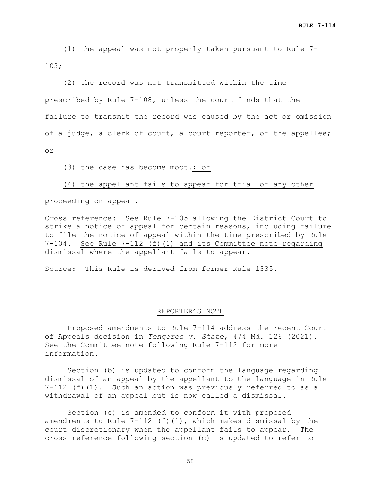(1) the appeal was not properly taken pursuant to Rule 7- 103;

 (2) the record was not transmitted within the time prescribed by Rule 7-108, unless the court finds that the failure to transmit the record was caused by the act or omission of a judge, a clerk of court, a court reporter, or the appellee; or

(3) the case has become moot $\div$ ; or

# (4) the appellant fails to appear for trial or any other

# proceeding on appeal.

Cross reference: See Rule 7-105 allowing the District Court to strike a notice of appeal for certain reasons, including failure to file the notice of appeal within the time prescribed by Rule<br>7-104. See Rule 7-112 (f)(1) and its Committee note regarding See Rule 7-112 (f)(1) and its Committee note regarding dismissal where the appellant fails to appear.

Source: This Rule is derived from former Rule 1335.

#### REPORTER'S NOTE

Proposed amendments to Rule 7-114 address the recent Court of Appeals decision in *Tengeres v. State*, 474 Md. 126 (2021). See the Committee note following Rule 7-112 for more information.

Section (b) is updated to conform the language regarding dismissal of an appeal by the appellant to the language in Rule 7-112 (f)(1). Such an action was previously referred to as a withdrawal of an appeal but is now called a dismissal.

Section (c) is amended to conform it with proposed amendments to Rule  $7-112$  (f)(1), which makes dismissal by the court discretionary when the appellant fails to appear. The cross reference following section (c) is updated to refer to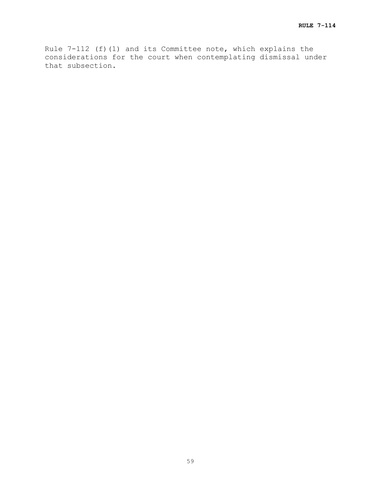Rule 7-112 (f)(1) and its Committee note, which explains the considerations for the court when contemplating dismissal under that subsection.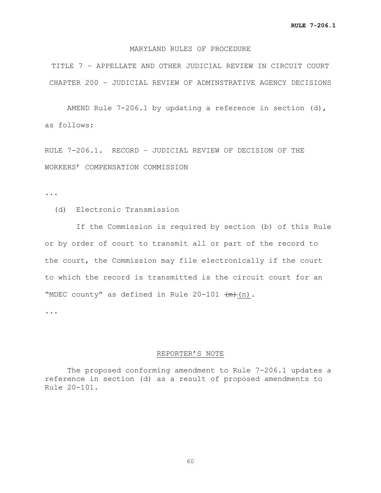# MARYLAND RULES OF PROCEDURE

TITLE 7 – APPELLATE AND OTHER JUDICIAL REVIEW IN CIRCUIT COURT CHAPTER 200 – JUDICIAL REVIEW OF ADMINSTRATIVE AGENCY DECISIONS

AMEND Rule 7-206.1 by updating a reference in section (d), as follows:

RULE 7-206.1. RECORD – JUDICIAL REVIEW OF DECISION OF THE WORKERS' COMPENSATION COMMISSION

...

(d) Electronic Transmission

 If the Commission is required by section (b) of this Rule or by order of court to transmit all or part of the record to the court, the Commission may file electronically if the court to which the record is transmitted is the circuit court for an "MDEC county" as defined in Rule  $20-101$   $(m)$ .

...

#### REPORTER'S NOTE

The proposed conforming amendment to Rule 7-206.1 updates a reference in section (d) as a result of proposed amendments to Rule 20-101.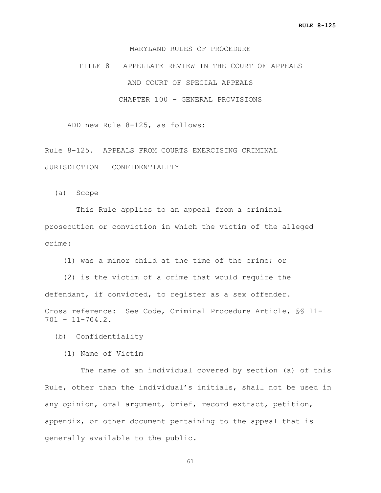# MARYLAND RULES OF PROCEDURE

TITLE 8 – APPELLATE REVIEW IN THE COURT OF APPEALS AND COURT OF SPECIAL APPEALS CHAPTER 100 – GENERAL PROVISIONS

ADD new Rule 8-125, as follows:

Rule 8-125. APPEALS FROM COURTS EXERCISING CRIMINAL JURISDICTION – CONFIDENTIALITY

(a) Scope

 This Rule applies to an appeal from a criminal prosecution or conviction in which the victim of the alleged crime:

(1) was a minor child at the time of the crime; or

 (2) is the victim of a crime that would require the defendant, if convicted, to register as a sex offender. Cross reference: See Code, Criminal Procedure Article, §§ 11-  $701 - 11 - 704.2$ .

(b) Confidentiality

(1) Name of Victim

 The name of an individual covered by section (a) of this Rule, other than the individual's initials, shall not be used in any opinion, oral argument, brief, record extract, petition, appendix, or other document pertaining to the appeal that is generally available to the public.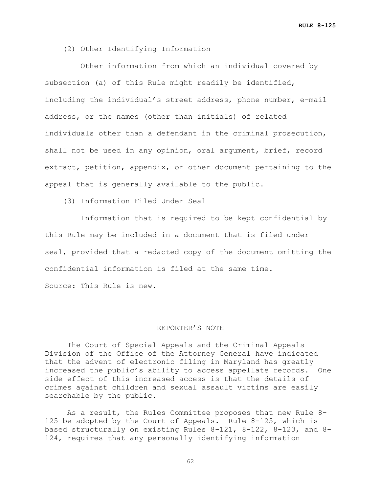(2) Other Identifying Information

 Other information from which an individual covered by subsection (a) of this Rule might readily be identified, including the individual's street address, phone number, e-mail address, or the names (other than initials) of related individuals other than a defendant in the criminal prosecution, shall not be used in any opinion, oral argument, brief, record extract, petition, appendix, or other document pertaining to the appeal that is generally available to the public.

(3) Information Filed Under Seal

 Information that is required to be kept confidential by this Rule may be included in a document that is filed under seal, provided that a redacted copy of the document omitting the confidential information is filed at the same time. Source: This Rule is new.

#### REPORTER'S NOTE

The Court of Special Appeals and the Criminal Appeals Division of the Office of the Attorney General have indicated that the advent of electronic filing in Maryland has greatly increased the public's ability to access appellate records. One side effect of this increased access is that the details of crimes against children and sexual assault victims are easily searchable by the public.

As a result, the Rules Committee proposes that new Rule 8- 125 be adopted by the Court of Appeals. Rule 8-125, which is based structurally on existing Rules 8-121, 8-122, 8-123, and 8- 124, requires that any personally identifying information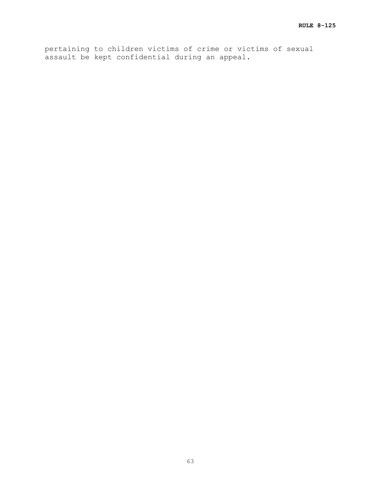pertaining to children victims of crime or victims of sexual assault be kept confidential during an appeal.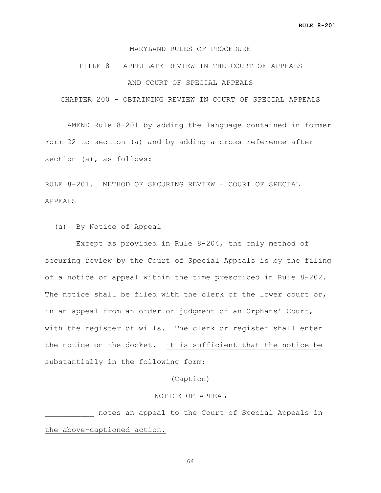# MARYLAND RULES OF PROCEDURE

# TITLE 8 – APPELLATE REVIEW IN THE COURT OF APPEALS AND COURT OF SPECIAL APPEALS

CHAPTER 200 – OBTAINING REVIEW IN COURT OF SPECIAL APPEALS

AMEND Rule 8-201 by adding the language contained in former Form 22 to section (a) and by adding a cross reference after section (a), as follows:

RULE 8-201. METHOD OF SECURING REVIEW – COURT OF SPECIAL APPEALS

(a) By Notice of Appeal

 Except as provided in Rule 8-204, the only method of securing review by the Court of Special Appeals is by the filing of a notice of appeal within the time prescribed in Rule 8-202. The notice shall be filed with the clerk of the lower court or, in an appeal from an order or judgment of an Orphans' Court, with the register of wills. The clerk or register shall enter the notice on the docket. It is sufficient that the notice be substantially in the following form:

### (Caption)

#### NOTICE OF APPEAL

notes an appeal to the Court of Special Appeals in the above-captioned action.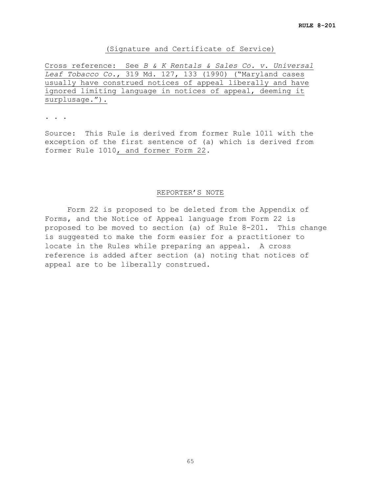# (Signature and Certificate of Service)

Cross reference: See *B & K Rentals & Sales Co. v. Universal Leaf Tobacco Co.*, 319 Md. 127, 133 (1990) ("Maryland cases usually have construed notices of appeal liberally and have ignored limiting language in notices of appeal, deeming it surplusage.").

. . .

Source: This Rule is derived from former Rule 1011 with the exception of the first sentence of (a) which is derived from former Rule 1010, and former Form 22.

# REPORTER'S NOTE

Form 22 is proposed to be deleted from the Appendix of Forms, and the Notice of Appeal language from Form 22 is proposed to be moved to section (a) of Rule 8-201. This change is suggested to make the form easier for a practitioner to locate in the Rules while preparing an appeal. A cross reference is added after section (a) noting that notices of appeal are to be liberally construed.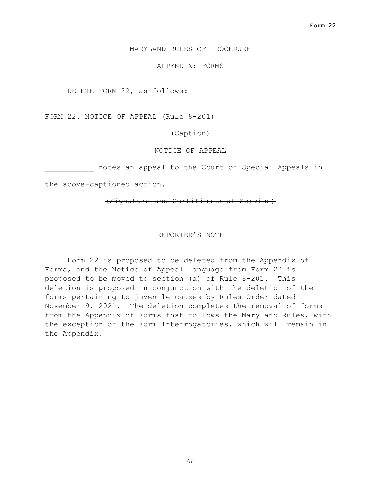# MARYLAND RULES OF PROCEDURE

# APPENDIX: FORMS

DELETE FORM 22, as follows:

FORM 22. NOTICE OF APPEAL (Rule 8-201)

(Caption)

NOTICE OF APPEAL

notes an appeal to the Court of Special Appeals in

the above-captioned action.

### (Signature and Certificate of Service)

#### REPORTER'S NOTE

Form 22 is proposed to be deleted from the Appendix of Forms, and the Notice of Appeal language from Form 22 is proposed to be moved to section (a) of Rule 8-201. This deletion is proposed in conjunction with the deletion of the forms pertaining to juvenile causes by Rules Order dated November 9, 2021. The deletion completes the removal of forms from the Appendix of Forms that follows the Maryland Rules, with the exception of the Form Interrogatories, which will remain in the Appendix.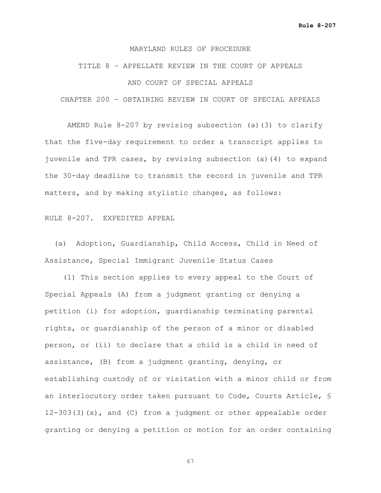# MARYLAND RULES OF PROCEDURE

# TITLE 8 – APPELLATE REVIEW IN THE COURT OF APPEALS AND COURT OF SPECIAL APPEALS

CHAPTER 200 – OBTAINING REVIEW IN COURT OF SPECIAL APPEALS

AMEND Rule 8-207 by revising subsection (a)(3) to clarify that the five-day requirement to order a transcript applies to juvenile and TPR cases, by revising subsection (a)(4) to expand the 30-day deadline to transmit the record in juvenile and TPR matters, and by making stylistic changes, as follows:

#### RULE 8-207. EXPEDITED APPEAL

 (a) Adoption, Guardianship, Child Access, Child in Need of Assistance, Special Immigrant Juvenile Status Cases

 (1) This section applies to every appeal to the Court of Special Appeals (A) from a judgment granting or denying a petition (i) for adoption, guardianship terminating parental rights, or guardianship of the person of a minor or disabled person, or (ii) to declare that a child is a child in need of assistance, (B) from a judgment granting, denying, or establishing custody of or visitation with a minor child or from an interlocutory order taken pursuant to Code, Courts Article, § 12-303(3)(x), and (C) from a judgment or other appealable order granting or denying a petition or motion for an order containing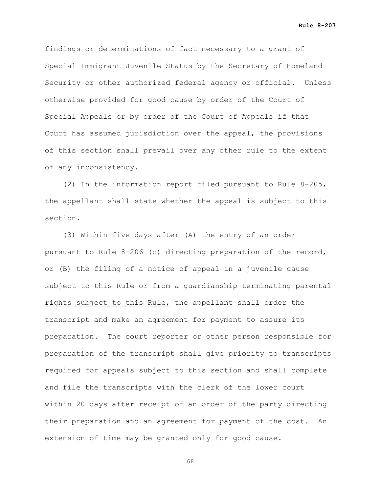**Rule 8-207**

findings or determinations of fact necessary to a grant of Special Immigrant Juvenile Status by the Secretary of Homeland Security or other authorized federal agency or official. Unless otherwise provided for good cause by order of the Court of Special Appeals or by order of the Court of Appeals if that Court has assumed jurisdiction over the appeal, the provisions of this section shall prevail over any other rule to the extent of any inconsistency.

 (2) In the information report filed pursuant to Rule 8-205, the appellant shall state whether the appeal is subject to this section.

 (3) Within five days after (A) the entry of an order pursuant to Rule 8-206 (c) directing preparation of the record, or (B) the filing of a notice of appeal in a juvenile cause subject to this Rule or from a guardianship terminating parental rights subject to this Rule, the appellant shall order the transcript and make an agreement for payment to assure its preparation. The court reporter or other person responsible for preparation of the transcript shall give priority to transcripts required for appeals subject to this section and shall complete and file the transcripts with the clerk of the lower court within 20 days after receipt of an order of the party directing their preparation and an agreement for payment of the cost. An extension of time may be granted only for good cause.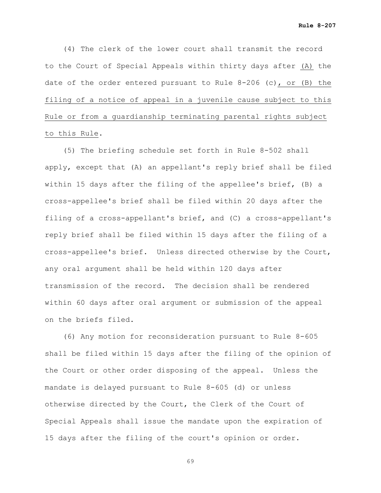(4) The clerk of the lower court shall transmit the record to the Court of Special Appeals within thirty days after (A) the date of the order entered pursuant to Rule 8-206 (c), or (B) the filing of a notice of appeal in a juvenile cause subject to this Rule or from a guardianship terminating parental rights subject to this Rule.

 (5) The briefing schedule set forth in Rule 8-502 shall apply, except that (A) an appellant's reply brief shall be filed within 15 days after the filing of the appellee's brief, (B) a cross-appellee's brief shall be filed within 20 days after the filing of a cross-appellant's brief, and (C) a cross-appellant's reply brief shall be filed within 15 days after the filing of a cross-appellee's brief. Unless directed otherwise by the Court, any oral argument shall be held within 120 days after transmission of the record. The decision shall be rendered within 60 days after oral argument or submission of the appeal on the briefs filed.

 (6) Any motion for reconsideration pursuant to Rule 8-605 shall be filed within 15 days after the filing of the opinion of the Court or other order disposing of the appeal. Unless the mandate is delayed pursuant to Rule 8-605 (d) or unless otherwise directed by the Court, the Clerk of the Court of Special Appeals shall issue the mandate upon the expiration of 15 days after the filing of the court's opinion or order.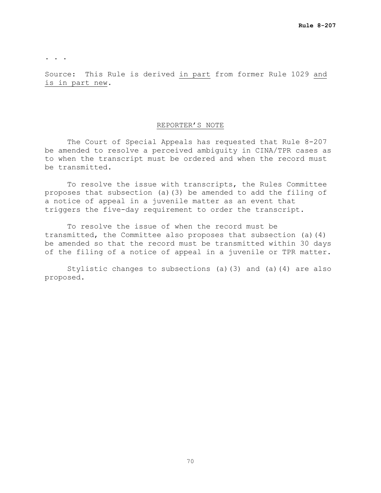. . .

Source: This Rule is derived in part from former Rule 1029 and is in part new.

#### REPORTER'S NOTE

The Court of Special Appeals has requested that Rule 8-207 be amended to resolve a perceived ambiguity in CINA/TPR cases as to when the transcript must be ordered and when the record must be transmitted.

To resolve the issue with transcripts, the Rules Committee proposes that subsection (a)(3) be amended to add the filing of a notice of appeal in a juvenile matter as an event that triggers the five-day requirement to order the transcript.

To resolve the issue of when the record must be transmitted, the Committee also proposes that subsection (a)(4) be amended so that the record must be transmitted within 30 days of the filing of a notice of appeal in a juvenile or TPR matter.

Stylistic changes to subsections (a)(3) and (a)(4) are also proposed.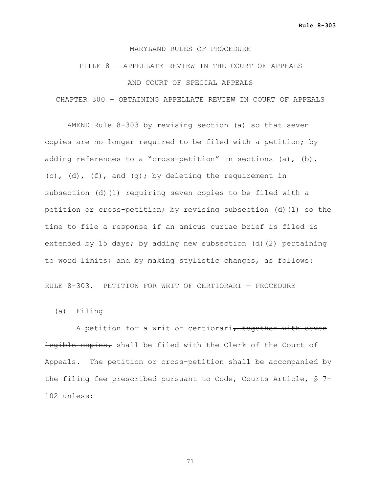# TITLE 8 – APPELLATE REVIEW IN THE COURT OF APPEALS AND COURT OF SPECIAL APPEALS

CHAPTER 300 – OBTAINING APPELLATE REVIEW IN COURT OF APPEALS

AMEND Rule 8-303 by revising section (a) so that seven copies are no longer required to be filed with a petition; by adding references to a "cross-petition" in sections (a), (b), (c),  $(d)$ ,  $(f)$ , and  $(q)$ ; by deleting the requirement in subsection (d)(1) requiring seven copies to be filed with a petition or cross-petition; by revising subsection (d)(1) so the time to file a response if an amicus curiae brief is filed is extended by 15 days; by adding new subsection (d)(2) pertaining to word limits; and by making stylistic changes, as follows:

RULE 8-303. PETITION FOR WRIT OF CERTIORARI — PROCEDURE

(a) Filing

A petition for a writ of certiorari, together with seven legible copies, shall be filed with the Clerk of the Court of Appeals. The petition or cross-petition shall be accompanied by the filing fee prescribed pursuant to Code, Courts Article, § 7- 102 unless: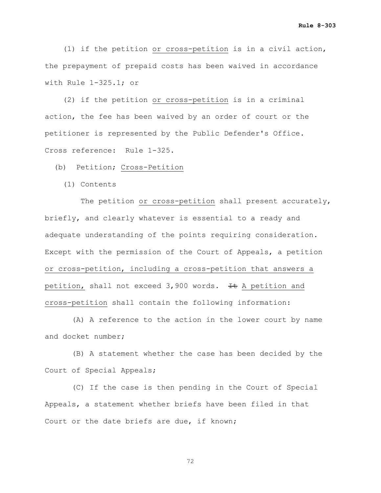(1) if the petition or cross-petition is in a civil action, the prepayment of prepaid costs has been waived in accordance with Rule 1-325.1; or

 (2) if the petition or cross-petition is in a criminal action, the fee has been waived by an order of court or the petitioner is represented by the Public Defender's Office. Cross reference: Rule 1-325.

(b) Petition; Cross-Petition

(1) Contents

The petition or cross-petition shall present accurately, briefly, and clearly whatever is essential to a ready and adequate understanding of the points requiring consideration. Except with the permission of the Court of Appeals, a petition or cross-petition, including a cross-petition that answers a petition, shall not exceed  $3,900$  words. It A petition and cross-petition shall contain the following information:

 (A) A reference to the action in the lower court by name and docket number;

 (B) A statement whether the case has been decided by the Court of Special Appeals;

 (C) If the case is then pending in the Court of Special Appeals, a statement whether briefs have been filed in that Court or the date briefs are due, if known;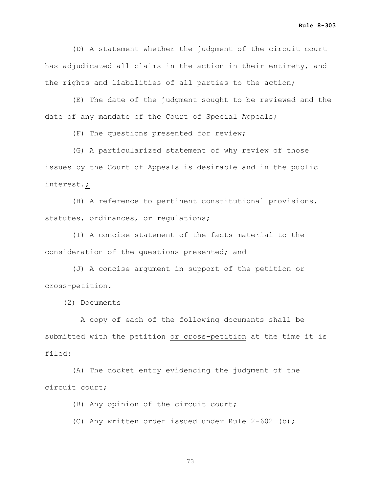(D) A statement whether the judgment of the circuit court has adjudicated all claims in the action in their entirety, and the rights and liabilities of all parties to the action;

 (E) The date of the judgment sought to be reviewed and the date of any mandate of the Court of Special Appeals;

(F) The questions presented for review;

 (G) A particularized statement of why review of those issues by the Court of Appeals is desirable and in the public interest<del>.</del>;

 (H) A reference to pertinent constitutional provisions, statutes, ordinances, or regulations;

 (I) A concise statement of the facts material to the consideration of the questions presented; and

 (J) A concise argument in support of the petition or cross-petition.

(2) Documents

 A copy of each of the following documents shall be submitted with the petition or cross-petition at the time it is filed:

 (A) The docket entry evidencing the judgment of the circuit court;

(B) Any opinion of the circuit court;

(C) Any written order issued under Rule 2-602 (b);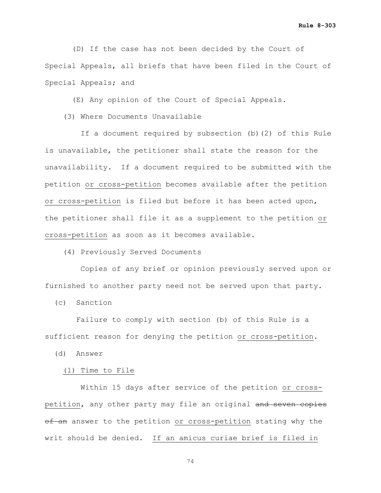**Rule 8-303**

 (D) If the case has not been decided by the Court of Special Appeals, all briefs that have been filed in the Court of Special Appeals; and

(E) Any opinion of the Court of Special Appeals.

(3) Where Documents Unavailable

 If a document required by subsection (b)(2) of this Rule is unavailable, the petitioner shall state the reason for the unavailability. If a document required to be submitted with the petition or cross-petition becomes available after the petition or cross-petition is filed but before it has been acted upon, the petitioner shall file it as a supplement to the petition or cross-petition as soon as it becomes available.

(4) Previously Served Documents

 Copies of any brief or opinion previously served upon or furnished to another party need not be served upon that party.

(c) Sanction

 Failure to comply with section (b) of this Rule is a sufficient reason for denying the petition or cross-petition.

(d) Answer

(1) Time to File

 Within 15 days after service of the petition or crosspetition, any other party may file an original and seven copies of an answer to the petition or cross-petition stating why the writ should be denied. If an amicus curiae brief is filed in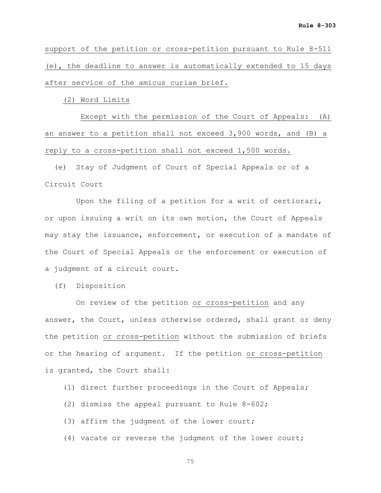support of the petition or cross-petition pursuant to Rule 8-511 (e), the deadline to answer is automatically extended to 15 days after service of the amicus curiae brief.

(2) Word Limits

 Except with the permission of the Court of Appeals: (A) an answer to a petition shall not exceed 3,900 words, and (B) a reply to a cross-petition shall not exceed 1,500 words.

 (e) Stay of Judgment of Court of Special Appeals or of a Circuit Court

 Upon the filing of a petition for a writ of certiorari, or upon issuing a writ on its own motion, the Court of Appeals may stay the issuance, enforcement, or execution of a mandate of the Court of Special Appeals or the enforcement or execution of a judgment of a circuit court.

(f) Disposition

 On review of the petition or cross-petition and any answer, the Court, unless otherwise ordered, shall grant or deny the petition or cross-petition without the submission of briefs or the hearing of argument. If the petition or cross-petition is granted, the Court shall:

(1) direct further proceedings in the Court of Appeals;

- (2) dismiss the appeal pursuant to Rule 8-602;
- (3) affirm the judgment of the lower court;
- (4) vacate or reverse the judgment of the lower court;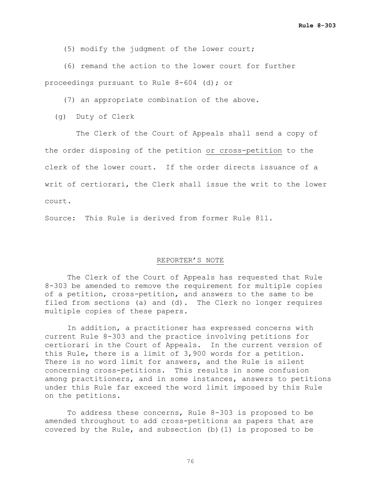(5) modify the judgment of the lower court;

 (6) remand the action to the lower court for further proceedings pursuant to Rule 8-604 (d); or

(7) an appropriate combination of the above.

(g) Duty of Clerk

 The Clerk of the Court of Appeals shall send a copy of the order disposing of the petition or cross-petition to the clerk of the lower court. If the order directs issuance of a writ of certiorari, the Clerk shall issue the writ to the lower court.

Source: This Rule is derived from former Rule 811.

#### REPORTER'S NOTE

The Clerk of the Court of Appeals has requested that Rule 8-303 be amended to remove the requirement for multiple copies of a petition, cross-petition, and answers to the same to be filed from sections (a) and (d). The Clerk no longer requires multiple copies of these papers.

In addition, a practitioner has expressed concerns with current Rule 8-303 and the practice involving petitions for certiorari in the Court of Appeals. In the current version of this Rule, there is a limit of 3,900 words for a petition. There is no word limit for answers, and the Rule is silent concerning cross-petitions. This results in some confusion among practitioners, and in some instances, answers to petitions under this Rule far exceed the word limit imposed by this Rule on the petitions.

To address these concerns, Rule 8-303 is proposed to be amended throughout to add cross-petitions as papers that are covered by the Rule, and subsection (b)(1) is proposed to be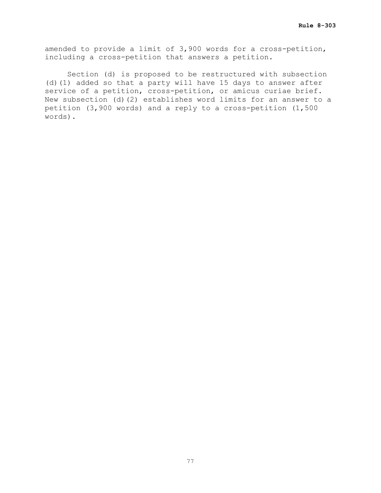amended to provide a limit of 3,900 words for a cross-petition, including a cross-petition that answers a petition.

Section (d) is proposed to be restructured with subsection (d)(1) added so that a party will have 15 days to answer after service of a petition, cross-petition, or amicus curiae brief. New subsection (d)(2) establishes word limits for an answer to a petition (3,900 words) and a reply to a cross-petition (1,500 words).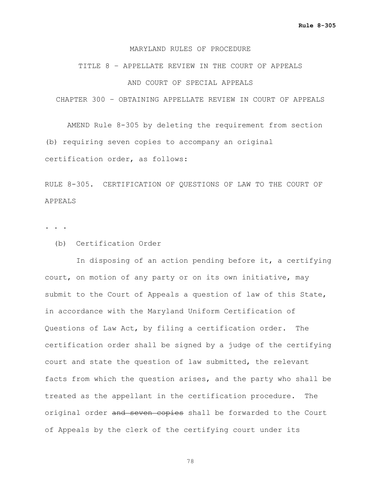### TITLE 8 – APPELLATE REVIEW IN THE COURT OF APPEALS AND COURT OF SPECIAL APPEALS

CHAPTER 300 – OBTAINING APPELLATE REVIEW IN COURT OF APPEALS

AMEND Rule 8-305 by deleting the requirement from section (b) requiring seven copies to accompany an original certification order, as follows:

RULE 8-305. CERTIFICATION OF QUESTIONS OF LAW TO THE COURT OF APPEALS

. . .

(b) Certification Order

 In disposing of an action pending before it, a certifying court, on motion of any party or on its own initiative, may submit to the Court of Appeals a question of law of this State, in accordance with the Maryland Uniform Certification of Questions of Law Act, by filing a certification order. The certification order shall be signed by a judge of the certifying court and state the question of law submitted, the relevant facts from which the question arises, and the party who shall be treated as the appellant in the certification procedure. The original order and seven copies shall be forwarded to the Court of Appeals by the clerk of the certifying court under its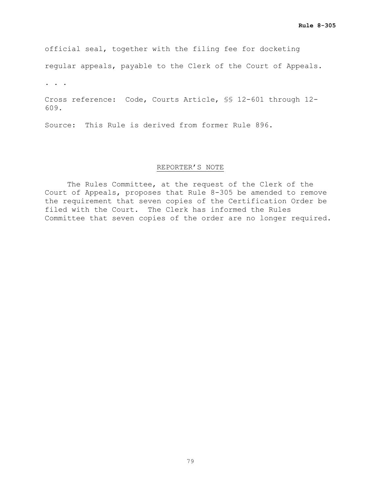official seal, together with the filing fee for docketing

regular appeals, payable to the Clerk of the Court of Appeals.

. . .

Cross reference: Code, Courts Article, §§ 12-601 through 12- 609.

Source: This Rule is derived from former Rule 896.

#### REPORTER'S NOTE

The Rules Committee, at the request of the Clerk of the Court of Appeals, proposes that Rule 8-305 be amended to remove the requirement that seven copies of the Certification Order be filed with the Court. The Clerk has informed the Rules Committee that seven copies of the order are no longer required.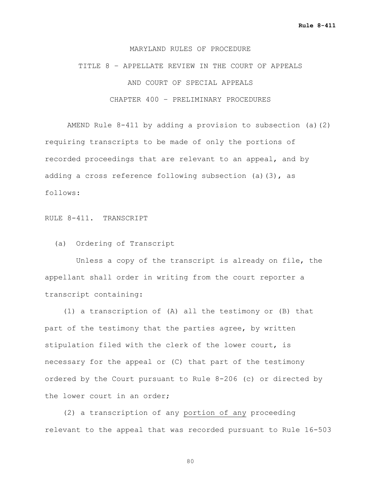TITLE 8 – APPELLATE REVIEW IN THE COURT OF APPEALS AND COURT OF SPECIAL APPEALS CHAPTER 400 – PRELIMINARY PROCEDURES

AMEND Rule 8-411 by adding a provision to subsection (a)(2) requiring transcripts to be made of only the portions of recorded proceedings that are relevant to an appeal, and by adding a cross reference following subsection (a)(3), as follows:

RULE 8-411. TRANSCRIPT

(a) Ordering of Transcript

 Unless a copy of the transcript is already on file, the appellant shall order in writing from the court reporter a transcript containing:

 (1) a transcription of (A) all the testimony or (B) that part of the testimony that the parties agree, by written stipulation filed with the clerk of the lower court, is necessary for the appeal or (C) that part of the testimony ordered by the Court pursuant to Rule 8-206 (c) or directed by the lower court in an order;

 (2) a transcription of any portion of any proceeding relevant to the appeal that was recorded pursuant to Rule 16-503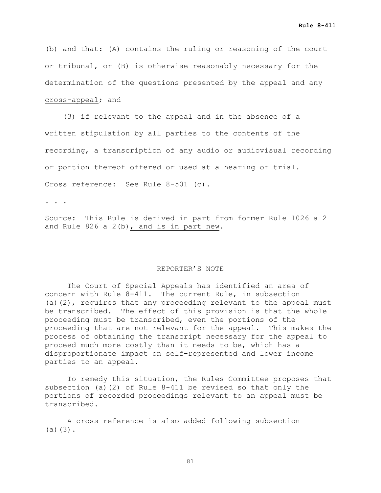(b) and that: (A) contains the ruling or reasoning of the court or tribunal, or (B) is otherwise reasonably necessary for the determination of the questions presented by the appeal and any cross-appeal; and

 (3) if relevant to the appeal and in the absence of a written stipulation by all parties to the contents of the recording, a transcription of any audio or audiovisual recording or portion thereof offered or used at a hearing or trial.

Cross reference: See Rule 8-501 (c).

. . .

Source: This Rule is derived in part from former Rule 1026 a 2 and Rule 826 a 2(b), and is in part new.

#### REPORTER'S NOTE

The Court of Special Appeals has identified an area of concern with Rule 8-411. The current Rule, in subsection (a)(2), requires that any proceeding relevant to the appeal must be transcribed. The effect of this provision is that the whole proceeding must be transcribed, even the portions of the proceeding that are not relevant for the appeal. This makes the process of obtaining the transcript necessary for the appeal to proceed much more costly than it needs to be, which has a disproportionate impact on self-represented and lower income parties to an appeal.

To remedy this situation, the Rules Committee proposes that subsection (a)(2) of Rule 8-411 be revised so that only the portions of recorded proceedings relevant to an appeal must be transcribed.

A cross reference is also added following subsection  $(a)(3)$ .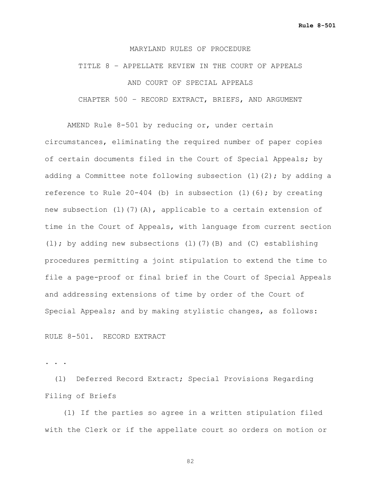TITLE 8 – APPELLATE REVIEW IN THE COURT OF APPEALS AND COURT OF SPECIAL APPEALS CHAPTER 500 – RECORD EXTRACT, BRIEFS, AND ARGUMENT

AMEND Rule 8-501 by reducing or, under certain circumstances, eliminating the required number of paper copies of certain documents filed in the Court of Special Appeals; by adding a Committee note following subsection (1)(2); by adding a reference to Rule 20-404 (b) in subsection (l)(6); by creating new subsection (l)(7)(A), applicable to a certain extension of time in the Court of Appeals, with language from current section (l); by adding new subsections (l)(7)(B) and (C) establishing procedures permitting a joint stipulation to extend the time to file a page-proof or final brief in the Court of Special Appeals and addressing extensions of time by order of the Court of Special Appeals; and by making stylistic changes, as follows:

#### RULE 8-501. RECORD EXTRACT

. . .

 (l) Deferred Record Extract; Special Provisions Regarding Filing of Briefs

 (1) If the parties so agree in a written stipulation filed with the Clerk or if the appellate court so orders on motion or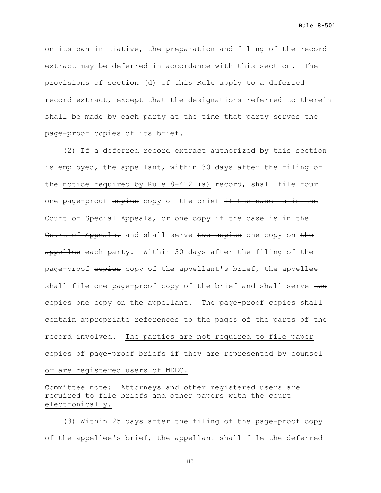on its own initiative, the preparation and filing of the record extract may be deferred in accordance with this section. The provisions of section (d) of this Rule apply to a deferred record extract, except that the designations referred to therein shall be made by each party at the time that party serves the page-proof copies of its brief.

 (2) If a deferred record extract authorized by this section is employed, the appellant, within 30 days after the filing of the notice required by Rule  $8-412$  (a) record, shall file four one page-proof copies copy of the brief if the case is in the Court of Special Appeals, or one copy if the case is in the Court of Appeals, and shall serve two copies one copy on the appellee each party. Within 30 days after the filing of the page-proof copies copy of the appellant's brief, the appellee shall file one page-proof copy of the brief and shall serve two eopies one copy on the appellant. The page-proof copies shall contain appropriate references to the pages of the parts of the record involved. The parties are not required to file paper copies of page-proof briefs if they are represented by counsel or are registered users of MDEC.

Committee note: Attorneys and other registered users are required to file briefs and other papers with the court electronically.

 (3) Within 25 days after the filing of the page-proof copy of the appellee's brief, the appellant shall file the deferred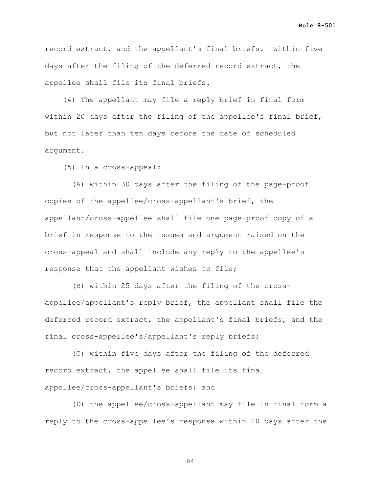**Rule 8-501**

record extract, and the appellant's final briefs. Within five days after the filing of the deferred record extract, the appellee shall file its final briefs.

 (4) The appellant may file a reply brief in final form within 20 days after the filing of the appellee's final brief, but not later than ten days before the date of scheduled argument.

(5) In a cross-appeal:

 (A) within 30 days after the filing of the page-proof copies of the appellee/cross-appellant's brief, the appellant/cross-appellee shall file one page-proof copy of a brief in response to the issues and argument raised on the cross-appeal and shall include any reply to the appellee's response that the appellant wishes to file;

 (B) within 25 days after the filing of the crossappellee/appellant's reply brief, the appellant shall file the deferred record extract, the appellant's final briefs, and the final cross-appellee's/appellant's reply briefs;

 (C) within five days after the filing of the deferred record extract, the appellee shall file its final appellee/cross-appellant's briefs; and

 (D) the appellee/cross-appellant may file in final form a reply to the cross-appellee's response within 20 days after the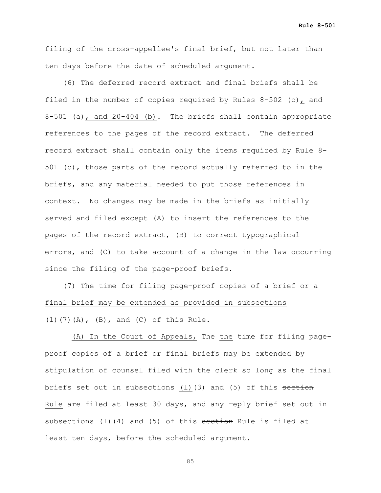**Rule 8-501**

filing of the cross-appellee's final brief, but not later than ten days before the date of scheduled argument.

 (6) The deferred record extract and final briefs shall be filed in the number of copies required by Rules  $8-502$  (c), and 8-501 (a), and 20-404 (b). The briefs shall contain appropriate references to the pages of the record extract. The deferred record extract shall contain only the items required by Rule 8- 501 (c), those parts of the record actually referred to in the briefs, and any material needed to put those references in context. No changes may be made in the briefs as initially served and filed except (A) to insert the references to the pages of the record extract, (B) to correct typographical errors, and (C) to take account of a change in the law occurring since the filing of the page-proof briefs.

 (7) The time for filing page-proof copies of a brief or a final brief may be extended as provided in subsections (l)(7)(A), (B), and (C) of this Rule.

(A) In the Court of Appeals, The the time for filing pageproof copies of a brief or final briefs may be extended by stipulation of counsel filed with the clerk so long as the final briefs set out in subsections (1)(3) and (5) of this section Rule are filed at least 30 days, and any reply brief set out in subsections (1)(4) and (5) of this section Rule is filed at least ten days, before the scheduled argument.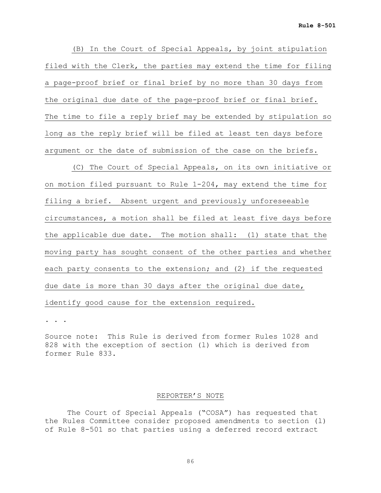(B) In the Court of Special Appeals, by joint stipulation filed with the Clerk, the parties may extend the time for filing a page-proof brief or final brief by no more than 30 days from the original due date of the page-proof brief or final brief. The time to file a reply brief may be extended by stipulation so long as the reply brief will be filed at least ten days before argument or the date of submission of the case on the briefs.

 (C) The Court of Special Appeals, on its own initiative or on motion filed pursuant to Rule 1-204, may extend the time for filing a brief. Absent urgent and previously unforeseeable circumstances, a motion shall be filed at least five days before the applicable due date. The motion shall: (1) state that the moving party has sought consent of the other parties and whether each party consents to the extension; and (2) if the requested due date is more than 30 days after the original due date, identify good cause for the extension required.

. . .

Source note: This Rule is derived from former Rules 1028 and 828 with the exception of section (l) which is derived from former Rule 833.

#### REPORTER'S NOTE

The Court of Special Appeals ("COSA") has requested that the Rules Committee consider proposed amendments to section (l) of Rule 8-501 so that parties using a deferred record extract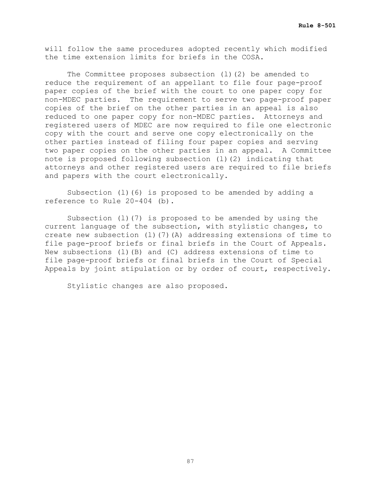will follow the same procedures adopted recently which modified the time extension limits for briefs in the COSA.

The Committee proposes subsection (l)(2) be amended to reduce the requirement of an appellant to file four page-proof paper copies of the brief with the court to one paper copy for non-MDEC parties. The requirement to serve two page-proof paper copies of the brief on the other parties in an appeal is also reduced to one paper copy for non-MDEC parties. Attorneys and registered users of MDEC are now required to file one electronic copy with the court and serve one copy electronically on the other parties instead of filing four paper copies and serving two paper copies on the other parties in an appeal. A Committee note is proposed following subsection (l)(2) indicating that attorneys and other registered users are required to file briefs and papers with the court electronically.

Subsection (l)(6) is proposed to be amended by adding a reference to Rule 20-404 (b).

Subsection (l)(7) is proposed to be amended by using the current language of the subsection, with stylistic changes, to create new subsection (l)(7)(A) addressing extensions of time to file page-proof briefs or final briefs in the Court of Appeals. New subsections (l)(B) and (C) address extensions of time to file page-proof briefs or final briefs in the Court of Special Appeals by joint stipulation or by order of court, respectively.

Stylistic changes are also proposed.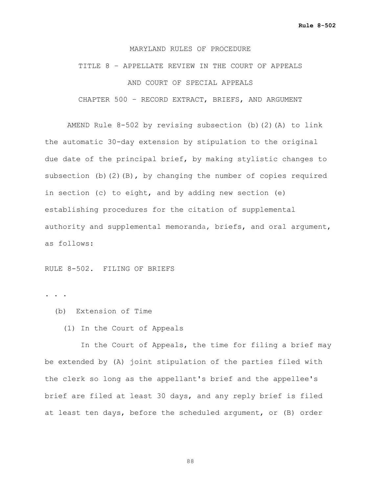### TITLE 8 – APPELLATE REVIEW IN THE COURT OF APPEALS AND COURT OF SPECIAL APPEALS CHAPTER 500 – RECORD EXTRACT, BRIEFS, AND ARGUMENT

AMEND Rule 8-502 by revising subsection (b)(2)(A) to link the automatic 30-day extension by stipulation to the original due date of the principal brief, by making stylistic changes to subsection (b)(2)(B), by changing the number of copies required in section (c) to eight, and by adding new section (e) establishing procedures for the citation of supplemental authority and supplemental memoranda, briefs, and oral argument, as follows:

RULE 8-502. FILING OF BRIEFS

. . .

- (b) Extension of Time
	- (1) In the Court of Appeals

 In the Court of Appeals, the time for filing a brief may be extended by (A) joint stipulation of the parties filed with the clerk so long as the appellant's brief and the appellee's brief are filed at least 30 days, and any reply brief is filed at least ten days, before the scheduled argument, or (B) order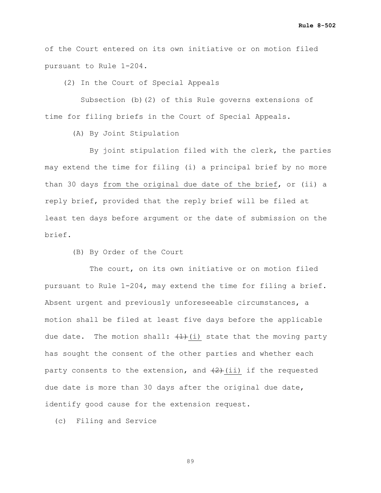of the Court entered on its own initiative or on motion filed pursuant to Rule 1-204.

(2) In the Court of Special Appeals

 Subsection (b)(2) of this Rule governs extensions of time for filing briefs in the Court of Special Appeals.

(A) By Joint Stipulation

 By joint stipulation filed with the clerk, the parties may extend the time for filing (i) a principal brief by no more than 30 days from the original due date of the brief, or (ii) a reply brief, provided that the reply brief will be filed at least ten days before argument or the date of submission on the brief.

(B) By Order of the Court

The court, on its own initiative or on motion filed pursuant to Rule 1-204, may extend the time for filing a brief. Absent urgent and previously unforeseeable circumstances, a motion shall be filed at least five days before the applicable due date. The motion shall:  $(1)$  (i) state that the moving party has sought the consent of the other parties and whether each party consents to the extension, and  $(2)$  (ii) if the requested due date is more than 30 days after the original due date, identify good cause for the extension request.

(c) Filing and Service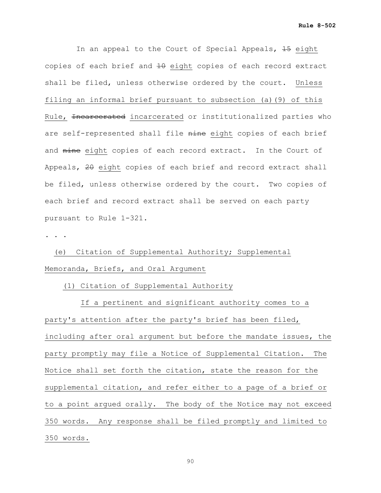In an appeal to the Court of Special Appeals, 45 eight copies of each brief and  $10$  eight copies of each record extract shall be filed, unless otherwise ordered by the court. Unless filing an informal brief pursuant to subsection (a)(9) of this Rule, Incarcerated incarcerated or institutionalized parties who are self-represented shall file nine eight copies of each brief and nine eight copies of each record extract. In the Court of Appeals, 20 eight copies of each brief and record extract shall be filed, unless otherwise ordered by the court. Two copies of each brief and record extract shall be served on each party pursuant to Rule 1-321.

**. . .**

(e) Citation of Supplemental Authority; Supplemental Memoranda, Briefs, and Oral Argument

(1) Citation of Supplemental Authority

 If a pertinent and significant authority comes to a party's attention after the party's brief has been filed, including after oral argument but before the mandate issues, the party promptly may file a Notice of Supplemental Citation. The Notice shall set forth the citation, state the reason for the supplemental citation, and refer either to a page of a brief or to a point argued orally. The body of the Notice may not exceed 350 words. Any response shall be filed promptly and limited to 350 words.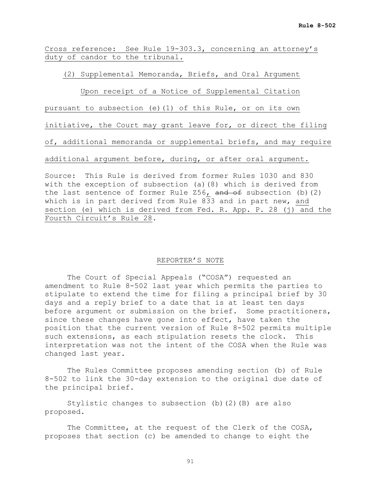Cross reference: See Rule 19-303.3, concerning an attorney's duty of candor to the tribunal.

(2) Supplemental Memoranda, Briefs, and Oral Argument

Upon receipt of a Notice of Supplemental Citation

pursuant to subsection (e)(1) of this Rule, or on its own

initiative, the Court may grant leave for, or direct the filing

of, additional memoranda or supplemental briefs, and may require

additional argument before, during, or after oral argument.

Source: This Rule is derived from former Rules 1030 and 830 with the exception of subsection (a)(8) which is derived from the last sentence of former Rule  $256$ , and of subsection (b)(2) which is in part derived from Rule 833 and in part new, and section (e) which is derived from Fed. R. App. P. 28 (j) and the Fourth Circuit's Rule 28.

#### REPORTER'S NOTE

The Court of Special Appeals ("COSA") requested an amendment to Rule 8-502 last year which permits the parties to stipulate to extend the time for filing a principal brief by 30 days and a reply brief to a date that is at least ten days before argument or submission on the brief. Some practitioners, since these changes have gone into effect, have taken the position that the current version of Rule 8-502 permits multiple such extensions, as each stipulation resets the clock. This interpretation was not the intent of the COSA when the Rule was changed last year.

The Rules Committee proposes amending section (b) of Rule 8-502 to link the 30-day extension to the original due date of the principal brief.

Stylistic changes to subsection (b)(2)(B) are also proposed.

The Committee, at the request of the Clerk of the COSA, proposes that section (c) be amended to change to eight the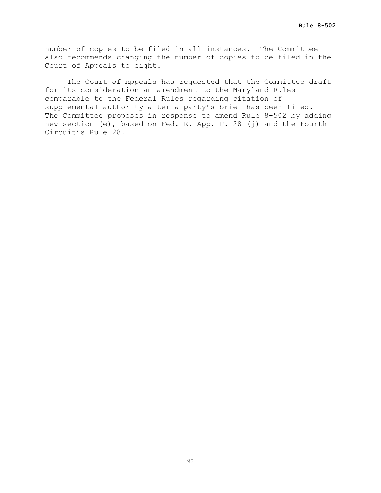number of copies to be filed in all instances. The Committee also recommends changing the number of copies to be filed in the Court of Appeals to eight.

The Court of Appeals has requested that the Committee draft for its consideration an amendment to the Maryland Rules comparable to the Federal Rules regarding citation of supplemental authority after a party's brief has been filed. The Committee proposes in response to amend Rule 8-502 by adding new section (e), based on Fed. R. App. P. 28 (j) and the Fourth Circuit's Rule 28.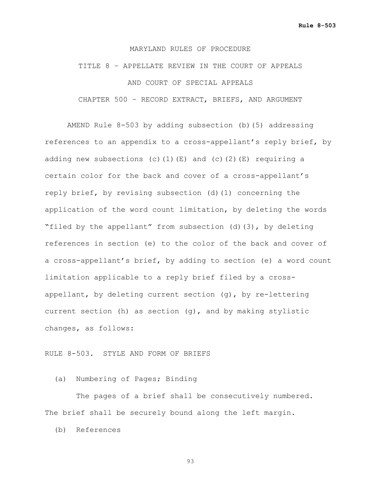## TITLE 8 – APPELLATE REVIEW IN THE COURT OF APPEALS AND COURT OF SPECIAL APPEALS CHAPTER 500 – RECORD EXTRACT, BRIEFS, AND ARGUMENT

AMEND Rule 8-503 by adding subsection (b)(5) addressing references to an appendix to a cross-appellant's reply brief, by adding new subsections (c)(1)(E) and (c)(2)(E) requiring a certain color for the back and cover of a cross-appellant's reply brief, by revising subsection (d)(1) concerning the application of the word count limitation, by deleting the words "filed by the appellant" from subsection (d)(3), by deleting references in section (e) to the color of the back and cover of a cross-appellant's brief, by adding to section (e) a word count limitation applicable to a reply brief filed by a crossappellant, by deleting current section (g), by re-lettering current section (h) as section (g), and by making stylistic changes, as follows:

#### RULE 8-503. STYLE AND FORM OF BRIEFS

(a) Numbering of Pages; Binding

The pages of a brief shall be consecutively numbered. The brief shall be securely bound along the left margin.

(b) References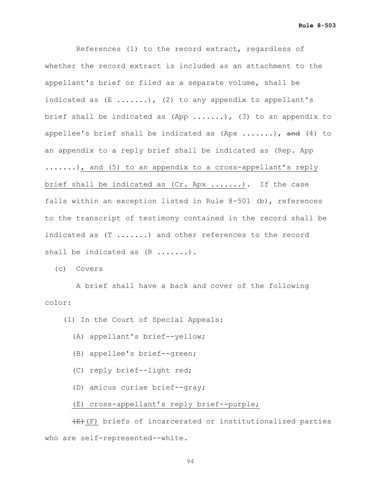**Rule 8-503**

 References (1) to the record extract, regardless of whether the record extract is included as an attachment to the appellant's brief or filed as a separate volume, shall be indicated as  $(E$  ......), (2) to any appendix to appellant's brief shall be indicated as  $(\text{App} \ldots \ldots)$ ,  $(3)$  to an appendix to appellee's brief shall be indicated as  $(\text{Apx} \dots \dots)$ , and  $(4)$  to an appendix to a reply brief shall be indicated as (Rep. App .......), and (5) to an appendix to a cross-appellant's reply brief shall be indicated as (Cr. Apx .......). If the case falls within an exception listed in Rule 8-501 (b), references to the transcript of testimony contained in the record shall be indicated as (T .......) and other references to the record shall be indicated as  $(R$  .......).

(c) Covers

 A brief shall have a back and cover of the following color:

(1) In the Court of Special Appeals:

- (A) appellant's brief--yellow;
- (B) appellee's brief--green;
- (C) reply brief--light red;
- (D) amicus curiae brief--gray;

#### (E) cross-appellant's reply brief--purple;

 $(E)$  (F) briefs of incarcerated or institutionalized parties who are self-represented--white.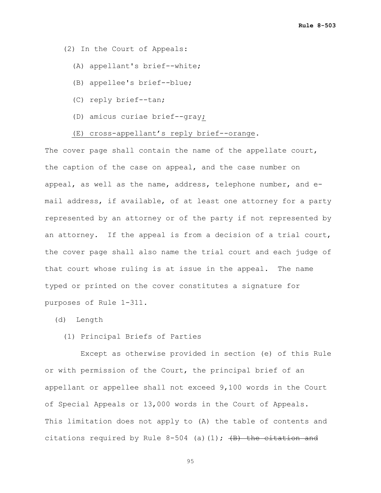(2) In the Court of Appeals:

- (A) appellant's brief--white;
- (B) appellee's brief--blue;
- (C) reply brief--tan;
- (D) amicus curiae brief--gray;

#### (E) cross-appellant's reply brief--orange.

The cover page shall contain the name of the appellate court, the caption of the case on appeal, and the case number on appeal, as well as the name, address, telephone number, and email address, if available, of at least one attorney for a party represented by an attorney or of the party if not represented by an attorney. If the appeal is from a decision of a trial court, the cover page shall also name the trial court and each judge of that court whose ruling is at issue in the appeal. The name typed or printed on the cover constitutes a signature for purposes of Rule 1-311.

(d) Length

#### (1) Principal Briefs of Parties

 Except as otherwise provided in section (e) of this Rule or with permission of the Court, the principal brief of an appellant or appellee shall not exceed 9,100 words in the Court of Special Appeals or 13,000 words in the Court of Appeals. This limitation does not apply to (A) the table of contents and citations required by Rule  $8-504$  (a)(1);  $\overline{(B)}$  the citation and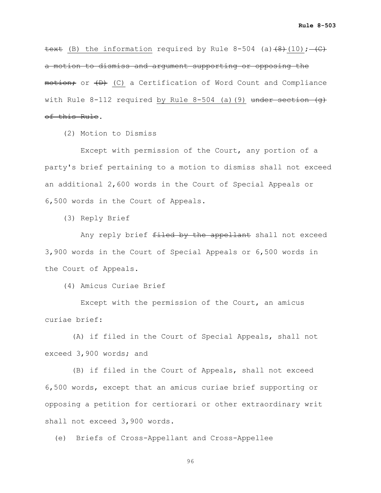text (B) the information required by Rule 8-504 (a) $(8)$  (10);  $-(C)$ a motion to dismiss and argument supporting or opposing the motion; or  $\{D\}$  (C) a Certification of Word Count and Compliance with Rule 8-112 required by Rule 8-504 (a)(9) under section (g) of this Rule.

(2) Motion to Dismiss

 Except with permission of the Court, any portion of a party's brief pertaining to a motion to dismiss shall not exceed an additional 2,600 words in the Court of Special Appeals or 6,500 words in the Court of Appeals.

(3) Reply Brief

Any reply brief filed by the appellant shall not exceed 3,900 words in the Court of Special Appeals or 6,500 words in the Court of Appeals.

(4) Amicus Curiae Brief

 Except with the permission of the Court, an amicus curiae brief:

 (A) if filed in the Court of Special Appeals, shall not exceed 3,900 words; and

 (B) if filed in the Court of Appeals, shall not exceed 6,500 words, except that an amicus curiae brief supporting or opposing a petition for certiorari or other extraordinary writ shall not exceed 3,900 words.

(e) Briefs of Cross-Appellant and Cross-Appellee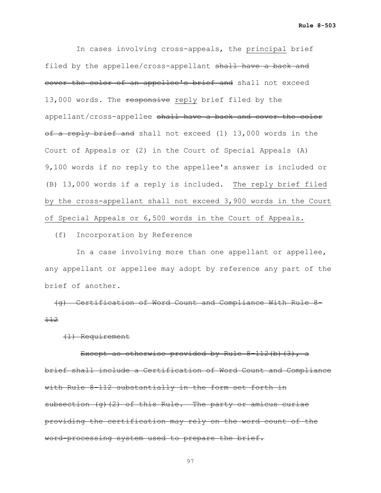In cases involving cross-appeals, the principal brief filed by the appellee/cross-appellant shall have a back and cover the color of an appellee's brief and shall not exceed 13,000 words. The responsive reply brief filed by the appellant/cross-appellee shall have a back and cover the color of a reply brief and shall not exceed (1) 13,000 words in the Court of Appeals or (2) in the Court of Special Appeals (A) 9,100 words if no reply to the appellee's answer is included or (B) 13,000 words if a reply is included. The reply brief filed by the cross-appellant shall not exceed 3,900 words in the Court of Special Appeals or 6,500 words in the Court of Appeals.

(f) Incorporation by Reference

 In a case involving more than one appellant or appellee, any appellant or appellee may adopt by reference any part of the brief of another.

 (g) Certification of Word Count and Compliance With Rule 8- 112

(1) Requirement

Except as otherwise provided by Rule 8-112(b)(3), a brief shall include a Certification of Word Count and Compliance with Rule 8-112 substantially in the form set forth in subsection (g)(2) of this Rule. The party or amicus curiae providing the certification may rely on the word count of the word-processing system used to prepare the brief.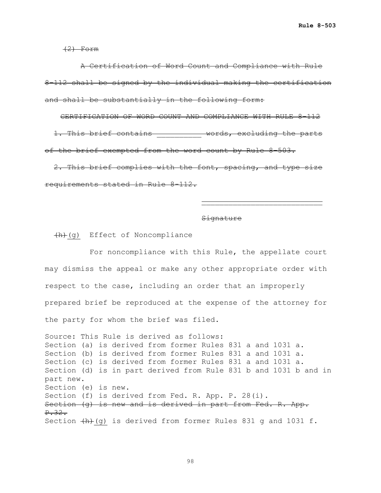$(2)$  Form

 A Certification of Word Count and Compliance with Rule 8-112 shall be signed by the individual making the certification and shall be substantially in the following form:

CERTIFICATION OF WORD COUNT AND COMPLIANCE WITH RULE 8-112 1. This brief contains \_\_\_\_\_\_\_\_\_\_ words, excluding the parts of the brief exempted from the word count by Rule 8-503.

2. This brief complies with the font, spacing, and type size requirements stated in Rule 8-112.

#### **Signature**

\_\_\_\_\_\_\_\_\_\_\_\_\_\_\_\_\_\_\_\_\_\_\_\_\_\_\_

 $+h+(q)$  Effect of Noncompliance

 For noncompliance with this Rule, the appellate court may dismiss the appeal or make any other appropriate order with respect to the case, including an order that an improperly prepared brief be reproduced at the expense of the attorney for the party for whom the brief was filed.

Source: This Rule is derived as follows: Section (a) is derived from former Rules 831 a and 1031 a. Section (b) is derived from former Rules 831 a and 1031 a. Section (c) is derived from former Rules 831 a and 1031 a. Section (d) is in part derived from Rule 831 b and 1031 b and in part new. Section (e) is new. Section (f) is derived from Fed. R. App. P. 28(i). Section (g) is new and is derived in part from Fed. R. App. P.32. Section  $\{h\}(g)$  is derived from former Rules 831 g and 1031 f.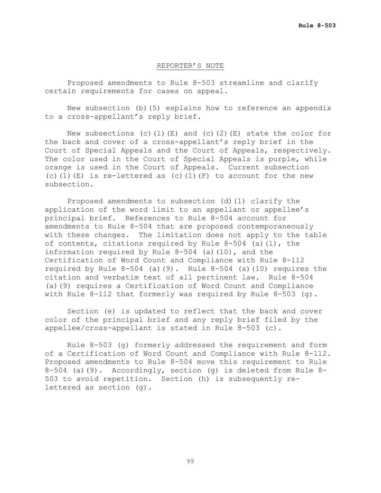#### REPORTER'S NOTE

Proposed amendments to Rule 8-503 streamline and clarify certain requirements for cases on appeal.

New subsection (b)(5) explains how to reference an appendix to a cross-appellant's reply brief.

New subsections (c)(1)(E) and (c)(2)(E) state the color for the back and cover of a cross-appellant's reply brief in the Court of Special Appeals and the Court of Appeals, respectively. The color used in the Court of Special Appeals is purple, while orange is used in the Court of Appeals. Current subsection (c)(1)(E) is re-lettered as (c)(1)(F) to account for the new subsection.

Proposed amendments to subsection (d)(1) clarify the application of the word limit to an appellant or appellee's principal brief. References to Rule 8-504 account for amendments to Rule 8-504 that are proposed contemporaneously with these changes. The limitation does not apply to the table of contents, citations required by Rule 8-504 (a)(1), the information required by Rule 8-504 (a)(10), and the Certification of Word Count and Compliance with Rule 8-112 required by Rule  $8-504$  (a)(9). Rule  $8-504$  (a)(10) requires the citation and verbatim text of all pertinent law. Rule 8-504 (a)(9) requires a Certification of Word Count and Compliance with Rule 8-112 that formerly was required by Rule 8-503 (g).

Section (e) is updated to reflect that the back and cover color of the principal brief and any reply brief filed by the appellee/cross-appellant is stated in Rule 8-503 (c).

Rule 8-503 (g) formerly addressed the requirement and form of a Certification of Word Count and Compliance with Rule 8-112. Proposed amendments to Rule 8-504 move this requirement to Rule 8-504 (a)(9). Accordingly, section (g) is deleted from Rule 8- 503 to avoid repetition. Section (h) is subsequently relettered as section (g).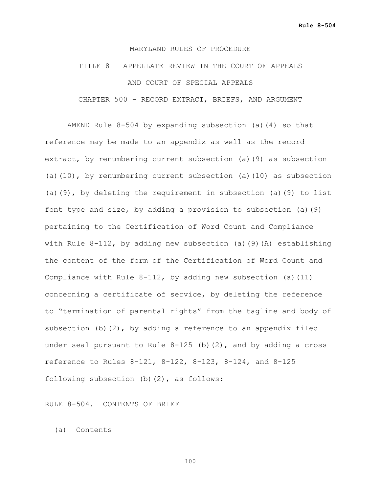## TITLE 8 – APPELLATE REVIEW IN THE COURT OF APPEALS AND COURT OF SPECIAL APPEALS CHAPTER 500 – RECORD EXTRACT, BRIEFS, AND ARGUMENT

AMEND Rule 8-504 by expanding subsection (a)(4) so that reference may be made to an appendix as well as the record extract, by renumbering current subsection (a)(9) as subsection (a)(10), by renumbering current subsection (a)(10) as subsection (a)(9), by deleting the requirement in subsection (a)(9) to list font type and size, by adding a provision to subsection (a)(9) pertaining to the Certification of Word Count and Compliance with Rule 8-112, by adding new subsection (a)(9)(A) establishing the content of the form of the Certification of Word Count and Compliance with Rule 8-112, by adding new subsection (a)(11) concerning a certificate of service, by deleting the reference to "termination of parental rights" from the tagline and body of subsection (b)(2), by adding a reference to an appendix filed under seal pursuant to Rule  $8-125$  (b)(2), and by adding a cross reference to Rules 8-121, 8-122, 8-123, 8-124, and 8-125 following subsection (b)(2), as follows:

RULE 8-504. CONTENTS OF BRIEF

(a) Contents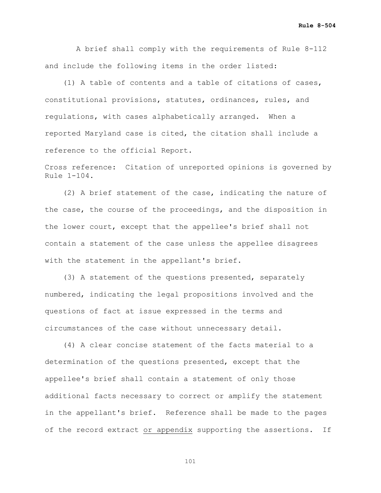A brief shall comply with the requirements of Rule 8-112 and include the following items in the order listed:

 (1) A table of contents and a table of citations of cases, constitutional provisions, statutes, ordinances, rules, and regulations, with cases alphabetically arranged. When a reported Maryland case is cited, the citation shall include a reference to the official Report.

Cross reference: Citation of unreported opinions is governed by Rule 1-104.

 (2) A brief statement of the case, indicating the nature of the case, the course of the proceedings, and the disposition in the lower court, except that the appellee's brief shall not contain a statement of the case unless the appellee disagrees with the statement in the appellant's brief.

 (3) A statement of the questions presented, separately numbered, indicating the legal propositions involved and the questions of fact at issue expressed in the terms and circumstances of the case without unnecessary detail.

 (4) A clear concise statement of the facts material to a determination of the questions presented, except that the appellee's brief shall contain a statement of only those additional facts necessary to correct or amplify the statement in the appellant's brief. Reference shall be made to the pages of the record extract or appendix supporting the assertions. If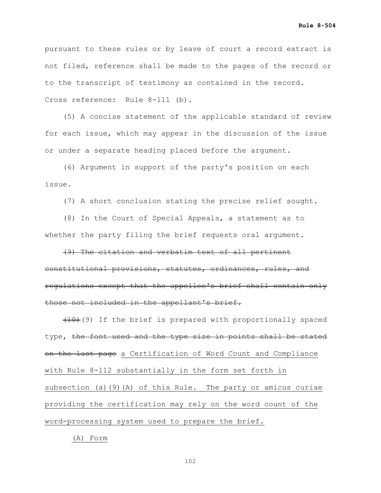**Rule 8-504**

pursuant to these rules or by leave of court a record extract is not filed, reference shall be made to the pages of the record or to the transcript of testimony as contained in the record. Cross reference: Rule 8-111 (b).

 (5) A concise statement of the applicable standard of review for each issue, which may appear in the discussion of the issue or under a separate heading placed before the argument.

 (6) Argument in support of the party's position on each issue.

(7) A short conclusion stating the precise relief sought.

 (8) In the Court of Special Appeals, a statement as to whether the party filing the brief requests oral argument.

 (9) The citation and verbatim text of all pertinent constitutional provisions, statutes, ordinances, rules, and regulations except that the appellee's brief shall contain only those not included in the appellant's brief.

 $(10)(9)$  If the brief is prepared with proportionally spaced type, the font used and the type size in points shall be stated on the last page a Certification of Word Count and Compliance with Rule 8-112 substantially in the form set forth in subsection (a)(9)(A) of this Rule. The party or amicus curiae providing the certification may rely on the word count of the word-processing system used to prepare the brief.

(A) Form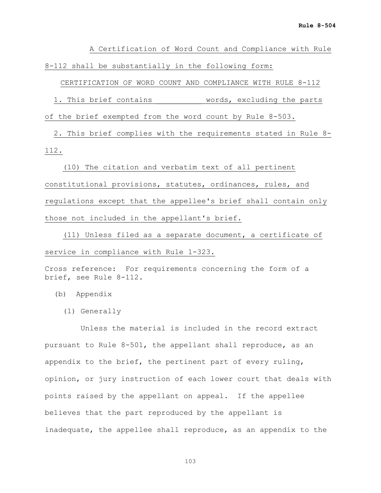A Certification of Word Count and Compliance with Rule 8-112 shall be substantially in the following form:

CERTIFICATION OF WORD COUNT AND COMPLIANCE WITH RULE 8-112

1. This brief contains **Example 2** words, excluding the parts of the brief exempted from the word count by Rule 8-503.

 2. This brief complies with the requirements stated in Rule 8- 112.

 (10) The citation and verbatim text of all pertinent constitutional provisions, statutes, ordinances, rules, and regulations except that the appellee's brief shall contain only those not included in the appellant's brief.

 (11) Unless filed as a separate document, a certificate of service in compliance with Rule 1-323.

Cross reference: For requirements concerning the form of a brief, see Rule 8-112.

- (b) Appendix
	- (1) Generally

 Unless the material is included in the record extract pursuant to Rule 8-501, the appellant shall reproduce, as an appendix to the brief, the pertinent part of every ruling, opinion, or jury instruction of each lower court that deals with points raised by the appellant on appeal. If the appellee believes that the part reproduced by the appellant is inadequate, the appellee shall reproduce, as an appendix to the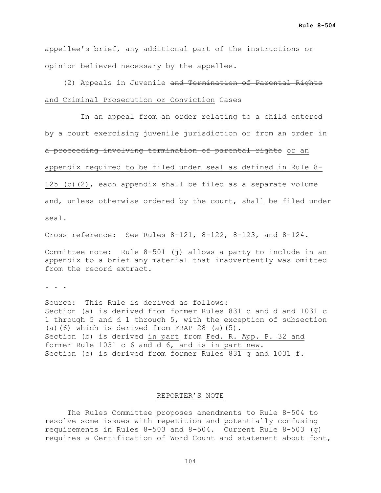appellee's brief, any additional part of the instructions or opinion believed necessary by the appellee.

 (2) Appeals in Juvenile and Termination of Parental Rights and Criminal Prosecution or Conviction Cases

 In an appeal from an order relating to a child entered by a court exercising juvenile jurisdiction or from an order in a proceeding involving termination of parental rights or an appendix required to be filed under seal as defined in Rule 8- 125 (b)(2), each appendix shall be filed as a separate volume and, unless otherwise ordered by the court, shall be filed under seal.

#### Cross reference: See Rules 8-121, 8-122, 8-123, and 8-124.

Committee note: Rule 8-501 (j) allows a party to include in an appendix to a brief any material that inadvertently was omitted from the record extract.

. . .

Source: This Rule is derived as follows: Section (a) is derived from former Rules 831 c and d and 1031 c 1 through 5 and d 1 through 5, with the exception of subsection (a)(6) which is derived from FRAP 28 (a)(5). Section (b) is derived in part from Fed. R. App. P. 32 and former Rule 1031 c 6 and d 6, and is in part new. Section (c) is derived from former Rules 831 g and 1031 f.

#### REPORTER'S NOTE

The Rules Committee proposes amendments to Rule 8-504 to resolve some issues with repetition and potentially confusing requirements in Rules 8-503 and 8-504. Current Rule 8-503 (g) requires a Certification of Word Count and statement about font,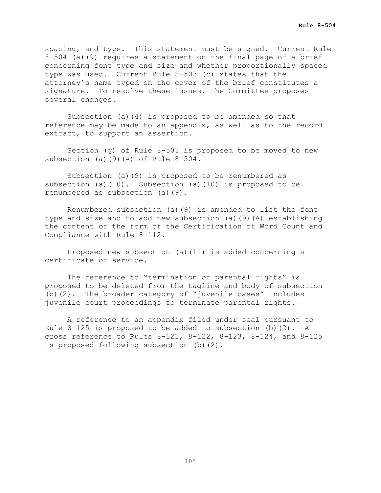spacing, and type. This statement must be signed. Current Rule 8-504 (a)(9) requires a statement on the final page of a brief concerning font type and size and whether proportionally spaced type was used. Current Rule 8-503 (c) states that the attorney's name typed on the cover of the brief constitutes a signature. To resolve these issues, the Committee proposes several changes.

Subsection (a)(4) is proposed to be amended so that reference may be made to an appendix, as well as to the record extract, to support an assertion.

Section (g) of Rule 8-503 is proposed to be moved to new subsection (a)(9)(A) of Rule 8-504.

Subsection (a)(9) is proposed to be renumbered as subsection (a) $(10)$ . Subsection (a) $(10)$  is proposed to be renumbered as subsection (a)(9).

Renumbered subsection (a)(9) is amended to list the font type and size and to add new subsection (a)(9)(A) establishing the content of the form of the Certification of Word Count and Compliance with Rule 8-112.

Proposed new subsection (a)(11) is added concerning a certificate of service.

The reference to "termination of parental rights" is proposed to be deleted from the tagline and body of subsection (b)(2). The broader category of "juvenile cases" includes juvenile court proceedings to terminate parental rights.

A reference to an appendix filed under seal pursuant to Rule  $8-125$  is proposed to be added to subsection (b)(2). A cross reference to Rules 8-121, 8-122, 8-123, 8-124, and 8-125 is proposed following subsection (b)(2).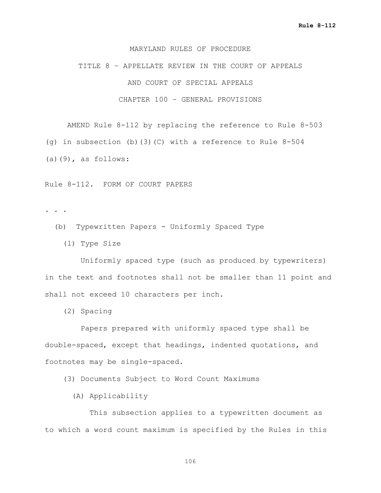TITLE 8 – APPELLATE REVIEW IN THE COURT OF APPEALS AND COURT OF SPECIAL APPEALS CHAPTER 100 – GENERAL PROVISIONS

AMEND Rule 8-112 by replacing the reference to Rule 8-503 (g) in subsection (b)(3)(C) with a reference to Rule 8-504  $(a)(9)$ , as follows:

Rule 8-112. FORM OF COURT PAPERS

- . . .
	- (b) Typewritten Papers Uniformly Spaced Type
		- (1) Type Size

 Uniformly spaced type (such as produced by typewriters) in the text and footnotes shall not be smaller than 11 point and shall not exceed 10 characters per inch.

(2) Spacing

 Papers prepared with uniformly spaced type shall be double-spaced, except that headings, indented quotations, and footnotes may be single-spaced.

(3) Documents Subject to Word Count Maximums

(A) Applicability

 This subsection applies to a typewritten document as to which a word count maximum is specified by the Rules in this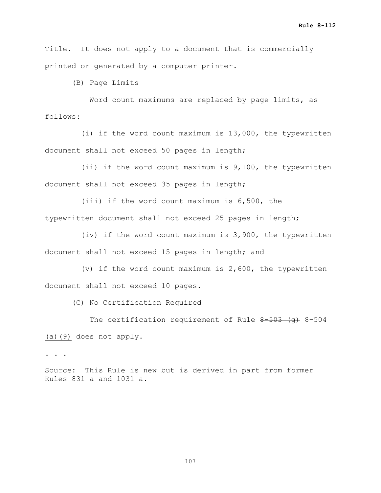Title. It does not apply to a document that is commercially printed or generated by a computer printer.

(B) Page Limits

 Word count maximums are replaced by page limits, as follows:

 (i) if the word count maximum is 13,000, the typewritten document shall not exceed 50 pages in length;

 (ii) if the word count maximum is 9,100, the typewritten document shall not exceed 35 pages in length;

 (iii) if the word count maximum is 6,500, the typewritten document shall not exceed 25 pages in length;

 (iv) if the word count maximum is 3,900, the typewritten document shall not exceed 15 pages in length; and

 (v) if the word count maximum is 2,600, the typewritten document shall not exceed 10 pages.

(C) No Certification Required

The certification requirement of Rule  $8-503$  (q) 8-504 (a)(9) does not apply.

. . .

Source: This Rule is new but is derived in part from former Rules 831 a and 1031 a.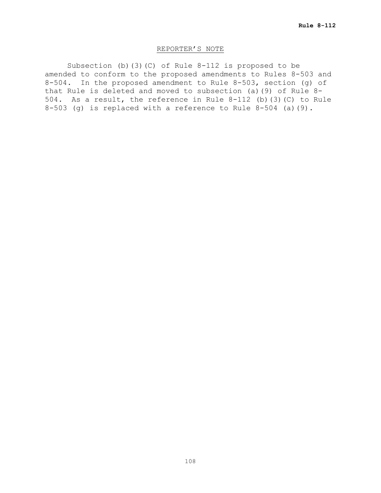## REPORTER'S NOTE

Subsection (b)(3)(C) of Rule 8-112 is proposed to be amended to conform to the proposed amendments to Rules 8-503 and 8-504. In the proposed amendment to Rule 8-503, section (g) of that Rule is deleted and moved to subsection (a)(9) of Rule 8- 504. As a result, the reference in Rule 8-112 (b)(3)(C) to Rule 8-503 (g) is replaced with a reference to Rule 8-504 (a)(9).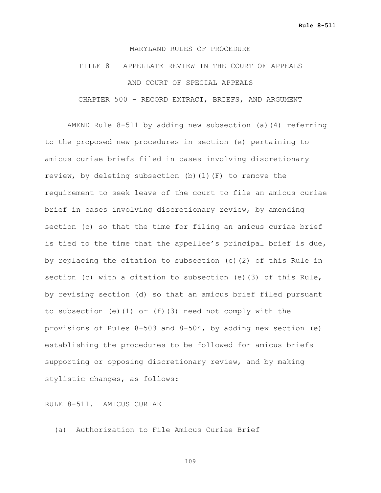### MARYLAND RULES OF PROCEDURE

# TITLE 8 – APPELLATE REVIEW IN THE COURT OF APPEALS AND COURT OF SPECIAL APPEALS CHAPTER 500 – RECORD EXTRACT, BRIEFS, AND ARGUMENT

AMEND Rule 8-511 by adding new subsection (a)(4) referring to the proposed new procedures in section (e) pertaining to amicus curiae briefs filed in cases involving discretionary review, by deleting subsection (b)(1)(F) to remove the requirement to seek leave of the court to file an amicus curiae brief in cases involving discretionary review, by amending section (c) so that the time for filing an amicus curiae brief is tied to the time that the appellee's principal brief is due, by replacing the citation to subsection (c)(2) of this Rule in section (c) with a citation to subsection (e)(3) of this Rule, by revising section (d) so that an amicus brief filed pursuant to subsection (e)(1) or (f)(3) need not comply with the provisions of Rules 8-503 and 8-504, by adding new section (e) establishing the procedures to be followed for amicus briefs supporting or opposing discretionary review, and by making stylistic changes, as follows:

RULE 8-511. AMICUS CURIAE

(a) Authorization to File Amicus Curiae Brief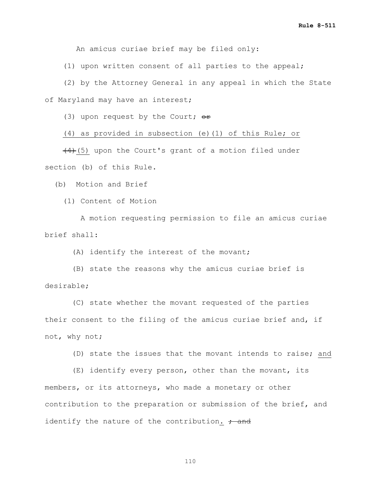An amicus curiae brief may be filed only:

(1) upon written consent of all parties to the appeal;

 (2) by the Attorney General in any appeal in which the State of Maryland may have an interest;

(3) upon request by the Court;  $\Theta$ r

(4) as provided in subsection (e)(1) of this Rule; or

 $(4)$ (5) upon the Court's grant of a motion filed under section (b) of this Rule.

(b) Motion and Brief

(1) Content of Motion

 A motion requesting permission to file an amicus curiae brief shall:

(A) identify the interest of the movant;

 (B) state the reasons why the amicus curiae brief is desirable;

 (C) state whether the movant requested of the parties their consent to the filing of the amicus curiae brief and, if not, why not;

(D) state the issues that the movant intends to raise; and

 (E) identify every person, other than the movant, its members, or its attorneys, who made a monetary or other contribution to the preparation or submission of the brief, and identify the nature of the contribution.  $\div$  and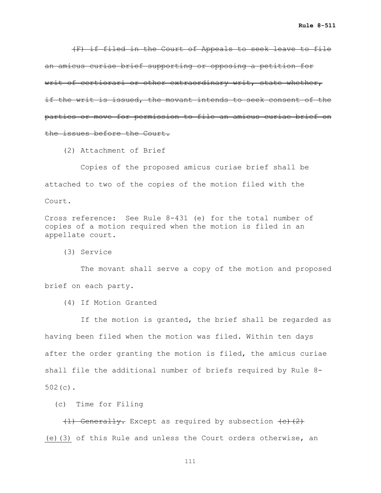(F) if filed in the Court of Appeals to seek leave to file an amicus curiae brief supporting or opposing a petition for writ of certiorari or other extraordinary writ, state whether, if the writ is issued, the movant intends to seek consent of the parties or move for permission to file an amicus curiae brief on the issues before the Court.

(2) Attachment of Brief

 Copies of the proposed amicus curiae brief shall be attached to two of the copies of the motion filed with the Court.

Cross reference: See Rule 8-431 (e) for the total number of copies of a motion required when the motion is filed in an appellate court.

(3) Service

 The movant shall serve a copy of the motion and proposed brief on each party.

(4) If Motion Granted

 If the motion is granted, the brief shall be regarded as having been filed when the motion was filed. Within ten days after the order granting the motion is filed, the amicus curiae shall file the additional number of briefs required by Rule 8- 502(c).

(c) Time for Filing

 $(1)$  Generally. Except as required by subsection  $(e)$   $(2)$ (e)(3) of this Rule and unless the Court orders otherwise, an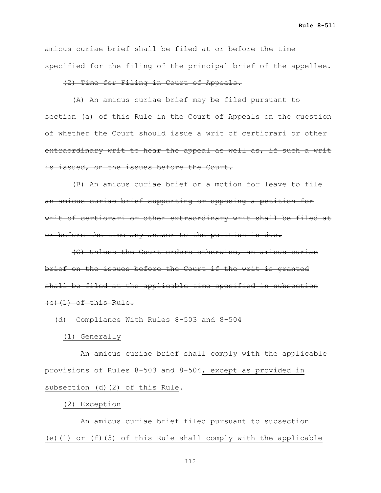**Rule 8-511**

amicus curiae brief shall be filed at or before the time specified for the filing of the principal brief of the appellee.

## (2) Time for Filing in Court of Appeals.

 (A) An amicus curiae brief may be filed pursuant to section (a) of this Rule in the Court of Appeals on the question of whether the Court should issue a writ of certiorari or other extraordinary writ to hear the appeal as well as, if such a writ is issued, on the issues before the Court.

 (B) An amicus curiae brief or a motion for leave to file an amicus curiae brief supporting or opposing a petition for writ of certiorari or other extraordinary writ shall be filed at or before the time any answer to the petition is due.

 (C) Unless the Court orders otherwise, an amicus curiae brief on the issues before the Court if the writ is granted shall be filed at the applicable time specified in subsection  $(e)$   $(1)$  of this Rule.

(d) Compliance With Rules 8-503 and 8-504

### (1) Generally

 An amicus curiae brief shall comply with the applicable provisions of Rules 8-503 and 8-504, except as provided in subsection (d)(2) of this Rule.

## (2) Exception

 An amicus curiae brief filed pursuant to subsection (e)(1) or (f)(3) of this Rule shall comply with the applicable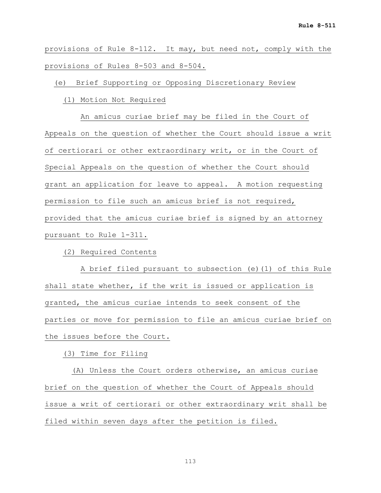provisions of Rule 8-112. It may, but need not, comply with the provisions of Rules 8-503 and 8-504.

(e) Brief Supporting or Opposing Discretionary Review

(1) Motion Not Required

 An amicus curiae brief may be filed in the Court of Appeals on the question of whether the Court should issue a writ of certiorari or other extraordinary writ, or in the Court of Special Appeals on the question of whether the Court should grant an application for leave to appeal. A motion requesting permission to file such an amicus brief is not required, provided that the amicus curiae brief is signed by an attorney pursuant to Rule 1-311.

(2) Required Contents

 A brief filed pursuant to subsection (e)(1) of this Rule shall state whether, if the writ is issued or application is granted, the amicus curiae intends to seek consent of the parties or move for permission to file an amicus curiae brief on the issues before the Court.

(3) Time for Filing

 (A) Unless the Court orders otherwise, an amicus curiae brief on the question of whether the Court of Appeals should issue a writ of certiorari or other extraordinary writ shall be filed within seven days after the petition is filed.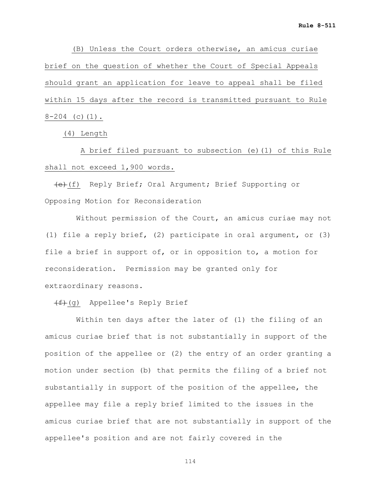(B) Unless the Court orders otherwise, an amicus curiae brief on the question of whether the Court of Special Appeals should grant an application for leave to appeal shall be filed within 15 days after the record is transmitted pursuant to Rule  $8-204$  (c)(1).

(4) Length

 A brief filed pursuant to subsection (e)(1) of this Rule shall not exceed 1,900 words.

 (e)(f) Reply Brief; Oral Argument; Brief Supporting or Opposing Motion for Reconsideration

 Without permission of the Court, an amicus curiae may not (1) file a reply brief, (2) participate in oral argument, or (3) file a brief in support of, or in opposition to, a motion for reconsideration. Permission may be granted only for extraordinary reasons.

 $(f+(g))$  Appellee's Reply Brief

 Within ten days after the later of (1) the filing of an amicus curiae brief that is not substantially in support of the position of the appellee or (2) the entry of an order granting a motion under section (b) that permits the filing of a brief not substantially in support of the position of the appellee, the appellee may file a reply brief limited to the issues in the amicus curiae brief that are not substantially in support of the appellee's position and are not fairly covered in the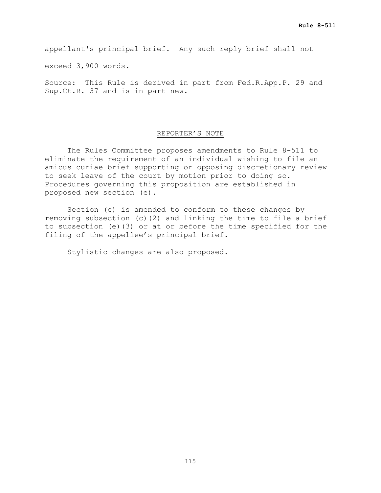appellant's principal brief. Any such reply brief shall not

exceed 3,900 words.

Source: This Rule is derived in part from Fed.R.App.P. 29 and Sup.Ct.R. 37 and is in part new.

## REPORTER'S NOTE

The Rules Committee proposes amendments to Rule 8-511 to eliminate the requirement of an individual wishing to file an amicus curiae brief supporting or opposing discretionary review to seek leave of the court by motion prior to doing so. Procedures governing this proposition are established in proposed new section (e).

Section (c) is amended to conform to these changes by removing subsection (c)(2) and linking the time to file a brief to subsection (e)(3) or at or before the time specified for the filing of the appellee's principal brief.

Stylistic changes are also proposed.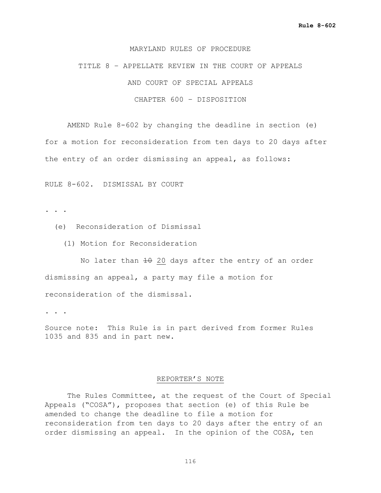### MARYLAND RULES OF PROCEDURE

TITLE 8 – APPELLATE REVIEW IN THE COURT OF APPEALS AND COURT OF SPECIAL APPEALS CHAPTER 600 – DISPOSITION

AMEND Rule 8-602 by changing the deadline in section (e) for a motion for reconsideration from ten days to 20 days after the entry of an order dismissing an appeal, as follows:

RULE 8-602. DISMISSAL BY COURT

. . .

- (e) Reconsideration of Dismissal
	- (1) Motion for Reconsideration

No later than 10 20 days after the entry of an order dismissing an appeal, a party may file a motion for reconsideration of the dismissal.

. . .

Source note: This Rule is in part derived from former Rules 1035 and 835 and in part new.

### REPORTER'S NOTE

The Rules Committee, at the request of the Court of Special Appeals ("COSA"), proposes that section (e) of this Rule be amended to change the deadline to file a motion for reconsideration from ten days to 20 days after the entry of an order dismissing an appeal. In the opinion of the COSA, ten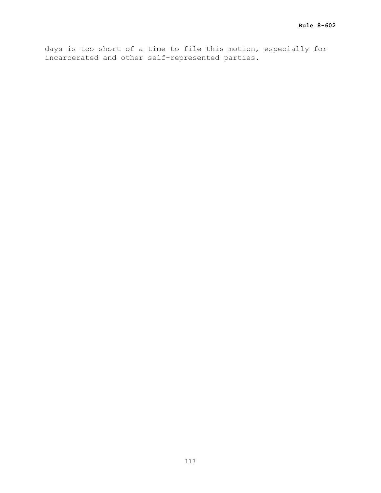days is too short of a time to file this motion, especially for incarcerated and other self-represented parties.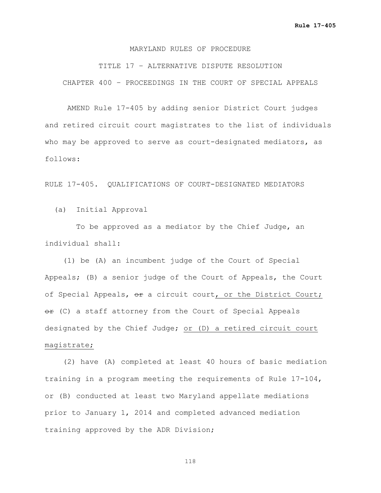### MARYLAND RULES OF PROCEDURE

TITLE 17 – ALTERNATIVE DISPUTE RESOLUTION CHAPTER 400 – PROCEEDINGS IN THE COURT OF SPECIAL APPEALS

AMEND Rule 17-405 by adding senior District Court judges and retired circuit court magistrates to the list of individuals who may be approved to serve as court-designated mediators, as follows:

RULE 17-405. QUALIFICATIONS OF COURT-DESIGNATED MEDIATORS

(a) Initial Approval

 To be approved as a mediator by the Chief Judge, an individual shall:

 (1) be (A) an incumbent judge of the Court of Special Appeals; (B) a senior judge of the Court of Appeals, the Court of Special Appeals, or a circuit court, or the District Court;  $er$  (C) a staff attorney from the Court of Special Appeals designated by the Chief Judge; or (D) a retired circuit court magistrate;

 (2) have (A) completed at least 40 hours of basic mediation training in a program meeting the requirements of Rule 17-104, or (B) conducted at least two Maryland appellate mediations prior to January 1, 2014 and completed advanced mediation training approved by the ADR Division;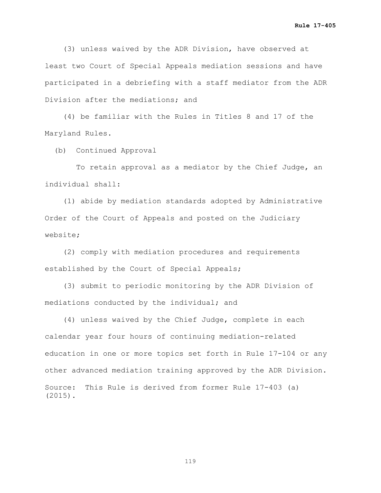(3) unless waived by the ADR Division, have observed at least two Court of Special Appeals mediation sessions and have participated in a debriefing with a staff mediator from the ADR Division after the mediations; and

 (4) be familiar with the Rules in Titles 8 and 17 of the Maryland Rules.

(b) Continued Approval

 To retain approval as a mediator by the Chief Judge, an individual shall:

 (1) abide by mediation standards adopted by Administrative Order of the Court of Appeals and posted on the Judiciary website;

 (2) comply with mediation procedures and requirements established by the Court of Special Appeals;

 (3) submit to periodic monitoring by the ADR Division of mediations conducted by the individual; and

 (4) unless waived by the Chief Judge, complete in each calendar year four hours of continuing mediation-related education in one or more topics set forth in Rule 17-104 or any other advanced mediation training approved by the ADR Division. Source: This Rule is derived from former Rule 17-403 (a) (2015).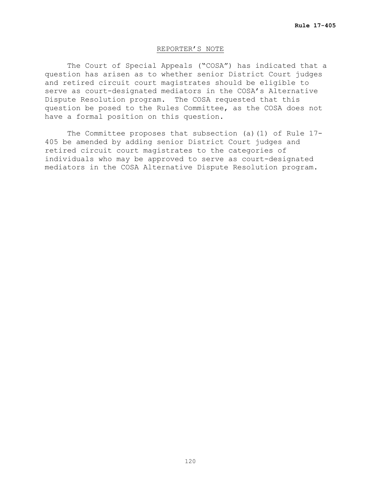### REPORTER'S NOTE

The Court of Special Appeals ("COSA") has indicated that a question has arisen as to whether senior District Court judges and retired circuit court magistrates should be eligible to serve as court-designated mediators in the COSA's Alternative Dispute Resolution program. The COSA requested that this question be posed to the Rules Committee, as the COSA does not have a formal position on this question.

The Committee proposes that subsection (a)(1) of Rule 17- 405 be amended by adding senior District Court judges and retired circuit court magistrates to the categories of individuals who may be approved to serve as court-designated mediators in the COSA Alternative Dispute Resolution program.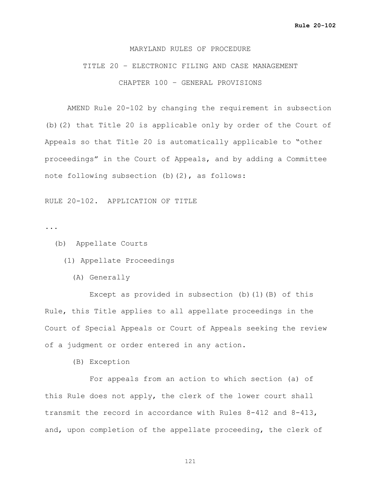### MARYLAND RULES OF PROCEDURE

## TITLE 20 – ELECTRONIC FILING AND CASE MANAGEMENT CHAPTER 100 – GENERAL PROVISIONS

AMEND Rule 20-102 by changing the requirement in subsection (b)(2) that Title 20 is applicable only by order of the Court of Appeals so that Title 20 is automatically applicable to "other proceedings" in the Court of Appeals, and by adding a Committee note following subsection (b)(2), as follows:

RULE 20-102. APPLICATION OF TITLE

...

(b) Appellate Courts

- (1) Appellate Proceedings
	- (A) Generally

 Except as provided in subsection (b)(1)(B) of this Rule, this Title applies to all appellate proceedings in the Court of Special Appeals or Court of Appeals seeking the review of a judgment or order entered in any action.

(B) Exception

 For appeals from an action to which section (a) of this Rule does not apply, the clerk of the lower court shall transmit the record in accordance with Rules 8-412 and 8-413, and, upon completion of the appellate proceeding, the clerk of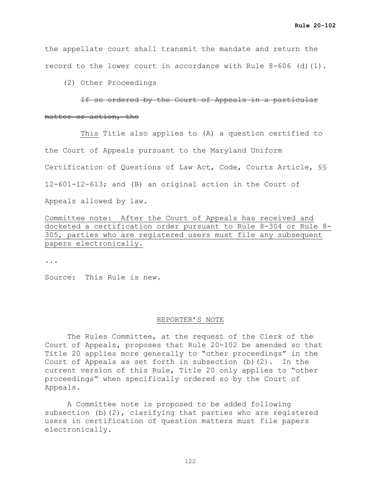the appellate court shall transmit the mandate and return the record to the lower court in accordance with Rule  $8-606$  (d)(1).

(2) Other Proceedings

 If so ordered by the Court of Appeals in a particular matter or action, the

 This Title also applies to (A) a question certified to the Court of Appeals pursuant to the Maryland Uniform Certification of Questions of Law Act, Code, Courts Article, §§ 12-601-12-613; and (B) an original action in the Court of Appeals allowed by law.

Committee note: After the Court of Appeals has received and docketed a certification order pursuant to Rule 8-304 or Rule 8- 305, parties who are registered users must file any subsequent papers electronically.

...

Source: This Rule is new.

### REPORTER'S NOTE

The Rules Committee, at the request of the Clerk of the Court of Appeals, proposes that Rule 20-102 be amended so that Title 20 applies more generally to "other proceedings" in the Court of Appeals as set forth in subsection  $(b)$   $(2)$ . In the current version of this Rule, Title 20 only applies to "other proceedings" when specifically ordered so by the Court of Appeals.

A Committee note is proposed to be added following subsection (b)(2), clarifying that parties who are registered users in certification of question matters must file papers electronically.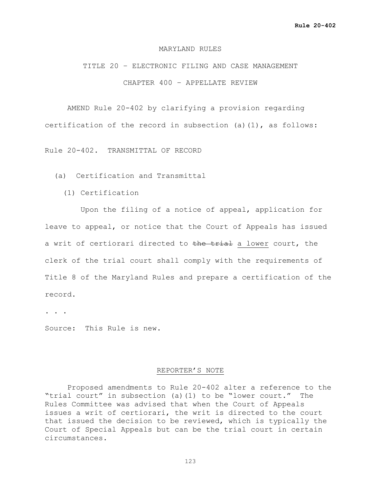### MARYLAND RULES

## TITLE 20 – ELECTRONIC FILING AND CASE MANAGEMENT CHAPTER 400 – APPELLATE REVIEW

AMEND Rule 20-402 by clarifying a provision regarding certification of the record in subsection (a)(1), as follows:

Rule 20-402. TRANSMITTAL OF RECORD

- (a) Certification and Transmittal
	- (1) Certification

 Upon the filing of a notice of appeal, application for leave to appeal, or notice that the Court of Appeals has issued a writ of certiorari directed to the trial a lower court, the clerk of the trial court shall comply with the requirements of Title 8 of the Maryland Rules and prepare a certification of the record.

. . .

Source: This Rule is new.

### REPORTER'S NOTE

Proposed amendments to Rule 20-402 alter a reference to the "trial court" in subsection (a)(1) to be "lower court." The Rules Committee was advised that when the Court of Appeals issues a writ of certiorari, the writ is directed to the court that issued the decision to be reviewed, which is typically the Court of Special Appeals but can be the trial court in certain circumstances.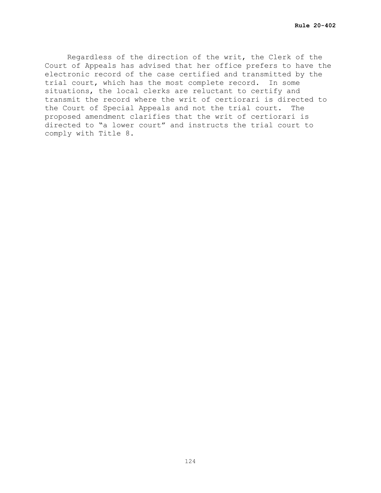Regardless of the direction of the writ, the Clerk of the Court of Appeals has advised that her office prefers to have the electronic record of the case certified and transmitted by the trial court, which has the most complete record. In some situations, the local clerks are reluctant to certify and transmit the record where the writ of certiorari is directed to the Court of Special Appeals and not the trial court. The proposed amendment clarifies that the writ of certiorari is directed to "a lower court" and instructs the trial court to comply with Title 8.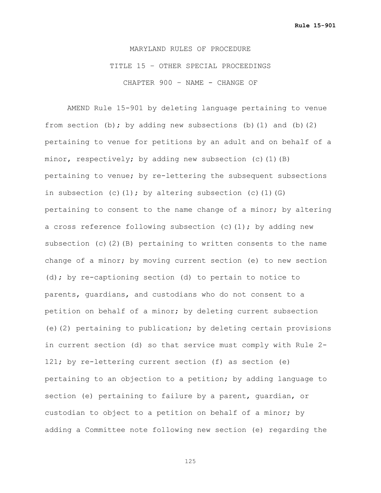MARYLAND RULES OF PROCEDURE TITLE 15 – OTHER SPECIAL PROCEEDINGS CHAPTER 900 – NAME - CHANGE OF

AMEND Rule 15-901 by deleting language pertaining to venue from section (b); by adding new subsections (b)(1) and (b)(2) pertaining to venue for petitions by an adult and on behalf of a minor, respectively; by adding new subsection (c)(1)(B) pertaining to venue; by re-lettering the subsequent subsections in subsection (c)(1); by altering subsection (c)(1)(G) pertaining to consent to the name change of a minor; by altering a cross reference following subsection (c)(1); by adding new subsection (c)(2)(B) pertaining to written consents to the name change of a minor; by moving current section (e) to new section (d); by re-captioning section (d) to pertain to notice to parents, guardians, and custodians who do not consent to a petition on behalf of a minor; by deleting current subsection (e)(2) pertaining to publication; by deleting certain provisions in current section (d) so that service must comply with Rule 2- 121; by re-lettering current section (f) as section (e) pertaining to an objection to a petition; by adding language to section (e) pertaining to failure by a parent, guardian, or custodian to object to a petition on behalf of a minor; by adding a Committee note following new section (e) regarding the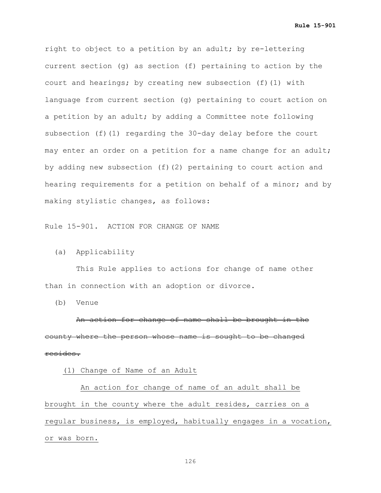**Rule 15-901**

right to object to a petition by an adult; by re-lettering current section (g) as section (f) pertaining to action by the court and hearings; by creating new subsection (f)(1) with language from current section (g) pertaining to court action on a petition by an adult; by adding a Committee note following subsection (f)(1) regarding the 30-day delay before the court may enter an order on a petition for a name change for an adult; by adding new subsection (f)(2) pertaining to court action and hearing requirements for a petition on behalf of a minor; and by making stylistic changes, as follows:

Rule 15-901. ACTION FOR CHANGE OF NAME

(a) Applicability

 This Rule applies to actions for change of name other than in connection with an adoption or divorce.

(b) Venue

 An action for change of name shall be brought in the county where the person whose name is sought to be changed resides.

(1) Change of Name of an Adult

 An action for change of name of an adult shall be brought in the county where the adult resides, carries on a regular business, is employed, habitually engages in a vocation, or was born.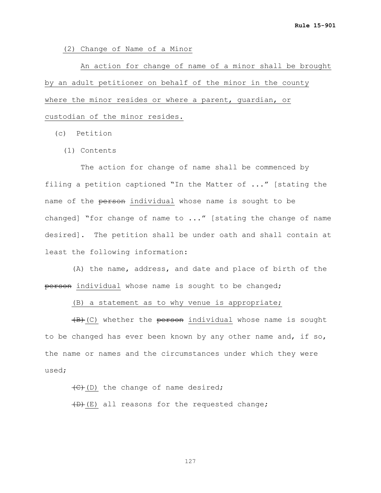(2) Change of Name of a Minor

 An action for change of name of a minor shall be brought by an adult petitioner on behalf of the minor in the county where the minor resides or where a parent, guardian, or custodian of the minor resides.

- (c) Petition
	- (1) Contents

The action for change of name shall be commenced by filing a petition captioned "In the Matter of ..." [stating the name of the person individual whose name is sought to be changed] "for change of name to ..." [stating the change of name desired]. The petition shall be under oath and shall contain at least the following information:

 (A) the name, address, and date and place of birth of the person individual whose name is sought to be changed;

(B) a statement as to why venue is appropriate;

 $(B)$  (C) whether the person individual whose name is sought to be changed has ever been known by any other name and, if so, the name or names and the circumstances under which they were used;

 $\left(\frac{C}{C}\right)$  (D) the change of name desired;

 $(D)$  (E) all reasons for the requested change;

127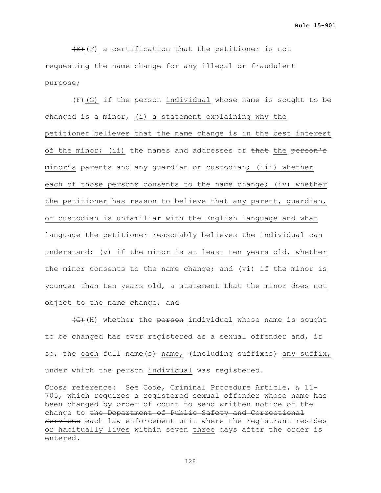$(E)$  (F) a certification that the petitioner is not requesting the name change for any illegal or fraudulent purpose;

 $(F)$  (G) if the person individual whose name is sought to be changed is a minor, (i) a statement explaining why the petitioner believes that the name change is in the best interest of the minor; (ii) the names and addresses of that the person's minor's parents and any guardian or custodian; (iii) whether each of those persons consents to the name change; (iv) whether the petitioner has reason to believe that any parent, guardian, or custodian is unfamiliar with the English language and what language the petitioner reasonably believes the individual can understand; (v) if the minor is at least ten years old, whether the minor consents to the name change; and (vi) if the minor is younger than ten years old, a statement that the minor does not object to the name change; and

 (G)(H) whether the person individual whose name is sought to be changed has ever registered as a sexual offender and, if so, the each full name(s) name, (including suffixes) any suffix, under which the person individual was registered.

Cross reference: See Code, Criminal Procedure Article, § 11- 705, which requires a registered sexual offender whose name has been changed by order of court to send written notice of the change to the Department of Public Safety and Correctional Services each law enforcement unit where the registrant resides or habitually lives within seven three days after the order is entered.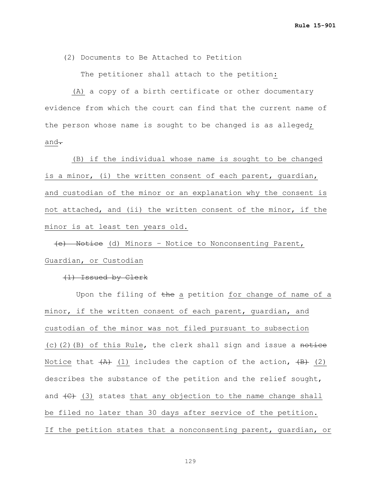(2) Documents to Be Attached to Petition

The petitioner shall attach to the petition:

 (A) a copy of a birth certificate or other documentary evidence from which the court can find that the current name of the person whose name is sought to be changed is as alleged; and $\overline{\cdot}$ 

 (B) if the individual whose name is sought to be changed is a minor, (i) the written consent of each parent, guardian, and custodian of the minor or an explanation why the consent is not attached, and (ii) the written consent of the minor, if the minor is at least ten years old.

 (e) Notice (d) Minors – Notice to Nonconsenting Parent, Guardian, or Custodian

(1) Issued by Clerk

Upon the filing of the a petition for change of name of a minor, if the written consent of each parent, guardian, and custodian of the minor was not filed pursuant to subsection (c)(2)(B) of this Rule, the clerk shall sign and issue a notice Notice that  $\overline{(A)}$  (1) includes the caption of the action,  $\overline{(B)}$  (2) describes the substance of the petition and the relief sought, and  $\left(\frac{C}{C}\right)$  (3) states that any objection to the name change shall be filed no later than 30 days after service of the petition. If the petition states that a nonconsenting parent, guardian, or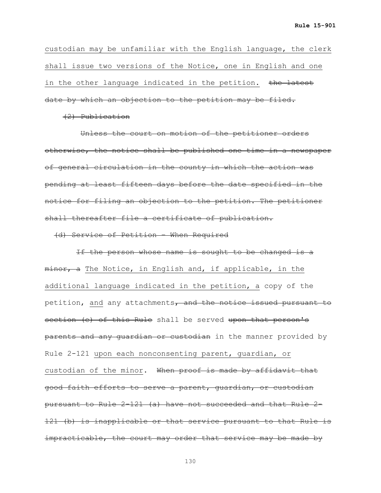custodian may be unfamiliar with the English language, the clerk shall issue two versions of the Notice, one in English and one in the other language indicated in the petition. the latest date by which an objection to the petition may be filed.

(2) Publication

 Unless the court on motion of the petitioner orders otherwise, the notice shall be published one time in a newspaper of general circulation in the county in which the action was pending at least fifteen days before the date specified in the notice for filing an objection to the petition. The petitioner shall thereafter file a certificate of publication.

(d) Service of Petition – When Required

 If the person whose name is sought to be changed is a minor, a The Notice, in English and, if applicable, in the additional language indicated in the petition, a copy of the petition, and any attachments, and the notice issued pursuant to section (e) of this Rule shall be served upon that person's parents and any guardian or custodian in the manner provided by Rule 2-121 upon each nonconsenting parent, guardian, or custodian of the minor. When proof is made by affidavit that good faith efforts to serve a parent, guardian, or custodian pursuant to Rule 2-121 (a) have not succeeded and that Rule 2- 121 (b) is inapplicable or that service pursuant to that Rule is impracticable, the court may order that service may be made by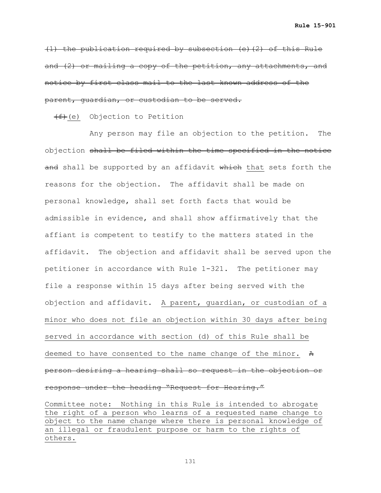(1) the publication required by subsection (e)(2) of this Rule and (2) or mailing a copy of the petition, any attachments, and notice by first class mail to the last known address of the parent, guardian, or custodian to be served.

 $(f+(e))$  Objection to Petition

 Any person may file an objection to the petition. The objection shall be filed within the time specified in the notice and shall be supported by an affidavit which that sets forth the reasons for the objection. The affidavit shall be made on personal knowledge, shall set forth facts that would be admissible in evidence, and shall show affirmatively that the affiant is competent to testify to the matters stated in the affidavit. The objection and affidavit shall be served upon the petitioner in accordance with Rule 1-321. The petitioner may file a response within 15 days after being served with the objection and affidavit. A parent, guardian, or custodian of a minor who does not file an objection within 30 days after being served in accordance with section (d) of this Rule shall be deemed to have consented to the name change of the minor. A person desiring a hearing shall so request in the objection or response under the heading "Request for Hearing."

Committee note: Nothing in this Rule is intended to abrogate the right of a person who learns of a requested name change to object to the name change where there is personal knowledge of an illegal or fraudulent purpose or harm to the rights of others.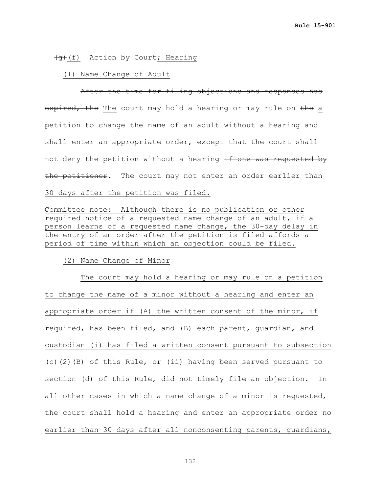## (g)(f) Action by Court; Hearing

### (1) Name Change of Adult

After the time for filing objections and responses has expired, the The court may hold a hearing or may rule on the a petition to change the name of an adult without a hearing and shall enter an appropriate order, except that the court shall not deny the petition without a hearing if one was requested by the petitioner. The court may not enter an order earlier than 30 days after the petition was filed.

Committee note: Although there is no publication or other required notice of a requested name change of an adult, if a person learns of a requested name change, the 30-day delay in the entry of an order after the petition is filed affords a period of time within which an objection could be filed.

### (2) Name Change of Minor

 The court may hold a hearing or may rule on a petition to change the name of a minor without a hearing and enter an appropriate order if (A) the written consent of the minor, if required, has been filed, and (B) each parent, guardian, and custodian (i) has filed a written consent pursuant to subsection (c)(2)(B) of this Rule, or (ii) having been served pursuant to section (d) of this Rule, did not timely file an objection. In all other cases in which a name change of a minor is requested, the court shall hold a hearing and enter an appropriate order no earlier than 30 days after all nonconsenting parents, quardians,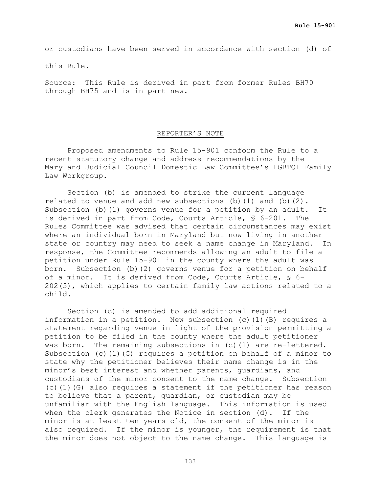## or custodians have been served in accordance with section (d) of

### this Rule.

Source: This Rule is derived in part from former Rules BH70 through BH75 and is in part new.

## REPORTER'S NOTE

Proposed amendments to Rule 15-901 conform the Rule to a recent statutory change and address recommendations by the Maryland Judicial Council Domestic Law Committee's LGBTQ+ Family Law Workgroup.

Section (b) is amended to strike the current language related to venue and add new subsections (b)(1) and (b)(2). Subsection (b)(1) governs venue for a petition by an adult. It is derived in part from Code, Courts Article, § 6-201. The Rules Committee was advised that certain circumstances may exist where an individual born in Maryland but now living in another state or country may need to seek a name change in Maryland. In response, the Committee recommends allowing an adult to file a petition under Rule 15-901 in the county where the adult was born. Subsection (b)(2) governs venue for a petition on behalf of a minor. It is derived from Code, Courts Article, § 6- 202(5), which applies to certain family law actions related to a child.

Section (c) is amended to add additional required information in a petition. New subsection (c)(1)(B) requires a statement regarding venue in light of the provision permitting a petition to be filed in the county where the adult petitioner was born. The remaining subsections in (c)(1) are re-lettered. Subsection (c)(1)(G) requires a petition on behalf of a minor to state why the petitioner believes their name change is in the minor's best interest and whether parents, guardians, and custodians of the minor consent to the name change. Subsection (c)(1)(G) also requires a statement if the petitioner has reason to believe that a parent, guardian, or custodian may be unfamiliar with the English language. This information is used when the clerk generates the Notice in section (d). If the minor is at least ten years old, the consent of the minor is also required. If the minor is younger, the requirement is that the minor does not object to the name change. This language is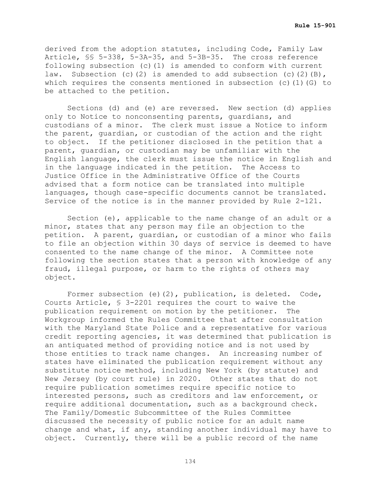derived from the adoption statutes, including Code, Family Law Article, §§ 5-338, 5-3A-35, and 5-3B-35. The cross reference following subsection (c)(1) is amended to conform with current law. Subsection (c)(2) is amended to add subsection (c)(2)(B), which requires the consents mentioned in subsection (c)(1)(G) to be attached to the petition.

Sections (d) and (e) are reversed. New section (d) applies only to Notice to nonconsenting parents, guardians, and custodians of a minor. The clerk must issue a Notice to inform the parent, guardian, or custodian of the action and the right to object. If the petitioner disclosed in the petition that a parent, guardian, or custodian may be unfamiliar with the English language, the clerk must issue the notice in English and in the language indicated in the petition. The Access to Justice Office in the Administrative Office of the Courts advised that a form notice can be translated into multiple languages, though case-specific documents cannot be translated. Service of the notice is in the manner provided by Rule 2-121.

Section (e), applicable to the name change of an adult or a minor, states that any person may file an objection to the petition. A parent, guardian, or custodian of a minor who fails to file an objection within 30 days of service is deemed to have consented to the name change of the minor. A Committee note following the section states that a person with knowledge of any fraud, illegal purpose, or harm to the rights of others may object.

Former subsection (e)(2), publication, is deleted. Code, Courts Article, § 3-2201 requires the court to waive the publication requirement on motion by the petitioner. The publication requirement on motion by the petitioner. Workgroup informed the Rules Committee that after consultation with the Maryland State Police and a representative for various credit reporting agencies, it was determined that publication is an antiquated method of providing notice and is not used by those entities to track name changes. An increasing number of states have eliminated the publication requirement without any substitute notice method, including New York (by statute) and New Jersey (by court rule) in 2020. Other states that do not require publication sometimes require specific notice to interested persons, such as creditors and law enforcement, or require additional documentation, such as a background check. The Family/Domestic Subcommittee of the Rules Committee discussed the necessity of public notice for an adult name change and what, if any, standing another individual may have to object. Currently, there will be a public record of the name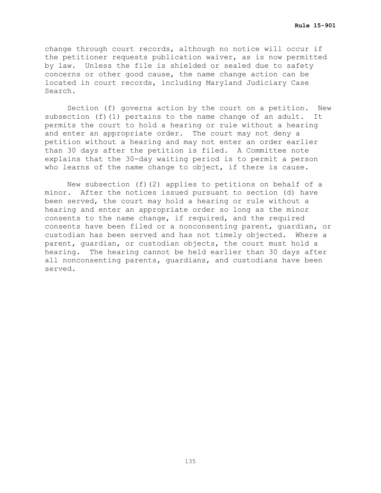change through court records, although no notice will occur if the petitioner requests publication waiver, as is now permitted by law. Unless the file is shielded or sealed due to safety concerns or other good cause, the name change action can be located in court records, including Maryland Judiciary Case Search.

Section (f) governs action by the court on a petition. New subsection (f)(1) pertains to the name change of an adult. It permits the court to hold a hearing or rule without a hearing and enter an appropriate order. The court may not deny a petition without a hearing and may not enter an order earlier than 30 days after the petition is filed. A Committee note explains that the 30-day waiting period is to permit a person who learns of the name change to object, if there is cause.

New subsection (f)(2) applies to petitions on behalf of a minor. After the notices issued pursuant to section (d) have been served, the court may hold a hearing or rule without a hearing and enter an appropriate order so long as the minor consents to the name change, if required, and the required consents have been filed or a nonconsenting parent, guardian, or custodian has been served and has not timely objected. Where a parent, guardian, or custodian objects, the court must hold a hearing. The hearing cannot be held earlier than 30 days after all nonconsenting parents, guardians, and custodians have been served.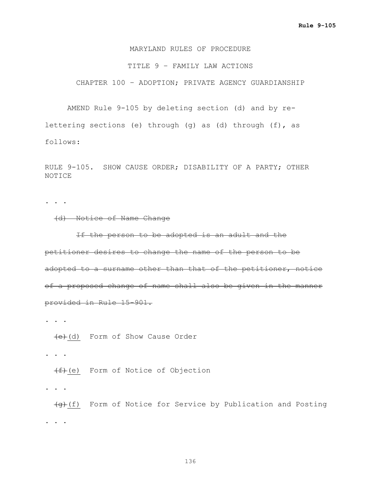### MARYLAND RULES OF PROCEDURE

### TITLE 9 – FAMILY LAW ACTIONS

CHAPTER 100 – ADOPTION; PRIVATE AGENCY GUARDIANSHIP

AMEND Rule 9-105 by deleting section (d) and by relettering sections (e) through (g) as (d) through (f), as follows:

RULE 9-105. SHOW CAUSE ORDER; DISABILITY OF A PARTY; OTHER NOTICE

**. . .**

### (d) Notice of Name Change

 If the person to be adopted is an adult and the petitioner desires to change the name of the person to be adopted to a surname other than that of the petitioner, notice of a proposed change of name shall also be given in the manner provided in Rule 15-901.

**. . .**

(e)(d) Form of Show Cause Order

**. . .**

 $(f)$ (e) Form of Notice of Objection

**. . .**

 $\overline{g}(f)$  Form of Notice for Service by Publication and Posting **. . .**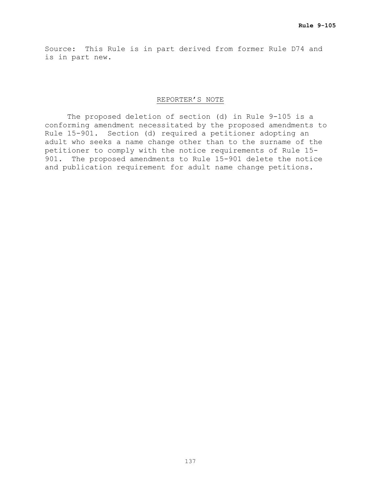Source: This Rule is in part derived from former Rule D74 and is in part new.

## REPORTER'S NOTE

The proposed deletion of section (d) in Rule 9-105 is a conforming amendment necessitated by the proposed amendments to Rule 15-901. Section (d) required a petitioner adopting an adult who seeks a name change other than to the surname of the petitioner to comply with the notice requirements of Rule 15- 901. The proposed amendments to Rule 15-901 delete the notice and publication requirement for adult name change petitions.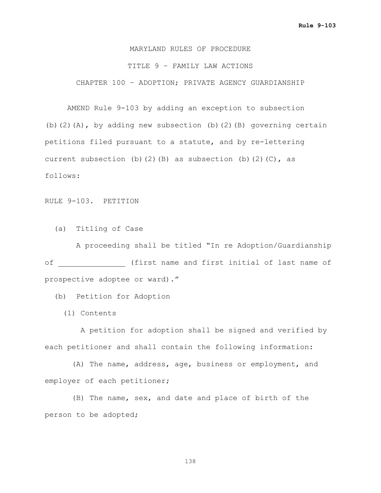# MARYLAND RULES OF PROCEDURE TITLE 9 – FAMILY LAW ACTIONS CHAPTER 100 – ADOPTION; PRIVATE AGENCY GUARDIANSHIP

AMEND Rule 9-103 by adding an exception to subsection (b)(2)(A), by adding new subsection (b)(2)(B) governing certain petitions filed pursuant to a statute, and by re-lettering current subsection (b)(2)(B) as subsection (b)(2)(C), as follows:

RULE 9-103. PETITION

(a) Titling of Case

 A proceeding shall be titled "In re Adoption/Guardianship of \_\_\_\_\_\_\_\_\_\_\_\_\_\_\_ (first name and first initial of last name of prospective adoptee or ward)."

(b) Petition for Adoption

(1) Contents

 A petition for adoption shall be signed and verified by each petitioner and shall contain the following information:

 (A) The name, address, age, business or employment, and employer of each petitioner;

 (B) The name, sex, and date and place of birth of the person to be adopted;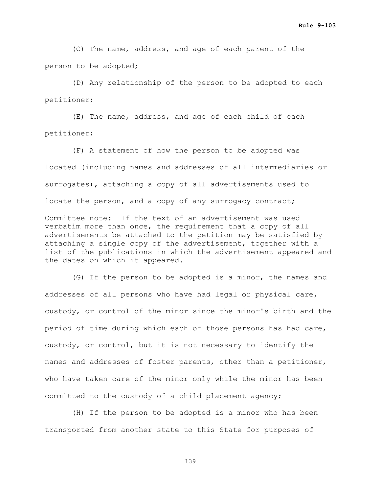(C) The name, address, and age of each parent of the person to be adopted;

 (D) Any relationship of the person to be adopted to each petitioner;

 (E) The name, address, and age of each child of each petitioner;

 (F) A statement of how the person to be adopted was located (including names and addresses of all intermediaries or surrogates), attaching a copy of all advertisements used to locate the person, and a copy of any surrogacy contract;

Committee note: If the text of an advertisement was used verbatim more than once, the requirement that a copy of all advertisements be attached to the petition may be satisfied by attaching a single copy of the advertisement, together with a list of the publications in which the advertisement appeared and the dates on which it appeared.

 (G) If the person to be adopted is a minor, the names and addresses of all persons who have had legal or physical care, custody, or control of the minor since the minor's birth and the period of time during which each of those persons has had care, custody, or control, but it is not necessary to identify the names and addresses of foster parents, other than a petitioner, who have taken care of the minor only while the minor has been committed to the custody of a child placement agency;

 (H) If the person to be adopted is a minor who has been transported from another state to this State for purposes of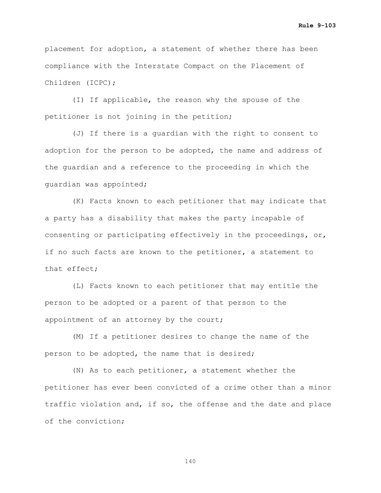placement for adoption, a statement of whether there has been compliance with the Interstate Compact on the Placement of Children (ICPC);

 (I) If applicable, the reason why the spouse of the petitioner is not joining in the petition;

 (J) If there is a guardian with the right to consent to adoption for the person to be adopted, the name and address of the guardian and a reference to the proceeding in which the guardian was appointed;

 (K) Facts known to each petitioner that may indicate that a party has a disability that makes the party incapable of consenting or participating effectively in the proceedings, or, if no such facts are known to the petitioner, a statement to that effect;

 (L) Facts known to each petitioner that may entitle the person to be adopted or a parent of that person to the appointment of an attorney by the court;

 (M) If a petitioner desires to change the name of the person to be adopted, the name that is desired;

 (N) As to each petitioner, a statement whether the petitioner has ever been convicted of a crime other than a minor traffic violation and, if so, the offense and the date and place of the conviction;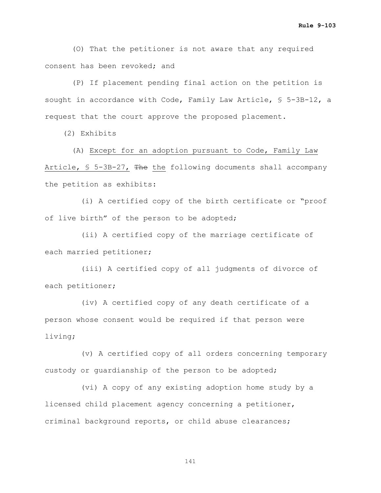(O) That the petitioner is not aware that any required consent has been revoked; and

 (P) If placement pending final action on the petition is sought in accordance with Code, Family Law Article, § 5-3B-12, a request that the court approve the proposed placement.

(2) Exhibits

 (A) Except for an adoption pursuant to Code, Family Law Article, § 5-3B-27, The the following documents shall accompany the petition as exhibits:

 (i) A certified copy of the birth certificate or "proof of live birth" of the person to be adopted;

 (ii) A certified copy of the marriage certificate of each married petitioner;

 (iii) A certified copy of all judgments of divorce of each petitioner;

 (iv) A certified copy of any death certificate of a person whose consent would be required if that person were living;

 (v) A certified copy of all orders concerning temporary custody or guardianship of the person to be adopted;

 (vi) A copy of any existing adoption home study by a licensed child placement agency concerning a petitioner, criminal background reports, or child abuse clearances;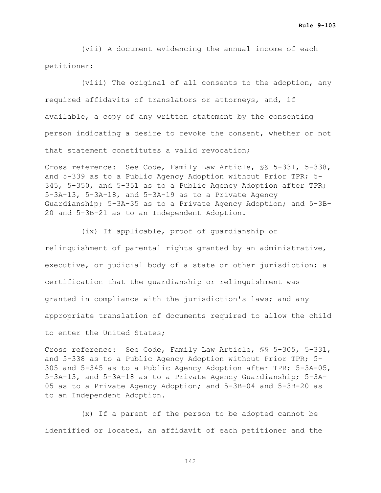(vii) A document evidencing the annual income of each petitioner;

 (viii) The original of all consents to the adoption, any required affidavits of translators or attorneys, and, if available, a copy of any written statement by the consenting person indicating a desire to revoke the consent, whether or not that statement constitutes a valid revocation;

Cross reference: See Code, Family Law Article, §§ 5-331, 5-338, and 5-339 as to a Public Agency Adoption without Prior TPR; 5- 345, 5-350, and 5-351 as to a Public Agency Adoption after TPR; 5-3A-13, 5-3A-18, and 5-3A-19 as to a Private Agency Guardianship; 5-3A-35 as to a Private Agency Adoption; and 5-3B-20 and 5-3B-21 as to an Independent Adoption.

 (ix) If applicable, proof of guardianship or relinquishment of parental rights granted by an administrative, executive, or judicial body of a state or other jurisdiction; a certification that the guardianship or relinquishment was granted in compliance with the jurisdiction's laws; and any appropriate translation of documents required to allow the child to enter the United States;

Cross reference: See Code, Family Law Article, §§ 5-305, 5-331, and 5-338 as to a Public Agency Adoption without Prior TPR; 5- 305 and 5-345 as to a Public Agency Adoption after TPR; 5-3A-05, 5-3A-13, and 5-3A-18 as to a Private Agency Guardianship; 5-3A-05 as to a Private Agency Adoption; and 5-3B-04 and 5-3B-20 as to an Independent Adoption.

 (x) If a parent of the person to be adopted cannot be identified or located, an affidavit of each petitioner and the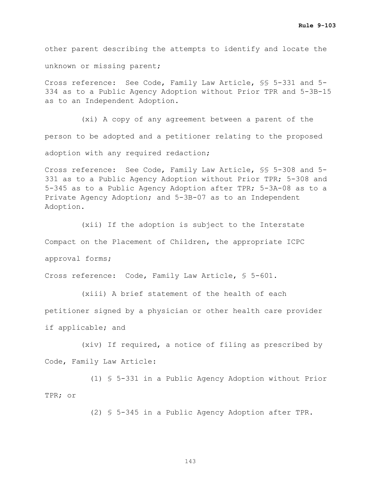other parent describing the attempts to identify and locate the unknown or missing parent;

Cross reference: See Code, Family Law Article, §§ 5-331 and 5- 334 as to a Public Agency Adoption without Prior TPR and 5-3B-15 as to an Independent Adoption.

 (xi) A copy of any agreement between a parent of the person to be adopted and a petitioner relating to the proposed adoption with any required redaction;

Cross reference: See Code, Family Law Article, §§ 5-308 and 5- 331 as to a Public Agency Adoption without Prior TPR; 5-308 and 5-345 as to a Public Agency Adoption after TPR; 5-3A-08 as to a Private Agency Adoption; and 5-3B-07 as to an Independent Adoption.

 (xii) If the adoption is subject to the Interstate Compact on the Placement of Children, the appropriate ICPC approval forms;

Cross reference: Code, Family Law Article, § 5-601.

 (xiii) A brief statement of the health of each petitioner signed by a physician or other health care provider if applicable; and

 (xiv) If required, a notice of filing as prescribed by Code, Family Law Article:

 (1) § 5-331 in a Public Agency Adoption without Prior TPR; or

(2) § 5-345 in a Public Agency Adoption after TPR.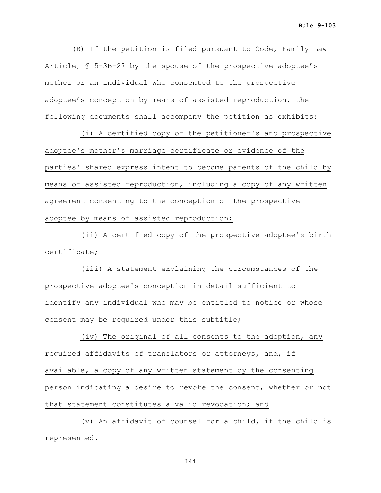(B) If the petition is filed pursuant to Code, Family Law Article, § 5-3B-27 by the spouse of the prospective adoptee's mother or an individual who consented to the prospective adoptee's conception by means of assisted reproduction, the following documents shall accompany the petition as exhibits:

 (i) A certified copy of the petitioner's and prospective adoptee's mother's marriage certificate or evidence of the parties' shared express intent to become parents of the child by means of assisted reproduction, including a copy of any written agreement consenting to the conception of the prospective adoptee by means of assisted reproduction;

 (ii) A certified copy of the prospective adoptee's birth certificate;

 (iii) A statement explaining the circumstances of the prospective adoptee's conception in detail sufficient to identify any individual who may be entitled to notice or whose consent may be required under this subtitle;

 (iv) The original of all consents to the adoption, any required affidavits of translators or attorneys, and, if available, a copy of any written statement by the consenting person indicating a desire to revoke the consent, whether or not that statement constitutes a valid revocation; and

 (v) An affidavit of counsel for a child, if the child is represented.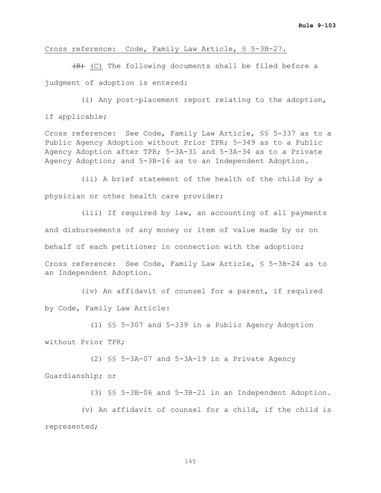## Cross reference: Code, Family Law Article, § 5-3B-27.

 $\overline{AB}$  (C) The following documents shall be filed before a judgment of adoption is entered:

 (i) Any post-placement report relating to the adoption, if applicable;

Cross reference: See Code, Family Law Article, §§ 5-337 as to a Public Agency Adoption without Prior TPR; 5-349 as to a Public Agency Adoption after TPR; 5-3A-31 and 5-3A-34 as to a Private Agency Adoption; and 5-3B-16 as to an Independent Adoption.

 (ii) A brief statement of the health of the child by a physician or other health care provider;

 (iii) If required by law, an accounting of all payments and disbursements of any money or item of value made by or on behalf of each petitioner in connection with the adoption; Cross reference: See Code, Family Law Article, § 5-3B-24 as to an Independent Adoption.

 (iv) An affidavit of counsel for a parent, if required by Code, Family Law Article:

 (1) §§ 5-307 and 5-339 in a Public Agency Adoption without Prior TPR;

 (2) §§ 5-3A-07 and 5-3A-19 in a Private Agency Guardianship; or

(3) §§ 5-3B-06 and 5-3B-21 in an Independent Adoption.

 (v) An affidavit of counsel for a child, if the child is represented;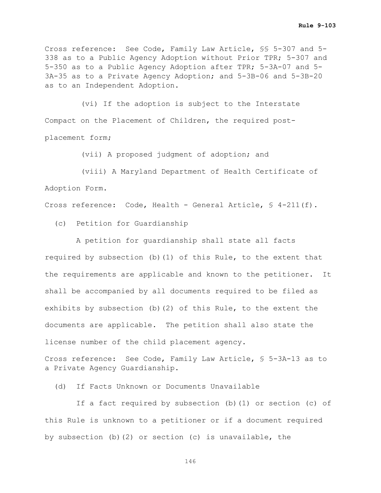Cross reference: See Code, Family Law Article, §§ 5-307 and 5- 338 as to a Public Agency Adoption without Prior TPR; 5-307 and 5-350 as to a Public Agency Adoption after TPR; 5-3A-07 and 5- 3A-35 as to a Private Agency Adoption; and 5-3B-06 and 5-3B-20 as to an Independent Adoption.

 (vi) If the adoption is subject to the Interstate Compact on the Placement of Children, the required postplacement form;

(vii) A proposed judgment of adoption; and

 (viii) A Maryland Department of Health Certificate of Adoption Form.

Cross reference: Code, Health - General Article, § 4-211(f).

(c) Petition for Guardianship

 A petition for guardianship shall state all facts required by subsection (b)(1) of this Rule, to the extent that the requirements are applicable and known to the petitioner. It shall be accompanied by all documents required to be filed as exhibits by subsection (b)(2) of this Rule, to the extent the documents are applicable. The petition shall also state the license number of the child placement agency.

Cross reference: See Code, Family Law Article, § 5-3A-13 as to a Private Agency Guardianship.

(d) If Facts Unknown or Documents Unavailable

 If a fact required by subsection (b)(1) or section (c) of this Rule is unknown to a petitioner or if a document required by subsection (b)(2) or section (c) is unavailable, the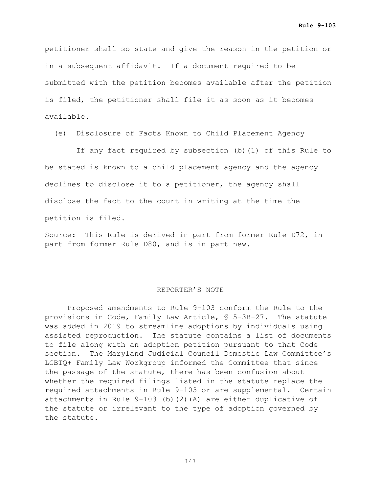petitioner shall so state and give the reason in the petition or in a subsequent affidavit. If a document required to be submitted with the petition becomes available after the petition is filed, the petitioner shall file it as soon as it becomes available.

(e) Disclosure of Facts Known to Child Placement Agency

 If any fact required by subsection (b)(1) of this Rule to be stated is known to a child placement agency and the agency declines to disclose it to a petitioner, the agency shall disclose the fact to the court in writing at the time the petition is filed.

Source: This Rule is derived in part from former Rule D72, in part from former Rule D80, and is in part new.

#### REPORTER'S NOTE

Proposed amendments to Rule 9-103 conform the Rule to the provisions in Code, Family Law Article, § 5-3B-27. The statute was added in 2019 to streamline adoptions by individuals using assisted reproduction. The statute contains a list of documents to file along with an adoption petition pursuant to that Code section. The Maryland Judicial Council Domestic Law Committee's LGBTQ+ Family Law Workgroup informed the Committee that since the passage of the statute, there has been confusion about whether the required filings listed in the statute replace the required attachments in Rule 9-103 or are supplemental. Certain attachments in Rule 9-103 (b)(2)(A) are either duplicative of the statute or irrelevant to the type of adoption governed by the statute.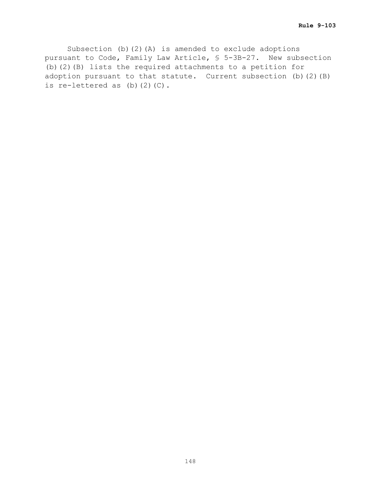Subsection (b)(2)(A) is amended to exclude adoptions pursuant to Code, Family Law Article, § 5-3B-27. New subsection (b)(2)(B) lists the required attachments to a petition for adoption pursuant to that statute. Current subsection (b)(2)(B) is re-lettered as  $(b)$   $(2)$   $(C)$ .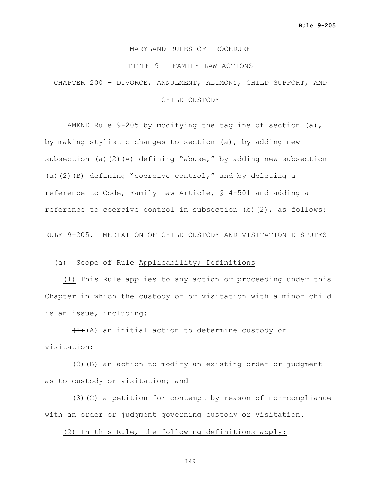#### MARYLAND RULES OF PROCEDURE

#### TITLE 9 – FAMILY LAW ACTIONS

# CHAPTER 200 – DIVORCE, ANNULMENT, ALIMONY, CHILD SUPPORT, AND CHILD CUSTODY

AMEND Rule 9-205 by modifying the tagline of section (a), by making stylistic changes to section (a), by adding new subsection (a)(2)(A) defining "abuse," by adding new subsection (a)(2)(B) defining "coercive control," and by deleting a reference to Code, Family Law Article, § 4-501 and adding a reference to coercive control in subsection (b)(2), as follows:

RULE 9-205. MEDIATION OF CHILD CUSTODY AND VISITATION DISPUTES

#### (a) Scope of Rule Applicability; Definitions

 (1) This Rule applies to any action or proceeding under this Chapter in which the custody of or visitation with a minor child is an issue, including:

 $(1)$  (A) an initial action to determine custody or visitation;

 $(2)$  (B) an action to modify an existing order or judgment as to custody or visitation; and

 $(3)$  (C) a petition for contempt by reason of non-compliance with an order or judgment governing custody or visitation.

(2) In this Rule, the following definitions apply: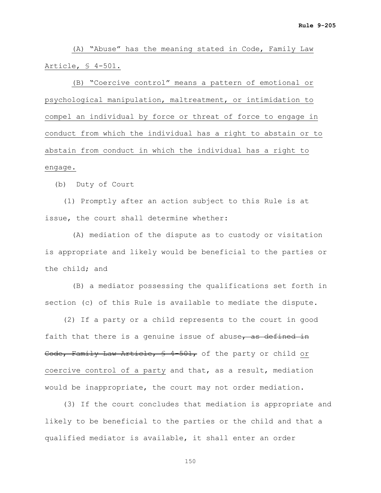(A) "Abuse" has the meaning stated in Code, Family Law Article, § 4-501.

 (B) "Coercive control" means a pattern of emotional or psychological manipulation, maltreatment, or intimidation to compel an individual by force or threat of force to engage in conduct from which the individual has a right to abstain or to abstain from conduct in which the individual has a right to engage.

(b) Duty of Court

 (1) Promptly after an action subject to this Rule is at issue, the court shall determine whether:

 (A) mediation of the dispute as to custody or visitation is appropriate and likely would be beneficial to the parties or the child; and

 (B) a mediator possessing the qualifications set forth in section (c) of this Rule is available to mediate the dispute.

 (2) If a party or a child represents to the court in good faith that there is a genuine issue of abuse, as defined in Code, Family Law Article, § 4-501, of the party or child or coercive control of a party and that, as a result, mediation would be inappropriate, the court may not order mediation.

 (3) If the court concludes that mediation is appropriate and likely to be beneficial to the parties or the child and that a qualified mediator is available, it shall enter an order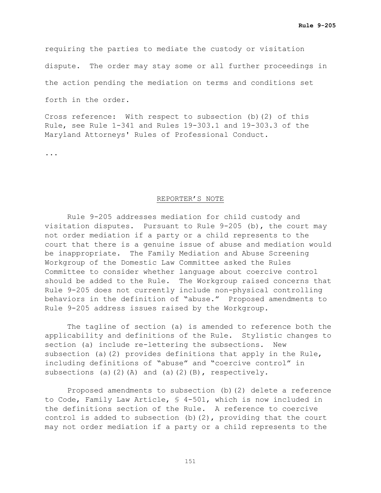requiring the parties to mediate the custody or visitation

dispute. The order may stay some or all further proceedings in

the action pending the mediation on terms and conditions set

forth in the order.

Cross reference: With respect to subsection (b)(2) of this Rule, see Rule 1-341 and Rules 19-303.1 and 19-303.3 of the Maryland Attorneys' Rules of Professional Conduct.

...

#### REPORTER'S NOTE

Rule 9-205 addresses mediation for child custody and visitation disputes. Pursuant to Rule 9-205 (b), the court may not order mediation if a party or a child represents to the court that there is a genuine issue of abuse and mediation would be inappropriate. The Family Mediation and Abuse Screening Workgroup of the Domestic Law Committee asked the Rules Committee to consider whether language about coercive control should be added to the Rule. The Workgroup raised concerns that Rule 9-205 does not currently include non-physical controlling behaviors in the definition of "abuse." Proposed amendments to Rule 9-205 address issues raised by the Workgroup.

The tagline of section (a) is amended to reference both the applicability and definitions of the Rule. Stylistic changes to section (a) include re-lettering the subsections. New subsection (a)(2) provides definitions that apply in the Rule, including definitions of "abuse" and "coercive control" in subsections (a)(2)(A) and (a)(2)(B), respectively.

Proposed amendments to subsection (b)(2) delete a reference to Code, Family Law Article, § 4-501, which is now included in the definitions section of the Rule. A reference to coercive control is added to subsection (b)(2), providing that the court may not order mediation if a party or a child represents to the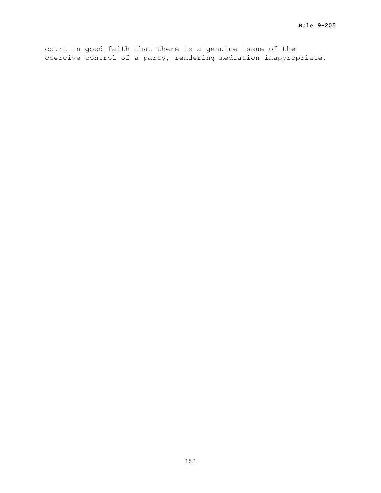court in good faith that there is a genuine issue of the coercive control of a party, rendering mediation inappropriate.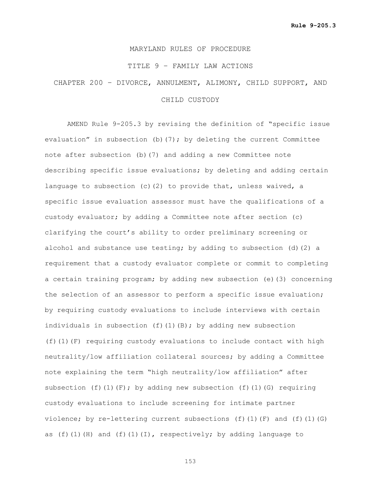## MARYLAND RULES OF PROCEDURE

## TITLE 9 – FAMILY LAW ACTIONS

# CHAPTER 200 – DIVORCE, ANNULMENT, ALIMONY, CHILD SUPPORT, AND

## CHILD CUSTODY

AMEND Rule 9-205.3 by revising the definition of "specific issue evaluation" in subsection (b)(7); by deleting the current Committee note after subsection (b)(7) and adding a new Committee note describing specific issue evaluations; by deleting and adding certain language to subsection (c)(2) to provide that, unless waived, a specific issue evaluation assessor must have the qualifications of a custody evaluator; by adding a Committee note after section (c) clarifying the court's ability to order preliminary screening or alcohol and substance use testing; by adding to subsection (d)(2) a requirement that a custody evaluator complete or commit to completing a certain training program; by adding new subsection (e)(3) concerning the selection of an assessor to perform a specific issue evaluation; by requiring custody evaluations to include interviews with certain individuals in subsection (f)(1)(B); by adding new subsection (f)(1)(F) requiring custody evaluations to include contact with high neutrality/low affiliation collateral sources; by adding a Committee note explaining the term "high neutrality/low affiliation" after subsection (f)(1)(F); by adding new subsection (f)(1)(G) requiring custody evaluations to include screening for intimate partner violence; by re-lettering current subsections (f)(1)(F) and (f)(1)(G) as  $(f)$ (1)(H) and  $(f)$ (1)(I), respectively; by adding language to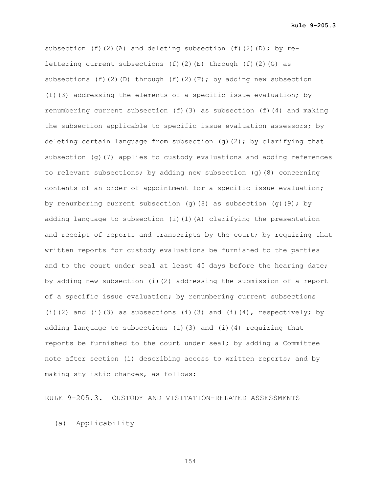**Rule 9-205.3**

subsection (f)(2)(A) and deleting subsection (f)(2)(D); by relettering current subsections  $(f)(2)(E)$  through  $(f)(2)(G)$  as subsections (f)(2)(D) through (f)(2)(F); by adding new subsection (f)(3) addressing the elements of a specific issue evaluation; by renumbering current subsection (f)(3) as subsection (f)(4) and making the subsection applicable to specific issue evaluation assessors; by deleting certain language from subsection  $(g)(2)$ ; by clarifying that subsection  $(q)$  (7) applies to custody evaluations and adding references to relevant subsections; by adding new subsection (g)(8) concerning contents of an order of appointment for a specific issue evaluation; by renumbering current subsection (q)(8) as subsection (q)(9); by adding language to subsection (i)(1)(A) clarifying the presentation and receipt of reports and transcripts by the court; by requiring that written reports for custody evaluations be furnished to the parties and to the court under seal at least 45 days before the hearing date; by adding new subsection (i)(2) addressing the submission of a report of a specific issue evaluation; by renumbering current subsections (i)(2) and (i)(3) as subsections (i)(3) and (i)(4), respectively; by adding language to subsections (i)(3) and (i)(4) requiring that reports be furnished to the court under seal; by adding a Committee note after section (i) describing access to written reports; and by making stylistic changes, as follows:

RULE 9-205.3. CUSTODY AND VISITATION-RELATED ASSESSMENTS

(a) Applicability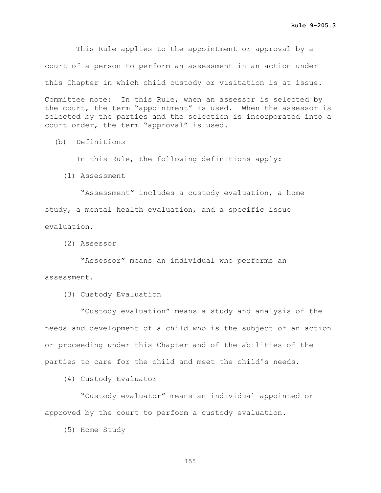This Rule applies to the appointment or approval by a court of a person to perform an assessment in an action under this Chapter in which child custody or visitation is at issue.

Committee note: In this Rule, when an assessor is selected by the court, the term "appointment" is used. When the assessor is selected by the parties and the selection is incorporated into a court order, the term "approval" is used.

(b) Definitions

In this Rule, the following definitions apply:

(1) Assessment

 "Assessment" includes a custody evaluation, a home study, a mental health evaluation, and a specific issue evaluation.

(2) Assessor

 "Assessor" means an individual who performs an assessment.

(3) Custody Evaluation

 "Custody evaluation" means a study and analysis of the needs and development of a child who is the subject of an action or proceeding under this Chapter and of the abilities of the parties to care for the child and meet the child's needs.

(4) Custody Evaluator

 "Custody evaluator" means an individual appointed or approved by the court to perform a custody evaluation.

(5) Home Study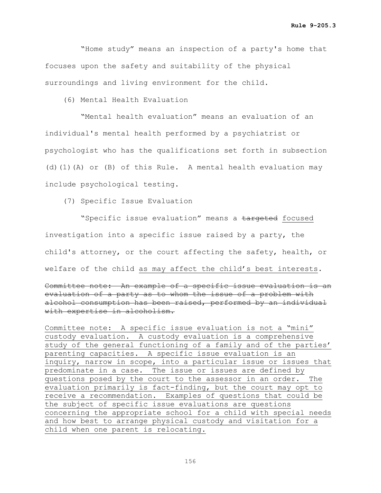"Home study" means an inspection of a party's home that focuses upon the safety and suitability of the physical surroundings and living environment for the child.

(6) Mental Health Evaluation

 "Mental health evaluation" means an evaluation of an individual's mental health performed by a psychiatrist or psychologist who has the qualifications set forth in subsection (d)(1)(A) or (B) of this Rule. A mental health evaluation may include psychological testing.

(7) Specific Issue Evaluation

"Specific issue evaluation" means a targeted focused investigation into a specific issue raised by a party, the child's attorney, or the court affecting the safety, health, or welfare of the child as may affect the child's best interests. Committee note: An example of a specific issue evaluation is an evaluation of a party as to whom the issue of a problem with alcohol consumption has been raised, performed by an individual with expertise in alcoholism.

Committee note: A specific issue evaluation is not a "mini" custody evaluation. A custody evaluation is a comprehensive study of the general functioning of a family and of the parties' parenting capacities. A specific issue evaluation is an inquiry, narrow in scope, into a particular issue or issues that predominate in a case. The issue or issues are defined by questions posed by the court to the assessor in an order. The evaluation primarily is fact-finding, but the court may opt to receive a recommendation. Examples of questions that could be the subject of specific issue evaluations are questions concerning the appropriate school for a child with special needs and how best to arrange physical custody and visitation for a child when one parent is relocating.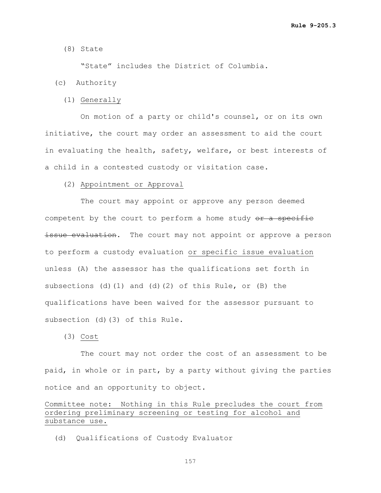(8) State

"State" includes the District of Columbia.

- (c) Authority
	- (1) Generally

 On motion of a party or child's counsel, or on its own initiative, the court may order an assessment to aid the court in evaluating the health, safety, welfare, or best interests of a child in a contested custody or visitation case.

(2) Appointment or Approval

 The court may appoint or approve any person deemed competent by the court to perform a home study  $e^{i\theta}$  a specific issue evaluation. The court may not appoint or approve a person to perform a custody evaluation or specific issue evaluation unless (A) the assessor has the qualifications set forth in subsections (d)(1) and (d)(2) of this Rule, or (B) the qualifications have been waived for the assessor pursuant to subsection (d)(3) of this Rule.

(3) Cost

 The court may not order the cost of an assessment to be paid, in whole or in part, by a party without giving the parties notice and an opportunity to object.

Committee note: Nothing in this Rule precludes the court from ordering preliminary screening or testing for alcohol and substance use.

(d) Qualifications of Custody Evaluator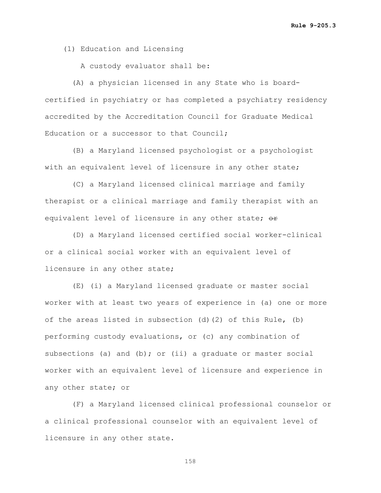(1) Education and Licensing

A custody evaluator shall be:

 (A) a physician licensed in any State who is boardcertified in psychiatry or has completed a psychiatry residency accredited by the Accreditation Council for Graduate Medical Education or a successor to that Council;

 (B) a Maryland licensed psychologist or a psychologist with an equivalent level of licensure in any other state;

 (C) a Maryland licensed clinical marriage and family therapist or a clinical marriage and family therapist with an equivalent level of licensure in any other state; or

 (D) a Maryland licensed certified social worker-clinical or a clinical social worker with an equivalent level of licensure in any other state;

 (E) (i) a Maryland licensed graduate or master social worker with at least two years of experience in (a) one or more of the areas listed in subsection (d)(2) of this Rule, (b) performing custody evaluations, or (c) any combination of subsections (a) and (b); or (ii) a graduate or master social worker with an equivalent level of licensure and experience in any other state; or

 (F) a Maryland licensed clinical professional counselor or a clinical professional counselor with an equivalent level of licensure in any other state.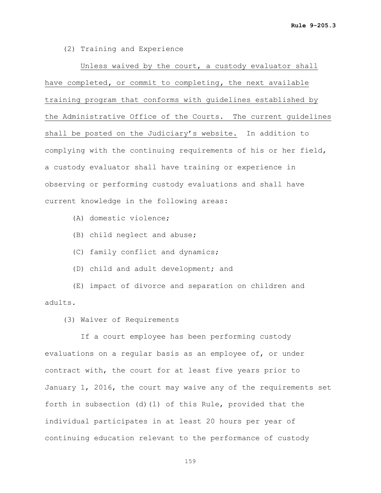(2) Training and Experience

 Unless waived by the court, a custody evaluator shall have completed**,** or commit to completing**,** the next available training program that conforms with guidelines established by the Administrative Office of the Courts**.** The current guidelines shall be posted on the Judiciary's website. In addition to complying with the continuing requirements of his or her field, a custody evaluator shall have training or experience in observing or performing custody evaluations and shall have current knowledge in the following areas:

- (A) domestic violence;
- (B) child neglect and abuse;
- (C) family conflict and dynamics;
- (D) child and adult development; and

 (E) impact of divorce and separation on children and adults.

(3) Waiver of Requirements

 If a court employee has been performing custody evaluations on a regular basis as an employee of, or under contract with, the court for at least five years prior to January 1, 2016, the court may waive any of the requirements set forth in subsection (d)(1) of this Rule, provided that the individual participates in at least 20 hours per year of continuing education relevant to the performance of custody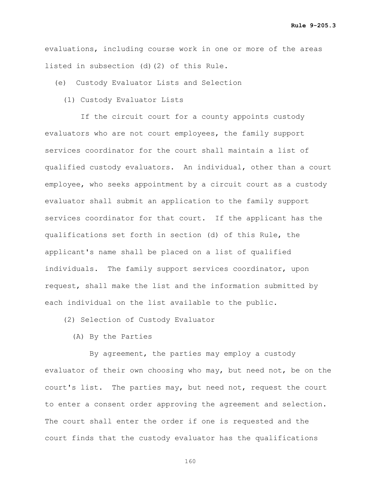evaluations, including course work in one or more of the areas listed in subsection (d)(2) of this Rule.

(e) Custody Evaluator Lists and Selection

(1) Custody Evaluator Lists

If the circuit court for a county appoints custody evaluators who are not court employees, the family support services coordinator for the court shall maintain a list of qualified custody evaluators. An individual, other than a court employee, who seeks appointment by a circuit court as a custody evaluator shall submit an application to the family support services coordinator for that court. If the applicant has the qualifications set forth in section (d) of this Rule, the applicant's name shall be placed on a list of qualified individuals. The family support services coordinator, upon request, shall make the list and the information submitted by each individual on the list available to the public.

(2) Selection of Custody Evaluator

(A) By the Parties

 By agreement, the parties may employ a custody evaluator of their own choosing who may, but need not, be on the court's list. The parties may, but need not, request the court to enter a consent order approving the agreement and selection. The court shall enter the order if one is requested and the court finds that the custody evaluator has the qualifications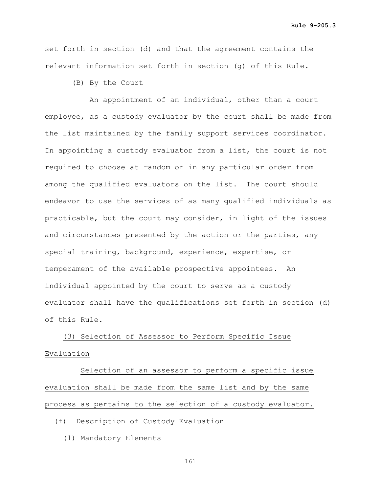set forth in section (d) and that the agreement contains the relevant information set forth in section (g) of this Rule.

(B) By the Court

 An appointment of an individual, other than a court employee, as a custody evaluator by the court shall be made from the list maintained by the family support services coordinator. In appointing a custody evaluator from a list, the court is not required to choose at random or in any particular order from among the qualified evaluators on the list. The court should endeavor to use the services of as many qualified individuals as practicable, but the court may consider, in light of the issues and circumstances presented by the action or the parties, any special training, background, experience, expertise, or temperament of the available prospective appointees. An individual appointed by the court to serve as a custody evaluator shall have the qualifications set forth in section (d) of this Rule.

 (3) Selection of Assessor to Perform Specific Issue Evaluation

 Selection of an assessor to perform a specific issue evaluation shall be made from the same list and by the same process as pertains to the selection of a custody evaluator.

(f) Description of Custody Evaluation

(1) Mandatory Elements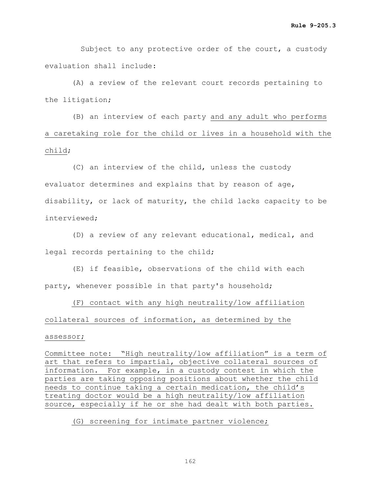Subject to any protective order of the court, a custody evaluation shall include:

 (A) a review of the relevant court records pertaining to the litigation;

 (B) an interview of each party and any adult who performs a caretaking role for the child or lives in a household with the child;

 (C) an interview of the child, unless the custody evaluator determines and explains that by reason of age, disability, or lack of maturity, the child lacks capacity to be interviewed;

 (D) a review of any relevant educational, medical, and legal records pertaining to the child;

 (E) if feasible, observations of the child with each party, whenever possible in that party's household;

 (F) contact with any high neutrality/low affiliation collateral sources of information, as determined by the

## assessor;

Committee note: "High neutrality/low affiliation" is a term of art that refers to impartial, objective collateral sources of information. For example, in a custody contest in which the parties are taking opposing positions about whether the child needs to continue taking a certain medication, the child's treating doctor would be a high neutrality/low affiliation source, especially if he or she had dealt with both parties.

## (G) screening for intimate partner violence;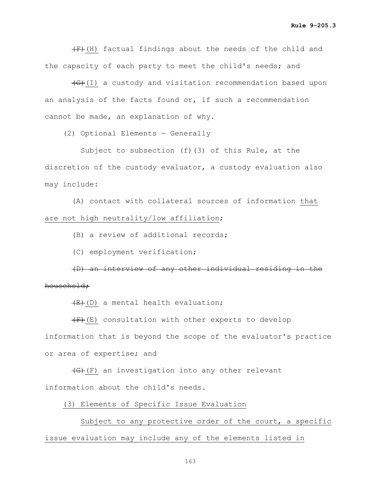$(F)$  (H) factual findings about the needs of the child and the capacity of each party to meet the child's needs; and

 $\left(\frac{1}{1}\right)$  a custody and visitation recommendation based upon an analysis of the facts found or, if such a recommendation cannot be made, an explanation of why.

(2) Optional Elements — Generally

 Subject to subsection (f)(3) of this Rule, at the discretion of the custody evaluator, a custody evaluation also may include:

 (A) contact with collateral sources of information that are not high neutrality/low affiliation;

(B) a review of additional records;

(C) employment verification;

 (D) an interview of any other individual residing in the household;

 $(E)+(D)$  a mental health evaluation;

 $(F)$  (E) consultation with other experts to develop information that is beyond the scope of the evaluator's practice or area of expertise; and

 (G)(F) an investigation into any other relevant information about the child's needs.

(3) Elements of Specific Issue Evaluation

Subject to any protective order of the court, a specific issue evaluation may include any of the elements listed in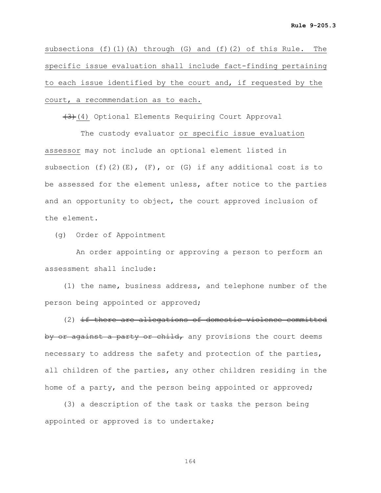subsections (f)(1)(A) through (G) and (f)(2) of this Rule. The specific issue evaluation shall include fact-finding pertaining to each issue identified by the court and, if requested by the court, a recommendation as to each.

(3)(4) Optional Elements Requiring Court Approval

 The custody evaluator or specific issue evaluation assessor may not include an optional element listed in subsection  $(f)$   $(2)$   $(E)$ ,  $(F)$ , or  $(G)$  if any additional cost is to be assessed for the element unless, after notice to the parties and an opportunity to object, the court approved inclusion of the element.

(g) Order of Appointment

 An order appointing or approving a person to perform an assessment shall include:

 (1) the name, business address, and telephone number of the person being appointed or approved;

 (2) if there are allegations of domestic violence committed by or against a party or child, any provisions the court deems necessary to address the safety and protection of the parties, all children of the parties, any other children residing in the home of a party, and the person being appointed or approved;

 (3) a description of the task or tasks the person being appointed or approved is to undertake;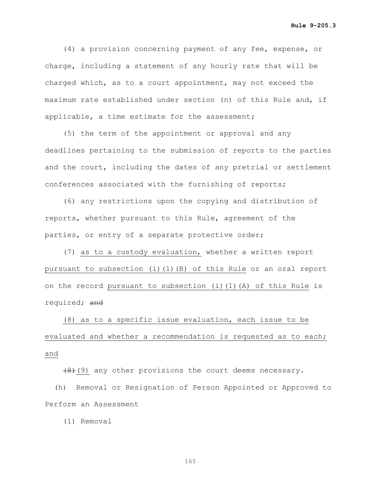(4) a provision concerning payment of any fee, expense, or charge, including a statement of any hourly rate that will be charged which, as to a court appointment, may not exceed the maximum rate established under section (n) of this Rule and, if applicable, a time estimate for the assessment;

 (5) the term of the appointment or approval and any deadlines pertaining to the submission of reports to the parties and the court, including the dates of any pretrial or settlement conferences associated with the furnishing of reports;

 (6) any restrictions upon the copying and distribution of reports, whether pursuant to this Rule, agreement of the parties, or entry of a separate protective order;

 (7) as to a custody evaluation, whether a written report pursuant to subsection (i)(1)(B) of this Rule or an oral report on the record pursuant to subsection (i)(1)(A) of this Rule is required; and

 (8) as to a specific issue evaluation, each issue to be evaluated and whether a recommendation is requested as to each; and

 $(8)$  (9) any other provisions the court deems necessary.

 (h) Removal or Resignation of Person Appointed or Approved to Perform an Assessment

(1) Removal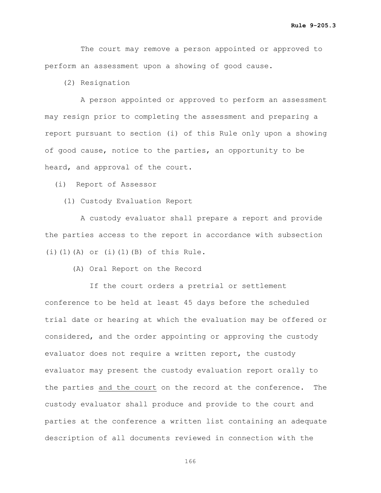The court may remove a person appointed or approved to perform an assessment upon a showing of good cause.

(2) Resignation

 A person appointed or approved to perform an assessment may resign prior to completing the assessment and preparing a report pursuant to section (i) of this Rule only upon a showing of good cause, notice to the parties, an opportunity to be heard, and approval of the court.

(i) Report of Assessor

(1) Custody Evaluation Report

 A custody evaluator shall prepare a report and provide the parties access to the report in accordance with subsection  $(i)$  $(1)$  $(A)$  or  $(i)$  $(1)$  $(B)$  of this Rule.

(A) Oral Report on the Record

 If the court orders a pretrial or settlement conference to be held at least 45 days before the scheduled trial date or hearing at which the evaluation may be offered or considered, and the order appointing or approving the custody evaluator does not require a written report, the custody evaluator may present the custody evaluation report orally to the parties and the court on the record at the conference. The custody evaluator shall produce and provide to the court and parties at the conference a written list containing an adequate description of all documents reviewed in connection with the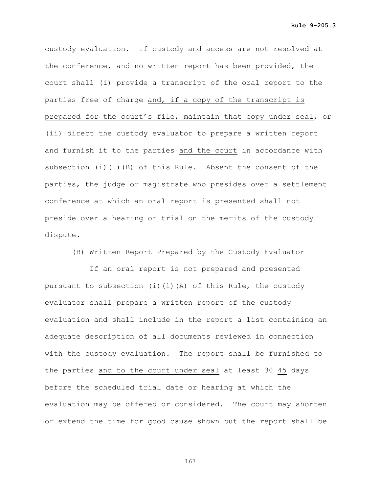custody evaluation. If custody and access are not resolved at the conference, and no written report has been provided, the court shall (i) provide a transcript of the oral report to the parties free of charge and, if a copy of the transcript is prepared for the court's file, maintain that copy under seal, or (ii) direct the custody evaluator to prepare a written report and furnish it to the parties and the court in accordance with subsection (i)(1)(B) of this Rule. Absent the consent of the parties, the judge or magistrate who presides over a settlement conference at which an oral report is presented shall not preside over a hearing or trial on the merits of the custody dispute.

(B) Written Report Prepared by the Custody Evaluator

 If an oral report is not prepared and presented pursuant to subsection (i)(1)(A) of this Rule, the custody evaluator shall prepare a written report of the custody evaluation and shall include in the report a list containing an adequate description of all documents reviewed in connection with the custody evaluation. The report shall be furnished to the parties and to the court under seal at least  $30$  45 days before the scheduled trial date or hearing at which the evaluation may be offered or considered. The court may shorten or extend the time for good cause shown but the report shall be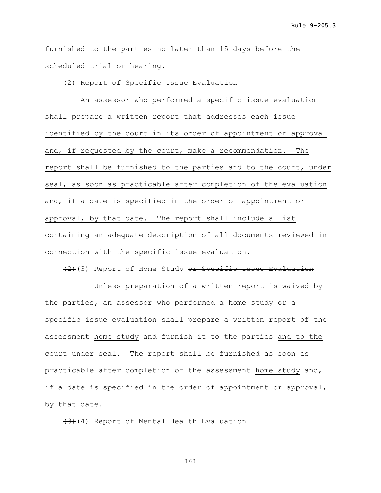furnished to the parties no later than 15 days before the scheduled trial or hearing.

(2) Report of Specific Issue Evaluation

 An assessor who performed a specific issue evaluation shall prepare a written report that addresses each issue identified by the court in its order of appointment or approval and, if requested by the court, make a recommendation. The report shall be furnished to the parties and to the court, under seal, as soon as practicable after completion of the evaluation and, if a date is specified in the order of appointment or approval, by that date. The report shall include a list containing an adequate description of all documents reviewed in connection with the specific issue evaluation.

 $(2)$  (3) Report of Home Study or Specific Issue Evaluation

 Unless preparation of a written report is waived by the parties, an assessor who performed a home study  $e^{i\theta}$ specific issue evaluation shall prepare a written report of the assessment home study and furnish it to the parties and to the court under seal. The report shall be furnished as soon as practicable after completion of the assessment home study and, if a date is specified in the order of appointment or approval, by that date.

 $(3)$  (4) Report of Mental Health Evaluation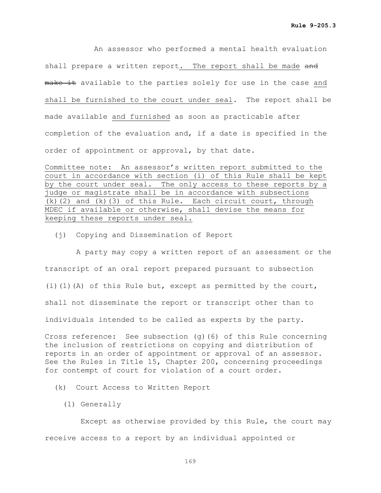An assessor who performed a mental health evaluation shall prepare a written report. The report shall be made and make it available to the parties solely for use in the case and shall be furnished to the court under seal. The report shall be made available and furnished as soon as practicable after completion of the evaluation and, if a date is specified in the order of appointment or approval, by that date.

Committee note: An assessor's written report submitted to the court in accordance with section (i) of this Rule shall be kept by the court under seal. The only access to these reports by a judge or magistrate shall be in accordance with subsections (k)(2) and (k)(3) of this Rule. Each circuit court, through MDEC if available or otherwise, shall devise the means for keeping these reports under seal.

(j) Copying and Dissemination of Report

 A party may copy a written report of an assessment or the transcript of an oral report prepared pursuant to subsection (i)(1)(A) of this Rule but, except as permitted by the court, shall not disseminate the report or transcript other than to individuals intended to be called as experts by the party.

Cross reference: See subsection (g)(6) of this Rule concerning the inclusion of restrictions on copying and distribution of reports in an order of appointment or approval of an assessor. See the Rules in Title 15, Chapter 200, concerning proceedings for contempt of court for violation of a court order.

(k) Court Access to Written Report

(1) Generally

 Except as otherwise provided by this Rule, the court may receive access to a report by an individual appointed or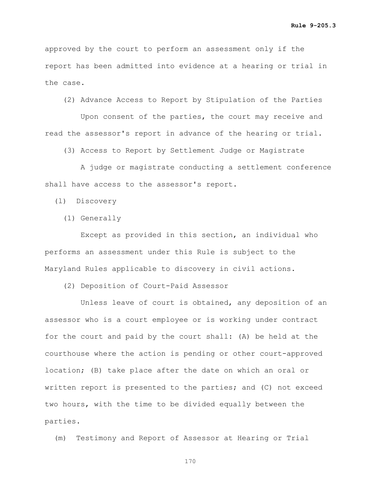approved by the court to perform an assessment only if the report has been admitted into evidence at a hearing or trial in the case.

(2) Advance Access to Report by Stipulation of the Parties

 Upon consent of the parties, the court may receive and read the assessor's report in advance of the hearing or trial.

(3) Access to Report by Settlement Judge or Magistrate

 A judge or magistrate conducting a settlement conference shall have access to the assessor's report.

(l) Discovery

(1) Generally

 Except as provided in this section, an individual who performs an assessment under this Rule is subject to the Maryland Rules applicable to discovery in civil actions.

(2) Deposition of Court-Paid Assessor

 Unless leave of court is obtained, any deposition of an assessor who is a court employee or is working under contract for the court and paid by the court shall: (A) be held at the courthouse where the action is pending or other court-approved location; (B) take place after the date on which an oral or written report is presented to the parties; and (C) not exceed two hours, with the time to be divided equally between the parties.

(m) Testimony and Report of Assessor at Hearing or Trial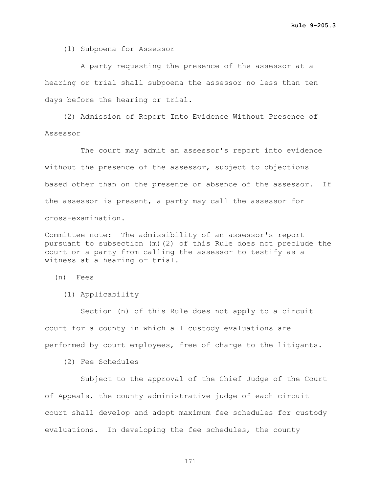(1) Subpoena for Assessor

 A party requesting the presence of the assessor at a hearing or trial shall subpoena the assessor no less than ten days before the hearing or trial.

 (2) Admission of Report Into Evidence Without Presence of Assessor

 The court may admit an assessor's report into evidence without the presence of the assessor, subject to objections based other than on the presence or absence of the assessor. If the assessor is present, a party may call the assessor for cross-examination.

Committee note: The admissibility of an assessor's report pursuant to subsection (m)(2) of this Rule does not preclude the court or a party from calling the assessor to testify as a witness at a hearing or trial.

(n) Fees

(1) Applicability

 Section (n) of this Rule does not apply to a circuit court for a county in which all custody evaluations are performed by court employees, free of charge to the litigants.

(2) Fee Schedules

 Subject to the approval of the Chief Judge of the Court of Appeals, the county administrative judge of each circuit court shall develop and adopt maximum fee schedules for custody evaluations. In developing the fee schedules, the county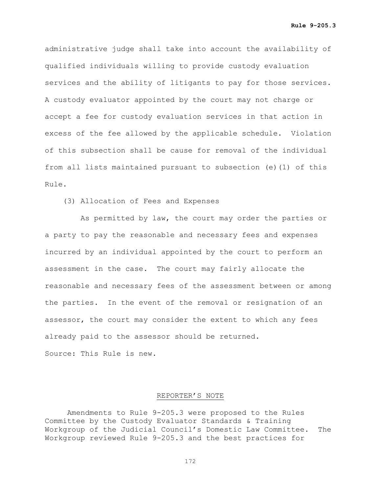administrative judge shall take into account the availability of qualified individuals willing to provide custody evaluation services and the ability of litigants to pay for those services. A custody evaluator appointed by the court may not charge or accept a fee for custody evaluation services in that action in excess of the fee allowed by the applicable schedule. Violation of this subsection shall be cause for removal of the individual from all lists maintained pursuant to subsection (e)(1) of this Rule.

(3) Allocation of Fees and Expenses

 As permitted by law, the court may order the parties or a party to pay the reasonable and necessary fees and expenses incurred by an individual appointed by the court to perform an assessment in the case. The court may fairly allocate the reasonable and necessary fees of the assessment between or among the parties. In the event of the removal or resignation of an assessor, the court may consider the extent to which any fees already paid to the assessor should be returned. Source: This Rule is new.

#### REPORTER'S NOTE

Amendments to Rule 9-205.3 were proposed to the Rules Committee by the Custody Evaluator Standards & Training Workgroup of the Judicial Council's Domestic Law Committee. The Workgroup reviewed Rule 9-205.3 and the best practices for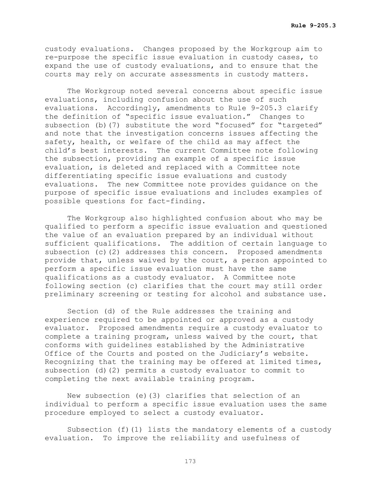custody evaluations. Changes proposed by the Workgroup aim to re-purpose the specific issue evaluation in custody cases, to expand the use of custody evaluations, and to ensure that the courts may rely on accurate assessments in custody matters.

The Workgroup noted several concerns about specific issue evaluations, including confusion about the use of such evaluations. Accordingly, amendments to Rule 9-205.3 clarify the definition of "specific issue evaluation." Changes to subsection (b)(7) substitute the word "focused" for "targeted" and note that the investigation concerns issues affecting the safety, health, or welfare of the child as may affect the child's best interests. The current Committee note following the subsection, providing an example of a specific issue evaluation, is deleted and replaced with a Committee note differentiating specific issue evaluations and custody evaluations. The new Committee note provides guidance on the purpose of specific issue evaluations and includes examples of possible questions for fact-finding.

The Workgroup also highlighted confusion about who may be qualified to perform a specific issue evaluation and questioned the value of an evaluation prepared by an individual without sufficient qualifications. The addition of certain language to subsection (c)(2) addresses this concern. Proposed amendments provide that, unless waived by the court, a person appointed to perform a specific issue evaluation must have the same qualifications as a custody evaluator. A Committee note following section (c) clarifies that the court may still order preliminary screening or testing for alcohol and substance use.

Section (d) of the Rule addresses the training and experience required to be appointed or approved as a custody evaluator. Proposed amendments require a custody evaluator to complete a training program, unless waived by the court, that conforms with guidelines established by the Administrative Office of the Courts and posted on the Judiciary's website. Recognizing that the training may be offered at limited times, subsection (d)(2) permits a custody evaluator to commit to completing the next available training program.

New subsection (e)(3) clarifies that selection of an individual to perform a specific issue evaluation uses the same procedure employed to select a custody evaluator.

Subsection (f)(1) lists the mandatory elements of a custody evaluation. To improve the reliability and usefulness of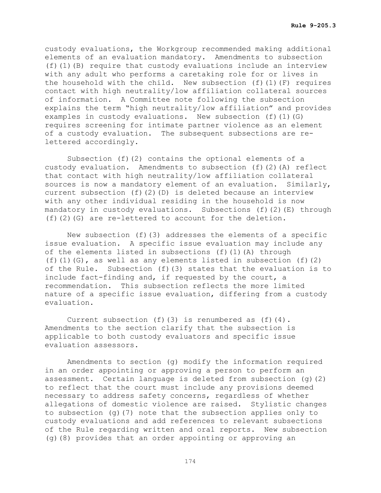custody evaluations, the Workgroup recommended making additional elements of an evaluation mandatory. Amendments to subsection (f)(1)(B) require that custody evaluations include an interview with any adult who performs a caretaking role for or lives in the household with the child. New subsection (f)(1)(F) requires contact with high neutrality/low affiliation collateral sources of information. A Committee note following the subsection explains the term "high neutrality/low affiliation" and provides examples in custody evaluations. New subsection (f)(1)(G) requires screening for intimate partner violence as an element of a custody evaluation. The subsequent subsections are relettered accordingly.

Subsection (f)(2) contains the optional elements of a custody evaluation. Amendments to subsection (f)(2)(A) reflect that contact with high neutrality/low affiliation collateral sources is now a mandatory element of an evaluation. Similarly, current subsection (f)(2)(D) is deleted because an interview with any other individual residing in the household is now mandatory in custody evaluations. Subsections  $(f)(2)(E)$  through (f)(2)(G) are re-lettered to account for the deletion.

New subsection (f)(3) addresses the elements of a specific issue evaluation. A specific issue evaluation may include any of the elements listed in subsections  $(f)(1)(A)$  through (f)(1)(G), as well as any elements listed in subsection (f)(2) of the Rule. Subsection (f)(3) states that the evaluation is to include fact-finding and, if requested by the court, a recommendation. This subsection reflects the more limited nature of a specific issue evaluation, differing from a custody evaluation.

Current subsection (f)(3) is renumbered as  $(f)(4)$ . Amendments to the section clarify that the subsection is applicable to both custody evaluators and specific issue evaluation assessors.

Amendments to section (g) modify the information required in an order appointing or approving a person to perform an assessment. Certain language is deleted from subsection (g)(2) to reflect that the court must include any provisions deemed necessary to address safety concerns, regardless of whether allegations of domestic violence are raised. Stylistic changes to subsection (g)(7) note that the subsection applies only to custody evaluations and add references to relevant subsections of the Rule regarding written and oral reports. New subsection (g)(8) provides that an order appointing or approving an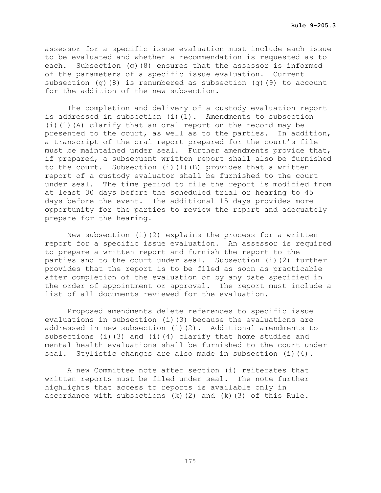assessor for a specific issue evaluation must include each issue to be evaluated and whether a recommendation is requested as to each. Subsection (g)(8) ensures that the assessor is informed of the parameters of a specific issue evaluation. Current subsection (q)(8) is renumbered as subsection (q)(9) to account for the addition of the new subsection.

The completion and delivery of a custody evaluation report is addressed in subsection (i)(1). Amendments to subsection (i)(1)(A) clarify that an oral report on the record may be presented to the court, as well as to the parties. In addition, a transcript of the oral report prepared for the court's file must be maintained under seal. Further amendments provide that, if prepared, a subsequent written report shall also be furnished to the court. Subsection (i)(1)(B) provides that a written report of a custody evaluator shall be furnished to the court under seal. The time period to file the report is modified from at least 30 days before the scheduled trial or hearing to 45 days before the event. The additional 15 days provides more opportunity for the parties to review the report and adequately prepare for the hearing.

New subsection (i)(2) explains the process for a written report for a specific issue evaluation. An assessor is required to prepare a written report and furnish the report to the parties and to the court under seal. Subsection (i)(2) further provides that the report is to be filed as soon as practicable after completion of the evaluation or by any date specified in the order of appointment or approval. The report must include a list of all documents reviewed for the evaluation.

Proposed amendments delete references to specific issue evaluations in subsection (i)(3) because the evaluations are addressed in new subsection (i)(2). Additional amendments to subsections (i)(3) and (i)(4) clarify that home studies and mental health evaluations shall be furnished to the court under seal. Stylistic changes are also made in subsection (i)(4).

A new Committee note after section (i) reiterates that written reports must be filed under seal. The note further highlights that access to reports is available only in accordance with subsections  $(k)(2)$  and  $(k)(3)$  of this Rule.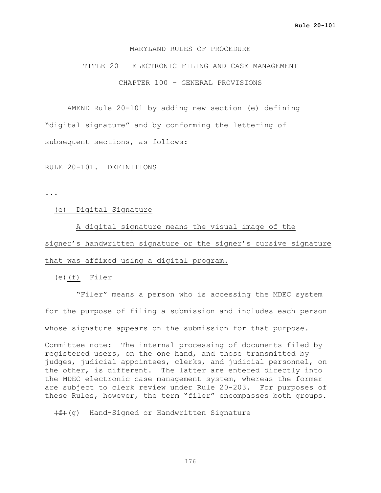## MARYLAND RULES OF PROCEDURE

TITLE 20 – ELECTRONIC FILING AND CASE MANAGEMENT CHAPTER 100 – GENERAL PROVISIONS

AMEND Rule 20-101 by adding new section (e) defining "digital signature" and by conforming the lettering of subsequent sections, as follows:

RULE 20-101. DEFINITIONS

...

(e) Digital Signature

 A digital signature means the visual image of the signer's handwritten signature or the signer's cursive signature that was affixed using a digital program.

 $(e)$ (f) Filer

 "Filer" means a person who is accessing the MDEC system for the purpose of filing a submission and includes each person whose signature appears on the submission for that purpose.

Committee note: The internal processing of documents filed by registered users, on the one hand, and those transmitted by judges, judicial appointees, clerks, and judicial personnel, on the other, is different. The latter are entered directly into the MDEC electronic case management system, whereas the former are subject to clerk review under Rule 20-203. For purposes of these Rules, however, the term "filer" encompasses both groups.

 $(f+(f))(q)$  Hand-Signed or Handwritten Signature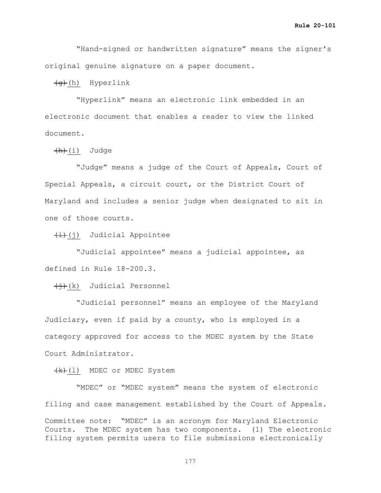"Hand-signed or handwritten signature" means the signer's original genuine signature on a paper document.

 $\left(\theta\right)$  Hyperlink

 "Hyperlink" means an electronic link embedded in an electronic document that enables a reader to view the linked document.

 $(h)(i)$  Judge

 "Judge" means a judge of the Court of Appeals, Court of Special Appeals, a circuit court, or the District Court of Maryland and includes a senior judge when designated to sit in one of those courts.

 $\overline{(+)}$ (j) Judicial Appointee

 "Judicial appointee" means a judicial appointee, as defined in Rule 18-200.3.

 $\overline{(+)}$ (k) Judicial Personnel

 "Judicial personnel" means an employee of the Maryland Judiciary, even if paid by a county, who is employed in a category approved for access to the MDEC system by the State Court Administrator.

(k)(1) MDEC or MDEC System

 "MDEC" or "MDEC system" means the system of electronic filing and case management established by the Court of Appeals. Committee note: "MDEC" is an acronym for Maryland Electronic Courts. The MDEC system has two components. (1) The electronic filing system permits users to file submissions electronically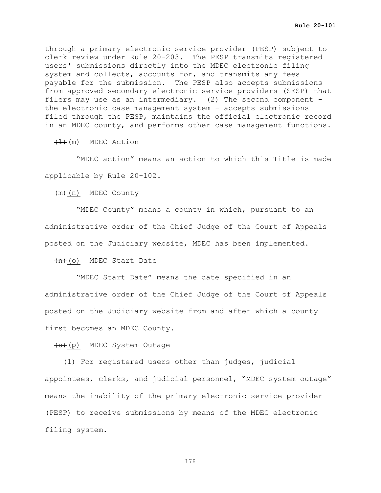through a primary electronic service provider (PESP) subject to clerk review under Rule 20-203. The PESP transmits registered users' submissions directly into the MDEC electronic filing system and collects, accounts for, and transmits any fees payable for the submission. The PESP also accepts submissions from approved secondary electronic service providers (SESP) that filers may use as an intermediary. (2) The second component the electronic case management system - accepts submissions filed through the PESP, maintains the official electronic record in an MDEC county, and performs other case management functions.

 $\left(\frac{1}{\sqrt{1}}\right)$  MDEC Action

 "MDEC action" means an action to which this Title is made applicable by Rule 20-102.

(m) MDEC County

 "MDEC County" means a county in which, pursuant to an administrative order of the Chief Judge of the Court of Appeals posted on the Judiciary website, MDEC has been implemented.

 $+n$  (o) MDEC Start Date

 "MDEC Start Date" means the date specified in an administrative order of the Chief Judge of the Court of Appeals posted on the Judiciary website from and after which a county first becomes an MDEC County.

(o)(p) MDEC System Outage

 (1) For registered users other than judges, judicial appointees, clerks, and judicial personnel, "MDEC system outage" means the inability of the primary electronic service provider (PESP) to receive submissions by means of the MDEC electronic filing system.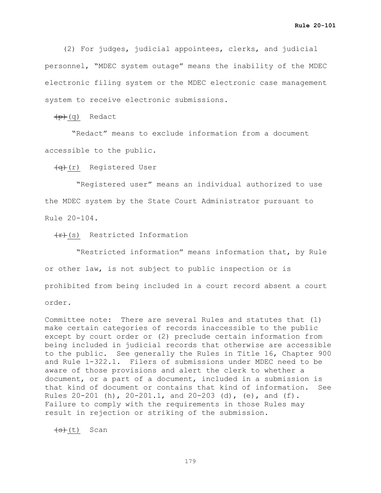(2) For judges, judicial appointees, clerks, and judicial personnel, "MDEC system outage" means the inability of the MDEC electronic filing system or the MDEC electronic case management system to receive electronic submissions.

 $(p)(q)$  Redact

 "Redact" means to exclude information from a document accessible to the public.

(q)(r) Registered User

 "Registered user" means an individual authorized to use the MDEC system by the State Court Administrator pursuant to Rule 20-104.

 $\overline{f(r)}(s)$  Restricted Information

 "Restricted information" means information that, by Rule or other law, is not subject to public inspection or is prohibited from being included in a court record absent a court order.

Committee note: There are several Rules and statutes that (1) make certain categories of records inaccessible to the public except by court order or (2) preclude certain information from being included in judicial records that otherwise are accessible to the public. See generally the Rules in Title 16, Chapter 900 and Rule 1-322.1. Filers of submissions under MDEC need to be aware of those provisions and alert the clerk to whether a document, or a part of a document, included in a submission is that kind of document or contains that kind of information. See Rules  $20-201$  (h),  $20-201.1$ , and  $20-203$  (d), (e), and (f). Failure to comply with the requirements in those Rules may result in rejection or striking of the submission.

 $(s)$  (t) Scan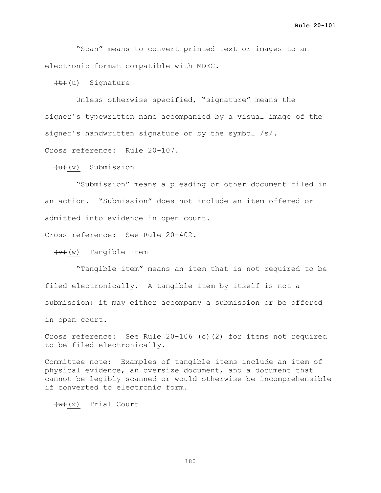"Scan" means to convert printed text or images to an electronic format compatible with MDEC.

 $\left(\frac{t}{t}\right)(u)$  Signature

 Unless otherwise specified, "signature" means the signer's typewritten name accompanied by a visual image of the signer's handwritten signature or by the symbol /s/. Cross reference: Rule 20-107.

 $(u)$  Submission

 "Submission" means a pleading or other document filed in an action. "Submission" does not include an item offered or admitted into evidence in open court.

Cross reference: See Rule 20-402.

 $\overline{v}(w)$  Tangible Item

 "Tangible item" means an item that is not required to be filed electronically. A tangible item by itself is not a submission; it may either accompany a submission or be offered in open court.

Cross reference: See Rule 20-106 (c)(2) for items not required to be filed electronically.

Committee note: Examples of tangible items include an item of physical evidence, an oversize document, and a document that cannot be legibly scanned or would otherwise be incomprehensible if converted to electronic form.

 $\left(\text{w}\right)(x)$  Trial Court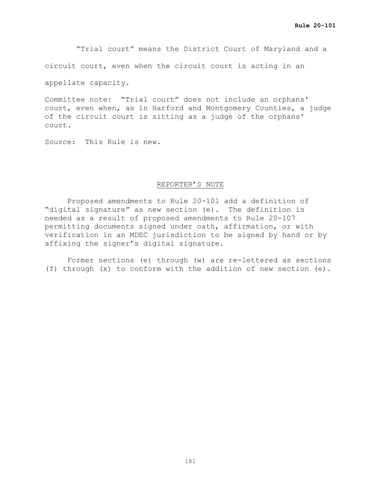"Trial court" means the District Court of Maryland and a

circuit court, even when the circuit court is acting in an

appellate capacity.

Committee note: "Trial court" does not include an orphans' court, even when, as in Harford and Montgomery Counties, a judge of the circuit court is sitting as a judge of the orphans' court.

Source: This Rule is new.

### REPORTER'S NOTE

Proposed amendments to Rule 20-101 add a definition of "digital signature" as new section (e). The definition is needed as a result of proposed amendments to Rule 20-107 permitting documents signed under oath, affirmation, or with verification in an MDEC jurisdiction to be signed by hand or by affixing the signer's digital signature.

Former sections (e) through (w) are re-lettered as sections (f) through (x) to conform with the addition of new section (e).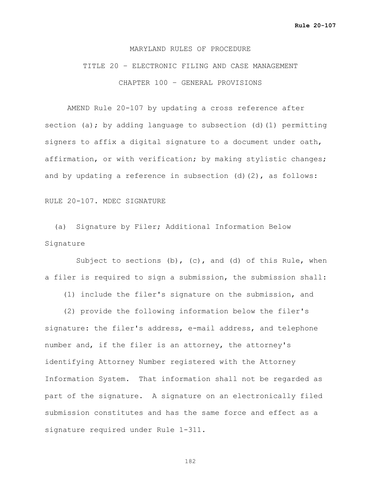### MARYLAND RULES OF PROCEDURE

## TITLE 20 – ELECTRONIC FILING AND CASE MANAGEMENT CHAPTER 100 – GENERAL PROVISIONS

AMEND Rule 20-107 by updating a cross reference after section (a); by adding language to subsection (d)(1) permitting signers to affix a digital signature to a document under oath, affirmation, or with verification; by making stylistic changes; and by updating a reference in subsection (d)(2), as follows:

### RULE 20-107. MDEC SIGNATURE

 (a) Signature by Filer; Additional Information Below Signature

Subject to sections (b), (c), and (d) of this Rule, when a filer is required to sign a submission, the submission shall:

(1) include the filer's signature on the submission, and

 (2) provide the following information below the filer's signature: the filer's address, e-mail address, and telephone number and, if the filer is an attorney, the attorney's identifying Attorney Number registered with the Attorney Information System. That information shall not be regarded as part of the signature. A signature on an electronically filed submission constitutes and has the same force and effect as a signature required under Rule 1-311.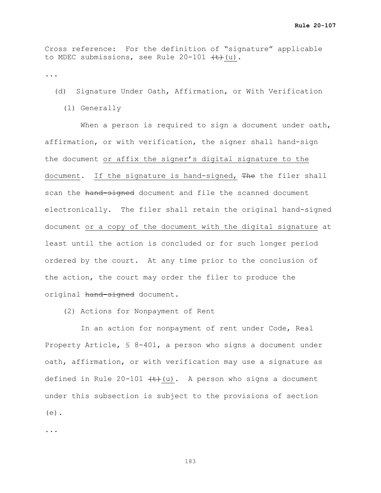Cross reference: For the definition of "signature" applicable to MDEC submissions, see Rule  $20-101$   $\left(\frac{t}{t}\right)(u)$ .

...

(d) Signature Under Oath, Affirmation, or With Verification

(1) Generally

When a person is required to sign a document under oath, affirmation, or with verification, the signer shall hand-sign the document or affix the signer's digital signature to the document. If the signature is hand-signed, The the filer shall scan the hand-signed document and file the scanned document electronically. The filer shall retain the original hand-signed document or a copy of the document with the digital signature at least until the action is concluded or for such longer period ordered by the court. At any time prior to the conclusion of the action, the court may order the filer to produce the original hand-signed document.

(2) Actions for Nonpayment of Rent

 In an action for nonpayment of rent under Code, Real Property Article, § 8-401, a person who signs a document under oath, affirmation, or with verification may use a signature as defined in Rule 20-101  $\leftarrow$  (u). A person who signs a document under this subsection is subject to the provisions of section (e).

...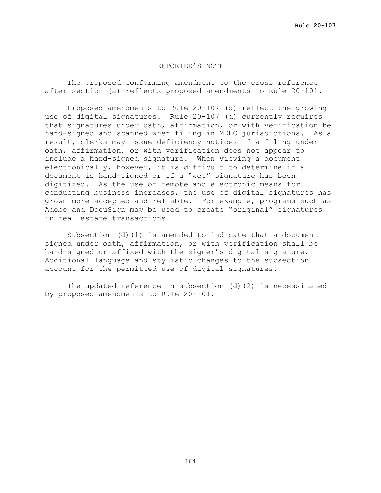### REPORTER'S NOTE

The proposed conforming amendment to the cross reference after section (a) reflects proposed amendments to Rule 20-101.

Proposed amendments to Rule 20-107 (d) reflect the growing use of digital signatures. Rule 20-107 (d) currently requires that signatures under oath, affirmation, or with verification be hand-signed and scanned when filing in MDEC jurisdictions. As a result, clerks may issue deficiency notices if a filing under oath, affirmation, or with verification does not appear to include a hand-signed signature. When viewing a document electronically, however, it is difficult to determine if a document is hand-signed or if a "wet" signature has been digitized. As the use of remote and electronic means for conducting business increases, the use of digital signatures has grown more accepted and reliable. For example, programs such as Adobe and DocuSign may be used to create "original" signatures in real estate transactions.

Subsection (d)(1) is amended to indicate that a document signed under oath, affirmation, or with verification shall be hand-signed or affixed with the signer's digital signature. Additional language and stylistic changes to the subsection account for the permitted use of digital signatures.

The updated reference in subsection (d)(2) is necessitated by proposed amendments to Rule 20-101.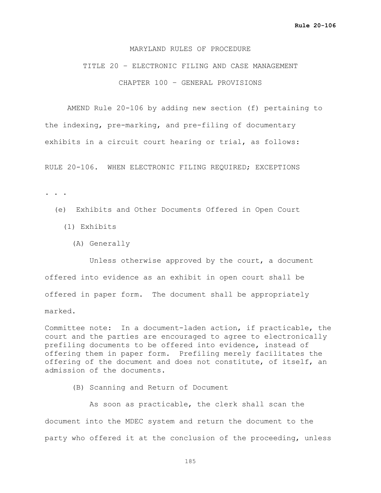## MARYLAND RULES OF PROCEDURE

## TITLE 20 – ELECTRONIC FILING AND CASE MANAGEMENT CHAPTER 100 – GENERAL PROVISIONS

AMEND Rule 20-106 by adding new section (f) pertaining to the indexing, pre-marking, and pre-filing of documentary exhibits in a circuit court hearing or trial, as follows:

RULE 20-106. WHEN ELECTRONIC FILING REQUIRED; EXCEPTIONS

. . .

- (e) Exhibits and Other Documents Offered in Open Court
	- (1) Exhibits
		- (A) Generally

 Unless otherwise approved by the court, a document offered into evidence as an exhibit in open court shall be offered in paper form. The document shall be appropriately marked.

Committee note: In a document-laden action, if practicable, the court and the parties are encouraged to agree to electronically prefiling documents to be offered into evidence, instead of offering them in paper form. Prefiling merely facilitates the offering of the document and does not constitute, of itself, an admission of the documents.

(B) Scanning and Return of Document

 As soon as practicable, the clerk shall scan the document into the MDEC system and return the document to the party who offered it at the conclusion of the proceeding, unless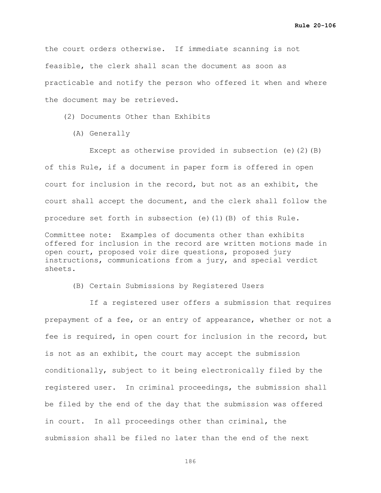the court orders otherwise. If immediate scanning is not feasible, the clerk shall scan the document as soon as practicable and notify the person who offered it when and where the document may be retrieved.

(2) Documents Other than Exhibits

(A) Generally

Except as otherwise provided in subsection (e)(2)(B) of this Rule, if a document in paper form is offered in open court for inclusion in the record, but not as an exhibit, the court shall accept the document, and the clerk shall follow the procedure set forth in subsection (e)(1)(B) of this Rule.

Committee note: Examples of documents other than exhibits offered for inclusion in the record are written motions made in open court, proposed voir dire questions, proposed jury instructions, communications from a jury, and special verdict sheets.

(B) Certain Submissions by Registered Users

 If a registered user offers a submission that requires prepayment of a fee, or an entry of appearance, whether or not a fee is required, in open court for inclusion in the record, but is not as an exhibit, the court may accept the submission conditionally, subject to it being electronically filed by the registered user. In criminal proceedings, the submission shall be filed by the end of the day that the submission was offered in court. In all proceedings other than criminal, the submission shall be filed no later than the end of the next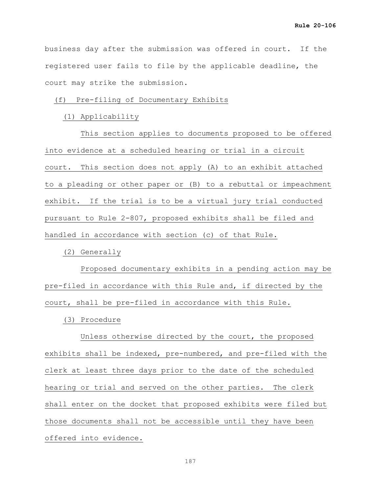business day after the submission was offered in court. If the registered user fails to file by the applicable deadline, the court may strike the submission.

## (f) Pre-filing of Documentary Exhibits

## (1) Applicability

 This section applies to documents proposed to be offered into evidence at a scheduled hearing or trial in a circuit court. This section does not apply (A) to an exhibit attached to a pleading or other paper or (B) to a rebuttal or impeachment exhibit. If the trial is to be a virtual jury trial conducted pursuant to Rule 2-807, proposed exhibits shall be filed and handled in accordance with section (c) of that Rule.

(2) Generally

 Proposed documentary exhibits in a pending action may be pre-filed in accordance with this Rule and, if directed by the court, shall be pre-filed in accordance with this Rule.

(3) Procedure

 Unless otherwise directed by the court, the proposed exhibits shall be indexed, pre-numbered, and pre-filed with the clerk at least three days prior to the date of the scheduled hearing or trial and served on the other parties. The clerk shall enter on the docket that proposed exhibits were filed but those documents shall not be accessible until they have been offered into evidence.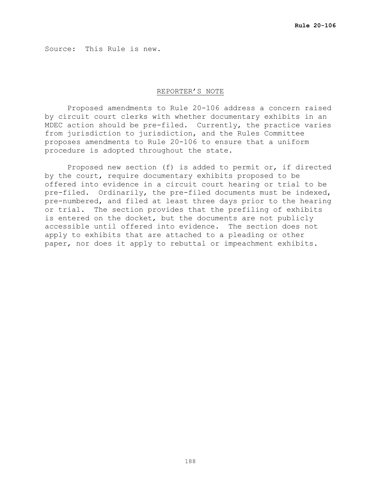Source: This Rule is new.

#### REPORTER'S NOTE

Proposed amendments to Rule 20-106 address a concern raised by circuit court clerks with whether documentary exhibits in an MDEC action should be pre-filed. Currently, the practice varies from jurisdiction to jurisdiction, and the Rules Committee proposes amendments to Rule 20-106 to ensure that a uniform procedure is adopted throughout the state.

Proposed new section (f) is added to permit or, if directed by the court, require documentary exhibits proposed to be offered into evidence in a circuit court hearing or trial to be pre-filed. Ordinarily, the pre-filed documents must be indexed, pre-numbered, and filed at least three days prior to the hearing or trial. The section provides that the prefiling of exhibits is entered on the docket, but the documents are not publicly accessible until offered into evidence. The section does not apply to exhibits that are attached to a pleading or other paper, nor does it apply to rebuttal or impeachment exhibits.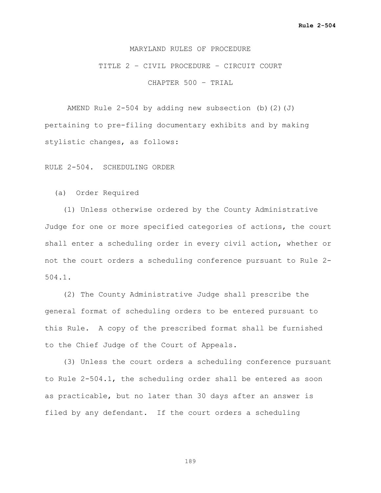## MARYLAND RULES OF PROCEDURE

## TITLE 2 – CIVIL PROCEDURE – CIRCUIT COURT

CHAPTER 500 – TRIAL

AMEND Rule  $2-504$  by adding new subsection (b)(2)(J) pertaining to pre-filing documentary exhibits and by making stylistic changes, as follows:

RULE 2-504. SCHEDULING ORDER

(a) Order Required

 (1) Unless otherwise ordered by the County Administrative Judge for one or more specified categories of actions, the court shall enter a scheduling order in every civil action, whether or not the court orders a scheduling conference pursuant to Rule 2- 504.1.

 (2) The County Administrative Judge shall prescribe the general format of scheduling orders to be entered pursuant to this Rule. A copy of the prescribed format shall be furnished to the Chief Judge of the Court of Appeals.

 (3) Unless the court orders a scheduling conference pursuant to Rule 2-504.1, the scheduling order shall be entered as soon as practicable, but no later than 30 days after an answer is filed by any defendant. If the court orders a scheduling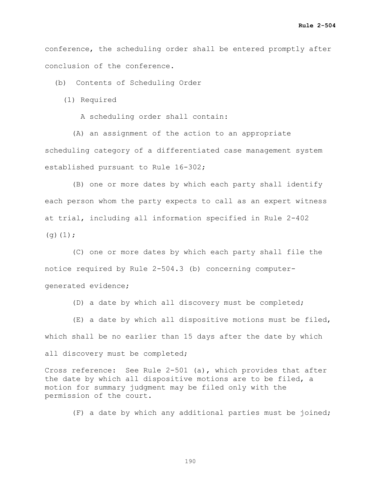conference, the scheduling order shall be entered promptly after conclusion of the conference.

(b) Contents of Scheduling Order

(1) Required

A scheduling order shall contain:

 (A) an assignment of the action to an appropriate scheduling category of a differentiated case management system established pursuant to Rule 16-302;

 (B) one or more dates by which each party shall identify each person whom the party expects to call as an expert witness at trial, including all information specified in Rule 2-402  $(q)(1);$ 

 (C) one or more dates by which each party shall file the notice required by Rule 2-504.3 (b) concerning computergenerated evidence;

(D) a date by which all discovery must be completed;

 (E) a date by which all dispositive motions must be filed, which shall be no earlier than 15 days after the date by which

all discovery must be completed;

Cross reference: See Rule 2-501 (a), which provides that after the date by which all dispositive motions are to be filed, a motion for summary judgment may be filed only with the permission of the court.

(F) a date by which any additional parties must be joined;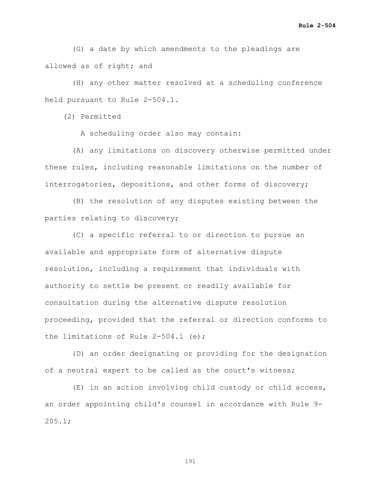(G) a date by which amendments to the pleadings are allowed as of right; and

 (H) any other matter resolved at a scheduling conference held pursuant to Rule 2-504.1.

(2) Permitted

A scheduling order also may contain:

 (A) any limitations on discovery otherwise permitted under these rules, including reasonable limitations on the number of interrogatories, depositions, and other forms of discovery;

 (B) the resolution of any disputes existing between the parties relating to discovery;

 (C) a specific referral to or direction to pursue an available and appropriate form of alternative dispute resolution, including a requirement that individuals with authority to settle be present or readily available for consultation during the alternative dispute resolution proceeding, provided that the referral or direction conforms to the limitations of Rule 2-504.1 (e);

 (D) an order designating or providing for the designation of a neutral expert to be called as the court's witness;

 (E) in an action involving child custody or child access, an order appointing child's counsel in accordance with Rule 9-  $205.1;$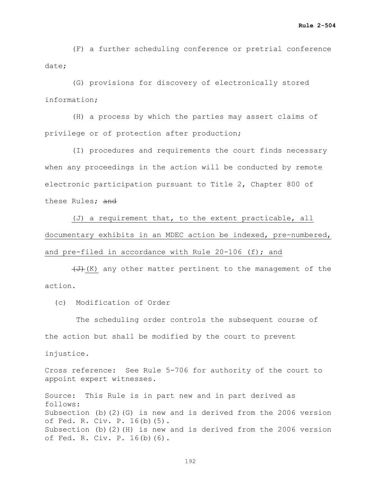(F) a further scheduling conference or pretrial conference date;

 (G) provisions for discovery of electronically stored information;

 (H) a process by which the parties may assert claims of privilege or of protection after production;

 (I) procedures and requirements the court finds necessary when any proceedings in the action will be conducted by remote electronic participation pursuant to Title 2, Chapter 800 of these Rules; and

 (J) a requirement that, to the extent practicable, all documentary exhibits in an MDEC action be indexed, pre-numbered, and pre-filed in accordance with Rule  $20-106$  (f); and

 $\left(\frac{1}{\sqrt{t}}\right)$  any other matter pertinent to the management of the action.

(c) Modification of Order

 The scheduling order controls the subsequent course of the action but shall be modified by the court to prevent injustice.

Cross reference: See Rule 5-706 for authority of the court to appoint expert witnesses.

Source: This Rule is in part new and in part derived as follows: Subsection (b)(2)(G) is new and is derived from the 2006 version of Fed. R. Civ. P. 16(b)(5). Subsection (b)(2)(H) is new and is derived from the 2006 version of Fed. R. Civ. P. 16(b)(6).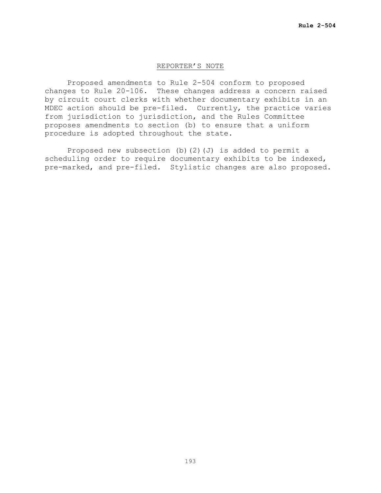## REPORTER'S NOTE

 Proposed amendments to Rule 2-504 conform to proposed changes to Rule 20-106. These changes address a concern raised by circuit court clerks with whether documentary exhibits in an MDEC action should be pre-filed. Currently, the practice varies from jurisdiction to jurisdiction, and the Rules Committee proposes amendments to section (b) to ensure that a uniform procedure is adopted throughout the state.

Proposed new subsection (b)(2)(J) is added to permit a scheduling order to require documentary exhibits to be indexed, pre-marked, and pre-filed. Stylistic changes are also proposed.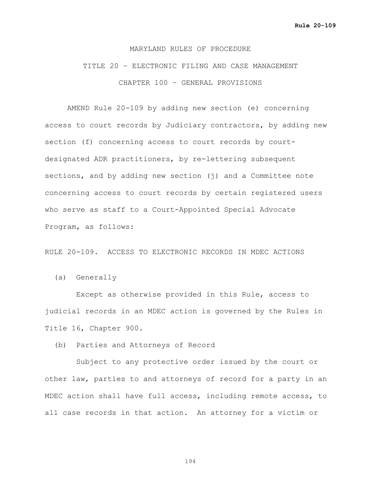#### MARYLAND RULES OF PROCEDURE

TITLE 20 – ELECTRONIC FILING AND CASE MANAGEMENT CHAPTER 100 – GENERAL PROVISIONS

AMEND Rule 20-109 by adding new section (e) concerning access to court records by Judiciary contractors, by adding new section (f) concerning access to court records by courtdesignated ADR practitioners, by re-lettering subsequent sections, and by adding new section (j) and a Committee note concerning access to court records by certain registered users who serve as staff to a Court-Appointed Special Advocate Program, as follows:

RULE 20-109. ACCESS TO ELECTRONIC RECORDS IN MDEC ACTIONS

(a) Generally

 Except as otherwise provided in this Rule, access to judicial records in an MDEC action is governed by the Rules in Title 16, Chapter 900.

(b) Parties and Attorneys of Record

 Subject to any protective order issued by the court or other law, parties to and attorneys of record for a party in an MDEC action shall have full access, including remote access, to all case records in that action. An attorney for a victim or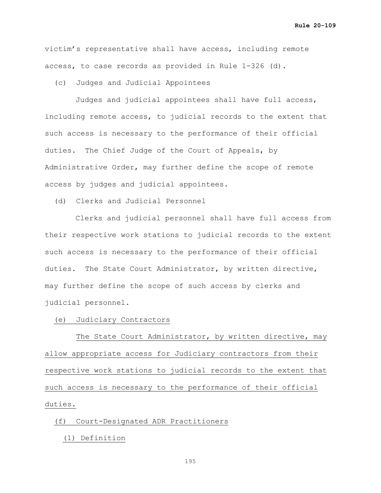victim's representative shall have access, including remote access, to case records as provided in Rule 1-326 (d).

(c) Judges and Judicial Appointees

Judges and judicial appointees shall have full access, including remote access, to judicial records to the extent that such access is necessary to the performance of their official duties. The Chief Judge of the Court of Appeals, by Administrative Order, may further define the scope of remote access by judges and judicial appointees.

(d) Clerks and Judicial Personnel

Clerks and judicial personnel shall have full access from their respective work stations to judicial records to the extent such access is necessary to the performance of their official duties. The State Court Administrator, by written directive, may further define the scope of such access by clerks and judicial personnel.

(e) Judiciary Contractors

 The State Court Administrator, by written directive, may allow appropriate access for Judiciary contractors from their respective work stations to judicial records to the extent that such access is necessary to the performance of their official duties.

## (f) Court-Designated ADR Practitioners

(1) Definition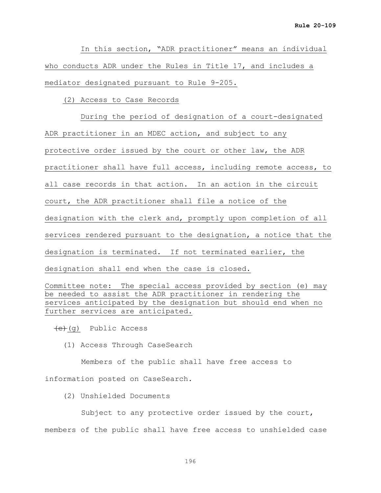In this section, "ADR practitioner" means an individual who conducts ADR under the Rules in Title 17, and includes a mediator designated pursuant to Rule 9-205.

(2) Access to Case Records

 During the period of designation of a court-designated ADR practitioner in an MDEC action, and subject to any protective order issued by the court or other law, the ADR practitioner shall have full access, including remote access, to all case records in that action. In an action in the circuit court, the ADR practitioner shall file a notice of the designation with the clerk and, promptly upon completion of all services rendered pursuant to the designation, a notice that the designation is terminated. If not terminated earlier, the designation shall end when the case is closed.

Committee note: The special access provided by section (e) may be needed to assist the ADR practitioner in rendering the services anticipated by the designation but should end when no further services are anticipated.

 $\left(\begin{matrix}e\\e\end{matrix}\right)$  Public Access

(1) Access Through CaseSearch

Members of the public shall have free access to information posted on CaseSearch.

(2) Unshielded Documents

Subject to any protective order issued by the court, members of the public shall have free access to unshielded case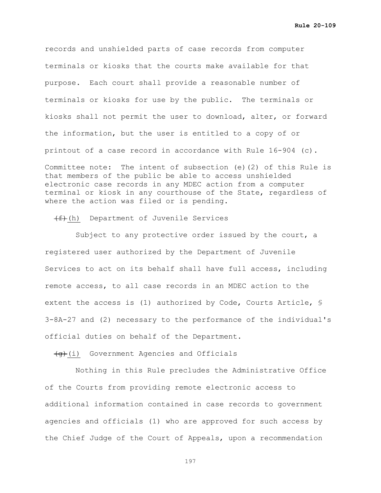**Rule 20-109**

records and unshielded parts of case records from computer terminals or kiosks that the courts make available for that purpose. Each court shall provide a reasonable number of terminals or kiosks for use by the public. The terminals or kiosks shall not permit the user to download, alter, or forward the information, but the user is entitled to a copy of or printout of a case record in accordance with Rule 16-904 (c). Committee note: The intent of subsection (e)(2) of this Rule is that members of the public be able to access unshielded electronic case records in any MDEC action from a computer terminal or kiosk in any courthouse of the State, regardless of where the action was filed or is pending.

## $(f)$ (h) Department of Juvenile Services

Subject to any protective order issued by the court, a registered user authorized by the Department of Juvenile Services to act on its behalf shall have full access, including remote access, to all case records in an MDEC action to the extent the access is (1) authorized by Code, Courts Article, § 3-8A-27 and (2) necessary to the performance of the individual's official duties on behalf of the Department.

 $\left(\frac{1}{9}\right)$  Government Agencies and Officials

Nothing in this Rule precludes the Administrative Office of the Courts from providing remote electronic access to additional information contained in case records to government agencies and officials (1) who are approved for such access by the Chief Judge of the Court of Appeals, upon a recommendation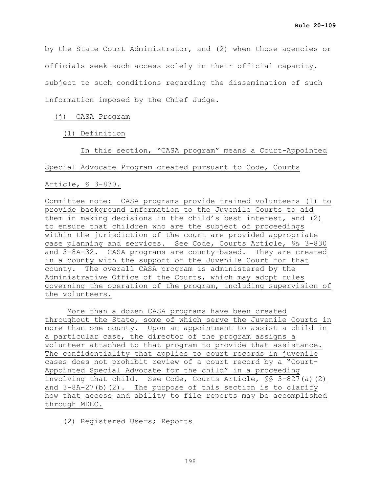by the State Court Administrator, and (2) when those agencies or officials seek such access solely in their official capacity, subject to such conditions regarding the dissemination of such information imposed by the Chief Judge.

### (j) CASA Program

(1) Definition

In this section, "CASA program" means a Court-Appointed

### Special Advocate Program created pursuant to Code, Courts

Article, § 3-830.

Committee note: CASA programs provide trained volunteers (1) to provide background information to the Juvenile Courts to aid them in making decisions in the child's best interest, and (2) to ensure that children who are the subject of proceedings within the jurisdiction of the court are provided appropriate case planning and services. See Code, Courts Article, §§ 3-830 and 3-8A-32. CASA programs are county-based. They are created in a county with the support of the Juvenile Court for that county. The overall CASA program is administered by the Administrative Office of the Courts, which may adopt rules governing the operation of the program, including supervision of the volunteers.

More than a dozen CASA programs have been created throughout the State, some of which serve the Juvenile Courts in more than one county. Upon an appointment to assist a child in a particular case, the director of the program assigns a volunteer attached to that program to provide that assistance. The confidentiality that applies to court records in juvenile cases does not prohibit review of a court record by a "Court-Appointed Special Advocate for the child" in a proceeding involving that child. See Code, Courts Article, §§ 3-827(a)(2) and 3-8A-27(b)(2). The purpose of this section is to clarify how that access and ability to file reports may be accomplished through MDEC.

(2) Registered Users; Reports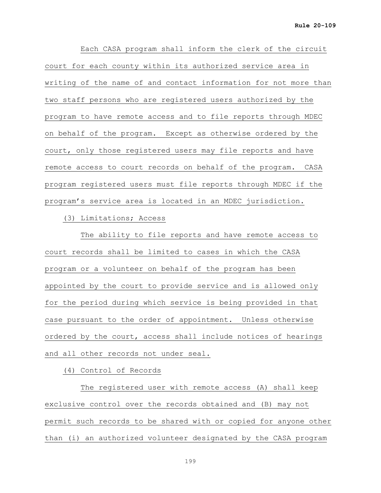Each CASA program shall inform the clerk of the circuit court for each county within its authorized service area in writing of the name of and contact information for not more than two staff persons who are registered users authorized by the program to have remote access and to file reports through MDEC on behalf of the program. Except as otherwise ordered by the court, only those registered users may file reports and have remote access to court records on behalf of the program. CASA program registered users must file reports through MDEC if the program's service area is located in an MDEC jurisdiction.

(3) Limitations; Access

 The ability to file reports and have remote access to court records shall be limited to cases in which the CASA program or a volunteer on behalf of the program has been appointed by the court to provide service and is allowed only for the period during which service is being provided in that case pursuant to the order of appointment. Unless otherwise ordered by the court, access shall include notices of hearings and all other records not under seal.

(4) Control of Records

The registered user with remote access (A) shall keep exclusive control over the records obtained and (B) may not permit such records to be shared with or copied for anyone other than (i) an authorized volunteer designated by the CASA program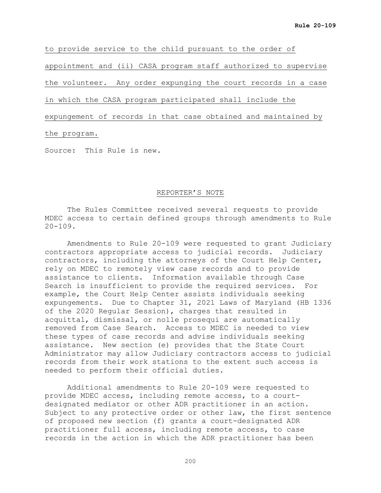to provide service to the child pursuant to the order of appointment and (ii) CASA program staff authorized to supervise the volunteer. Any order expunging the court records in a case

in which the CASA program participated shall include the

expungement of records in that case obtained and maintained by

the program.

Source: This Rule is new.

## REPORTER'S NOTE

The Rules Committee received several requests to provide MDEC access to certain defined groups through amendments to Rule  $20 - 109$ .

Amendments to Rule 20-109 were requested to grant Judiciary contractors appropriate access to judicial records. Judiciary contractors, including the attorneys of the Court Help Center, rely on MDEC to remotely view case records and to provide assistance to clients. Information available through Case Search is insufficient to provide the required services. For example, the Court Help Center assists individuals seeking expungements. Due to Chapter 31, 2021 Laws of Maryland (HB 1336 of the 2020 Regular Session), charges that resulted in acquittal, dismissal, or nolle prosequi are automatically removed from Case Search. Access to MDEC is needed to view these types of case records and advise individuals seeking assistance. New section (e) provides that the State Court Administrator may allow Judiciary contractors access to judicial records from their work stations to the extent such access is needed to perform their official duties.

Additional amendments to Rule 20-109 were requested to provide MDEC access, including remote access, to a courtdesignated mediator or other ADR practitioner in an action. Subject to any protective order or other law, the first sentence of proposed new section (f) grants a court-designated ADR practitioner full access, including remote access, to case records in the action in which the ADR practitioner has been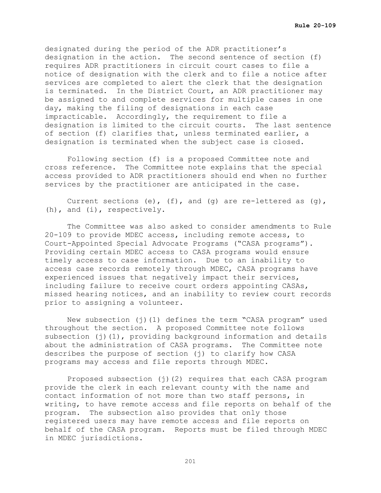designated during the period of the ADR practitioner's designation in the action. The second sentence of section (f) requires ADR practitioners in circuit court cases to file a notice of designation with the clerk and to file a notice after services are completed to alert the clerk that the designation is terminated. In the District Court, an ADR practitioner may be assigned to and complete services for multiple cases in one day, making the filing of designations in each case impracticable. Accordingly, the requirement to file a designation is limited to the circuit courts. The last sentence of section (f) clarifies that, unless terminated earlier, a designation is terminated when the subject case is closed.

Following section (f) is a proposed Committee note and cross reference. The Committee note explains that the special access provided to ADR practitioners should end when no further services by the practitioner are anticipated in the case.

Current sections (e),  $(f)$ , and  $(g)$  are re-lettered as  $(g)$ , (h), and (i), respectively.

The Committee was also asked to consider amendments to Rule 20-109 to provide MDEC access, including remote access, to Court-Appointed Special Advocate Programs ("CASA programs"). Providing certain MDEC access to CASA programs would ensure timely access to case information. Due to an inability to access case records remotely through MDEC, CASA programs have experienced issues that negatively impact their services, including failure to receive court orders appointing CASAs, missed hearing notices, and an inability to review court records prior to assigning a volunteer.

New subsection (j)(1) defines the term "CASA program" used throughout the section. A proposed Committee note follows subsection  $(j)(1)$ , providing background information and details about the administration of CASA programs. The Committee note describes the purpose of section (j) to clarify how CASA programs may access and file reports through MDEC.

Proposed subsection  $(j)(2)$  requires that each CASA program provide the clerk in each relevant county with the name and contact information of not more than two staff persons, in writing, to have remote access and file reports on behalf of the program. The subsection also provides that only those registered users may have remote access and file reports on behalf of the CASA program. Reports must be filed through MDEC in MDEC jurisdictions.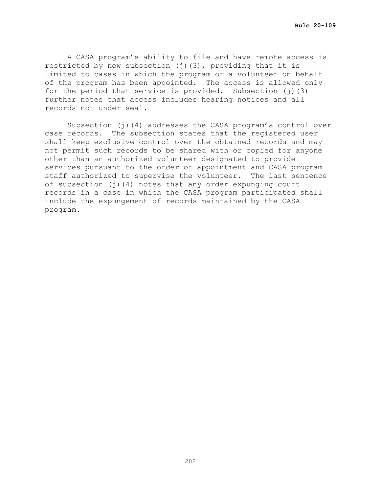A CASA program's ability to file and have remote access is restricted by new subsection  $(j)$  (3), providing that it is limited to cases in which the program or a volunteer on behalf of the program has been appointed. The access is allowed only for the period that service is provided. Subsection (j)(3) further notes that access includes hearing notices and all records not under seal.

Subsection (j)(4) addresses the CASA program's control over case records. The subsection states that the registered user shall keep exclusive control over the obtained records and may not permit such records to be shared with or copied for anyone other than an authorized volunteer designated to provide services pursuant to the order of appointment and CASA program staff authorized to supervise the volunteer. The last sentence of subsection  $(j)(4)$  notes that any order expunging court records in a case in which the CASA program participated shall include the expungement of records maintained by the CASA program.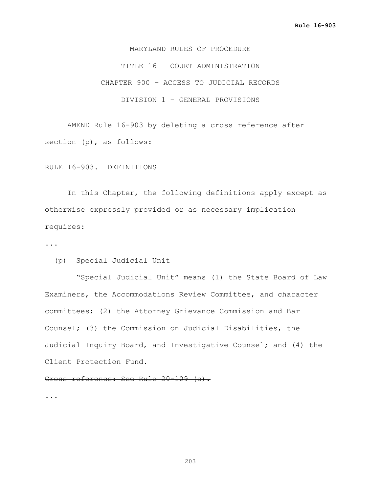MARYLAND RULES OF PROCEDURE TITLE 16 – COURT ADMINISTRATION CHAPTER 900 – ACCESS TO JUDICIAL RECORDS DIVISION 1 – GENERAL PROVISIONS

AMEND Rule 16-903 by deleting a cross reference after section (p), as follows:

RULE 16-903. DEFINITIONS

In this Chapter, the following definitions apply except as otherwise expressly provided or as necessary implication requires:

...

(p) Special Judicial Unit

 "Special Judicial Unit" means (1) the State Board of Law Examiners, the Accommodations Review Committee, and character committees; (2) the Attorney Grievance Commission and Bar Counsel; (3) the Commission on Judicial Disabilities, the Judicial Inquiry Board, and Investigative Counsel; and (4) the Client Protection Fund.

Cross reference: See Rule 20-109 (c).

...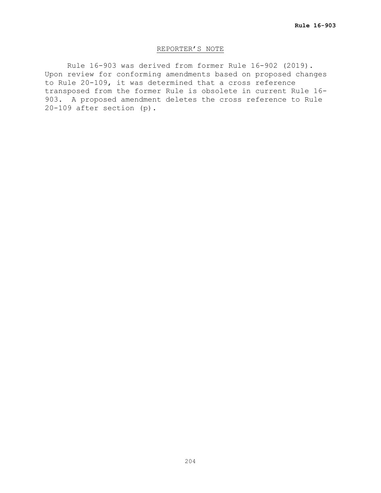## REPORTER'S NOTE

Rule 16-903 was derived from former Rule 16-902 (2019). Upon review for conforming amendments based on proposed changes to Rule 20-109, it was determined that a cross reference transposed from the former Rule is obsolete in current Rule 16- 903. A proposed amendment deletes the cross reference to Rule 20-109 after section (p).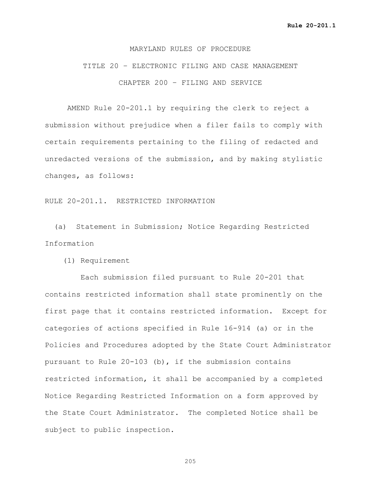### MARYLAND RULES OF PROCEDURE

# TITLE 20 – ELECTRONIC FILING AND CASE MANAGEMENT CHAPTER 200 – FILING AND SERVICE

AMEND Rule 20-201.1 by requiring the clerk to reject a submission without prejudice when a filer fails to comply with certain requirements pertaining to the filing of redacted and unredacted versions of the submission, and by making stylistic changes, as follows:

## RULE 20-201.1. RESTRICTED INFORMATION

 (a) Statement in Submission; Notice Regarding Restricted Information

(1) Requirement

 Each submission filed pursuant to Rule 20-201 that contains restricted information shall state prominently on the first page that it contains restricted information. Except for categories of actions specified in Rule 16-914 (a) or in the Policies and Procedures adopted by the State Court Administrator pursuant to Rule  $20-103$  (b), if the submission contains restricted information, it shall be accompanied by a completed Notice Regarding Restricted Information on a form approved by the State Court Administrator. The completed Notice shall be subject to public inspection.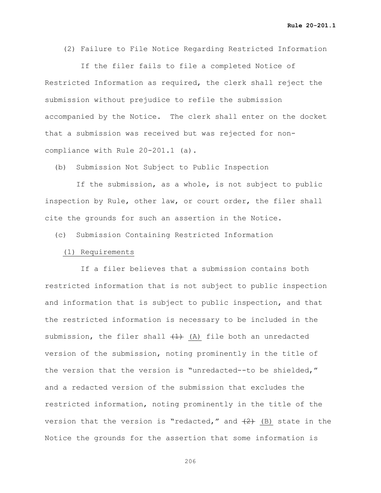(2) Failure to File Notice Regarding Restricted Information

 If the filer fails to file a completed Notice of Restricted Information as required, the clerk shall reject the submission without prejudice to refile the submission accompanied by the Notice. The clerk shall enter on the docket that a submission was received but was rejected for noncompliance with Rule 20-201.1 (a).

(b) Submission Not Subject to Public Inspection

 If the submission, as a whole, is not subject to public inspection by Rule, other law, or court order, the filer shall cite the grounds for such an assertion in the Notice.

(c) Submission Containing Restricted Information

#### (1) Requirements

 If a filer believes that a submission contains both restricted information that is not subject to public inspection and information that is subject to public inspection, and that the restricted information is necessary to be included in the submission, the filer shall  $(1)$  (A) file both an unredacted version of the submission, noting prominently in the title of the version that the version is "unredacted--to be shielded," and a redacted version of the submission that excludes the restricted information, noting prominently in the title of the version that the version is "redacted," and  $(2)$  (B) state in the Notice the grounds for the assertion that some information is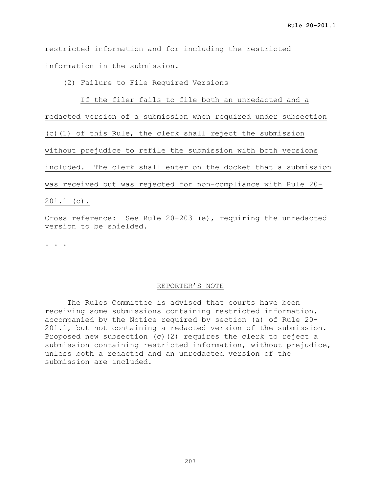restricted information and for including the restricted information in the submission.

## (2) Failure to File Required Versions

 If the filer fails to file both an unredacted and a redacted version of a submission when required under subsection (c)(1) of this Rule, the clerk shall reject the submission without prejudice to refile the submission with both versions included. The clerk shall enter on the docket that a submission was received but was rejected for non-compliance with Rule 20- 201.1 (c).

Cross reference: See Rule 20-203 (e), requiring the unredacted version to be shielded.

. . .

## REPORTER'S NOTE

The Rules Committee is advised that courts have been receiving some submissions containing restricted information, accompanied by the Notice required by section (a) of Rule 20- 201.1, but not containing a redacted version of the submission. Proposed new subsection (c)(2) requires the clerk to reject a submission containing restricted information, without prejudice, unless both a redacted and an unredacted version of the submission are included.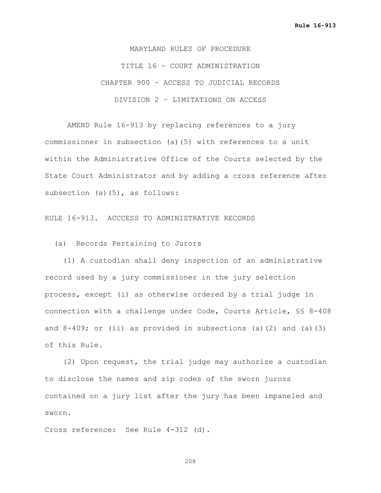MARYLAND RULES OF PROCEDURE TITLE 16 – COURT ADMINISTRATION CHAPTER 900 – ACCESS TO JUDICIAL RECORDS DIVISION 2 – LIMITATIONS ON ACCESS

AMEND Rule 16-913 by replacing references to a jury commissioner in subsection (a)(5) with references to a unit within the Administrative Office of the Courts selected by the State Court Administrator and by adding a cross reference after subsection (a)(5), as follows:

RULE 16-913. ACCCESS TO ADMINISTRATIVE RECORDS

(a) Records Pertaining to Jurors

 (1) A custodian shall deny inspection of an administrative record used by a jury commissioner in the jury selection process, except (i) as otherwise ordered by a trial judge in connection with a challenge under Code, Courts Article, §§ 8-408 and  $8-409$ ; or (ii) as provided in subsections (a)(2) and (a)(3) of this Rule.

 (2) Upon request, the trial judge may authorize a custodian to disclose the names and zip codes of the sworn jurors contained on a jury list after the jury has been impaneled and sworn.

Cross reference: See Rule 4-312 (d).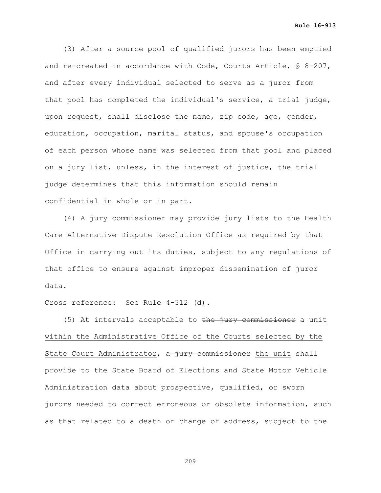**Rule 16-913**

 (3) After a source pool of qualified jurors has been emptied and re-created in accordance with Code, Courts Article, § 8-207, and after every individual selected to serve as a juror from that pool has completed the individual's service, a trial judge, upon request, shall disclose the name, zip code, age, gender, education, occupation, marital status, and spouse's occupation of each person whose name was selected from that pool and placed on a jury list, unless, in the interest of justice, the trial judge determines that this information should remain confidential in whole or in part.

 (4) A jury commissioner may provide jury lists to the Health Care Alternative Dispute Resolution Office as required by that Office in carrying out its duties, subject to any regulations of that office to ensure against improper dissemination of juror data.

Cross reference: See Rule 4-312 (d).

(5) At intervals acceptable to the jury commissioner a unit within the Administrative Office of the Courts selected by the State Court Administrator,  $a$  jury commissioner the unit shall provide to the State Board of Elections and State Motor Vehicle Administration data about prospective, qualified, or sworn jurors needed to correct erroneous or obsolete information, such as that related to a death or change of address, subject to the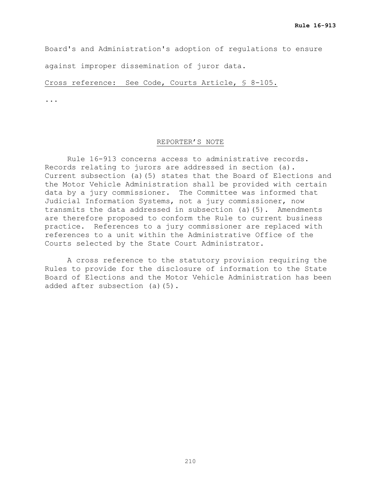Board's and Administration's adoption of regulations to ensure

against improper dissemination of juror data.

Cross reference: See Code, Courts Article, § 8-105.

...

#### REPORTER'S NOTE

Rule 16-913 concerns access to administrative records. Records relating to jurors are addressed in section (a). Current subsection (a)(5) states that the Board of Elections and the Motor Vehicle Administration shall be provided with certain data by a jury commissioner. The Committee was informed that Judicial Information Systems, not a jury commissioner, now transmits the data addressed in subsection (a)(5). Amendments are therefore proposed to conform the Rule to current business practice. References to a jury commissioner are replaced with references to a unit within the Administrative Office of the Courts selected by the State Court Administrator.

A cross reference to the statutory provision requiring the Rules to provide for the disclosure of information to the State Board of Elections and the Motor Vehicle Administration has been added after subsection (a)(5).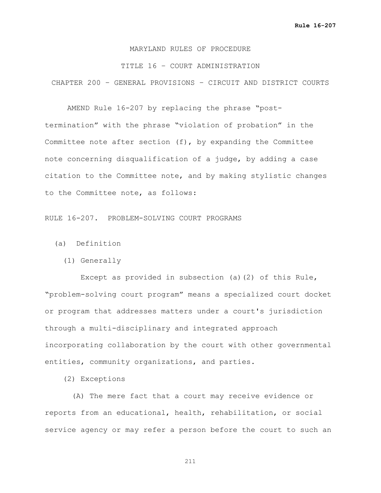## MARYLAND RULES OF PROCEDURE

#### TITLE 16 – COURT ADMINISTRATION

CHAPTER 200 – GENERAL PROVISIONS – CIRCUIT AND DISTRICT COURTS

AMEND Rule 16-207 by replacing the phrase "posttermination" with the phrase "violation of probation" in the Committee note after section (f), by expanding the Committee note concerning disqualification of a judge, by adding a case citation to the Committee note, and by making stylistic changes to the Committee note, as follows:

RULE 16-207. PROBLEM-SOLVING COURT PROGRAMS

(a) Definition

(1) Generally

 Except as provided in subsection (a)(2) of this Rule, "problem-solving court program" means a specialized court docket or program that addresses matters under a court's jurisdiction through a multi-disciplinary and integrated approach incorporating collaboration by the court with other governmental entities, community organizations, and parties.

(2) Exceptions

 (A) The mere fact that a court may receive evidence or reports from an educational, health, rehabilitation, or social service agency or may refer a person before the court to such an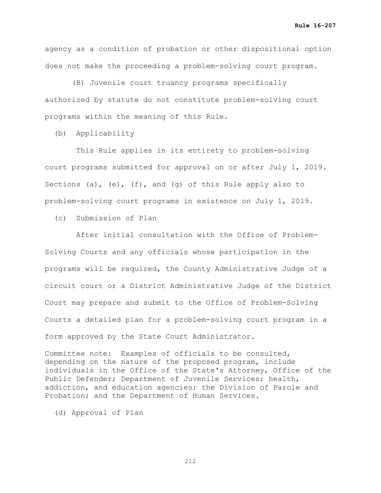agency as a condition of probation or other dispositional option does not make the proceeding a problem-solving court program.

 (B) Juvenile court truancy programs specifically authorized by statute do not constitute problem-solving court programs within the meaning of this Rule.

(b) Applicability

 This Rule applies in its entirety to problem-solving court programs submitted for approval on or after July 1, 2019. Sections (a), (e), (f), and (g) of this Rule apply also to problem-solving court programs in existence on July 1, 2019.

(c) Submission of Plan

 After initial consultation with the Office of Problem-Solving Courts and any officials whose participation in the programs will be required, the County Administrative Judge of a circuit court or a District Administrative Judge of the District Court may prepare and submit to the Office of Problem-Solving Courts a detailed plan for a problem-solving court program in a form approved by the State Court Administrator.

Committee note: Examples of officials to be consulted, depending on the nature of the proposed program, include individuals in the Office of the State's Attorney, Office of the Public Defender; Department of Juvenile Services; health, addiction, and education agencies; the Division of Parole and Probation; and the Department of Human Services.

(d) Approval of Plan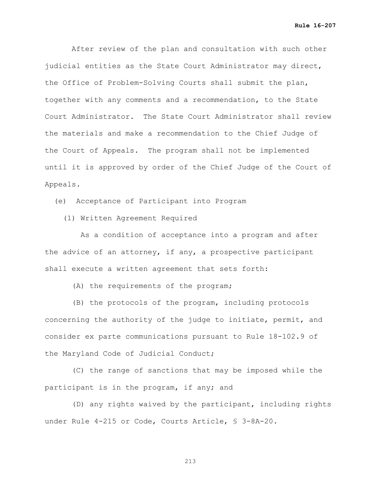**Rule 16-207**

 After review of the plan and consultation with such other judicial entities as the State Court Administrator may direct, the Office of Problem-Solving Courts shall submit the plan, together with any comments and a recommendation, to the State Court Administrator. The State Court Administrator shall review the materials and make a recommendation to the Chief Judge of the Court of Appeals. The program shall not be implemented until it is approved by order of the Chief Judge of the Court of Appeals.

(e) Acceptance of Participant into Program

(1) Written Agreement Required

 As a condition of acceptance into a program and after the advice of an attorney, if any, a prospective participant shall execute a written agreement that sets forth:

(A) the requirements of the program;

 (B) the protocols of the program, including protocols concerning the authority of the judge to initiate, permit, and consider ex parte communications pursuant to Rule 18-102.9 of the Maryland Code of Judicial Conduct;

 (C) the range of sanctions that may be imposed while the participant is in the program, if any; and

 (D) any rights waived by the participant, including rights under Rule 4-215 or Code, Courts Article, § 3-8A-20.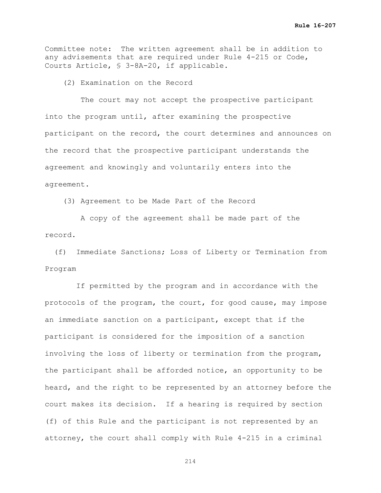Committee note: The written agreement shall be in addition to any advisements that are required under Rule 4-215 or Code, Courts Article, § 3-8A-20, if applicable.

(2) Examination on the Record

 The court may not accept the prospective participant into the program until, after examining the prospective participant on the record, the court determines and announces on the record that the prospective participant understands the agreement and knowingly and voluntarily enters into the agreement.

(3) Agreement to be Made Part of the Record

 A copy of the agreement shall be made part of the record.

 (f) Immediate Sanctions; Loss of Liberty or Termination from Program

 If permitted by the program and in accordance with the protocols of the program, the court, for good cause, may impose an immediate sanction on a participant, except that if the participant is considered for the imposition of a sanction involving the loss of liberty or termination from the program, the participant shall be afforded notice, an opportunity to be heard, and the right to be represented by an attorney before the court makes its decision. If a hearing is required by section (f) of this Rule and the participant is not represented by an attorney, the court shall comply with Rule 4-215 in a criminal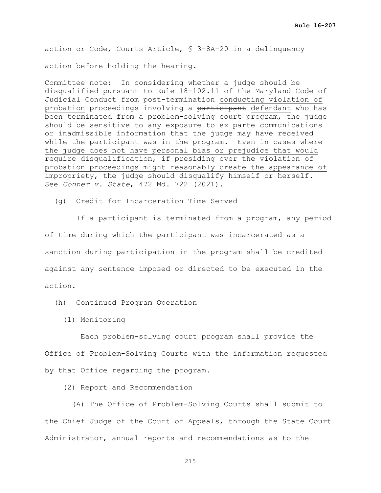action or Code, Courts Article, § 3-8A-20 in a delinquency

action before holding the hearing.

Committee note: In considering whether a judge should be disqualified pursuant to Rule 18-102.11 of the Maryland Code of Judicial Conduct from post-termination conducting violation of probation proceedings involving a participant defendant who has been terminated from a problem-solving court program, the judge should be sensitive to any exposure to ex parte communications or inadmissible information that the judge may have received while the participant was in the program. Even in cases where the judge does not have personal bias or prejudice that would require disqualification, if presiding over the violation of probation proceedings might reasonably create the appearance of impropriety, the judge should disqualify himself or herself. See *Conner v. State*, 472 Md. 722 (2021).

(g) Credit for Incarceration Time Served

 If a participant is terminated from a program, any period of time during which the participant was incarcerated as a sanction during participation in the program shall be credited against any sentence imposed or directed to be executed in the action.

(h) Continued Program Operation

(1) Monitoring

 Each problem-solving court program shall provide the Office of Problem-Solving Courts with the information requested by that Office regarding the program.

(2) Report and Recommendation

 (A) The Office of Problem-Solving Courts shall submit to the Chief Judge of the Court of Appeals, through the State Court Administrator, annual reports and recommendations as to the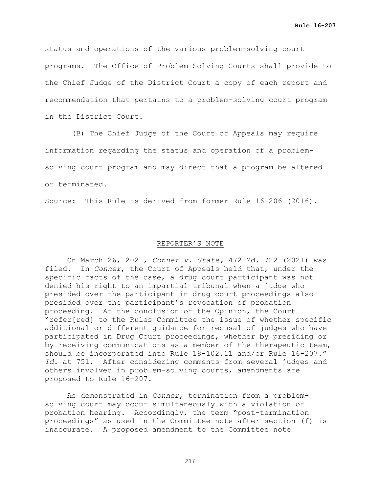status and operations of the various problem-solving court programs. The Office of Problem-Solving Courts shall provide to the Chief Judge of the District Court a copy of each report and recommendation that pertains to a problem-solving court program in the District Court.

 (B) The Chief Judge of the Court of Appeals may require information regarding the status and operation of a problemsolving court program and may direct that a program be altered or terminated.

Source: This Rule is derived from former Rule 16-206 (2016).

### REPORTER'S NOTE

On March 26, 2021, *Conner v. State,* 472 Md. 722 (2021) was In *Conner*, the Court of Appeals held that, under the specific facts of the case, a drug court participant was not denied his right to an impartial tribunal when a judge who presided over the participant in drug court proceedings also presided over the participant's revocation of probation proceeding. At the conclusion of the Opinion, the Court "refer[red] to the Rules Committee the issue of whether specific additional or different guidance for recusal of judges who have participated in Drug Court proceedings, whether by presiding or by receiving communications as a member of the therapeutic team, should be incorporated into Rule 18-102.11 and/or Rule 16-207." *Id.* at 751. After considering comments from several judges and others involved in problem-solving courts, amendments are proposed to Rule 16-207.

As demonstrated in *Conner*, termination from a problemsolving court may occur simultaneously with a violation of probation hearing. Accordingly, the term "post-termination proceedings" as used in the Committee note after section (f) is inaccurate. A proposed amendment to the Committee note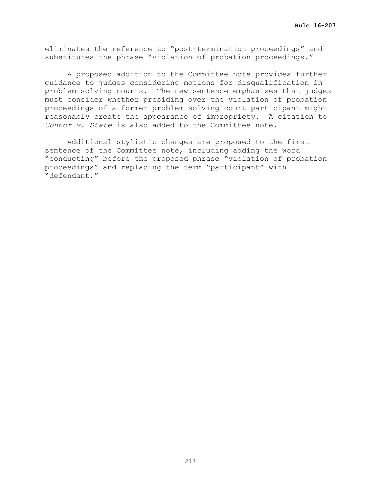eliminates the reference to "post-termination proceedings" and substitutes the phrase "violation of probation proceedings."

A proposed addition to the Committee note provides further guidance to judges considering motions for disqualification in problem-solving courts. The new sentence emphasizes that judges must consider whether presiding over the violation of probation proceedings of a former problem-solving court participant might reasonably create the appearance of impropriety. A citation to *Connor v. State* is also added to the Committee note.

Additional stylistic changes are proposed to the first sentence of the Committee note, including adding the word "conducting" before the proposed phrase "violation of probation proceedings" and replacing the term "participant" with "defendant."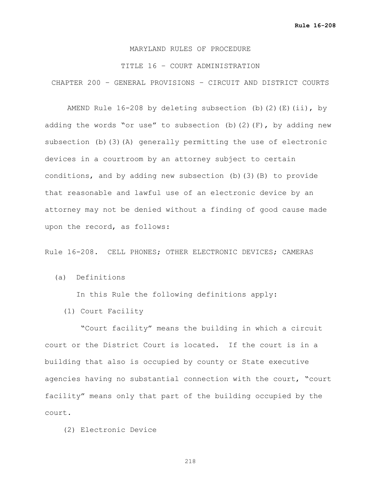### TITLE 16 – COURT ADMINISTRATION

CHAPTER 200 – GENERAL PROVISIONS – CIRCUIT AND DISTRICT COURTS

AMEND Rule  $16-208$  by deleting subsection (b)(2)(E)(ii), by adding the words "or use" to subsection (b)(2)(F), by adding new subsection (b)(3)(A) generally permitting the use of electronic devices in a courtroom by an attorney subject to certain conditions, and by adding new subsection (b)(3)(B) to provide that reasonable and lawful use of an electronic device by an attorney may not be denied without a finding of good cause made upon the record, as follows:

Rule 16-208. CELL PHONES; OTHER ELECTRONIC DEVICES; CAMERAS

(a) Definitions

In this Rule the following definitions apply:

(1) Court Facility

 "Court facility" means the building in which a circuit court or the District Court is located. If the court is in a building that also is occupied by county or State executive agencies having no substantial connection with the court, "court facility" means only that part of the building occupied by the court.

(2) Electronic Device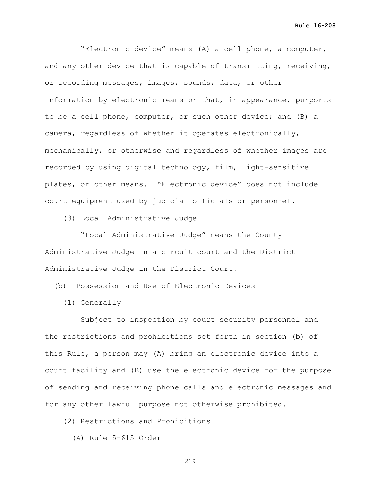"Electronic device" means (A) a cell phone, a computer, and any other device that is capable of transmitting, receiving, or recording messages, images, sounds, data, or other information by electronic means or that, in appearance, purports to be a cell phone, computer, or such other device; and (B) a camera, regardless of whether it operates electronically, mechanically, or otherwise and regardless of whether images are recorded by using digital technology, film, light-sensitive plates, or other means. "Electronic device" does not include court equipment used by judicial officials or personnel.

(3) Local Administrative Judge

 "Local Administrative Judge" means the County Administrative Judge in a circuit court and the District Administrative Judge in the District Court.

(b) Possession and Use of Electronic Devices

(1) Generally

 Subject to inspection by court security personnel and the restrictions and prohibitions set forth in section (b) of this Rule, a person may (A) bring an electronic device into a court facility and (B) use the electronic device for the purpose of sending and receiving phone calls and electronic messages and for any other lawful purpose not otherwise prohibited.

(2) Restrictions and Prohibitions

(A) Rule 5-615 Order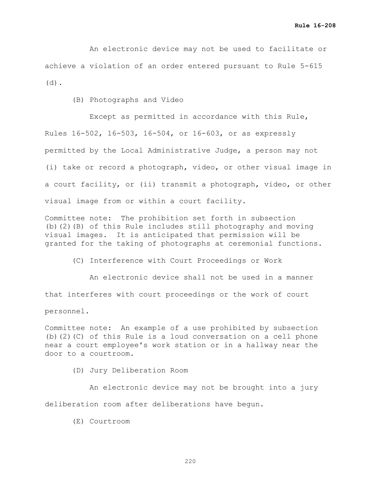An electronic device may not be used to facilitate or achieve a violation of an order entered pursuant to Rule 5-615 (d).

(B) Photographs and Video

 Except as permitted in accordance with this Rule, Rules 16-502, 16-503, 16-504, or 16-603, or as expressly permitted by the Local Administrative Judge, a person may not (i) take or record a photograph, video, or other visual image in a court facility, or (ii) transmit a photograph, video, or other visual image from or within a court facility.

Committee note: The prohibition set forth in subsection (b)(2)(B) of this Rule includes still photography and moving visual images. It is anticipated that permission will be granted for the taking of photographs at ceremonial functions.

(C) Interference with Court Proceedings or Work

 An electronic device shall not be used in a manner that interferes with court proceedings or the work of court personnel.

Committee note: An example of a use prohibited by subsection (b)(2)(C) of this Rule is a loud conversation on a cell phone near a court employee's work station or in a hallway near the door to a courtroom.

(D) Jury Deliberation Room

 An electronic device may not be brought into a jury deliberation room after deliberations have begun.

(E) Courtroom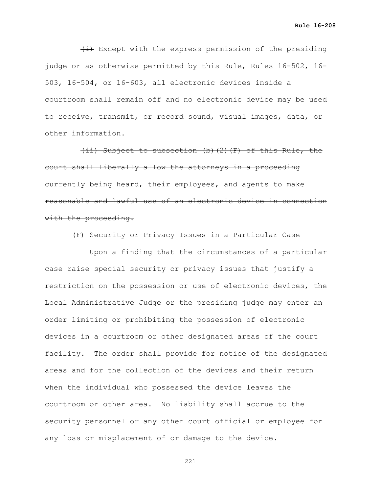$\{\pm\}$  Except with the express permission of the presiding judge or as otherwise permitted by this Rule, Rules 16-502, 16- 503, 16-504, or 16-603, all electronic devices inside a courtroom shall remain off and no electronic device may be used to receive, transmit, or record sound, visual images, data, or other information.

 (ii) Subject to subsection (b)(2)(F) of this Rule, the court shall liberally allow the attorneys in a proceeding currently being heard, their employees, and agents to make reasonable and lawful use of an electronic device in connection with the proceeding.

(F) Security or Privacy Issues in a Particular Case

 Upon a finding that the circumstances of a particular case raise special security or privacy issues that justify a restriction on the possession or use of electronic devices, the Local Administrative Judge or the presiding judge may enter an order limiting or prohibiting the possession of electronic devices in a courtroom or other designated areas of the court facility. The order shall provide for notice of the designated areas and for the collection of the devices and their return when the individual who possessed the device leaves the courtroom or other area. No liability shall accrue to the security personnel or any other court official or employee for any loss or misplacement of or damage to the device.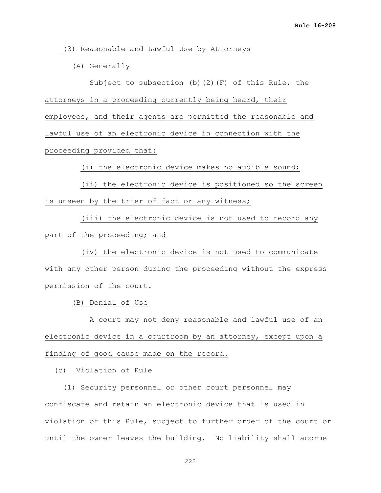(3) Reasonable and Lawful Use by Attorneys

(A) Generally

 Subject to subsection (b)(2)(F) of this Rule, the attorneys in a proceeding currently being heard, their employees, and their agents are permitted the reasonable and lawful use of an electronic device in connection with the proceeding provided that:

(i) the electronic device makes no audible sound;

 (ii) the electronic device is positioned so the screen is unseen by the trier of fact or any witness;

 (iii) the electronic device is not used to record any part of the proceeding; and

 (iv) the electronic device is not used to communicate with any other person during the proceeding without the express permission of the court.

(B) Denial of Use

 A court may not deny reasonable and lawful use of an electronic device in a courtroom by an attorney, except upon a finding of good cause made on the record.

(c) Violation of Rule

 (1) Security personnel or other court personnel may confiscate and retain an electronic device that is used in violation of this Rule, subject to further order of the court or until the owner leaves the building. No liability shall accrue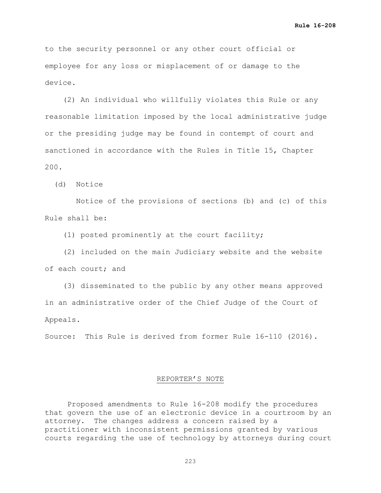to the security personnel or any other court official or employee for any loss or misplacement of or damage to the device.

 (2) An individual who willfully violates this Rule or any reasonable limitation imposed by the local administrative judge or the presiding judge may be found in contempt of court and sanctioned in accordance with the Rules in Title 15, Chapter 200.

(d) Notice

 Notice of the provisions of sections (b) and (c) of this Rule shall be:

(1) posted prominently at the court facility;

 (2) included on the main Judiciary website and the website of each court; and

 (3) disseminated to the public by any other means approved in an administrative order of the Chief Judge of the Court of Appeals.

Source: This Rule is derived from former Rule 16-110 (2016).

### REPORTER'S NOTE

Proposed amendments to Rule 16-208 modify the procedures that govern the use of an electronic device in a courtroom by an attorney. The changes address a concern raised by a practitioner with inconsistent permissions granted by various courts regarding the use of technology by attorneys during court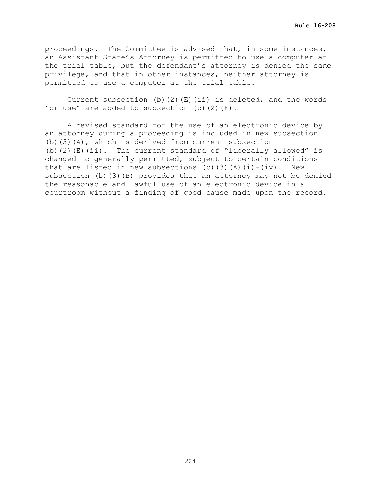proceedings. The Committee is advised that, in some instances, an Assistant State's Attorney is permitted to use a computer at the trial table, but the defendant's attorney is denied the same privilege, and that in other instances, neither attorney is permitted to use a computer at the trial table.

Current subsection (b)(2)(E)(ii) is deleted, and the words "or use" are added to subsection (b)(2)(F).

A revised standard for the use of an electronic device by an attorney during a proceeding is included in new subsection (b)(3)(A), which is derived from current subsection (b)(2)(E)(ii). The current standard of "liberally allowed" is changed to generally permitted, subject to certain conditions that are listed in new subsections (b)(3)(A)(i)-(iv). New subsection (b)(3)(B) provides that an attorney may not be denied the reasonable and lawful use of an electronic device in a courtroom without a finding of good cause made upon the record.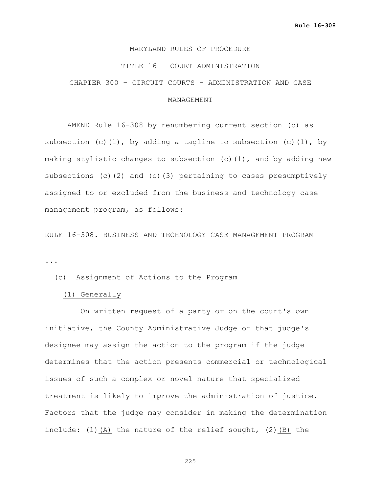### TITLE 16 – COURT ADMINISTRATION

CHAPTER 300 – CIRCUIT COURTS – ADMINISTRATION AND CASE

### MANAGEMENT

AMEND Rule 16-308 by renumbering current section (c) as subsection (c)(1), by adding a tagline to subsection (c)(1), by making stylistic changes to subsection  $(c)$  (1), and by adding new subsections (c)(2) and (c)(3) pertaining to cases presumptively assigned to or excluded from the business and technology case management program, as follows:

RULE 16-308. BUSINESS AND TECHNOLOGY CASE MANAGEMENT PROGRAM ...

(c) Assignment of Actions to the Program

(1) Generally

 On written request of a party or on the court's own initiative, the County Administrative Judge or that judge's designee may assign the action to the program if the judge determines that the action presents commercial or technological issues of such a complex or novel nature that specialized treatment is likely to improve the administration of justice. Factors that the judge may consider in making the determination include:  $(1)$  (A) the nature of the relief sought,  $(2)$  (B) the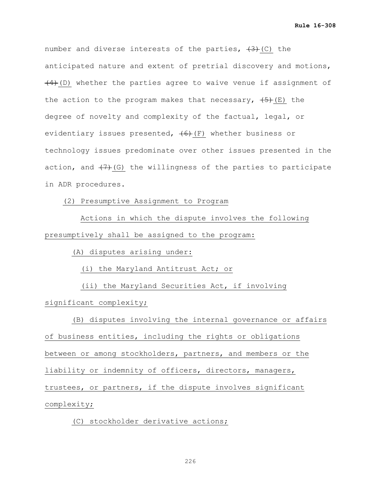number and diverse interests of the parties,  $(3)$  (C) the anticipated nature and extent of pretrial discovery and motions,  $(4)$  (D) whether the parties agree to waive venue if assignment of the action to the program makes that necessary,  $(5)$  (E) the degree of novelty and complexity of the factual, legal, or evidentiary issues presented,  $(6)$  (F) whether business or technology issues predominate over other issues presented in the action, and  $(7)$  (G) the willingness of the parties to participate in ADR procedures.

(2) Presumptive Assignment to Program

 Actions in which the dispute involves the following presumptively shall be assigned to the program:

(A) disputes arising under:

(i) the Maryland Antitrust Act; or

 (ii) the Maryland Securities Act, if involving significant complexity;

 (B) disputes involving the internal governance or affairs of business entities, including the rights or obligations between or among stockholders, partners, and members or the liability or indemnity of officers, directors, managers, trustees, or partners, if the dispute involves significant complexity;

(C) stockholder derivative actions;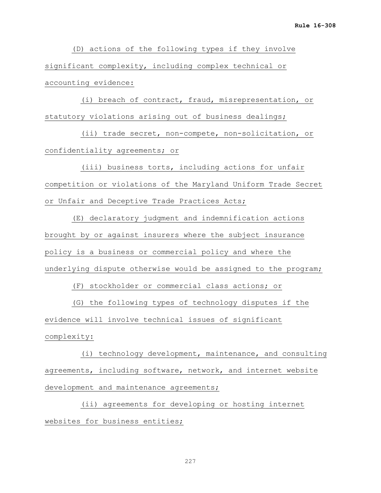(D) actions of the following types if they involve significant complexity, including complex technical or accounting evidence:

 (i) breach of contract, fraud, misrepresentation, or statutory violations arising out of business dealings;

 (ii) trade secret, non-compete, non-solicitation, or confidentiality agreements; or

 (iii) business torts, including actions for unfair competition or violations of the Maryland Uniform Trade Secret or Unfair and Deceptive Trade Practices Acts;

 (E) declaratory judgment and indemnification actions brought by or against insurers where the subject insurance policy is a business or commercial policy and where the underlying dispute otherwise would be assigned to the program;

(F) stockholder or commercial class actions; or

 (G) the following types of technology disputes if the evidence will involve technical issues of significant complexity:

 (i) technology development, maintenance, and consulting agreements, including software, network, and internet website development and maintenance agreements;

 (ii) agreements for developing or hosting internet websites for business entities;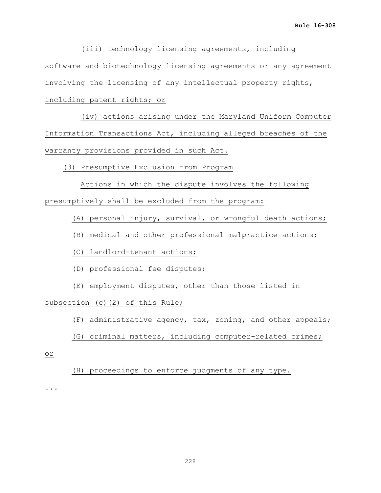(iii) technology licensing agreements, including software and biotechnology licensing agreements or any agreement involving the licensing of any intellectual property rights, including patent rights; or

 (iv) actions arising under the Maryland Uniform Computer Information Transactions Act, including alleged breaches of the warranty provisions provided in such Act.

(3) Presumptive Exclusion from Program

 Actions in which the dispute involves the following presumptively shall be excluded from the program:

(A) personal injury, survival, or wrongful death actions;

(B) medical and other professional malpractice actions;

(C) landlord-tenant actions;

(D) professional fee disputes;

(E) employment disputes, other than those listed in

subsection (c)(2) of this Rule;

(F) administrative agency, tax, zoning, and other appeals;

(G) criminal matters, including computer-related crimes;

or

(H) proceedings to enforce judgments of any type.

...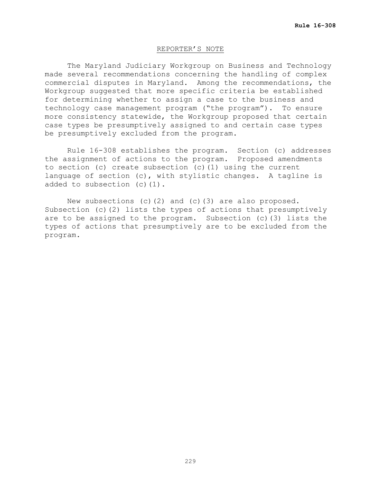### REPORTER'S NOTE

The Maryland Judiciary Workgroup on Business and Technology made several recommendations concerning the handling of complex commercial disputes in Maryland. Among the recommendations, the Workgroup suggested that more specific criteria be established for determining whether to assign a case to the business and technology case management program ("the program"). To ensure more consistency statewide, the Workgroup proposed that certain case types be presumptively assigned to and certain case types be presumptively excluded from the program.

Rule 16-308 establishes the program. Section (c) addresses the assignment of actions to the program. Proposed amendments to section (c) create subsection (c)(1) using the current language of section (c), with stylistic changes. A tagline is added to subsection (c)(1).

New subsections (c)(2) and (c)(3) are also proposed. Subsection (c)(2) lists the types of actions that presumptively are to be assigned to the program. Subsection (c)(3) lists the types of actions that presumptively are to be excluded from the program.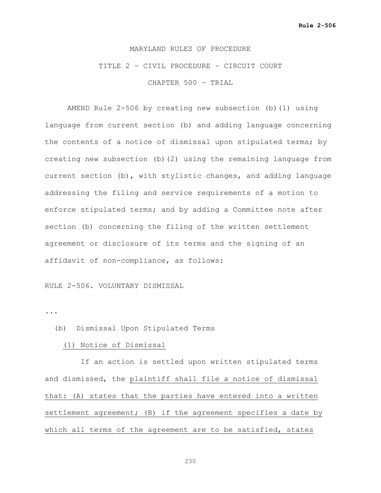# TITLE 2 – CIVIL PROCEDURE – CIRCUIT COURT CHAPTER 500 – TRIAL

AMEND Rule 2-506 by creating new subsection (b)(1) using language from current section (b) and adding language concerning the contents of a notice of dismissal upon stipulated terms; by creating new subsection (b)(2) using the remaining language from current section (b), with stylistic changes, and adding language addressing the filing and service requirements of a motion to enforce stipulated terms; and by adding a Committee note after section (b) concerning the filing of the written settlement agreement or disclosure of its terms and the signing of an affidavit of non-compliance, as follows:

### RULE 2-506. VOLUNTARY DISMISSAL

...

### (b) Dismissal Upon Stipulated Terms

### (1) Notice of Dismissal

 If an action is settled upon written stipulated terms and dismissed, the plaintiff shall file a notice of dismissal that: (A) states that the parties have entered into a written settlement agreement; (B) if the agreement specifies a date by which all terms of the agreement are to be satisfied, states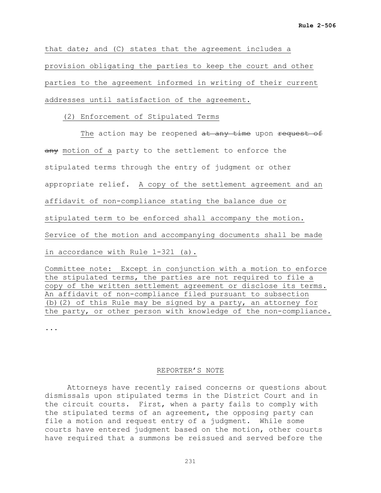that date; and (C) states that the agreement includes a provision obligating the parties to keep the court and other parties to the agreement informed in writing of their current addresses until satisfaction of the agreement.

(2) Enforcement of Stipulated Terms

The action may be reopened at any time upon request of any motion of a party to the settlement to enforce the stipulated terms through the entry of judgment or other appropriate relief. A copy of the settlement agreement and an affidavit of non-compliance stating the balance due or stipulated term to be enforced shall accompany the motion. Service of the motion and accompanying documents shall be made in accordance with Rule 1-321 (a).

Committee note: Except in conjunction with a motion to enforce the stipulated terms, the parties are not required to file a copy of the written settlement agreement or disclose its terms. An affidavit of non-compliance filed pursuant to subsection (b)(2) of this Rule may be signed by a party, an attorney for the party, or other person with knowledge of the non-compliance.

...

### REPORTER'S NOTE

Attorneys have recently raised concerns or questions about dismissals upon stipulated terms in the District Court and in the circuit courts. First, when a party fails to comply with the stipulated terms of an agreement, the opposing party can file a motion and request entry of a judgment. While some courts have entered judgment based on the motion, other courts have required that a summons be reissued and served before the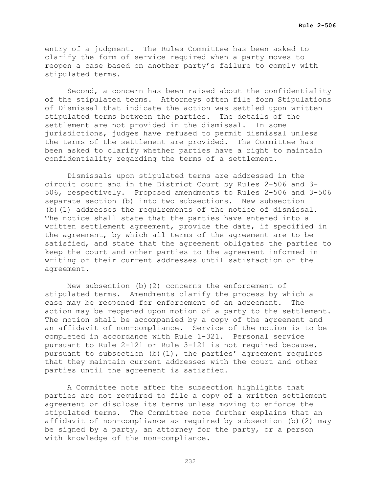entry of a judgment. The Rules Committee has been asked to clarify the form of service required when a party moves to reopen a case based on another party's failure to comply with stipulated terms.

Second, a concern has been raised about the confidentiality of the stipulated terms. Attorneys often file form Stipulations of Dismissal that indicate the action was settled upon written stipulated terms between the parties. The details of the settlement are not provided in the dismissal. In some jurisdictions, judges have refused to permit dismissal unless the terms of the settlement are provided. The Committee has been asked to clarify whether parties have a right to maintain confidentiality regarding the terms of a settlement.

Dismissals upon stipulated terms are addressed in the circuit court and in the District Court by Rules 2-506 and 3- 506, respectively. Proposed amendments to Rules 2-506 and 3-506 separate section (b) into two subsections. New subsection (b)(1) addresses the requirements of the notice of dismissal. The notice shall state that the parties have entered into a written settlement agreement, provide the date, if specified in the agreement, by which all terms of the agreement are to be satisfied, and state that the agreement obligates the parties to keep the court and other parties to the agreement informed in writing of their current addresses until satisfaction of the agreement.

New subsection (b)(2) concerns the enforcement of stipulated terms. Amendments clarify the process by which a<br>case may be reopened for enforcement of an agreement. The case may be reopened for enforcement of an agreement. action may be reopened upon motion of a party to the settlement. The motion shall be accompanied by a copy of the agreement and an affidavit of non-compliance. Service of the motion is to be completed in accordance with Rule 1-321. Personal service pursuant to Rule 2-121 or Rule 3-121 is not required because, pursuant to subsection (b)(1), the parties' agreement requires that they maintain current addresses with the court and other parties until the agreement is satisfied.

A Committee note after the subsection highlights that parties are not required to file a copy of a written settlement agreement or disclose its terms unless moving to enforce the stipulated terms. The Committee note further explains that an affidavit of non-compliance as required by subsection (b)(2) may be signed by a party, an attorney for the party, or a person with knowledge of the non-compliance.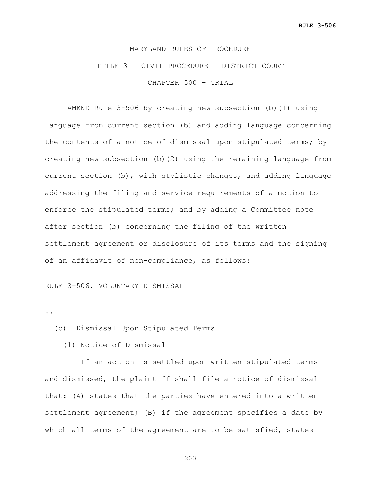# TITLE 3 – CIVIL PROCEDURE – DISTRICT COURT

CHAPTER 500 – TRIAL

AMEND Rule 3-506 by creating new subsection (b)(1) using language from current section (b) and adding language concerning the contents of a notice of dismissal upon stipulated terms; by creating new subsection (b)(2) using the remaining language from current section (b), with stylistic changes, and adding language addressing the filing and service requirements of a motion to enforce the stipulated terms; and by adding a Committee note after section (b) concerning the filing of the written settlement agreement or disclosure of its terms and the signing of an affidavit of non-compliance, as follows:

### RULE 3-506. VOLUNTARY DISMISSAL

...

### (b) Dismissal Upon Stipulated Terms

### (1) Notice of Dismissal

 If an action is settled upon written stipulated terms and dismissed, the plaintiff shall file a notice of dismissal that: (A) states that the parties have entered into a written settlement agreement; (B) if the agreement specifies a date by which all terms of the agreement are to be satisfied, states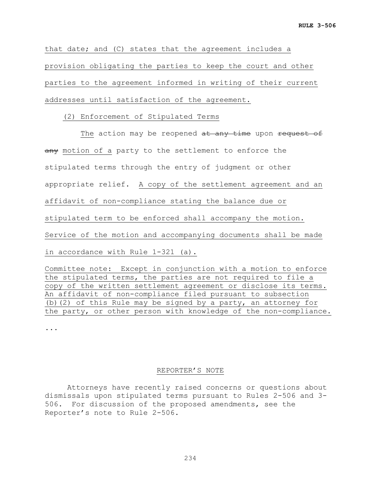that date; and (C) states that the agreement includes a provision obligating the parties to keep the court and other parties to the agreement informed in writing of their current addresses until satisfaction of the agreement.

(2) Enforcement of Stipulated Terms

The action may be reopened at any time upon request of any motion of a party to the settlement to enforce the stipulated terms through the entry of judgment or other appropriate relief. A copy of the settlement agreement and an affidavit of non-compliance stating the balance due or stipulated term to be enforced shall accompany the motion. Service of the motion and accompanying documents shall be made in accordance with Rule 1-321 (a).

Committee note: Except in conjunction with a motion to enforce the stipulated terms, the parties are not required to file a copy of the written settlement agreement or disclose its terms. An affidavit of non-compliance filed pursuant to subsection (b)(2) of this Rule may be signed by a party, an attorney for the party, or other person with knowledge of the non-compliance.

...

### REPORTER'S NOTE

Attorneys have recently raised concerns or questions about dismissals upon stipulated terms pursuant to Rules 2-506 and 3- 506. For discussion of the proposed amendments, see the Reporter's note to Rule 2-506.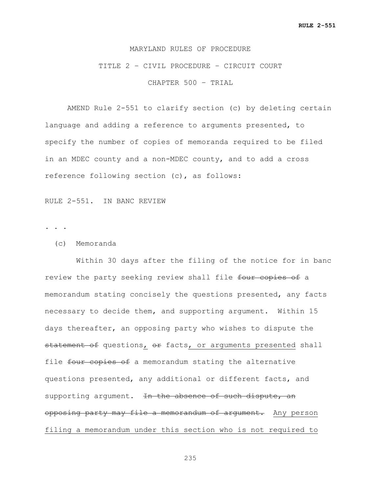# TITLE 2 – CIVIL PROCEDURE – CIRCUIT COURT

CHAPTER 500 – TRIAL

AMEND Rule 2-551 to clarify section (c) by deleting certain language and adding a reference to arguments presented, to specify the number of copies of memoranda required to be filed in an MDEC county and a non-MDEC county, and to add a cross reference following section (c), as follows:

RULE 2-551. IN BANC REVIEW

. . .

(c) Memoranda

 Within 30 days after the filing of the notice for in banc review the party seeking review shall file four copies of a memorandum stating concisely the questions presented, any facts necessary to decide them, and supporting argument. Within 15 days thereafter, an opposing party who wishes to dispute the statement of questions, or facts, or arguments presented shall file four copies of a memorandum stating the alternative questions presented, any additional or different facts, and supporting argument. <del>In the absence of such dispute, an</del> opposing party may file a memorandum of argument. Any person filing a memorandum under this section who is not required to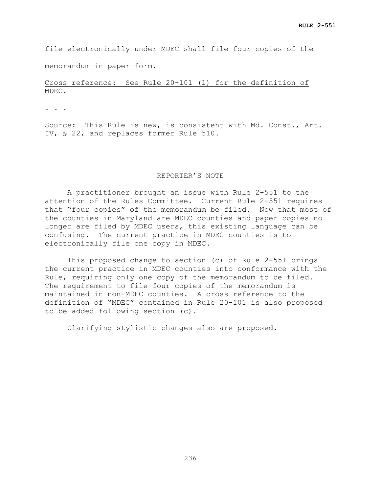file electronically under MDEC shall file four copies of the

### memorandum in paper form.

### Cross reference: See Rule 20-101 (l) for the definition of MDEC.

. . .

Source: This Rule is new, is consistent with Md. Const., Art. IV, § 22, and replaces former Rule 510.

### REPORTER'S NOTE

A practitioner brought an issue with Rule 2-551 to the attention of the Rules Committee. Current Rule 2-551 requires that "four copies" of the memorandum be filed. Now that most of the counties in Maryland are MDEC counties and paper copies no longer are filed by MDEC users, this existing language can be confusing. The current practice in MDEC counties is to electronically file one copy in MDEC.

This proposed change to section (c) of Rule 2-551 brings the current practice in MDEC counties into conformance with the Rule, requiring only one copy of the memorandum to be filed. The requirement to file four copies of the memorandum is maintained in non-MDEC counties. A cross reference to the definition of "MDEC" contained in Rule 20-101 is also proposed to be added following section (c).

Clarifying stylistic changes also are proposed.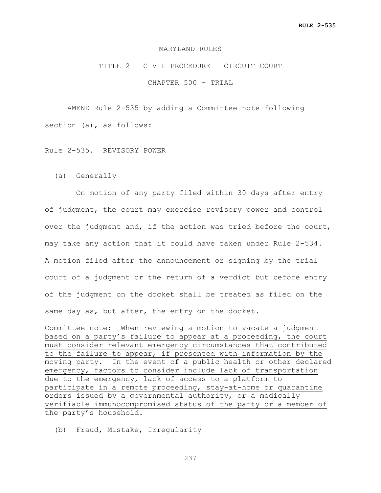### MARYLAND RULES

### TITLE 2 – CIVIL PROCEDURE – CIRCUIT COURT

CHAPTER 500 – TRIAL

AMEND Rule 2-535 by adding a Committee note following section (a), as follows:

Rule 2-535. REVISORY POWER

(a) Generally

 On motion of any party filed within 30 days after entry of judgment, the court may exercise revisory power and control over the judgment and, if the action was tried before the court, may take any action that it could have taken under Rule 2-534. A motion filed after the announcement or signing by the trial court of a judgment or the return of a verdict but before entry of the judgment on the docket shall be treated as filed on the same day as, but after, the entry on the docket.

Committee note: When reviewing a motion to vacate a judgment based on a party's failure to appear at a proceeding, the court must consider relevant emergency circumstances that contributed to the failure to appear, if presented with information by the moving party. In the event of a public health or other declared emergency, factors to consider include lack of transportation due to the emergency, lack of access to a platform to participate in a remote proceeding, stay-at-home or quarantine orders issued by a governmental authority, or a medically verifiable immunocompromised status of the party or a member of the party's household.

(b) Fraud, Mistake, Irregularity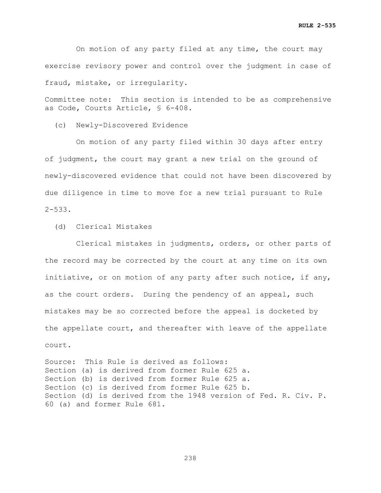On motion of any party filed at any time, the court may exercise revisory power and control over the judgment in case of fraud, mistake, or irregularity.

Committee note: This section is intended to be as comprehensive as Code, Courts Article, § 6-408.

(c) Newly-Discovered Evidence

 On motion of any party filed within 30 days after entry of judgment, the court may grant a new trial on the ground of newly-discovered evidence that could not have been discovered by due diligence in time to move for a new trial pursuant to Rule  $2 - 533$ .

(d) Clerical Mistakes

 Clerical mistakes in judgments, orders, or other parts of the record may be corrected by the court at any time on its own initiative, or on motion of any party after such notice, if any, as the court orders. During the pendency of an appeal, such mistakes may be so corrected before the appeal is docketed by the appellate court, and thereafter with leave of the appellate court.

Source: This Rule is derived as follows: Section (a) is derived from former Rule 625 a. Section (b) is derived from former Rule 625 a. Section (c) is derived from former Rule 625 b. Section (d) is derived from the 1948 version of Fed. R. Civ. P. 60 (a) and former Rule 681.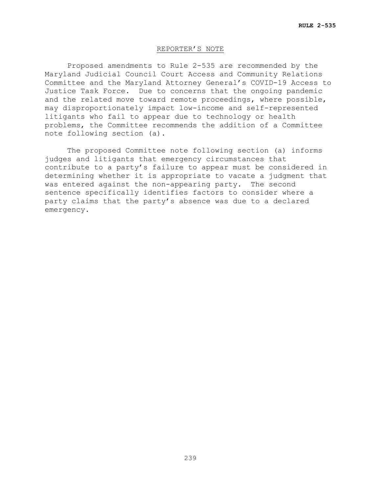### REPORTER'S NOTE

Proposed amendments to Rule 2-535 are recommended by the Maryland Judicial Council Court Access and Community Relations Committee and the Maryland Attorney General's COVID-19 Access to Justice Task Force. Due to concerns that the ongoing pandemic and the related move toward remote proceedings, where possible, may disproportionately impact low-income and self-represented litigants who fail to appear due to technology or health problems, the Committee recommends the addition of a Committee note following section (a).

The proposed Committee note following section (a) informs judges and litigants that emergency circumstances that contribute to a party's failure to appear must be considered in determining whether it is appropriate to vacate a judgment that was entered against the non-appearing party. The second sentence specifically identifies factors to consider where a party claims that the party's absence was due to a declared emergency.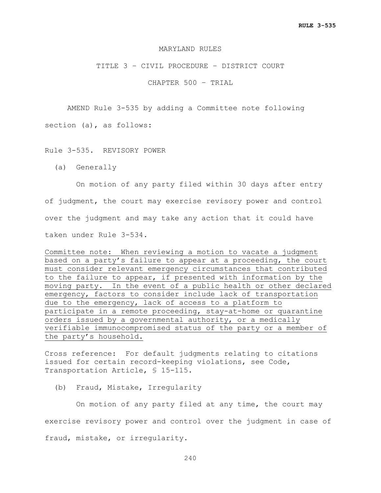### MARYLAND RULES

### TITLE 3 – CIVIL PROCEDURE – DISTRICT COURT

CHAPTER 500 – TRIAL

AMEND Rule 3-535 by adding a Committee note following

section (a), as follows:

### Rule 3-535. REVISORY POWER

(a) Generally

 On motion of any party filed within 30 days after entry of judgment, the court may exercise revisory power and control over the judgment and may take any action that it could have taken under Rule 3-534.

Committee note: When reviewing a motion to vacate a judgment based on a party's failure to appear at a proceeding, the court must consider relevant emergency circumstances that contributed to the failure to appear, if presented with information by the moving party. In the event of a public health or other declared emergency, factors to consider include lack of transportation due to the emergency, lack of access to a platform to participate in a remote proceeding, stay-at-home or quarantine orders issued by a governmental authority, or a medically verifiable immunocompromised status of the party or a member of the party's household.

Cross reference: For default judgments relating to citations issued for certain record-keeping violations, see Code, Transportation Article, § 15-115.

(b) Fraud, Mistake, Irregularity

 On motion of any party filed at any time, the court may exercise revisory power and control over the judgment in case of fraud, mistake, or irregularity.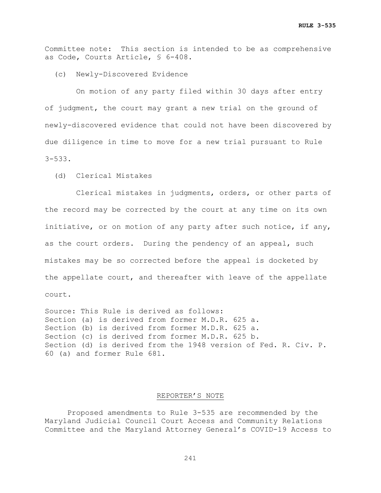Committee note: This section is intended to be as comprehensive as Code, Courts Article, § 6-408.

(c) Newly-Discovered Evidence

 On motion of any party filed within 30 days after entry of judgment, the court may grant a new trial on the ground of newly-discovered evidence that could not have been discovered by due diligence in time to move for a new trial pursuant to Rule 3-533.

(d) Clerical Mistakes

 Clerical mistakes in judgments, orders, or other parts of the record may be corrected by the court at any time on its own initiative, or on motion of any party after such notice, if any, as the court orders. During the pendency of an appeal, such mistakes may be so corrected before the appeal is docketed by the appellate court, and thereafter with leave of the appellate court.

Source: This Rule is derived as follows: Section (a) is derived from former M.D.R. 625 a. Section (b) is derived from former M.D.R. 625 a. Section (c) is derived from former M.D.R. 625 b. Section (d) is derived from the 1948 version of Fed. R. Civ. P. 60 (a) and former Rule 681.

### REPORTER'S NOTE

Proposed amendments to Rule 3-535 are recommended by the Maryland Judicial Council Court Access and Community Relations Committee and the Maryland Attorney General's COVID-19 Access to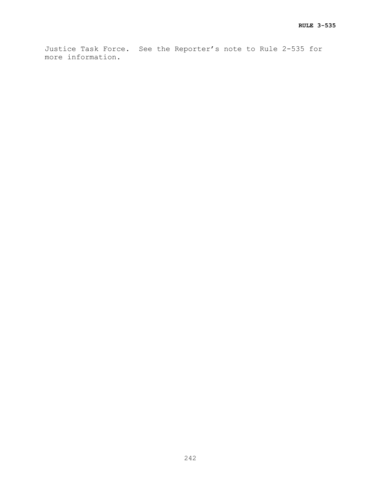Justice Task Force. See the Reporter's note to Rule 2-535 for more information.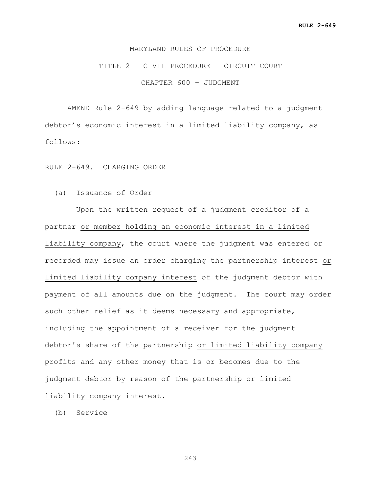### TITLE 2 – CIVIL PROCEDURE – CIRCUIT COURT

CHAPTER 600 – JUDGMENT

AMEND Rule 2-649 by adding language related to a judgment debtor's economic interest in a limited liability company, as follows:

RULE 2-649. CHARGING ORDER

(a) Issuance of Order

 Upon the written request of a judgment creditor of a partner or member holding an economic interest in a limited liability company, the court where the judgment was entered or recorded may issue an order charging the partnership interest or limited liability company interest of the judgment debtor with payment of all amounts due on the judgment. The court may order such other relief as it deems necessary and appropriate, including the appointment of a receiver for the judgment debtor's share of the partnership or limited liability company profits and any other money that is or becomes due to the judgment debtor by reason of the partnership or limited liability company interest.

(b) Service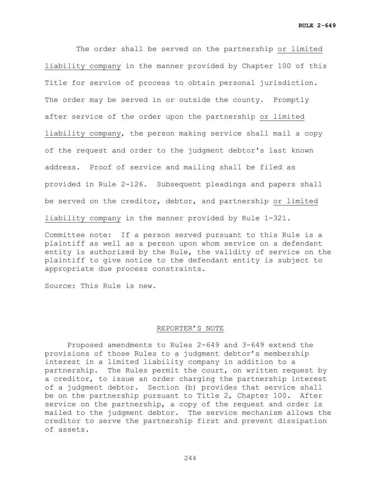The order shall be served on the partnership or limited liability company in the manner provided by Chapter 100 of this Title for service of process to obtain personal jurisdiction. The order may be served in or outside the county. Promptly after service of the order upon the partnership or limited liability company, the person making service shall mail a copy of the request and order to the judgment debtor's last known address. Proof of service and mailing shall be filed as provided in Rule 2-126. Subsequent pleadings and papers shall be served on the creditor, debtor, and partnership or limited liability company in the manner provided by Rule 1-321.

Committee note: If a person served pursuant to this Rule is a plaintiff as well as a person upon whom service on a defendant entity is authorized by the Rule, the validity of service on the plaintiff to give notice to the defendant entity is subject to appropriate due process constraints.

Source: This Rule is new.

### REPORTER'S NOTE

Proposed amendments to Rules 2-649 and 3-649 extend the provisions of those Rules to a judgment debtor's membership interest in a limited liability company in addition to a partnership. The Rules permit the court, on written request by a creditor, to issue an order charging the partnership interest of a judgment debtor. Section (b) provides that service shall be on the partnership pursuant to Title 2, Chapter 100. After service on the partnership, a copy of the request and order is mailed to the judgment debtor. The service mechanism allows the creditor to serve the partnership first and prevent dissipation of assets.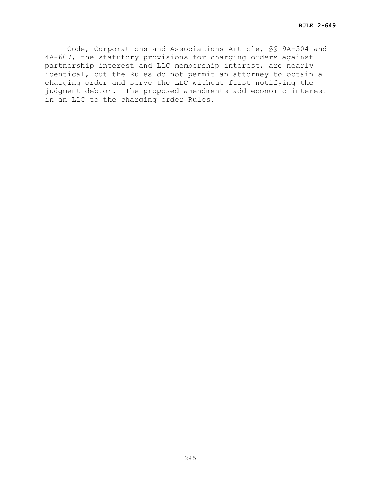Code, Corporations and Associations Article, §§ 9A-504 and 4A-607, the statutory provisions for charging orders against partnership interest and LLC membership interest, are nearly identical, but the Rules do not permit an attorney to obtain a charging order and serve the LLC without first notifying the judgment debtor. The proposed amendments add economic interest in an LLC to the charging order Rules.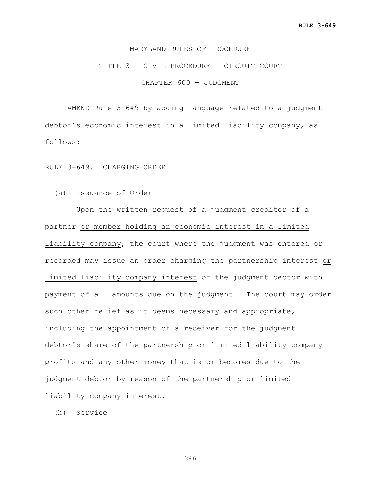## TITLE 3 – CIVIL PROCEDURE – CIRCUIT COURT

CHAPTER 600 – JUDGMENT

AMEND Rule 3-649 by adding language related to a judgment debtor's economic interest in a limited liability company, as follows:

RULE 3-649. CHARGING ORDER

(a) Issuance of Order

 Upon the written request of a judgment creditor of a partner or member holding an economic interest in a limited liability company, the court where the judgment was entered or recorded may issue an order charging the partnership interest or limited liability company interest of the judgment debtor with payment of all amounts due on the judgment. The court may order such other relief as it deems necessary and appropriate, including the appointment of a receiver for the judgment debtor's share of the partnership or limited liability company profits and any other money that is or becomes due to the judgment debtor by reason of the partnership or limited liability company interest.

(b) Service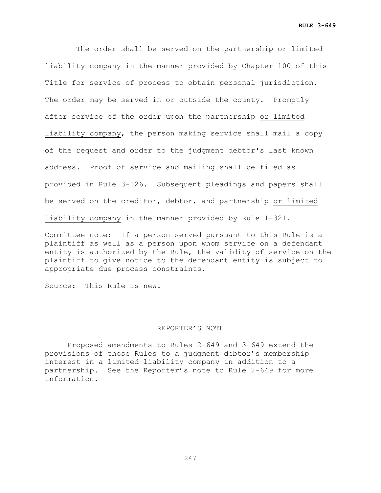The order shall be served on the partnership or limited liability company in the manner provided by Chapter 100 of this Title for service of process to obtain personal jurisdiction. The order may be served in or outside the county. Promptly after service of the order upon the partnership or limited liability company, the person making service shall mail a copy of the request and order to the judgment debtor's last known address. Proof of service and mailing shall be filed as provided in Rule 3-126. Subsequent pleadings and papers shall be served on the creditor, debtor, and partnership or limited liability company in the manner provided by Rule 1-321.

Committee note: If a person served pursuant to this Rule is a plaintiff as well as a person upon whom service on a defendant entity is authorized by the Rule, the validity of service on the plaintiff to give notice to the defendant entity is subject to appropriate due process constraints.

Source: This Rule is new.

### REPORTER'S NOTE

Proposed amendments to Rules 2-649 and 3-649 extend the provisions of those Rules to a judgment debtor's membership interest in a limited liability company in addition to a partnership. See the Reporter's note to Rule 2-649 for more information.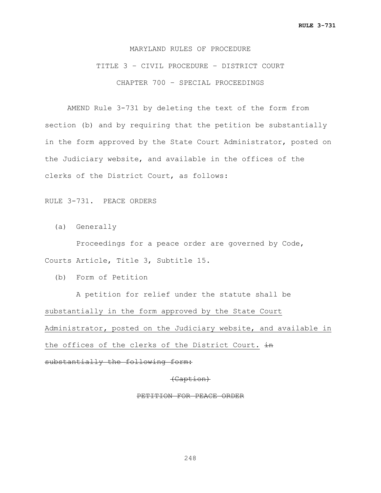TITLE 3 – CIVIL PROCEDURE – DISTRICT COURT CHAPTER 700 – SPECIAL PROCEEDINGS

AMEND Rule 3-731 by deleting the text of the form from section (b) and by requiring that the petition be substantially in the form approved by the State Court Administrator, posted on the Judiciary website, and available in the offices of the clerks of the District Court, as follows:

RULE 3-731. PEACE ORDERS

(a) Generally

 Proceedings for a peace order are governed by Code, Courts Article, Title 3, Subtitle 15.

(b) Form of Petition

 A petition for relief under the statute shall be substantially in the form approved by the State Court Administrator**,** posted on the Judiciary website, and available in the offices of the clerks of the District Court.  $\frac{1}{2}$ substantially the following form:

(Caption)

PETITION FOR PEACE ORDER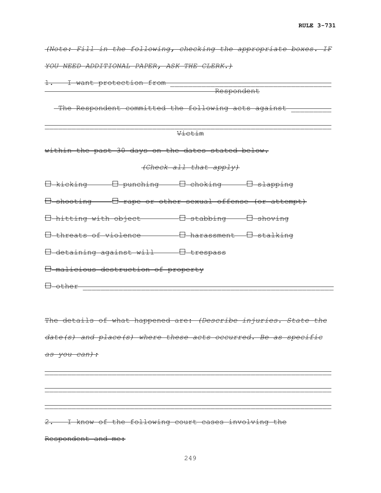*(Note: Fill in the following, checking the appropriate boxes. IF YOU NEED ADDITIONAL PAPER, ASK THE CLERK.)*

1. I want protection from \_\_\_\_\_\_\_\_\_\_\_\_\_\_\_\_\_\_\_\_\_\_\_\_\_\_\_\_\_\_\_\_\_\_\_\_

<u>Respondent (Kanadian Serbia) et al. et al. et al. et al. et al. et al. et al. et al. et al. et al. et al. et a</u>

The Respondent committed the following acts against

|                                                                   | Victim |  |  |  |
|-------------------------------------------------------------------|--------|--|--|--|
| within the past 30 days on the dates stated below.                |        |  |  |  |
| (Check all that apply)                                            |        |  |  |  |
| 日 kicking    日 punching    日 choking    日 slapping                |        |  |  |  |
| H shooting - H rape or other sexual offense (or attempt)          |        |  |  |  |
| <del>0 hitting with object ----- - 0 stabbing --- 0 shoving</del> |        |  |  |  |
|                                                                   |        |  |  |  |
|                                                                   |        |  |  |  |
| <del>E malicious destruction of property</del>                    |        |  |  |  |
| <del>El other</del>                                               |        |  |  |  |

The details of what happened are: *(Describe injuries. State the date(s) and place(s) where these acts occurred. Be as specific as you can):*

\_\_\_\_\_\_\_\_\_\_\_\_\_\_\_\_\_\_\_\_\_\_\_\_\_\_\_\_\_\_\_\_\_\_\_\_\_\_\_\_\_\_\_\_\_\_\_\_\_\_\_\_\_\_\_\_\_\_\_\_\_\_\_\_

\_\_\_\_\_\_\_\_\_\_\_\_\_\_\_\_\_\_\_\_\_\_\_\_\_\_\_\_\_\_\_\_\_\_\_\_\_\_\_\_\_\_\_\_\_\_\_\_\_\_\_\_\_\_\_\_\_\_\_\_\_\_\_\_

 $\mathcal{L}=\mathcal{L}^{\mathcal{L}}$  , we can also the contribution of the contribution of the contribution of the contribution of the contribution of the contribution of the contribution of the contribution of the contribution of the c

2. I know of the following court cases involving the Respondent and me: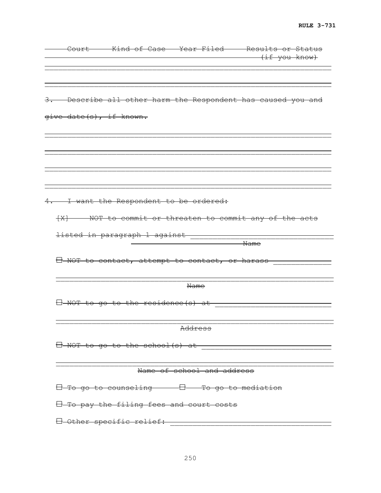|                         |                                                           |                            | Court Kind of Case Year Filed Results or Status<br><del>if you know)</del> |
|-------------------------|-----------------------------------------------------------|----------------------------|----------------------------------------------------------------------------|
|                         |                                                           |                            |                                                                            |
|                         |                                                           |                            | 3. Describe all other harm the Respondent has caused you and               |
| give date(s), if known. |                                                           |                            |                                                                            |
|                         |                                                           |                            |                                                                            |
|                         |                                                           |                            |                                                                            |
|                         | 4. I want the Respondent to be ordered:                   |                            |                                                                            |
|                         |                                                           |                            | [X] NOT to commit or threaten to commit any of the acts                    |
|                         | <del>listed in paragraph 1 against</del>                  |                            | Name                                                                       |
|                         | $\boxminus$ NOT to contact, attempt to contact, or harass |                            |                                                                            |
|                         |                                                           | Name                       |                                                                            |
|                         | $\Box$ NOT to go to the residence (s) at                  |                            |                                                                            |
|                         |                                                           | Address                    |                                                                            |
|                         |                                                           |                            | H-NOT to go to the school (s) at                                           |
|                         |                                                           | Name of school and address |                                                                            |
|                         | H To go to counseling H To go to mediation                |                            |                                                                            |
|                         | $\boxdot$ To pay the filing fees and court costs          |                            |                                                                            |
|                         | 0 Other specific relief:                                  |                            |                                                                            |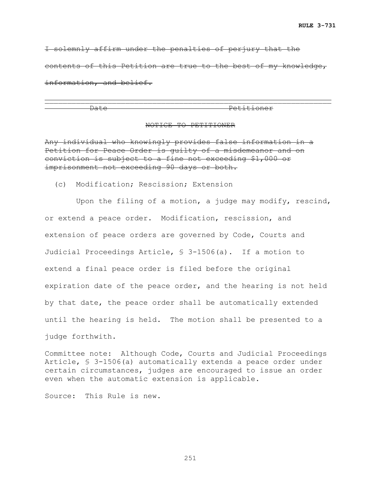I solemnly affirm under the penalties of perjury that the contents of this Petition are true to the best of my knowledge, information, and belief.

\_\_\_\_\_\_\_\_\_\_\_\_\_\_\_\_\_\_\_\_\_\_\_\_\_\_\_\_\_\_\_\_\_\_\_\_\_\_\_\_\_\_\_\_\_\_\_\_\_\_\_\_\_\_\_\_\_\_\_\_\_\_\_\_

Date Petitioner

#### NOTICE TO PETITIONER

Any individual who knowingly provides false information in a Petition for Peace Order is guilty of a misdemeanor and on conviction is subject to a fine not exceeding \$1,000 or imprisonment not exceeding 90 days or both.

(c) Modification; Rescission; Extension

 Upon the filing of a motion, a judge may modify, rescind, or extend a peace order. Modification, rescission, and extension of peace orders are governed by Code, Courts and Judicial Proceedings Article, § 3-1506(a). If a motion to extend a final peace order is filed before the original expiration date of the peace order, and the hearing is not held by that date, the peace order shall be automatically extended until the hearing is held. The motion shall be presented to a judge forthwith.

Committee note: Although Code, Courts and Judicial Proceedings Article, § 3-1506(a) automatically extends a peace order under certain circumstances, judges are encouraged to issue an order even when the automatic extension is applicable.

Source: This Rule is new.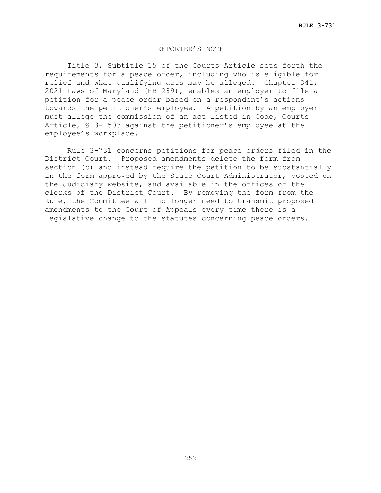## REPORTER'S NOTE

Title 3, Subtitle 15 of the Courts Article sets forth the requirements for a peace order, including who is eligible for relief and what qualifying acts may be alleged. Chapter 341, 2021 Laws of Maryland (HB 289), enables an employer to file a petition for a peace order based on a respondent's actions towards the petitioner's employee. A petition by an employer must allege the commission of an act listed in Code, Courts Article, § 3-1503 against the petitioner's employee at the employee's workplace.

Rule 3-731 concerns petitions for peace orders filed in the District Court. Proposed amendments delete the form from section (b) and instead require the petition to be substantially in the form approved by the State Court Administrator, posted on the Judiciary website, and available in the offices of the clerks of the District Court. By removing the form from the Rule, the Committee will no longer need to transmit proposed amendments to the Court of Appeals every time there is a legislative change to the statutes concerning peace orders.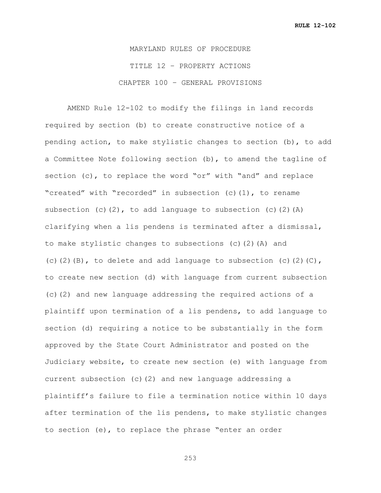MARYLAND RULES OF PROCEDURE TITLE 12 – PROPERTY ACTIONS CHAPTER 100 – GENERAL PROVISIONS

AMEND Rule 12-102 to modify the filings in land records required by section (b) to create constructive notice of a pending action, to make stylistic changes to section (b), to add a Committee Note following section (b), to amend the tagline of section (c), to replace the word "or" with "and" and replace "created" with "recorded" in subsection (c)(1), to rename subsection (c)(2), to add language to subsection (c)(2)(A) clarifying when a lis pendens is terminated after a dismissal, to make stylistic changes to subsections (c)(2)(A) and (c)(2)(B), to delete and add language to subsection (c)(2)(C), to create new section (d) with language from current subsection (c)(2) and new language addressing the required actions of a plaintiff upon termination of a lis pendens, to add language to section (d) requiring a notice to be substantially in the form approved by the State Court Administrator and posted on the Judiciary website, to create new section (e) with language from current subsection (c)(2) and new language addressing a plaintiff's failure to file a termination notice within 10 days after termination of the lis pendens, to make stylistic changes to section (e), to replace the phrase "enter an order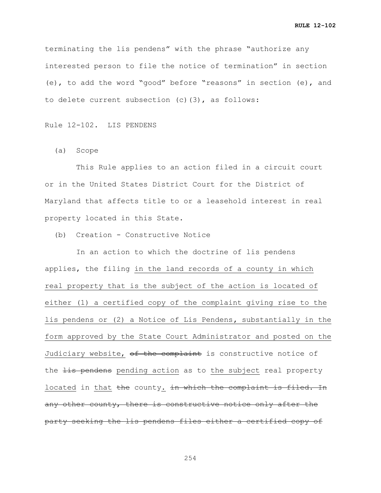terminating the lis pendens" with the phrase "authorize any interested person to file the notice of termination" in section (e), to add the word "good" before "reasons" in section (e), and to delete current subsection (c)(3), as follows:

Rule 12-102. LIS PENDENS

(a) Scope

 This Rule applies to an action filed in a circuit court or in the United States District Court for the District of Maryland that affects title to or a leasehold interest in real property located in this State.

(b) Creation - Constructive Notice

 In an action to which the doctrine of lis pendens applies, the filing in the land records of a county in which real property that is the subject of the action is located of either (1) a certified copy of the complaint giving rise to the lis pendens or (2) a Notice of Lis Pendens**,** substantially in the form approved by the State Court Administrator and posted on the Judiciary website, of the complaint is constructive notice of the lis pendens pending action as to the subject real property located in that the county. in which the complaint is filed. In any other county, there is constructive notice only after the party seeking the lis pendens files either a certified copy of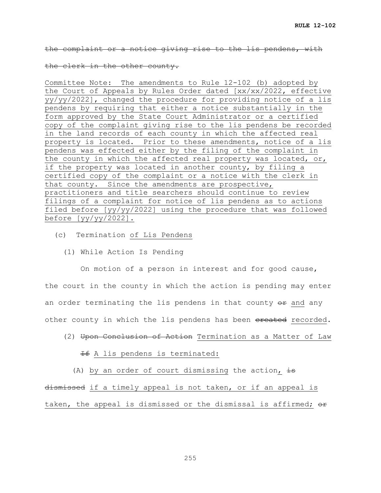the complaint or a notice giving rise to the lis pendens, with

#### the clerk in the other county.

Committee Note: The amendments to Rule 12-102 (b) adopted by the Court of Appeals by Rules Order dated [xx/xx/2022, effective yy/yy/2022], changed the procedure for providing notice of a lis pendens by requiring that either a notice substantially in the form approved by the State Court Administrator or a certified copy of the complaint giving rise to the lis pendens be recorded in the land records of each county in which the affected real property is located. Prior to these amendments, notice of a lis pendens was effected either by the filing of the complaint in the county in which the affected real property was located, or, if the property was located in another county, by filing a certified copy of the complaint or a notice with the clerk in that county. Since the amendments are prospective, practitioners and title searchers should continue to review filings of a complaint for notice of lis pendens as to actions filed before [yy/yy/2022] using the procedure that was followed before  $[yy/yy/2022]$ .

- (c) Termination of Lis Pendens
	- (1) While Action Is Pending

 On motion of a person in interest and for good cause, the court in the county in which the action is pending may enter an order terminating the lis pendens in that county  $\theta$  and any other county in which the lis pendens has been ereated recorded.

 (2) Upon Conclusion of Action Termination as a Matter of Law **If** A lis pendens is terminated:

(A) by an order of court dismissing the action,  $\frac{1}{18}$ 

dismissed if a timely appeal is not taken, or if an appeal is taken, the appeal is dismissed or the dismissal is affirmed;  $\theta$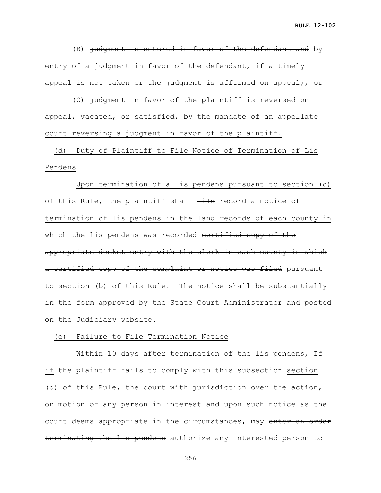(B) judgment is entered in favor of the defendant and by entry of a judgment in favor of the defendant, if a timely appeal is not taken or the judgment is affirmed on appeal; $\tau$  or

 (C) judgment in favor of the plaintiff is reversed on appeal, vacated, or satisfied, by the mandate of an appellate court reversing a judgment in favor of the plaintiff.

 (d) Duty of Plaintiff to File Notice of Termination of Lis Pendens

 Upon termination of a lis pendens pursuant to section (c) of this Rule, the plaintiff shall file record a notice of termination of lis pendens in the land records of each county in which the lis pendens was recorded contified copy of the appropriate docket entry with the clerk in each county in which a certified copy of the complaint or notice was filed pursuant to section (b) of this Rule. The notice shall be substantially in the form approved by the State Court Administrator and posted on the Judiciary website.

#### (e) Failure to File Termination Notice

Within 10 days after termination of the lis pendens,  $\pm$ if the plaintiff fails to comply with this subsection section (d) of this Rule, the court with jurisdiction over the action, on motion of any person in interest and upon such notice as the court deems appropriate in the circumstances, may enter an order terminating the lis pendens authorize any interested person to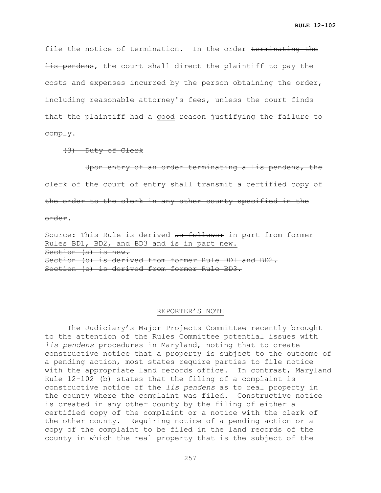file the notice of termination. In the order terminating the **lis pendens,** the court shall direct the plaintiff to pay the costs and expenses incurred by the person obtaining the order, including reasonable attorney's fees, unless the court finds that the plaintiff had a good reason justifying the failure to comply.

(3) Duty of Clerk

 Upon entry of an order terminating a lis pendens, the clerk of the court of entry shall transmit a certified copy of the order to the clerk in any other county specified in the order.

Source: This Rule is derived as follows: in part from former Rules BD1, BD2, and BD3 and is in part new. Section (a) is new. Section (b) is derived from former Rule BD1 and BD2. Section (c) is derived from former Rule BD3.

#### REPORTER'S NOTE

The Judiciary's Major Projects Committee recently brought to the attention of the Rules Committee potential issues with *lis pendens* procedures in Maryland, noting that to create constructive notice that a property is subject to the outcome of a pending action, most states require parties to file notice with the appropriate land records office. In contrast, Maryland Rule 12-102 (b) states that the filing of a complaint is constructive notice of the *lis pendens* as to real property in the county where the complaint was filed. Constructive notice is created in any other county by the filing of either a certified copy of the complaint or a notice with the clerk of the other county. Requiring notice of a pending action or a copy of the complaint to be filed in the land records of the county in which the real property that is the subject of the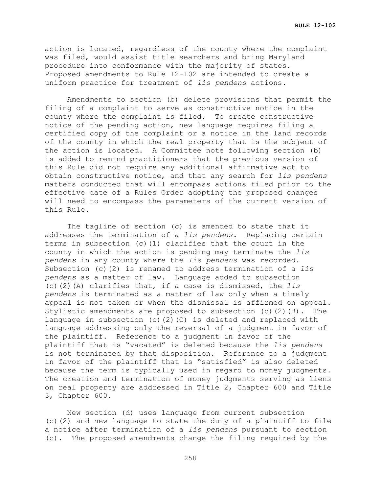action is located, regardless of the county where the complaint was filed, would assist title searchers and bring Maryland procedure into conformance with the majority of states. Proposed amendments to Rule 12-102 are intended to create a uniform practice for treatment of *lis pendens* actions.

Amendments to section (b) delete provisions that permit the filing of a complaint to serve as constructive notice in the county where the complaint is filed. To create constructive notice of the pending action, new language requires filing a certified copy of the complaint or a notice in the land records of the county in which the real property that is the subject of the action is located. A Committee note following section (b) is added to remind practitioners that the previous version of this Rule did not require any additional affirmative act to obtain constructive notice, and that any search for *lis pendens* matters conducted that will encompass actions filed prior to the effective date of a Rules Order adopting the proposed changes will need to encompass the parameters of the current version of this Rule.

The tagline of section (c) is amended to state that it addresses the termination of a *lis pendens*. Replacing certain terms in subsection (c)(1) clarifies that the court in the county in which the action is pending may terminate the *lis pendens* in any county where the *lis pendens* was recorded. Subsection (c)(2) is renamed to address termination of a *lis pendens* as a matter of law. Language added to subsection (c)(2)(A) clarifies that, if a case is dismissed, the *lis pendens* is terminated as a matter of law only when a timely appeal is not taken or when the dismissal is affirmed on appeal.<br>Stylistic amendments are proposed to subsection (c)(2)(B). The Stylistic amendments are proposed to subsection  $(c)$   $(2)$   $(B)$ . language in subsection (c)(2)(C) is deleted and replaced with language addressing only the reversal of a judgment in favor of the plaintiff. Reference to a judgment in favor of the plaintiff that is "vacated" is deleted because the *lis pendens*  is not terminated by that disposition. Reference to a judgment in favor of the plaintiff that is "satisfied" is also deleted because the term is typically used in regard to money judgments. The creation and termination of money judgments serving as liens on real property are addressed in Title 2, Chapter 600 and Title 3, Chapter 600.

New section (d) uses language from current subsection (c)(2) and new language to state the duty of a plaintiff to file a notice after termination of a *lis pendens* pursuant to section (c). The proposed amendments change the filing required by the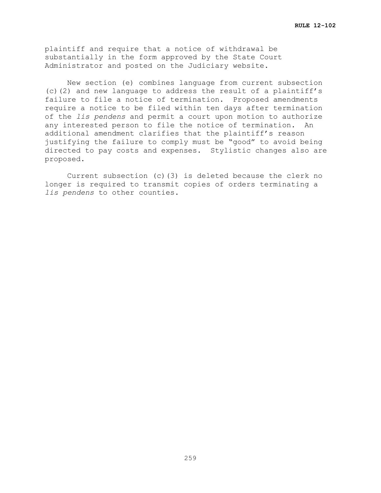plaintiff and require that a notice of withdrawal be substantially in the form approved by the State Court Administrator and posted on the Judiciary website.

New section (e) combines language from current subsection (c)(2) and new language to address the result of a plaintiff's failure to file a notice of termination. Proposed amendments require a notice to be filed within ten days after termination of the *lis pendens* and permit a court upon motion to authorize any interested person to file the notice of termination. An additional amendment clarifies that the plaintiff's reason justifying the failure to comply must be "good" to avoid being directed to pay costs and expenses. Stylistic changes also are proposed.

Current subsection (c)(3) is deleted because the clerk no longer is required to transmit copies of orders terminating a *lis pendens* to other counties.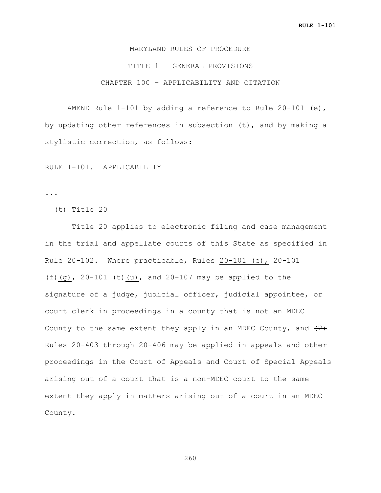MARYLAND RULES OF PROCEDURE TITLE 1 – GENERAL PROVISIONS CHAPTER 100 – APPLICABILITY AND CITATION

AMEND Rule 1-101 by adding a reference to Rule 20-101 (e), by updating other references in subsection (t), and by making a stylistic correction, as follows:

RULE 1-101. APPLICABILITY

...

(t) Title 20

 Title 20 applies to electronic filing and case management in the trial and appellate courts of this State as specified in Rule 20-102. Where practicable, Rules 20-101 (e), 20-101  $(f+(g), 20-101 f+(u),$  and 20-107 may be applied to the signature of a judge, judicial officer, judicial appointee, or court clerk in proceedings in a county that is not an MDEC County to the same extent they apply in an MDEC County, and  $(2)$ Rules 20-403 through 20-406 may be applied in appeals and other proceedings in the Court of Appeals and Court of Special Appeals arising out of a court that is a non-MDEC court to the same extent they apply in matters arising out of a court in an MDEC County.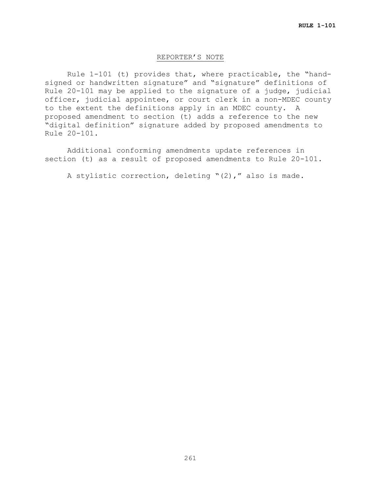#### REPORTER'S NOTE

Rule 1-101 (t) provides that, where practicable, the "handsigned or handwritten signature" and "signature" definitions of Rule 20-101 may be applied to the signature of a judge, judicial officer, judicial appointee, or court clerk in a non-MDEC county to the extent the definitions apply in an MDEC county. A proposed amendment to section (t) adds a reference to the new "digital definition" signature added by proposed amendments to Rule 20-101.

Additional conforming amendments update references in section (t) as a result of proposed amendments to Rule 20-101.

A stylistic correction, deleting "(2)," also is made.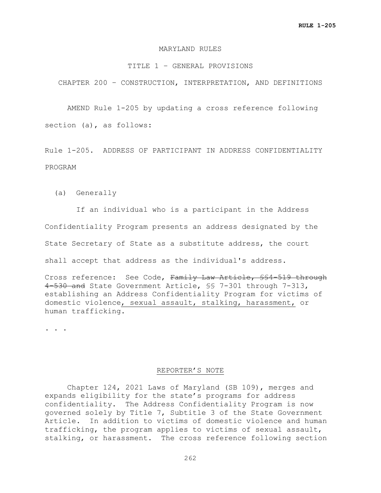#### MARYLAND RULES

#### TITLE 1 – GENERAL PROVISIONS

CHAPTER 200 – CONSTRUCTION, INTERPRETATION, AND DEFINITIONS

AMEND Rule 1-205 by updating a cross reference following section (a), as follows:

Rule 1-205. ADDRESS OF PARTICIPANT IN ADDRESS CONFIDENTIALITY PROGRAM

(a) Generally

 If an individual who is a participant in the Address Confidentiality Program presents an address designated by the State Secretary of State as a substitute address, the court shall accept that address as the individual's address.

Cross reference: See Code, Family Law Article, §§4-519 through 4-530 and State Government Article, §§ 7-301 through 7-313, establishing an Address Confidentiality Program for victims of domestic violence, sexual assault, stalking, harassment, or human trafficking.

**. . .**

#### REPORTER'S NOTE

Chapter 124, 2021 Laws of Maryland (SB 109), merges and expands eligibility for the state's programs for address confidentiality. The Address Confidentiality Program is now governed solely by Title 7, Subtitle 3 of the State Government Article. In addition to victims of domestic violence and human trafficking, the program applies to victims of sexual assault, stalking, or harassment. The cross reference following section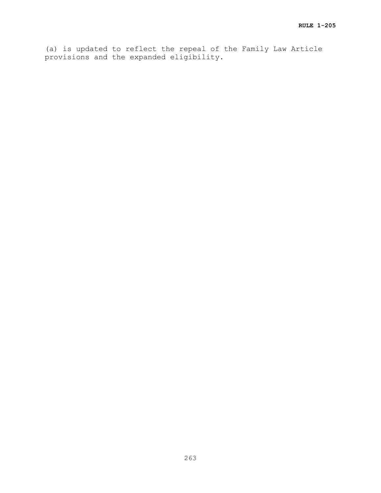(a) is updated to reflect the repeal of the Family Law Article provisions and the expanded eligibility.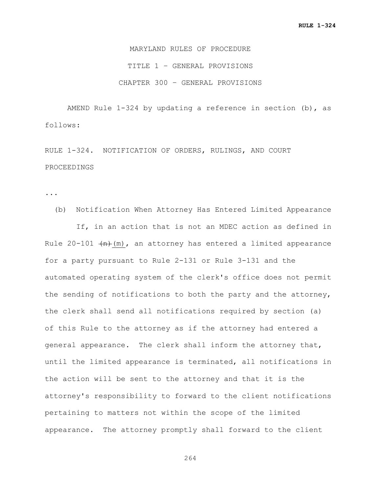MARYLAND RULES OF PROCEDURE TITLE 1 – GENERAL PROVISIONS CHAPTER 300 – GENERAL PROVISIONS

AMEND Rule 1-324 by updating a reference in section (b), as follows:

RULE 1-324. NOTIFICATION OF ORDERS, RULINGS, AND COURT PROCEEDINGS

...

 (b) Notification When Attorney Has Entered Limited Appearance If, in an action that is not an MDEC action as defined in Rule 20-101  $(n)$ , an attorney has entered a limited appearance for a party pursuant to Rule 2-131 or Rule 3-131 and the automated operating system of the clerk's office does not permit the sending of notifications to both the party and the attorney, the clerk shall send all notifications required by section (a) of this Rule to the attorney as if the attorney had entered a general appearance. The clerk shall inform the attorney that, until the limited appearance is terminated, all notifications in the action will be sent to the attorney and that it is the attorney's responsibility to forward to the client notifications pertaining to matters not within the scope of the limited appearance. The attorney promptly shall forward to the client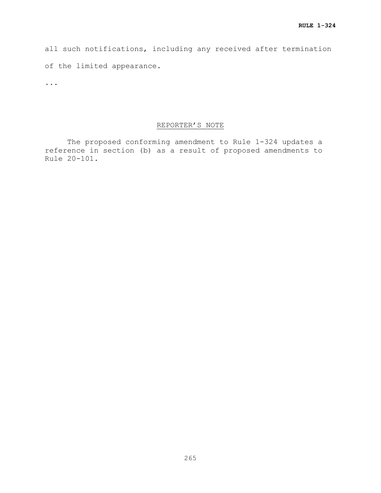all such notifications, including any received after termination of the limited appearance.

...

# REPORTER'S NOTE

The proposed conforming amendment to Rule 1-324 updates a reference in section (b) as a result of proposed amendments to Rule 20-101.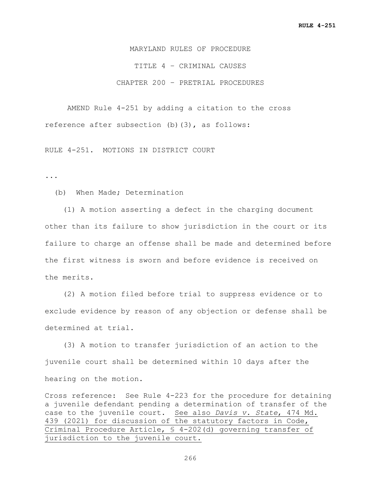MARYLAND RULES OF PROCEDURE TITLE 4 – CRIMINAL CAUSES CHAPTER 200 – PRETRIAL PROCEDURES

AMEND Rule 4-251 by adding a citation to the cross reference after subsection (b)(3), as follows:

RULE 4-251. MOTIONS IN DISTRICT COURT

...

(b) When Made; Determination

 (1) A motion asserting a defect in the charging document other than its failure to show jurisdiction in the court or its failure to charge an offense shall be made and determined before the first witness is sworn and before evidence is received on the merits.

 (2) A motion filed before trial to suppress evidence or to exclude evidence by reason of any objection or defense shall be determined at trial.

 (3) A motion to transfer jurisdiction of an action to the juvenile court shall be determined within 10 days after the hearing on the motion.

Cross reference: See Rule 4-223 for the procedure for detaining a juvenile defendant pending a determination of transfer of the case to the juvenile court. See also *Davis v. State*, 474 Md. 439 (2021) for discussion of the statutory factors in Code, Criminal Procedure Article, § 4-202(d) governing transfer of jurisdiction to the juvenile court.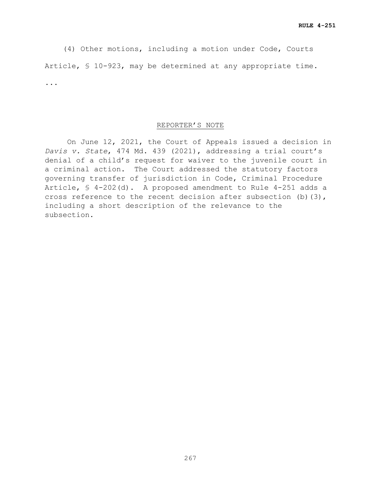(4) Other motions, including a motion under Code, Courts Article, § 10-923, may be determined at any appropriate time. ...

#### REPORTER'S NOTE

On June 12, 2021, the Court of Appeals issued a decision in *Davis v. State*, 474 Md. 439 (2021), addressing a trial court's denial of a child's request for waiver to the juvenile court in a criminal action. The Court addressed the statutory factors governing transfer of jurisdiction in Code, Criminal Procedure Article, § 4-202(d). A proposed amendment to Rule 4-251 adds a cross reference to the recent decision after subsection (b)(3), including a short description of the relevance to the subsection.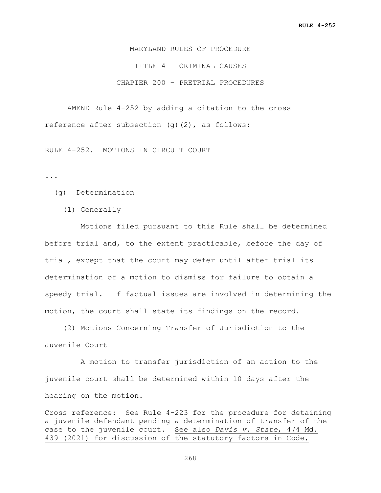MARYLAND RULES OF PROCEDURE TITLE 4 – CRIMINAL CAUSES CHAPTER 200 – PRETRIAL PROCEDURES

AMEND Rule 4-252 by adding a citation to the cross reference after subsection (g)(2), as follows:

RULE 4-252. MOTIONS IN CIRCUIT COURT

...

- (g) Determination
	- (1) Generally

 Motions filed pursuant to this Rule shall be determined before trial and, to the extent practicable, before the day of trial, except that the court may defer until after trial its determination of a motion to dismiss for failure to obtain a speedy trial. If factual issues are involved in determining the motion, the court shall state its findings on the record.

 (2) Motions Concerning Transfer of Jurisdiction to the Juvenile Court

 A motion to transfer jurisdiction of an action to the juvenile court shall be determined within 10 days after the hearing on the motion.

Cross reference: See Rule 4-223 for the procedure for detaining a juvenile defendant pending a determination of transfer of the case to the juvenile court. See also *Davis v. State*, 474 Md. 439 (2021) for discussion of the statutory factors in Code,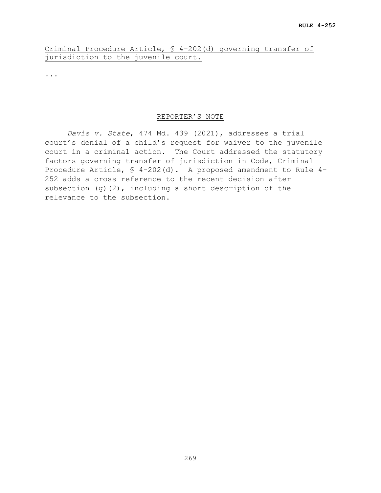Criminal Procedure Article, § 4-202(d) governing transfer of jurisdiction to the juvenile court.

...

## REPORTER'S NOTE

*Davis v. State*, 474 Md. 439 (2021), addresses a trial court's denial of a child's request for waiver to the juvenile court in a criminal action. The Court addressed the statutory factors governing transfer of jurisdiction in Code, Criminal Procedure Article, § 4-202(d). A proposed amendment to Rule 4- 252 adds a cross reference to the recent decision after subsection (g)(2), including a short description of the relevance to the subsection.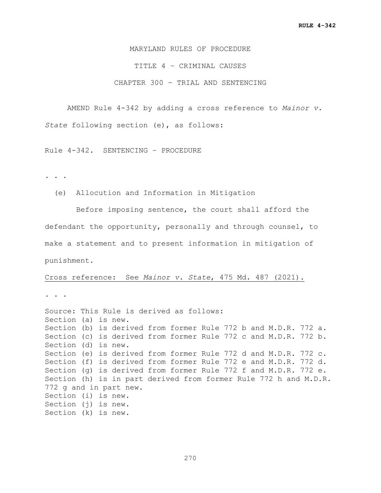MARYLAND RULES OF PROCEDURE

TITLE 4 – CRIMINAL CAUSES

CHAPTER 300 – TRIAL AND SENTENCING

AMEND Rule 4-342 by adding a cross reference to *Mainor v. State* following section (e), as follows:

Rule 4-342. SENTENCING – PROCEDURE

. . .

(e) Allocution and Information in Mitigation

 Before imposing sentence, the court shall afford the defendant the opportunity, personally and through counsel, to make a statement and to present information in mitigation of punishment.

#### Cross reference: See *Mainor v. State*, 475 Md. 487 (2021).

. . .

Source: This Rule is derived as follows: Section (a) is new. Section (b) is derived from former Rule 772 b and M.D.R. 772 a. Section (c) is derived from former Rule 772 c and M.D.R. 772 b. Section (d) is new. Section (e) is derived from former Rule 772 d and M.D.R. 772 c. Section (f) is derived from former Rule 772 e and M.D.R. 772 d. Section (g) is derived from former Rule 772 f and M.D.R. 772 e. Section (h) is in part derived from former Rule 772 h and M.D.R. 772 g and in part new. Section (i) is new. Section (j) is new. Section (k) is new.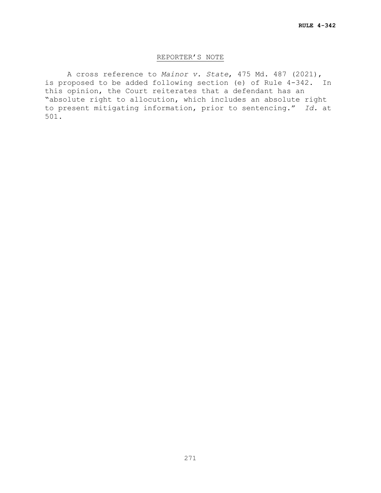## REPORTER'S NOTE

A cross reference to *Mainor v. State*, 475 Md. 487 (2021), is proposed to be added following section (e) of Rule 4-342. In this opinion, the Court reiterates that a defendant has an "absolute right to allocution, which includes an absolute right to present mitigating information, prior to sentencing." *Id.* at 501.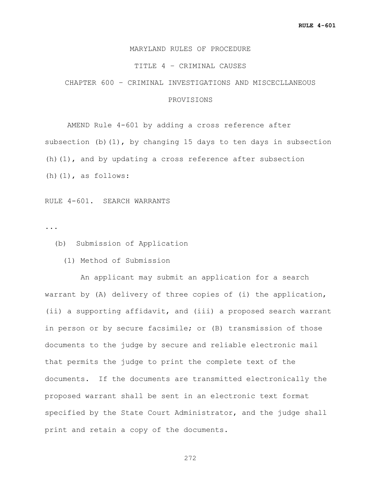## MARYLAND RULES OF PROCEDURE

## TITLE 4 – CRIMINAL CAUSES

CHAPTER 600 – CRIMINAL INVESTIGATIONS AND MISCECLLANEOUS

## PROVISIONS

AMEND Rule 4-601 by adding a cross reference after subsection (b)(1), by changing 15 days to ten days in subsection (h)(1), and by updating a cross reference after subsection (h) $(1)$ , as follows:

RULE 4-601. SEARCH WARRANTS

...

(b) Submission of Application

(1) Method of Submission

 An applicant may submit an application for a search warrant by (A) delivery of three copies of (i) the application, (ii) a supporting affidavit, and (iii) a proposed search warrant in person or by secure facsimile; or (B) transmission of those documents to the judge by secure and reliable electronic mail that permits the judge to print the complete text of the documents. If the documents are transmitted electronically the proposed warrant shall be sent in an electronic text format specified by the State Court Administrator, and the judge shall print and retain a copy of the documents.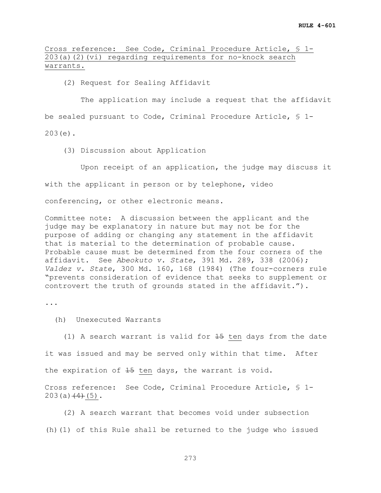Cross reference: See Code, Criminal Procedure Article, § 1- 203(a)(2)(vi) regarding requirements for no-knock search warrants.

(2) Request for Sealing Affidavit

 The application may include a request that the affidavit be sealed pursuant to Code, Criminal Procedure Article, § 1- 203(e).

(3) Discussion about Application

 Upon receipt of an application, the judge may discuss it with the applicant in person or by telephone, video conferencing, or other electronic means.

Committee note: A discussion between the applicant and the judge may be explanatory in nature but may not be for the purpose of adding or changing any statement in the affidavit that is material to the determination of probable cause. Probable cause must be determined from the four corners of the affidavit. See *Abeokuto v. State*, 391 Md. 289, 338 (2006); *Valdez v. State*, 300 Md. 160, 168 (1984) (The four-corners rule "prevents consideration of evidence that seeks to supplement or controvert the truth of grounds stated in the affidavit.").

...

(h) Unexecuted Warrants

(1) A search warrant is valid for  $45$  ten days from the date it was issued and may be served only within that time. After the expiration of  $15$  ten days, the warrant is void.

Cross reference: See Code, Criminal Procedure Article, § 1-  $203(a)$   $(4)$  (5).

 (2) A search warrant that becomes void under subsection (h)(1) of this Rule shall be returned to the judge who issued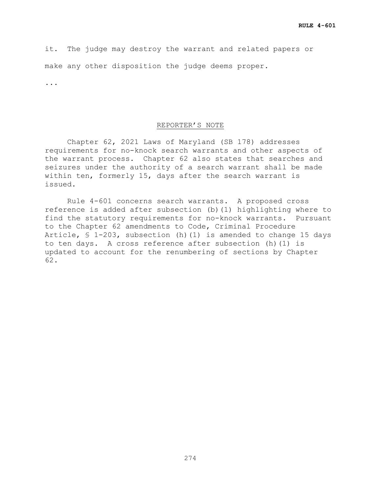it. The judge may destroy the warrant and related papers or make any other disposition the judge deems proper.

...

#### REPORTER'S NOTE

Chapter 62, 2021 Laws of Maryland (SB 178) addresses requirements for no-knock search warrants and other aspects of the warrant process. Chapter 62 also states that searches and seizures under the authority of a search warrant shall be made within ten, formerly 15, days after the search warrant is issued.

Rule 4-601 concerns search warrants. A proposed cross reference is added after subsection (b)(1) highlighting where to find the statutory requirements for no-knock warrants. Pursuant to the Chapter 62 amendments to Code, Criminal Procedure Article, § 1-203, subsection (h)(1) is amended to change 15 days to ten days. A cross reference after subsection (h)(1) is updated to account for the renumbering of sections by Chapter 62.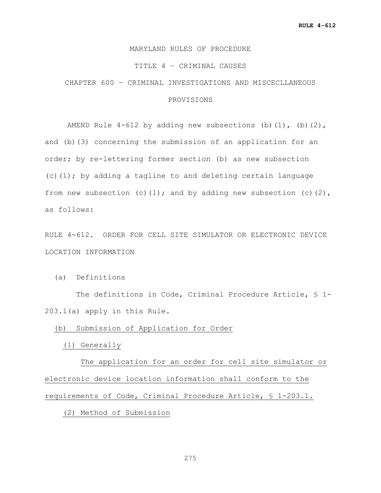## MARYLAND RULES OF PROCEDURE

#### TITLE 4 – CRIMINAL CAUSES

# CHAPTER 600 – CRIMINAL INVESTIGATIONS AND MISCECLLANEOUS

# PROVISIONS

AMEND Rule  $4-612$  by adding new subsections (b)(1), (b)(2), and (b)(3) concerning the submission of an application for an order; by re-lettering former section (b) as new subsection  $(c)$  (1); by adding a tagline to and deleting certain language from new subsection (c)(1); and by adding new subsection (c)(2), as follows:

RULE 4-612. ORDER FOR CELL SITE SIMULATOR OR ELECTRONIC DEVICE LOCATION INFORMATION

(a) Definitions

 The definitions in Code, Criminal Procedure Article, § 1- 203.1(a) apply in this Rule.

(b) Submission of Application for Order

(1) Generally

 The application for an order for cell site simulator or electronic device location information shall conform to the requirements of Code, Criminal Procedure Article, § 1-203.1.

(2) Method of Submission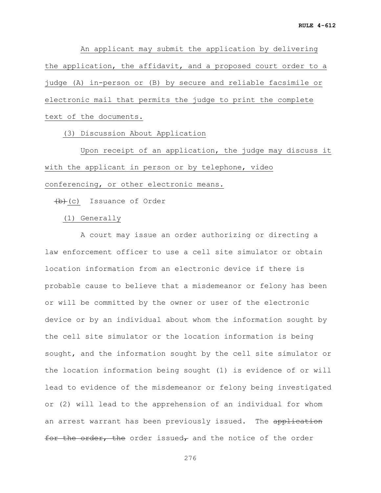An applicant may submit the application by delivering the application, the affidavit, and a proposed court order to a judge (A) in-person or (B) by secure and reliable facsimile or electronic mail that permits the judge to print the complete text of the documents.

(3) Discussion About Application

 Upon receipt of an application, the judge may discuss it with the applicant in person or by telephone, video conferencing, or other electronic means.

 $(b)+(c)$  Issuance of Order

(1) Generally

 A court may issue an order authorizing or directing a law enforcement officer to use a cell site simulator or obtain location information from an electronic device if there is probable cause to believe that a misdemeanor or felony has been or will be committed by the owner or user of the electronic device or by an individual about whom the information sought by the cell site simulator or the location information is being sought, and the information sought by the cell site simulator or the location information being sought (1) is evidence of or will lead to evidence of the misdemeanor or felony being investigated or (2) will lead to the apprehension of an individual for whom an arrest warrant has been previously issued. The application for the order, the order issued, and the notice of the order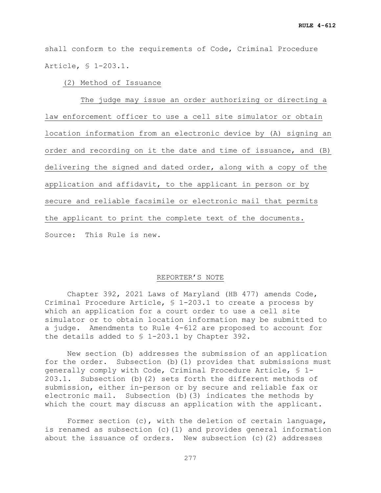shall conform to the requirements of Code, Criminal Procedure Article, § 1-203.1.

(2) Method of Issuance

 The judge may issue an order authorizing or directing a law enforcement officer to use a cell site simulator or obtain location information from an electronic device by (A) signing an order and recording on it the date and time of issuance, and (B) delivering the signed and dated order, along with a copy of the application and affidavit, to the applicant in person or by secure and reliable facsimile or electronic mail that permits the applicant to print the complete text of the documents. Source: This Rule is new.

## REPORTER'S NOTE

Chapter 392, 2021 Laws of Maryland (HB 477) amends Code, Criminal Procedure Article, § 1-203.1 to create a process by which an application for a court order to use a cell site simulator or to obtain location information may be submitted to a judge. Amendments to Rule 4-612 are proposed to account for the details added to § 1-203.1 by Chapter 392.

New section (b) addresses the submission of an application for the order. Subsection (b)(1) provides that submissions must generally comply with Code, Criminal Procedure Article, § 1- 203.1. Subsection (b)(2) sets forth the different methods of submission, either in-person or by secure and reliable fax or electronic mail. Subsection (b)(3) indicates the methods by which the court may discuss an application with the applicant.

Former section (c), with the deletion of certain language, is renamed as subsection (c)(1) and provides general information about the issuance of orders. New subsection (c)(2) addresses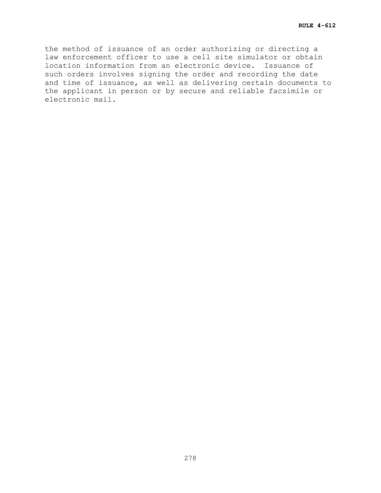the method of issuance of an order authorizing or directing a law enforcement officer to use a cell site simulator or obtain location information from an electronic device. Issuance of such orders involves signing the order and recording the date and time of issuance, as well as delivering certain documents to the applicant in person or by secure and reliable facsimile or electronic mail.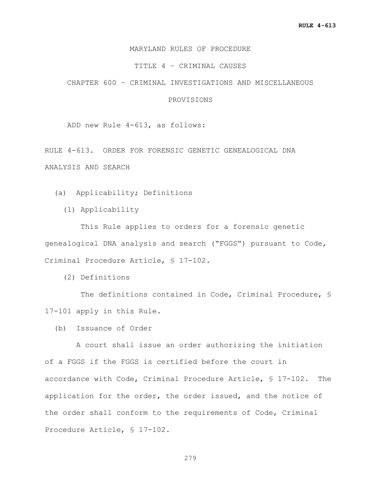## MARYLAND RULES OF PROCEDURE

### TITLE 4 – CRIMINAL CAUSES

CHAPTER 600 – CRIMINAL INVESTIGATIONS AND MISCELLANEOUS

## PROVISIONS

ADD new Rule 4-613, as follows:

RULE 4-613. ORDER FOR FORENSIC GENETIC GENEALOGICAL DNA ANALYSIS AND SEARCH

(a) Applicability; Definitions

(1) Applicability

 This Rule applies to orders for a forensic genetic genealogical DNA analysis and search ("FGGS") pursuant to Code, Criminal Procedure Article, § 17-102.

(2) Definitions

 The definitions contained in Code, Criminal Procedure, § 17-101 apply in this Rule.

(b) Issuance of Order

 A court shall issue an order authorizing the initiation of a FGGS if the FGGS is certified before the court in accordance with Code, Criminal Procedure Article, § 17-102. The application for the order, the order issued, and the notice of the order shall conform to the requirements of Code, Criminal Procedure Article, § 17-102.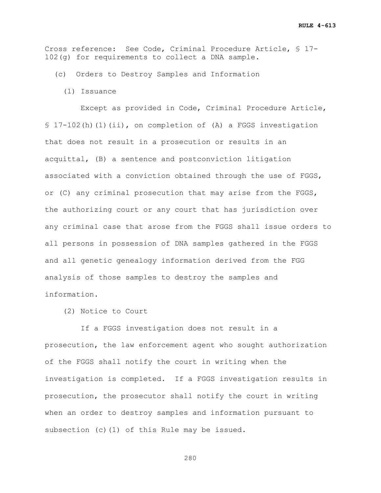Cross reference: See Code, Criminal Procedure Article, § 17- 102(g) for requirements to collect a DNA sample.

- (c) Orders to Destroy Samples and Information
	- (1) Issuance

 Except as provided in Code, Criminal Procedure Article, § 17-102(h)(1)(ii), on completion of (A) a FGGS investigation that does not result in a prosecution or results in an acquittal, (B) a sentence and postconviction litigation associated with a conviction obtained through the use of FGGS, or (C) any criminal prosecution that may arise from the FGGS, the authorizing court or any court that has jurisdiction over any criminal case that arose from the FGGS shall issue orders to all persons in possession of DNA samples gathered in the FGGS and all genetic genealogy information derived from the FGG analysis of those samples to destroy the samples and information.

(2) Notice to Court

 If a FGGS investigation does not result in a prosecution, the law enforcement agent who sought authorization of the FGGS shall notify the court in writing when the investigation is completed. If a FGGS investigation results in prosecution, the prosecutor shall notify the court in writing when an order to destroy samples and information pursuant to subsection (c)(1) of this Rule may be issued.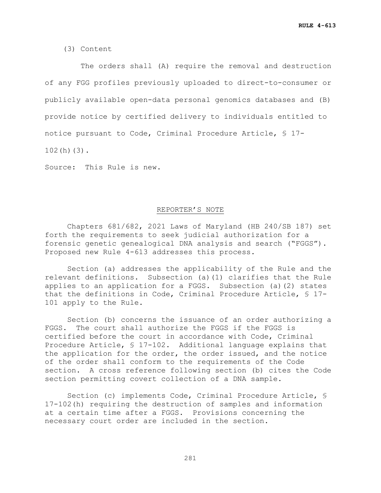(3) Content

 The orders shall (A) require the removal and destruction of any FGG profiles previously uploaded to direct-to-consumer or publicly available open-data personal genomics databases and (B) provide notice by certified delivery to individuals entitled to notice pursuant to Code, Criminal Procedure Article, § 17- 102(h)(3).

Source: This Rule is new.

## REPORTER'S NOTE

Chapters 681/682, 2021 Laws of Maryland (HB 240/SB 187) set forth the requirements to seek judicial authorization for a forensic genetic genealogical DNA analysis and search ("FGGS"). Proposed new Rule 4-613 addresses this process.

Section (a) addresses the applicability of the Rule and the relevant definitions. Subsection (a)(1) clarifies that the Rule applies to an application for a FGGS. Subsection (a)(2) states that the definitions in Code, Criminal Procedure Article, § 17- 101 apply to the Rule.

Section (b) concerns the issuance of an order authorizing a FGGS. The court shall authorize the FGGS if the FGGS is certified before the court in accordance with Code, Criminal Procedure Article, § 17-102. Additional language explains that the application for the order, the order issued, and the notice of the order shall conform to the requirements of the Code section. A cross reference following section (b) cites the Code section permitting covert collection of a DNA sample.

Section (c) implements Code, Criminal Procedure Article, § 17-102(h) requiring the destruction of samples and information at a certain time after a FGGS. Provisions concerning the necessary court order are included in the section.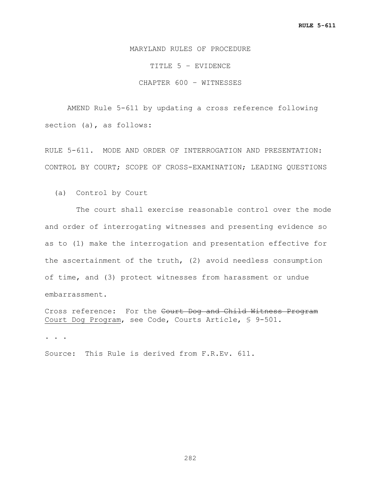MARYLAND RULES OF PROCEDURE

TITLE 5 – EVIDENCE

CHAPTER 600 – WITNESSES

AMEND Rule 5-611 by updating a cross reference following section (a), as follows:

RULE 5-611. MODE AND ORDER OF INTERROGATION AND PRESENTATION: CONTROL BY COURT; SCOPE OF CROSS-EXAMINATION; LEADING QUESTIONS

(a) Control by Court

 The court shall exercise reasonable control over the mode and order of interrogating witnesses and presenting evidence so as to (1) make the interrogation and presentation effective for the ascertainment of the truth, (2) avoid needless consumption of time, and (3) protect witnesses from harassment or undue embarrassment.

Cross reference: For the Court Dog and Child Witness Program Court Dog Program, see Code, Courts Article, § 9-501.

**. . .**

Source: This Rule is derived from F.R.Ev. 611.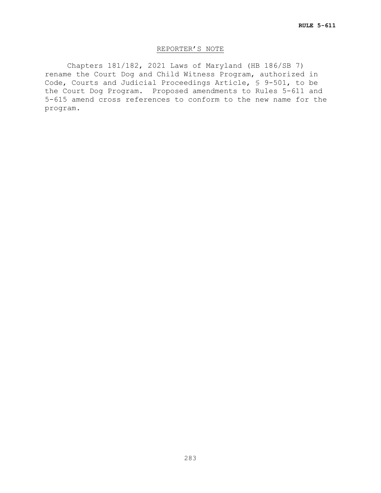# REPORTER'S NOTE

Chapters 181/182, 2021 Laws of Maryland (HB 186/SB 7) rename the Court Dog and Child Witness Program, authorized in Code, Courts and Judicial Proceedings Article, § 9-501, to be the Court Dog Program. Proposed amendments to Rules 5-611 and 5-615 amend cross references to conform to the new name for the program.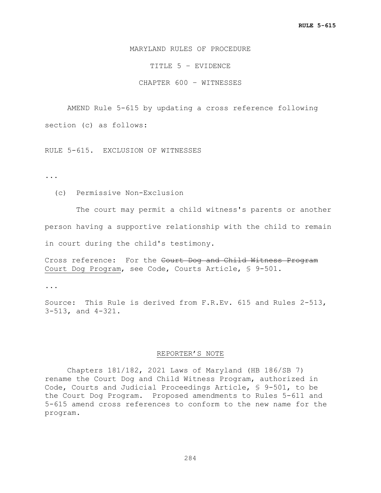## MARYLAND RULES OF PROCEDURE

TITLE 5 – EVIDENCE

CHAPTER 600 – WITNESSES

AMEND Rule 5-615 by updating a cross reference following

section (c) as follows:

RULE 5-615. EXCLUSION OF WITNESSES

**...**

(c) Permissive Non-Exclusion

 The court may permit a child witness's parents or another person having a supportive relationship with the child to remain in court during the child's testimony.

Cross reference: For the Court Dog and Child Witness Program Court Dog Program, see Code, Courts Article, § 9-501.

**...**

Source: This Rule is derived from F.R.Ev. 615 and Rules 2-513, 3-513, and 4-321.

## REPORTER'S NOTE

Chapters 181/182, 2021 Laws of Maryland (HB 186/SB 7) rename the Court Dog and Child Witness Program, authorized in Code, Courts and Judicial Proceedings Article, § 9-501, to be the Court Dog Program. Proposed amendments to Rules 5-611 and 5-615 amend cross references to conform to the new name for the program.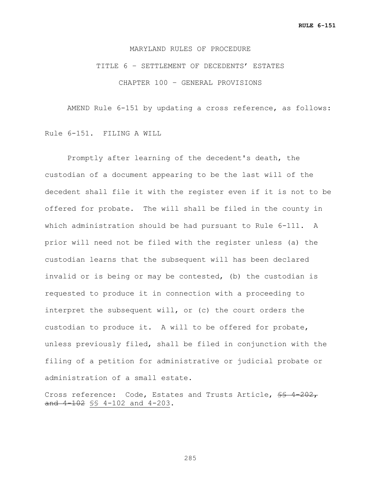## MARYLAND RULES OF PROCEDURE

TITLE 6 – SETTLEMENT OF DECEDENTS' ESTATES CHAPTER 100 – GENERAL PROVISIONS

AMEND Rule 6-151 by updating a cross reference, as follows:

Rule 6-151. FILING A WILL

Promptly after learning of the decedent's death, the custodian of a document appearing to be the last will of the decedent shall file it with the register even if it is not to be offered for probate. The will shall be filed in the county in which administration should be had pursuant to Rule 6-111. A prior will need not be filed with the register unless (a) the custodian learns that the subsequent will has been declared invalid or is being or may be contested, (b) the custodian is requested to produce it in connection with a proceeding to interpret the subsequent will, or (c) the court orders the custodian to produce it. A will to be offered for probate, unless previously filed, shall be filed in conjunction with the filing of a petition for administrative or judicial probate or administration of a small estate.

Cross reference: Code, Estates and Trusts Article, \$\$ 4-202, and 4-102 §§ 4-102 and 4-203.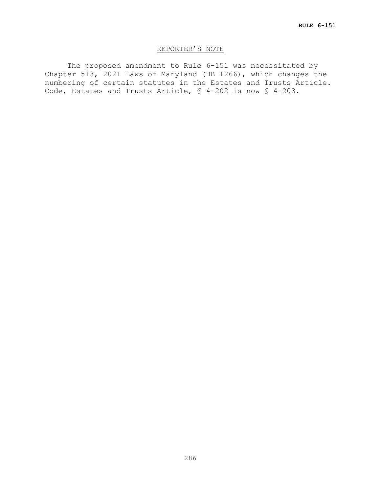# REPORTER'S NOTE

The proposed amendment to Rule 6-151 was necessitated by Chapter 513, 2021 Laws of Maryland (HB 1266), which changes the numbering of certain statutes in the Estates and Trusts Article. Code, Estates and Trusts Article, § 4-202 is now § 4-203.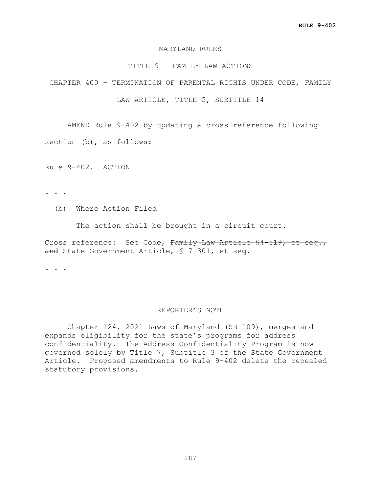### MARYLAND RULES

## TITLE 9 – FAMILY LAW ACTIONS

CHAPTER 400 – TERMINATION OF PARENTAL RIGHTS UNDER CODE, FAMILY

LAW ARTICLE, TITLE 5, SUBTITLE 14

AMEND Rule 9-402 by updating a cross reference following

section (b), as follows:

Rule 9-402. ACTION

- . . .
	- (b) Where Action Filed

The action shall be brought in a circuit court.

Cross reference: See Code, Family Law Article \$4-519, et seq., and State Government Article, § 7-301, et seq.

. . .

#### REPORTER'S NOTE

Chapter 124, 2021 Laws of Maryland (SB 109), merges and expands eligibility for the state's programs for address confidentiality. The Address Confidentiality Program is now governed solely by Title 7, Subtitle 3 of the State Government Article. Proposed amendments to Rule 9-402 delete the repealed statutory provisions.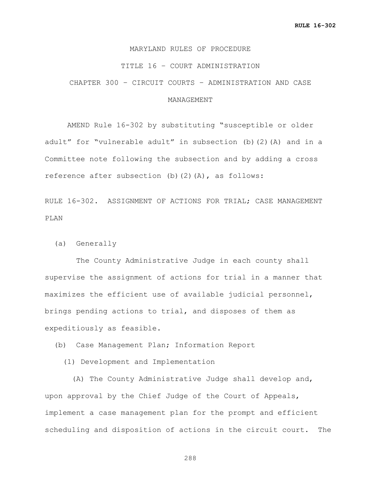### MARYLAND RULES OF PROCEDURE

### TITLE 16 – COURT ADMINISTRATION

CHAPTER 300 – CIRCUIT COURTS – ADMINISTRATION AND CASE

## MANAGEMENT

AMEND Rule 16-302 by substituting "susceptible or older adult" for "vulnerable adult" in subsection (b)(2)(A) and in a Committee note following the subsection and by adding a cross reference after subsection  $(b)(2)(A)$ , as follows:

RULE 16-302. ASSIGNMENT OF ACTIONS FOR TRIAL; CASE MANAGEMENT PLAN

(a) Generally

 The County Administrative Judge in each county shall supervise the assignment of actions for trial in a manner that maximizes the efficient use of available judicial personnel, brings pending actions to trial, and disposes of them as expeditiously as feasible.

(b) Case Management Plan; Information Report

(1) Development and Implementation

 (A) The County Administrative Judge shall develop and, upon approval by the Chief Judge of the Court of Appeals, implement a case management plan for the prompt and efficient scheduling and disposition of actions in the circuit court. The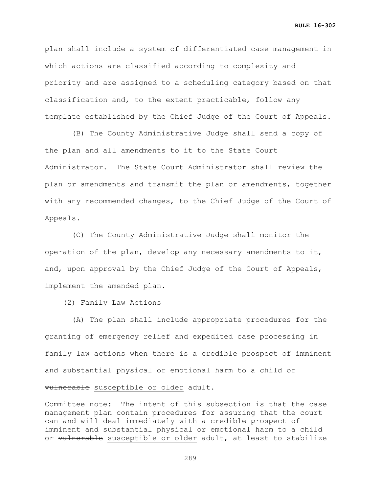plan shall include a system of differentiated case management in which actions are classified according to complexity and priority and are assigned to a scheduling category based on that classification and, to the extent practicable, follow any template established by the Chief Judge of the Court of Appeals.

 (B) The County Administrative Judge shall send a copy of the plan and all amendments to it to the State Court Administrator. The State Court Administrator shall review the plan or amendments and transmit the plan or amendments, together with any recommended changes, to the Chief Judge of the Court of Appeals.

 (C) The County Administrative Judge shall monitor the operation of the plan, develop any necessary amendments to it, and, upon approval by the Chief Judge of the Court of Appeals, implement the amended plan.

(2) Family Law Actions

 (A) The plan shall include appropriate procedures for the granting of emergency relief and expedited case processing in family law actions when there is a credible prospect of imminent and substantial physical or emotional harm to a child or vulnerable susceptible or older adult.

Committee note: The intent of this subsection is that the case management plan contain procedures for assuring that the court can and will deal immediately with a credible prospect of imminent and substantial physical or emotional harm to a child or vulnerable susceptible or older adult, at least to stabilize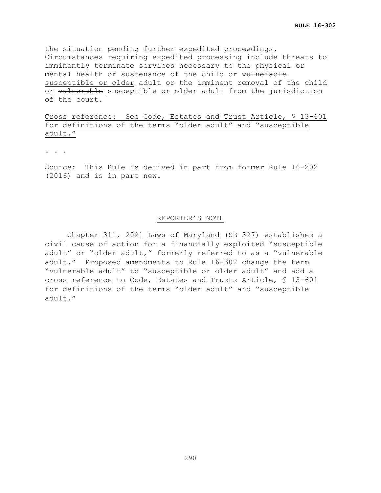the situation pending further expedited proceedings. Circumstances requiring expedited processing include threats to imminently terminate services necessary to the physical or mental health or sustenance of the child or vulnerable susceptible or older adult or the imminent removal of the child or wulnerable susceptible or older adult from the jurisdiction of the court.

Cross reference: See Code, Estates and Trust Article, § 13-601 for definitions of the terms "older adult" and "susceptible adult."

. . .

Source:This Rule is derived in part from former Rule 16-202 (2016) and is in part new.

#### REPORTER'S NOTE

Chapter 311, 2021 Laws of Maryland (SB 327) establishes a civil cause of action for a financially exploited "susceptible adult" or "older adult," formerly referred to as a "vulnerable adult." Proposed amendments to Rule 16-302 change the term "vulnerable adult" to "susceptible or older adult" and add a cross reference to Code, Estates and Trusts Article, § 13-601 for definitions of the terms "older adult" and "susceptible adult."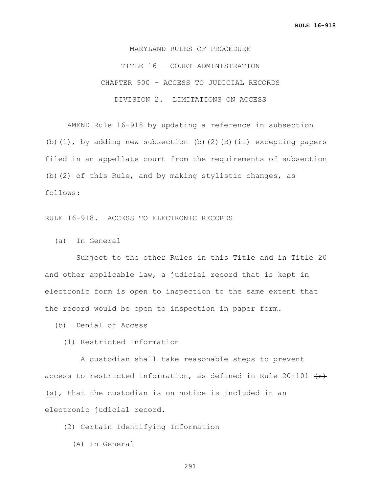MARYLAND RULES OF PROCEDURE TITLE 16 – COURT ADMINISTRATION CHAPTER 900 – ACCESS TO JUDICIAL RECORDS DIVISION 2. LIMITATIONS ON ACCESS

AMEND Rule 16-918 by updating a reference in subsection (b)(1), by adding new subsection (b)(2)(B)(ii) excepting papers filed in an appellate court from the requirements of subsection (b)(2) of this Rule, and by making stylistic changes, as follows:

RULE 16-918. ACCESS TO ELECTRONIC RECORDS

(a) In General

 Subject to the other Rules in this Title and in Title 20 and other applicable law, a judicial record that is kept in electronic form is open to inspection to the same extent that the record would be open to inspection in paper form.

(b) Denial of Access

(1) Restricted Information

 A custodian shall take reasonable steps to prevent access to restricted information, as defined in Rule 20-101  $\{f\}$ (s), that the custodian is on notice is included in an electronic judicial record.

(2) Certain Identifying Information

(A) In General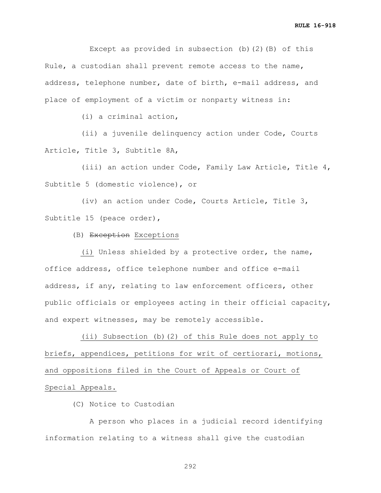Except as provided in subsection (b)(2)(B) of this Rule, a custodian shall prevent remote access to the name, address, telephone number, date of birth, e-mail address, and place of employment of a victim or nonparty witness in:

(i) a criminal action,

 (ii) a juvenile delinquency action under Code, Courts Article, Title 3, Subtitle 8A,

 (iii) an action under Code, Family Law Article, Title 4, Subtitle 5 (domestic violence), or

 (iv) an action under Code, Courts Article, Title 3, Subtitle 15 (peace order),

(B) Exception Exceptions

 (i) Unless shielded by a protective order, the name, office address, office telephone number and office e-mail address, if any, relating to law enforcement officers, other public officials or employees acting in their official capacity, and expert witnesses, may be remotely accessible.

 (ii) Subsection (b)(2) of this Rule does not apply to briefs, appendices, petitions for writ of certiorari, motions, and oppositions filed in the Court of Appeals or Court of Special Appeals.

(C) Notice to Custodian

 A person who places in a judicial record identifying information relating to a witness shall give the custodian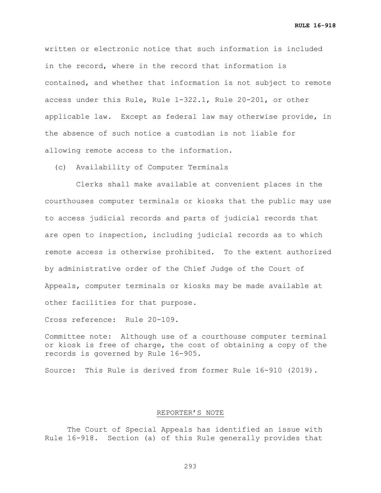**RULE 16-918**

written or electronic notice that such information is included in the record, where in the record that information is contained, and whether that information is not subject to remote access under this Rule, Rule 1-322.1, Rule 20-201, or other applicable law. Except as federal law may otherwise provide, in the absence of such notice a custodian is not liable for allowing remote access to the information.

(c) Availability of Computer Terminals

 Clerks shall make available at convenient places in the courthouses computer terminals or kiosks that the public may use to access judicial records and parts of judicial records that are open to inspection, including judicial records as to which remote access is otherwise prohibited. To the extent authorized by administrative order of the Chief Judge of the Court of Appeals, computer terminals or kiosks may be made available at other facilities for that purpose.

Cross reference: Rule 20-109.

Committee note: Although use of a courthouse computer terminal or kiosk is free of charge, the cost of obtaining a copy of the records is governed by Rule 16-905.

Source: This Rule is derived from former Rule 16-910 (2019).

# REPORTER'S NOTE

The Court of Special Appeals has identified an issue with Rule 16-918. Section (a) of this Rule generally provides that